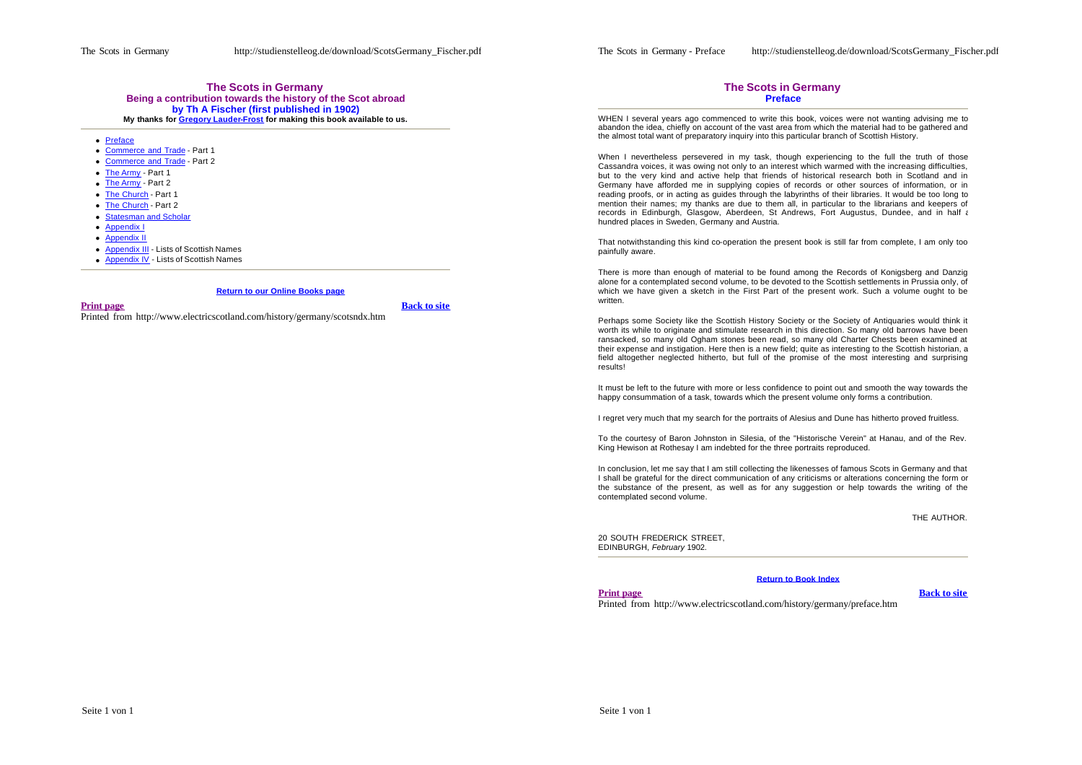## **The Scots in Germany Being a contribution towards the history of the Scot abroad by Th A Fischer (first published in 1902) My thanks for Gregory Lauder-Frost for making this book available to us.**

- **Preface**
- Commerce and Trade Part 1
- Commerce and Trade Part 2
- The Army Part 1
- The Army Part 2
- The Church Part 1
- The Church Part 2
- **Statesman and Scholar**
- Appendix I
- **•** Appendix II
- **Appendix III Lists of Scottish Names**
- **Appendix IV Lists of Scottish Names**

## **Return to our Online Books page**

#### **Print page Back to site**

Printed from http://www.electricscotland.com/history/germany/scotsndx.htm

### **The Scots in Germany Preface**

WHEN I several years ago commenced to write this book, voices were not wanting advising me to abandon the idea, chiefly on account of the vast area from which the material had to be gathered and the almost total want of preparatory inquiry into this particular branch of Scottish History.

When I nevertheless persevered in my task, though experiencing to the full the truth of those Cassandra voices, it was owing not only to an interest which warmed with the increasing difficulties, but to the very kind and active help that friends of historical research both in Scotland and in Germany have afforded me in supplying copies of records or other sources of information, or in reading proofs, or in acting as guides through the labyrinths of their libraries. It would be too long to mention their names; my thanks are due to them all, in particular to the librarians and keepers of records in Edinburgh, Glasgow, Aberdeen, St Andrews, Fort Augustus, Dundee, and in half a hundred places in Sweden, Germany and Austria.

That notwithstanding this kind co-operation the present book is still far from complete, I am only too painfully aware.

There is more than enough of material to be found among the Records of Konigsberg and Danzig alone for a contemplated second volume, to be devoted to the Scottish settlements in Prussia only, of which we have given a sketch in the First Part of the present work. Such a volume ought to be written.

Perhaps some Society like the Scottish History Society or the Society of Antiquaries would think it worth its while to originate and stimulate research in this direction. So many old barrows have been ransacked, so many old Ogham stones been read, so many old Charter Chests been examined at their expense and instigation. Here then is a new field; quite as interesting to the Scottish historian, a field altogether neglected hitherto, but full of the promise of the most interesting and surprising results!

It must be left to the future with more or less confidence to point out and smooth the way towards the happy consummation of a task, towards which the present volume only forms a contribution.

I regret very much that my search for the portraits of Alesius and Dune has hitherto proved fruitless.

To the courtesy of Baron Johnston in Silesia, of the "Historische Verein" at Hanau, and of the Rev. King Hewison at Rothesay I am indebted for the three portraits reproduced.

In conclusion, let me say that I am still collecting the likenesses of famous Scots in Germany and that I shall be grateful for the direct communication of any criticisms or alterations concerning the form or the substance of the present, as well as for any suggestion or help towards the writing of the contemplated second volume.

THE AUTHOR.

20 SOUTH FREDERICK STREET, EDINBURGH, *February* 1902.

## **Return to Book Index**

**Print page Back to site** 

Printed from http://www.electricscotland.com/history/germany/preface.htm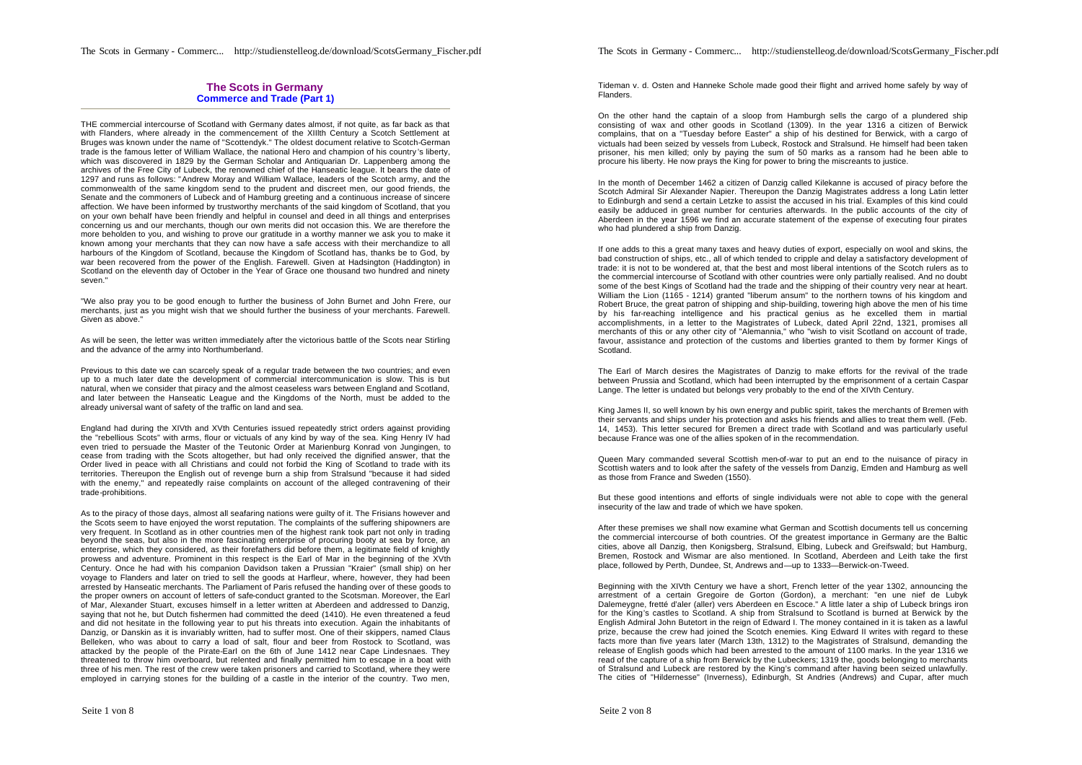## **The Scots in Germany Commerce and Trade (Part 1)**

THE commercial intercourse of Scotland with Germany dates almost, if not quite, as far back as that with Flanders, where already in the commencement of the XIIlth Century a Scotch Settlement at Bruges was known under the name of "Scottendyk." The oldest document relative to Scotch-German trade is the famous letter of William Wallace, the national Hero and champion of his country 's liberty, which was discovered in 1829 by the German Scholar and Antiquarian Dr. Lappenberg among the archives of the Free City of Lubeck, the renowned chief of the Hanseatic league. It bears the date of 1297 and runs as follows: "Andrew Moray and William Wallace, leaders of the Scotch army, and the commonwealth of the same kingdom send to the prudent and discreet men, our good friends, the Senate and the commoners of Lubeck and of Hamburg greeting and a continuous increase of sincere affection. We have been informed by trustworthy merchants of the said kingdom of Scotland, that you on your own behalf have been friendly and helpful in counsel and deed in all things and enterprises concerning us and our merchants, though our own merits did not occasion this. We are therefore the more beholden to you, and wishing to prove our gratitude in a worthy manner we ask you to make it known among your merchants that they can now have a safe access with their merchandize to all harbours of the Kingdom of Scotland, because the Kingdom of Scotland has, thanks be to God, by war been recovered from the power of the English. Farewell, Given at Hadsington (Haddington) in Scotland on the eleventh day of October in the Year of Grace one thousand two hundred and ninety seven."

"We also pray you to be good enough to further the business of John Burnet and John Frere, our merchants, just as you might wish that we should further the business of your merchants. Farewell. Given as above."

As will be seen, the letter was written immediately after the victorious battle of the Scots near Stirling and the advance of the army into Northumberland.

Previous to this date we can scarcely speak of a regular trade between the two countries; and even up to a much later date the development of commercial intercommunication is slow. This is but natural, when we consider that piracy and the almost ceaseless wars between England and Scotland, and later between the Hanseatic League and the Kingdoms of the North, must be added to the already universal want of safety of the traffic on land and sea.

England had during the XIVth and XVth Centuries issued repeatedly strict orders against providing the "rebellious Scots" with arms, flour or victuals of any kind by way of the sea. King Henry IV had even tried to persuade the Master of the Teutonic Order at Marienburg Konrad von Jungingen, to cease from trading with the Scots altogether, but had only received the dignified answer, that the Order lived in peace with all Christians and could not forbid the King of Scotland to trade with its territories. Thereupon the English out of revenge burn a ship from Stralsund "because it had sided with the enemy," and repeatedly raise complaints on account of the alleged contravening of their trade-prohibitions.

As to the piracy of those days, almost all seafaring nations were guilty of it. The Frisians however and the Scots seem to have enjoyed the worst reputation. The complaints of the suffering shipowners are very frequent. In Scotland as in other countries men of the highest rank took part not only in trading beyond the seas, but also in the more fascinating enterprise of procuring booty at sea by force, an enterprise, which they considered, as their forefathers did before them, a legitimate field of knightly prowess and adventure. Prominent in this respect is the Earl of Mar in the beginning of the XVth Century. Once he had with his companion Davidson taken a Prussian "Kraier" (small ship) on her voyage to Flanders and later on tried to sell the goods at Harfleur, where, however, they had been arrested by Hanseatic merchants. The Parliament of Paris refused the handing over of these goods to the proper owners on account of letters of safe-conduct granted to the Scotsman. Moreover, the Earl of Mar, Alexander Stuart, excuses himself in a letter written at Aberdeen and addressed to Danzig, saying that not he, but Dutch fishermen had committed the deed (1410). He even threatened a feud and did not hesitate in the following year to put his threats into execution. Again the inhabitants of Danzig, or Danskin as it is invariably written, had to suffer most. One of their skippers, named Claus Belleken, who was about to carry a load of salt, flour and beer from Rostock to Scotland, was attacked by the people of the Pirate-Earl on the 6th of June 1412 near Cape Lindesnaes. They threatened to throw him overboard, but relented and finally permitted him to escape in a boat with three of his men. The rest of the crew were taken prisoners and carried to Scotland, where they were employed in carrying stones for the building of a castle in the interior of the country. Two men,

The Scots in Germany - Commerc... http://studienstelleog.de/download/ScotsGermany\_Fischer.pdf

Tideman v. d. Osten and Hanneke Schole made good their flight and arrived home safely by way of Flanders.

On the other hand the captain of a sloop from Hamburgh sells the cargo of a plundered ship consisting of wax and other goods in Scotland (1309). In the year 1316 a citizen of Berwick complains, that on a "Tuesday before Easter" a ship of his destined for Berwick, with a cargo of victuals had been seized by vessels from Lubeck, Rostock and Stralsund. He himself had been taken prisoner, his men killed; only by paying the sum of 50 marks as a ransom had he been able to procure his liberty. He now prays the King for power to bring the miscreants to justice.

In the month of December 1462 a citizen of Danzig called Kilekanne is accused of piracy before the Scotch Admiral Sir Alexander Napier. Thereupon the Danzig Magistrates address a long Latin letter to Edinburgh and send a certain Letzke to assist the accused in his trial. Examples of this kind could easily be adduced in great number for centuries afterwards. In the public accounts of the city of Aberdeen in the year 1596 we find an accurate statement of the expense of executing four pirates who had plundered a ship from Danzig.

If one adds to this a great many taxes and heavy duties of export, especially on wool and skins, the bad construction of ships, etc., all of which tended to cripple and delay a satisfactory development of trade: it is not to be wondered at, that the best and most liberal intentions of the Scotch rulers as to the commercial intercourse of Scotland with other countries were only partially realised. And no doubt some of the best Kings of Scotland had the trade and the shipping of their country very near at heart. William the Lion (1165 - 1214) granted "liberum ansum" to the northern towns of his kingdom and Robert Bruce, the great patron of shipping and ship-building, towering high above the men of his time by his far-reaching intelligence and his practical genius as he excelled them in martial accomplishments, in a letter to the Magistrates of Lubeck, dated April 22nd, 1321, promises all merchants of this or any other city of "Alemannia," who "wish to visit Scotland on account of trade, favour, assistance and protection of the customs and liberties granted to them by former Kings of Scotland.

The Earl of March desires the Magistrates of Danzig to make efforts for the revival of the trade between Prussia and Scotland, which had been interrupted by the emprisonment of a certain Caspar Lange. The letter is undated but belongs very probably to the end of the XIVth Century.

King James II, so well known by his own energy and public spirit, takes the merchants of Bremen with their servants and ships under his protection and asks his friends and allies to treat them well. (Feb. 14, 1453). This letter secured for Bremen a direct trade with Scotland and was particularly useful because France was one of the allies spoken of in the recommendation.

Queen Mary commanded several Scottish men-of-war to put an end to the nuisance of piracy in Scottish waters and to look after the safety of the vessels from Danzig, Emden and Hamburg as well as those from France and Sweden (1550).

But these good intentions and efforts of single individuals were not able to cope with the general insecurity of the law and trade of which we have spoken.

After these premises we shall now examine what German and Scottish documents tell us concerning the commercial intercourse of both countries. Of the greatest importance in Germany are the Baltic cities, above all Danzig, then Konigsberg, Stralsund, Elbing, Lubeck and Greifswald; but Hamburg, Bremen, Rostock and Wismar are also mentioned. In Scotland, Aberdeen and Leith take the first place, followed by Perth, Dundee, St, Andrews and—up to 1333—Berwick-on-Tweed.

Beginning with the XIVth Century we have a short, French letter of the year 1302, announcing the arrestment of a certain Gregoire de Gorton (Gordon), a merchant: "en une nief de Lubyk Dalemeygne, fretté d'aler (aller) vers Aberdeen en Escoce." A little later a ship of Lubeck brings iron for the King's castles to Scotland. A ship from Stralsund to Scotland is burned at Berwick by the English Admiral John Butetort in the reign of Edward I. The money contained in it is taken as a lawful prize, because the crew had joined the Scotch enemies. King Edward II writes with regard to these facts more than five years later (March 13th, 1312) to the Magistrates of Stralsund, demanding the release of English goods which had been arrested to the amount of 1100 marks. In the year 1316 we read of the capture of a ship from Berwick by the Lubeckers; 1319 the, goods belonging to merchants of Stralsund and Lubeck are restored by the King's command after having been seized unlawfully. The cities of "Hildernesse" (Inverness), Edinburgh, St Andries (Andrews) and Cupar, after much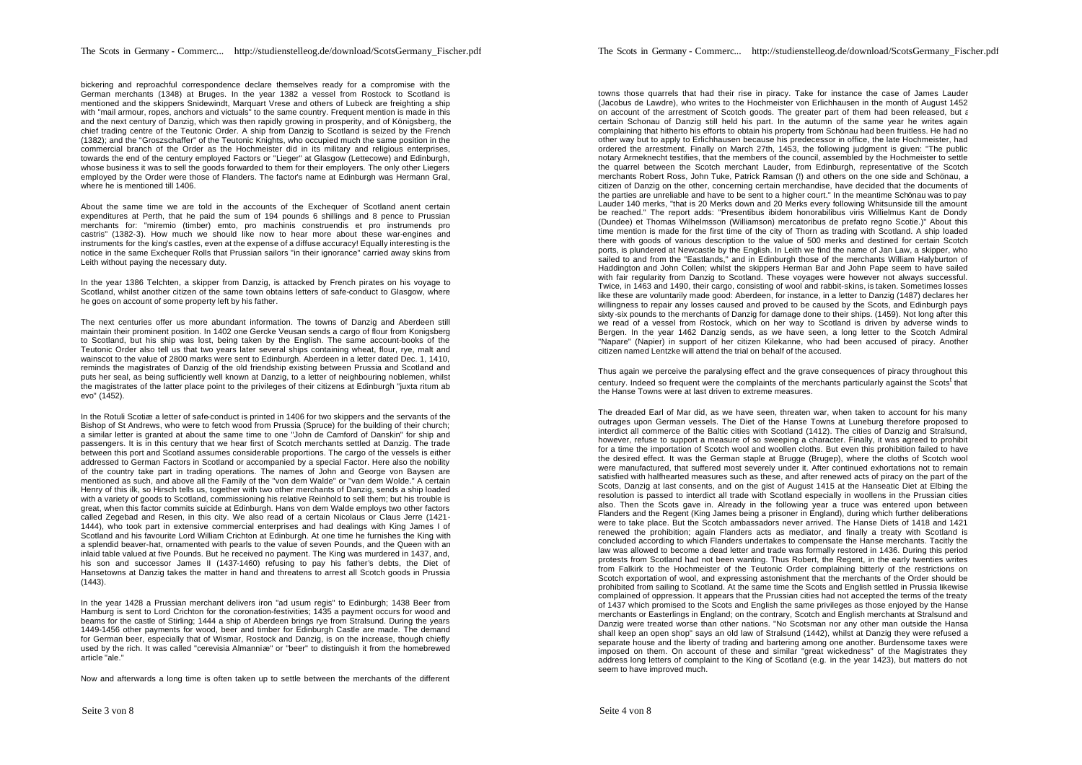bickering and reproachful correspondence declare themselves ready for a compromise with the German merchants (1348) at Bruges. In the year 1382 a vessel from Rostock to Scotland is mentioned and the skippers Snidewindt, Marquart Vrese and others of Lubeck are freighting a ship with "mail armour, ropes, anchors and victuals" to the same country. Frequent mention is made in this and the next century of Danzig, which was then rapidly growing in prosperity, and of Königsberg, the chief trading centre of the Teutonic Order. A ship from Danzig to Scotland is seized by the French (1382); and the "Groszschaffer" of the Teutonic Knights, who occupied much the same position in the commercial branch of the Order as the Hochmeister did in its military and religious enterprises, towards the end of the century employed Factors or "Lieger" at Glasgow (Lettecowe) and Edinburgh, whose business it was to sell the goods forwarded to them for their employers. The only other Liegers employed by the Order were those of Flanders. The factor's name at Edinburgh was Hermann Gral, where he is mentioned till 1406.

About the same time we are told in the accounts of the Exchequer of Scotland anent certain expenditures at Perth, that he paid the sum of 194 pounds 6 shillings and 8 pence to Prussian merchants for: "miremio (timber) emto, pro machinis construendis et pro instrumends pro castris" (1382-3). How much we should like now to hear more about these war-engines and instruments for the king's castles, even at the expense of a diffuse accuracy! Equally interesting is the notice in the same Exchequer Rolls that Prussian sailors "in their ignorance" carried away skins from Leith without paying the necessary duty.

In the year 1386 Telchten, a skipper from Danzig, is attacked by French pirates on his voyage to Scotland, whilst another citizen of the same town obtains letters of safe-conduct to Glasgow, where he goes on account of some property left by his father.

The next centuries offer us more abundant information. The towns of Danzig and Aberdeen still maintain their prominent position. In 1402 one Gercke Veusan sends a cargo of flour from Konigsberg to Scotland, but his ship was lost, being taken by the English. The same account-books of the Teutonic Order also tell us that two years later several ships containing wheat, flour, rye, malt and wainscot to the value of 2800 marks were sent to Edinburgh. Aberdeen in a letter dated Dec. 1, 1410, reminds the magistrates of Danzig of the old friendship existing between Prussia and Scotland and puts her seal, as being sufficiently well known at Danzig, to a letter of neighbouring noblemen, whilst the magistrates of the latter place point to the privileges of their citizens at Edinburgh "juxta ritum ab evo" (1452).

In the Rotuli Scotiæ a letter of safe-conduct is printed in 1406 for two skippers and the servants of the Bishop of St Andrews, who were to fetch wood from Prussia (Spruce) for the building of their church; a similar letter is granted at about the same time to one "John de Camford of Danskin" for ship and passengers. It is in this century that we hear first of Scotch merchants settled at Danzig. The trade between this port and Scotland assumes considerable proportions. The cargo of the vessels is either addressed to German Factors in Scotland or accompanied by a special Factor. Here also the nobility of the country take part in trading operations. The names of John and George von Baysen are mentioned as such, and above all the Family of the "von dem Walde" or "van dem Wolde." A certain Henry of this ilk, so Hirsch tells us, together with two other merchants of Danzig, sends a ship loaded with a variety of goods to Scotland, commissioning his relative Reinhold to sell them; but his trouble is great, when this factor commits suicide at Edinburgh. Hans von dem Walde employs two other factors called Zegebad and Resen, in this city. We also read of a certain Nicolaus or Claus Jerre (1421- 1444), who took part in extensive commercial enterprises and had dealings with King James I of Scotland and his favourite Lord William Crichton at Edinburgh. At one time he furnishes the King with a splendid beaver-hat, ornamented with pearls to the value of seven Pounds, and the Queen with an inlaid table valued at five Pounds. But he received no payment. The King was murdered in 1437, and, his son and successor James II (1437-1460) refusing to pay his father's debts, the Diet of Hansetowns at Danzig takes the matter in hand and threatens to arrest all Scotch goods in Prussia (1443).

In the year 1428 a Prussian merchant delivers iron "ad usum regis" to Edinburgh; 1438 Beer from Hamburg is sent to Lord Crichton for the coronation-festivities; 1435 a payment occurs for wood and beams for the castle of Stirling; 1444 a ship of Aberdeen brings rye from Stralsund. During the years 1449-1456 other payments for wood, beer and timber for Edinburgh Castle are made. The demand for German beer, especially that of Wismar, Rostock and Danzig, is on the increase, though chiefly used by the rich. It was called "cerevisia Almanniæ" or "beer" to distinguish it from the homebrewed article "ale."

Now and afterwards a long time is often taken up to settle between the merchants of the different

towns those quarrels that had their rise in piracy. Take for instance the case of James Lauder (Jacobus de Lawdre), who writes to the Hochmeister von Erlichhausen in the month of August 1452 on account of the arrestment of Scotch goods. The greater part of them had been released, but a certain Schonau of Danzig still held his part. In the autumn of the same year he writes again complaining that hitherto his efforts to obtain his property from Schönau had been fruitless. He had no other way but to apply to Erlichhausen because his predecessor in office, the late Hochmeister, had ordered the arrestment. Finally on March 27th, 1453, the following judgment is given: "The public notary Armeknecht testifies, that the members of the council, assembled by the Hochmeister to settle the quarrel between the Scotch merchant Lauder, from Edinburgh, representative of the Scotch merchants Robert Ross, John Tuke, Patrick Ramsan (!) and others on the one side and Schönau, a citizen of Danzig on the other, concerning certain merchandise, have decided that the documents of the parties are unreliable and have to be sent to a higher court." In the meantime Schönau was to pay Lauder 140 merks, "that is 20 Merks down and 20 Merks every following Whitsunside till the amount be reached." The report adds: "Presentibus ibidem honorabilibus viris Willielmus Kant de Dondy (Dundee) et Thomas Wilhelmsson (Williamson) mercatoribus de prefato regno Scotie.)" About this time mention is made for the first time of the city of Thorn as trading with Scotland. A ship loaded there with goods of various description to the value of 500 merks and destined for certain Scotch ports, is plundered at Newcastle by the English. In Leith we find the name of Jan Law, a skipper, who sailed to and from the "Eastlands," and in Edinburgh those of the merchants William Halyburton of Haddington and John Collen; whilst the skippers Herman Bar and John Pape seem to have sailed with fair regularity from Danzig to Scotland. These voyages were however not always successful. Twice, in 1463 and 1490, their cargo, consisting of wool and rabbit-skins, is taken. Sometimes losses like these are voluntarily made good: Aberdeen, for instance, in a letter to Danzig (1487) declares her willingness to repair any losses caused and proved to be caused by the Scots, and Edinburgh pays sixty -six pounds to the merchants of Danzig for damage done to their ships. (1459). Not long after this we read of a vessel from Rostock, which on her way to Scotland is driven by adverse winds to Bergen. In the year 1462 Danzig sends, as we have seen, a long letter to the Scotch Admiral "Napare" (Napier) in support of her citizen Kilekanne, who had been accused of piracy. Another citizen named Lentzke will attend the trial on behalf of the accused.

Thus again we perceive the paralysing effect and the grave consequences of piracy throughout this century. Indeed so frequent were the complaints of the merchants particularly against the Scots<sup>t</sup> that the Hanse Towns were at last driven to extreme measures.

The dreaded Earl of Mar did, as we have seen, threaten war, when taken to account for his many outrages upon German vessels. The Diet of the Hanse Towns at Luneburg therefore proposed to interdict all commerce of the Baltic cities with Scotland (1412). The cities of Danzig and Stralsund, however, refuse to support a measure of so sweeping a character. Finally, it was agreed to prohibit for a time the importation of Scotch wool and woollen cloths. But even this prohibition failed to have the desired effect. It was the German staple at Brugge (Brugep), where the cloths of Scotch wool were manufactured, that suffered most severely under it. After continued exhortations not to remain satisfied with halfhearted measures such as these, and after renewed acts of piracy on the part of the Scots, Danzig at last consents, and on the gist of August 1415 at the Hanseatic Diet at Elbing the resolution is passed to interdict all trade with Scotland especially in woollens in the Prussian cities also. Then the Scots gave in. Already in the following year a truce was entered upon between Flanders and the Regent (King James being a prisoner in England), during which further deliberations were to take place. But the Scotch ambassadors never arrived. The Hanse Diets of 1418 and 1421 renewed the prohibition; again Flanders acts as mediator, and finally a treaty with Scotland is concluded according to which Flanders undertakes to compensate the Hanse merchants. Tacitly the law was allowed to become a dead letter and trade was formally restored in 1436. During this period protests from Scotland had not been wanting. Thus Robert, the Regent, in the early twenties writes from Falkirk to the Hochmeister of the Teutonic Order complaining bitterly of the restrictions on Scotch exportation of wool, and expressing astonishment that the merchants of the Order should be prohibited from sailing to Scotland. At the same time the Scots and English settled in Prussia likewise complained of oppression. It appears that the Prussian cities had not accepted the terms of the treaty of 1437 which promised to the Scots and English the same privileges as those enjoyed by the Hanse merchants or Easterlings in England; on the contrary, Scotch and English merchants at Stralsund and Danzig were treated worse than other nations. "No Scotsman nor any other man outside the Hansa shall keep an open shop" says an old law of Stralsund (1442), whilst at Danzig they were refused a separate house and the liberty of trading and bartering among one another. Burdensome taxes were imposed on them. On account of these and similar "great wickedness" of the Magistrates they address long letters of complaint to the King of Scotland (e.g. in the year 1423), but matters do not seem to have improved much.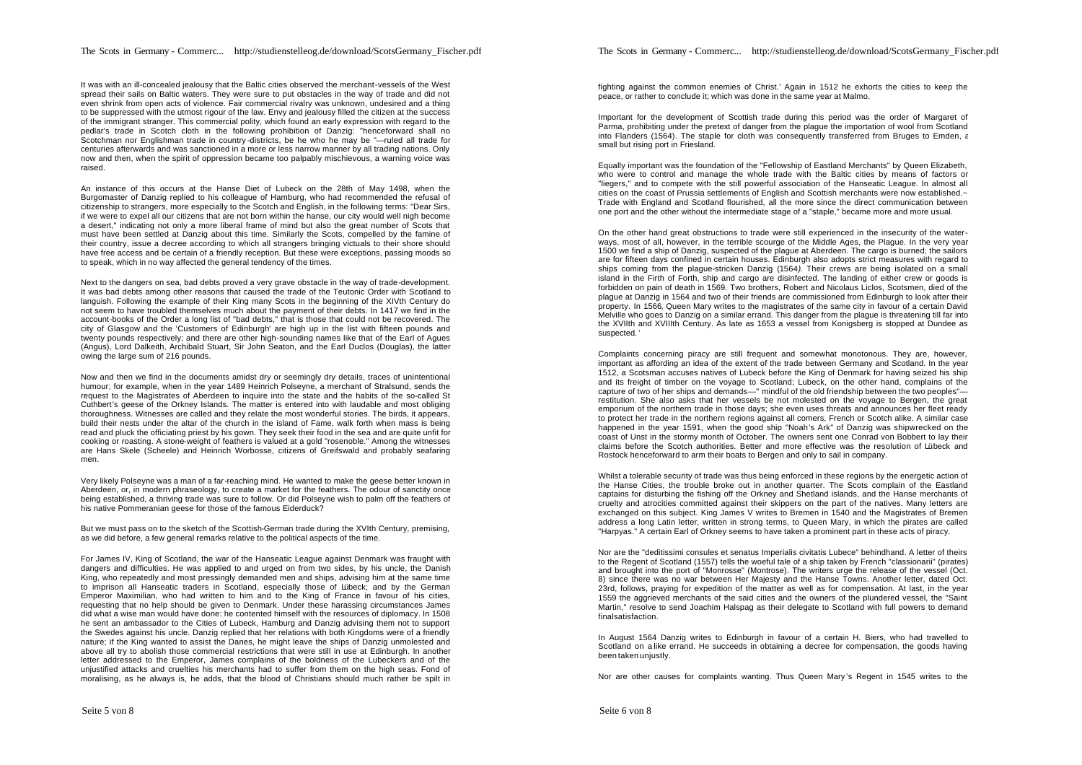It was with an ill-concealed jealousy that the Baltic cities observed the merchant-vessels of the West spread their sails on Baltic waters. They were sure to put obstacles in the way of trade and did not even shrink from open acts of violence. Fair commercial rivalry was unknown, undesired and a thing to be suppressed with the utmost rigour of the law. Envy and jealousy filled the citizen at the success of the immigrant stranger. This commercial polity, which found an early expression with regard to the pedlar's trade in Scotch cloth in the following prohibition of Danzig: "henceforward shall no Scotchman nor Englishman trade in country -districts, be he who he may be "—ruled all trade for centuries afterwards and was sanctioned in a more or less narrow manner by all trading nations. Only now and then, when the spirit of oppression became too palpably mischievous, a warning voice was raised.

An instance of this occurs at the Hanse Diet of Lubeck on the 28th of May 1498, when the Burgomaster of Danzig replied to his colleague of Hamburg, who had recommended the refusal of citizenship to strangers, more especially to the Scotch and English, in the following terms: "Dear Sirs, if we were to expel all our citizens that are not born within the hanse, our city would well nigh become a desert," indicating not only a more liberal frame of mind but also the great number of Scots that must have been settled at Danzig about this time. Similarly the Scots, compelled by the famine of their country, issue a decree according to which all strangers bringing victuals to their shore should have free access and be certain of a friendly reception. But these were exceptions, passing moods so to speak, which in no way affected the general tendency of the times.

Next to the dangers on sea, bad debts proved a very grave obstacle in the way of trade-development. It was bad debts among other reasons that caused the trade of the Teutonic Order with Scotland to languish. Following the example of their King many Scots in the beginning of the XIVth Century do not seem to have troubled themselves much about the payment of their debts. In 1417 we find in the account-books of the Order a long list of "bad debts," that is those that could not be recovered. The city of Glasgow and the 'Customers of Edinburgh' are high up in the list with fifteen pounds and twenty pounds respectively; and there are other high-sounding names like that of the Earl of Agues (Angus), Lord Dalkeith, Archibald Stuart, Sir John Seaton, and the Earl Duclos (Douglas), the latter owing the large sum of 216 pounds.

Now and then we find in the documents amidst dry or seemingly dry details, traces of unintentional humour; for example, when in the year 1489 Heinrich Polseyne, a merchant of Stralsund, sends the request to the Magistrates of Aberdeen to inquire into the state and the habits of the so-called St Cuthbert's geese of the Orkney Islands. The matter is entered into with laudable and most obliging thoroughness. Witnesses are called and they relate the most wonderful stories. The birds, it appears, build their nests under the altar of the church in the island of Fame, walk forth when mass is being read and pluck the officiating priest by his gown. They seek their food in the sea and are quite unfit for cooking or roasting. A stone-weight of feathers is valued at a gold "rosenoble." Among the witnesses are Hans Skele (Scheele) and Heinrich Worbosse, citizens of Greifswald and probably seafaring men.

Very likely Polseyne was a man of a far-reaching mind. He wanted to make the geese better known in Aberdeen, or, in modern phraseology, to create a market for the feathers. The odour of sanctity once being established, a thriving trade was sure to follow. Or did Polseyne wish to palm off the feathers of his native Pommeranian geese for those of the famous Eiderduck?

But we must pass on to the sketch of the Scottish-German trade during the XVIth Century, premising, as we did before, a few general remarks relative to the political aspects of the time.

For James IV, King of Scotland, the war of the Hanseatic League against Denmark was fraught with dangers and difficulties. He was applied to and urged on from two sides, by his uncle, the Danish King, who repeatedly and most pressingly demanded men and ships, advising him at the same time to imprison all Hanseatic traders in Scotland, especially those of Lübeck; and by the German Emperor Maximilian, who had written to him and to the King of France in favour of his cities, requesting that no help should be given to Denmark. Under these harassing circumstances James did what a wise man would have done: he contented himself with the resources of diplomacy. In 1508 he sent an ambassador to the Cities of Lubeck, Hamburg and Danzig advising them not to support the Swedes against his uncle. Danzig replied that her relations with both Kingdoms were of a friendly nature; if the King wanted to assist the Danes, he might leave the ships of Danzig unmolested and above all try to abolish those commercial restrictions that were still in use at Edinburgh. In another letter addressed to the Emperor, James complains of the boldness of the Lubeckers and of the unjustified attacks and cruelties his merchants had to suffer from them on the high seas. Fond of moralising, as he always is, he adds, that the blood of Christians should much rather be spilt in

fighting against the common enemies of Christ.' Again in 1512 he exhorts the cities to keep the peace, or rather to conclude it; which was done in the same year at Malmo.

Important for the development of Scottish trade during this period was the order of Margaret of Parma, prohibiting under the pretext of danger from the plague the importation of wool from Scotland into Flanders (1564). The staple for cloth was consequently transferred from Bruges to Emden, a small but rising port in Friesland.

Equally important was the foundation of the "Fellowship of Eastland Merchants" by Queen Elizabeth, who were to control and manage the whole trade with the Baltic cities by means of factors or "liegers," and to compete with the still powerful association of the Hanseatic League. In almost all cities on the coast of Prussia settlements of English and Scottish merchants were now established.~ Trade with England and Scotland flourished, all the more since the direct communication between one port and the other without the intermediate stage of a "staple," became more and more usual.

On the other hand great obstructions to trade were still experienced in the insecurity of the waterways, most of all, however, in the terrible scourge of the Middle Ages, the Plague. In the very year 1500 we find a ship of Danzig, suspected of the plague at Aberdeen. The cargo is burned; the sailors are for fifteen days confined in certain houses. Edinburgh also adopts strict measures with regard to ships coming from the plague-stricken Danzig (1564*).* Their crews are being isolated on a small island in the Firth of Forth, ship and cargo are disinfected. The landing of either crew or goods is forbidden on pain of death in 1569. Two brothers, Robert and Nicolaus Liclos, Scotsmen, died of the plague at Danzig in 1564 and two of their friends are commissioned from Edinburgh to look after their property. In 1566, Queen Mary writes to the magistrates of the same city in favour of a certain David Melville who goes to Danzig on a similar errand. This danger from the plague is threatening till far into the XVIIth and XVIIIth Century. As late as 1653 a vessel from Konigsberg is stopped at Dundee as suspected.<sup>'</sup>

Complaints concerning piracy are still frequent and somewhat monotonous. They are, however, important as affording an idea of the extent of the trade between Germany and Scotland. In the year 1512, a Scotsman accuses natives of Lubeck before the King of Denmark for having seized his ship and its freight of timber on the voyage to Scotland; Lubeck, on the other hand, complains of the capture of two of her ships and demands—" mindful of the old friendship between the two peoples" restitution. She also asks that her vessels be not molested on the voyage to Bergen, the great emporium of the northern trade in those days; she even uses threats and announces her fleet ready to protect her trade in the northern regions against all comers, French or Scotch alike. A similar case happened in the year 1591, when the good ship "Noah's Ark" of Danzig was shipwrecked on the coast of Unst in the stormy month of October. The owners sent one Conrad von Bobbert to lay their claims before the Scotch authorities. Better and more effective was the resolution of Lübeck and Rostock henceforward to arm their boats to Bergen and only to sail in company.

Whilst a tolerable security of trade was thus being enforced in these regions by the energetic action of the Hanse Cities, the trouble broke out in another quarter. The Scots complain of the Eastland captains for disturbing the fishing off the Orkney and Shetland islands, and the Hanse merchants of cruelty and atrocities committed against their skippers on the part of the natives. Many letters are exchanged on this subject. King James V writes to Bremen in 1540 and the Magistrates of Bremen address a long Latin letter, written in strong terms, to Queen Mary, in which the pirates are called "Harpyas." A certain Earl of Orkney seems to have taken a prominent part in these acts of piracy.

Nor are the "deditissimi consules et senatus Imperialis civitatis Lubece" behindhand. A letter of theirs to the Regent of Scotland (1557) tells the woeful tale of a ship taken by French "classionarii" (pirates) and brought into the port of "Monrosse" (Montrose). The writers urge the release of the vessel (Oct. 8) since there was no war between Her Majesty and the Hanse Towns. Another letter, dated Oct. 23rd, follows, praying for expedition of the matter as well as for compensation. At last, in the year 1559 the aggrieved merchants of the said cities and the owners of the plundered vessel, the "Saint Martin," resolve to send Joachim Halspag as their delegate to Scotland with full powers to demand final satisfaction

In August 1564 Danzig writes to Edinburgh in favour of a certain H. Biers, who had travelled to Scotland on a like errand. He succeeds in obtaining a decree for compensation, the goods having been taken unjustly.

Nor are other causes for complaints wanting. Thus Queen Mary 's Regent in 1545 writes to the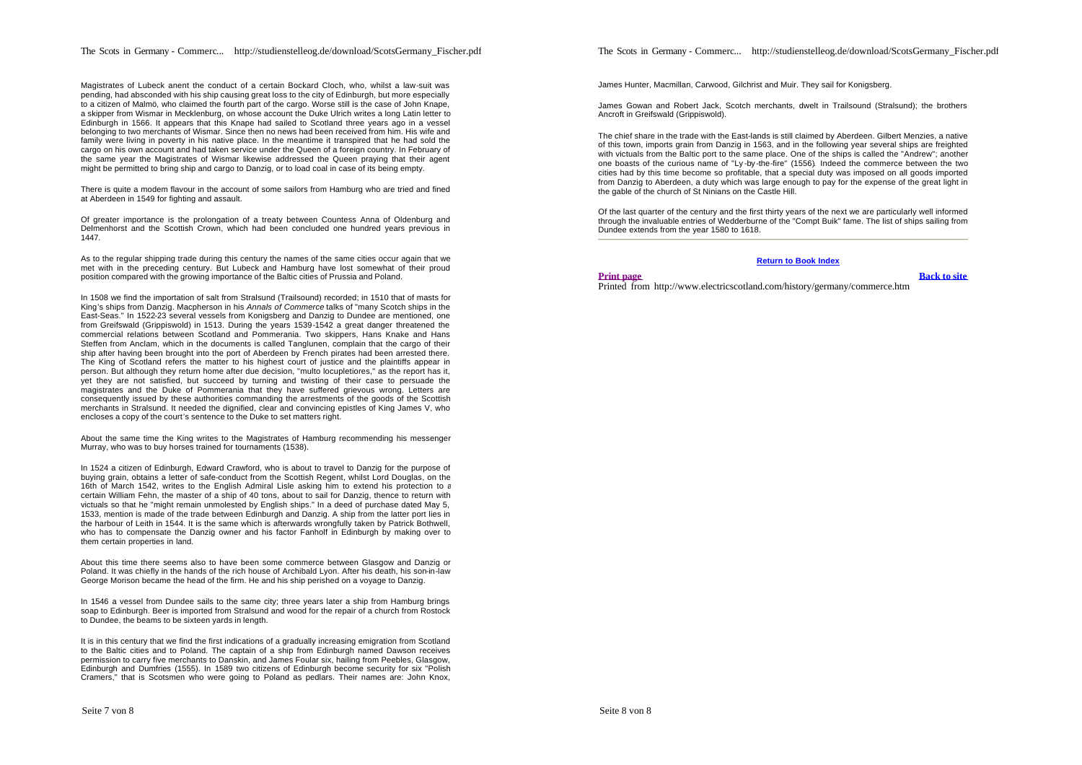Magistrates of Lubeck anent the conduct of a certain Bockard Cloch, who, whilst a law-suit was pending, had absconded with his ship causing great loss to the city of Edinburgh, but more especially to a citizen of Malmö, who claimed the fourth part of the cargo. Worse still is the case of John Knape, a skipper from Wismar in Mecklenburg, on whose account the Duke Ulrich writes a long Latin letter to Edinburgh in 1566. It appears that this Knape had sailed to Scotland three years ago in a vessel belonging to two merchants of Wismar. Since then no news had been received from him. His wife and family were living in poverty in his native place. In the meantime it transpired that he had sold the cargo on his own account and had taken service under the Queen of a foreign country. In February of the same year the Magistrates of Wismar likewise addressed the Queen praying that their agent might be permitted to bring ship and cargo to Danzig, or to load coal in case of its being empty.

There is quite a modem flavour in the account of some sailors from Hamburg who are tried and fined at Aberdeen in 1549 for fighting and assault.

Of greater importance is the prolongation of a treaty between Countess Anna of Oldenburg and Delmenhorst and the Scottish Crown, which had been concluded one hundred years previous in 1447.

As to the regular shipping trade during this century the names of the same cities occur again that we met with in the preceding century. But Lubeck and Hamburg have lost somewhat of their proud position compared with the growing importance of the Baltic cities of Prussia and Poland.

In 1508 we find the importation of salt from Stralsund (Trailsound) recorded; in 1510 that of masts for King's ships from Danzig. Macpherson in his *Annals of Commerce* talks of "many Scotch ships in the East-Seas." In 1522-23 several vessels from Konigsberg and Danzig to Dundee are mentioned, one from Greifswald (Grippiswold) in 1513. During the years 1539-1542 a great danger threatened the commercial relations between Scotland and Pommerania. Two skippers, Hans Knake and Hans Steffen from Anclam, which in the documents is called Tanglunen, complain that the cargo of their ship after having been brought into the port of Aberdeen by French pirates had been arrested there. The King of Scotland refers the matter to his highest court of justice and the plaintiffs appear in person. But although they return home after due decision, "multo locupletiores," as the report has it, yet they are not satisfied, but succeed by turning and twisting of their case to persuade the magistrates and the Duke of Pommerania that they have suffered grievous wrong. Letters are consequently issued by these authorities commanding the arrestments of the goods of the Scottish merchants in Stralsund. It needed the dignified, clear and convincing epistles of King James V, who encloses a copy of the court's sentence to the Duke to set matters right.

About the same time the King writes to the Magistrates of Hamburg recommending his messenger Murray, who was to buy horses trained for tournaments (1538).

In 1524 a citizen of Edinburgh, Edward Crawford, who is about to travel to Danzig for the purpose of buying grain, obtains a letter of safe-conduct from the Scottish Regent, whilst Lord Douglas, on the 16th of March 1542, writes to the English Admiral Lisle asking him to extend his protection to a certain William Fehn, the master of a ship of 40 tons, about to sail for Danzig, thence to return with victuals so that he "might remain unmolested by English ships." In a deed of purchase dated May 5, 1533, mention is made of the trade between Edinburgh and Danzig. A ship from the latter port lies in the harbour of Leith in 1544. It is the same which is afterwards wrongfully taken by Patrick Bothwell, who has to compensate the Danzig owner and his factor Fanholf in Edinburgh by making over to them certain properties in land.

About this time there seems also to have been some commerce between Glasgow and Danzig or Poland. It was chiefly in the hands of the rich house of Archibald Lyon. After his death, his son-in-law George Morison became the head of the firm. He and his ship perished on a voyage to Danzig.

In 1546 a vessel from Dundee sails to the same city; three years later a ship from Hamburg brings soap to Edinburgh. Beer is imported from Stralsund and wood for the repair of a church from Rostock to Dundee, the beams to be sixteen yards in length.

It is in this century that we find the first indications of a gradually increasing emigration from Scotland to the Baltic cities and to Poland. The captain of a ship from Edinburgh named Dawson receives permission to carry five merchants to Danskin, and James Foular six, hailing from Peebles, Glasgow, Edinburgh and Dumfries (1555). In 1589 two citizens of Edinburgh become security for six "Polish Cramers," that is Scotsmen who were going to Poland as pedlars. Their names are: John Knox, The Scots in Germany - Commerc... http://studienstelleog.de/download/ScotsGermany\_Fischer.pdf

James Hunter, Macmillan, Carwood, Gilchrist and Muir. They sail for Konigsberg.

James Gowan and Robert Jack, Scotch merchants, dwelt in Trailsound (Stralsund); the brothers Ancroft in Greifswald (Grippiswold).

The chief share in the trade with the East-lands is still claimed by Aberdeen. Gilbert Menzies, a native of this town, imports grain from Danzig in 1563, and in the following year several ships are freighted with victuals from the Baltic port to the same place. One of the ships is called the "Andrew"; another one boasts of the curious name of "Ly -by -the-fire" (1556)*.* Indeed the commerce between the two cities had by this time become so profitable, that a special duty was imposed on all goods imported from Danzig to Aberdeen, a duty which was large enough to pay for the expense of the great light in the gable of the church of St Ninians on the Castle Hill.

Of the last quarter of the century and the first thirty years of the next we are particularly well informed through the invaluable entries of Wedderburne of the "Compt Buik" fame. The list of ships sailing from Dundee extends from the year 1580 to 1618.

# **Return to Book Index**

#### **Print page Back to site**

Printed from http://www.electricscotland.com/history/germany/commerce.htm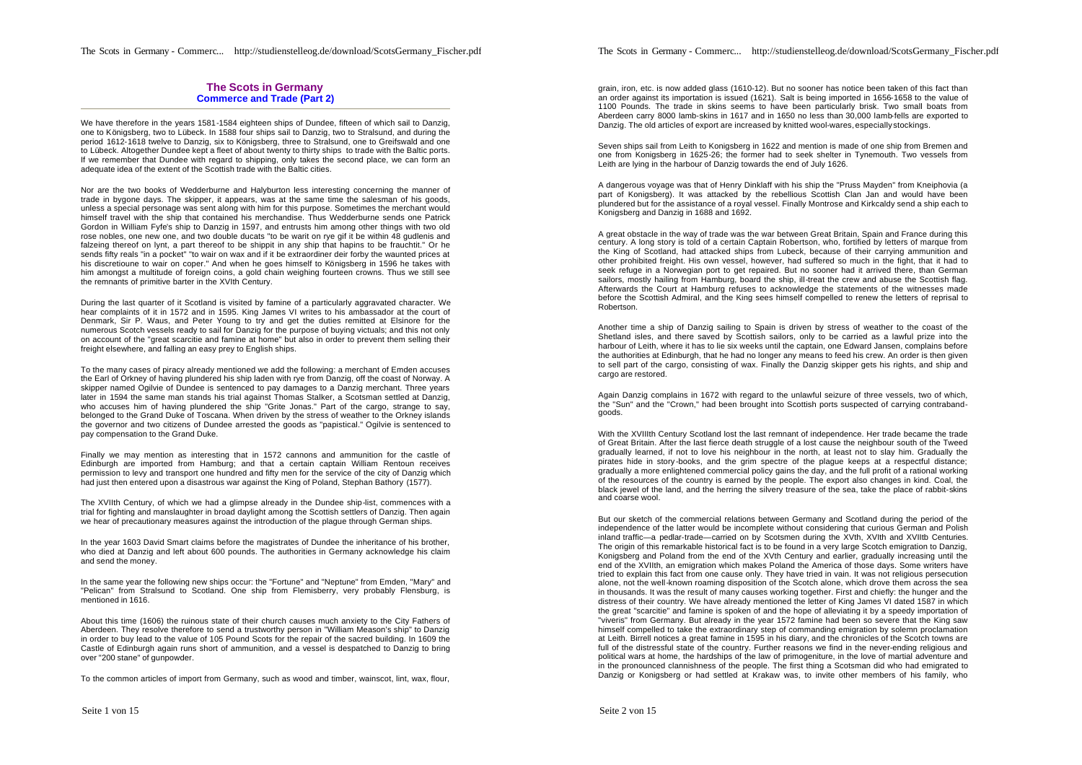## **The Scots in Germany Commerce and Trade (Part 2)**

We have therefore in the years 1581-1584 eighteen ships of Dundee, fifteen of which sail to Danzig, one to Königsberg, two to Lübeck. In 1588 four ships sail to Danzig, two to Stralsund, and during the period 1612-1618 twelve to Danzig, six to Königsberg, three to Stralsund, one to Greifswald and one to Lübeck. Altogether Dundee kept a fleet of about twenty to thirty ships to trade with the Baltic ports. If we remember that Dundee with regard to shipping, only takes the second place, we can form an adequate idea of the extent of the Scottish trade with the Baltic cities.

Nor are the two books of Wedderburne and Halyburton less interesting concerning the manner of trade in bygone days. The skipper, it appears, was at the same time the salesman of his goods, unless a special personage was sent along with him for this purpose. Sometimes the merchant would himself travel with the ship that contained his merchandise. Thus Wedderburne sends one Patrick Gordon in William Fyfe's ship to Danzig in 1597, and entrusts him among other things with two old rose nobles, one new one, and two double ducats "to be warit on rye gif it be within 48 gudlenis and falzeing thereof on lynt, a part thereof to be shippit in any ship that hapins to be frauchtit." Or he sends fifty reals "in a pocket" "to wair on wax and if it be extraordiner deir forby the waunted prices at his discretioune to wair on coper." And when he goes himself to Königsberg in 1596 he takes with him amongst a multitude of foreign coins, a gold chain weighing fourteen crowns. Thus we still see the remnants of primitive barter in the XVIth Century.

During the last quarter of it Scotland is visited by famine of a particularly aggravated character. We hear complaints of it in 1572 and in 1595. King James VI writes to his ambassador at the court of Denmark, Sir P. Waus, and Peter Young to try and get the duties remitted at Elsinore for the numerous Scotch vessels ready to sail for Danzig for the purpose of buying victuals; and this not only on account of the "great scarcitie and famine at home" but also in order to prevent them selling their freight elsewhere, and falling an easy prey to English ships.

To the many cases of piracy already mentioned we add the following: a merchant of Emden accuses the Earl of Orkney of having plundered his ship laden with rye from Danzig, off the coast of Norway. A skipper named Ogilvie of Dundee is sentenced to pay damages to a Danzig merchant. Three years later in 1594 the same man stands his trial against Thomas Stalker, a Scotsman settled at Danzig, who accuses him of having plundered the ship "Grite Jonas." Part of the cargo, strange to say, belonged to the Grand Duke of Toscana. When driven by the stress of weather to the Orkney islands the governor and two citizens of Dundee arrested the goods as "papistical." Ogilvie is sentenced to pay compensation to the Grand Duke.

Finally we may mention as interesting that in 1572 cannons and ammunition for the castle of Edinburgh are imported from Hamburg; and that a certain captain William Rentoun receives permission to levy and transport one hundred and fifty men for the service of the city of Danzig which had just then entered upon a disastrous war against the King of Poland, Stephan Bathory (1577).

The XVIIth Century, of which we had a glimpse already in the Dundee ship-list, commences with a trial for fighting and manslaughter in broad daylight among the Scottish settlers of Danzig. Then again we hear of precautionary measures against the introduction of the plague through German ships.

In the year 1603 David Smart claims before the magistrates of Dundee the inheritance of his brother, who died at Danzig and left about 600 pounds. The authorities in Germany acknowledge his claim and send the money.

In the same year the following new ships occur: the "Fortune" and "Neptune" from Emden, "Mary" and "Pelican" from Stralsund to Scotland. One ship from Flemisberry, very probably Flensburg, is mentioned in 1616.

About this time (1606) the ruinous state of their church causes much anxiety to the City Fathers of Aberdeen. They resolve therefore to send a trustworthy person in "William Meason's ship" to Danzig in order to buy lead to the value of 105 Pound Scots for the repair of the sacred building. In 1609 the Castle of Edinburgh again runs short of ammunition, and a vessel is despatched to Danzig to bring over "200 stane" of gunpowder.

To the common articles of import from Germany, such as wood and timber, wainscot, lint, wax, flour,

The Scots in Germany - Commerc... http://studienstelleog.de/download/ScotsGermany\_Fischer.pdf

grain, iron, etc. is now added glass (1610-12). But no sooner has notice been taken of this fact than an order against its importation is issued (1621). Salt is being imported in 1656-1658 to the value of 1100 Pounds. The trade in skins seems to have been particularly brisk. Two small boats from Aberdeen carry 8000 lamb-skins in 1617 and in 1650 no less than 30,000 lamb-fells are exported to Danzig. The old articles of export are increased by knitted wool-wares, especially stockings.

Seven ships sail from Leith to Konigsberg in 1622 and mention is made of one ship from Bremen and one from Konigsberg in 1625-26; the former had to seek shelter in Tynemouth. Two vessels from Leith are lying in the harbour of Danzig towards the end of July 1626.

A dangerous voyage was that of Henry Dinklaff with his ship the "Pruss Mayden" from Kneiphovia (a part of Konigsberg). It was attacked by the rebellious Scottish Clan Jan and would have been plundered but for the assistance of a royal vessel. Finally Montrose and Kirkcaldy send a ship each to Konigsberg and Danzig in 1688 and 1692.

A great obstacle in the way of trade was the war between Great Britain, Spain and France during this century. A long story is told of a certain Captain Robertson, who, fortified by letters of marque from the King of Scotland, had attacked ships from Lubeck, because of their carrying ammunition and other prohibited freight. His own vessel, however, had suffered so much in the fight, that it had to seek refuge in a Norwegian port to get repaired. But no sooner had it arrived there, than German sailors, mostly hailing from Hamburg, board the ship, ill-treat the crew and abuse the Scottish flag. Afterwards the Court at Hamburg refuses to acknowledge the statements of the witnesses made before the Scottish Admiral, and the King sees himself compelled to renew the letters of reprisal to Robertson.

Another time a ship of Danzig sailing to Spain is driven by stress of weather to the coast of the Shetland isles, and there saved by Scottish sailors, only to be carried as a lawful prize into the harbour of Leith, where it has to lie six weeks until the captain, one Edward Jansen, complains before the authorities at Edinburgh, that he had no longer any means to feed his crew. An order is then given to sell part of the cargo, consisting of wax. Finally the Danzig skipper gets his rights, and ship and cargo are restored.

Again Danzig complains in 1672 with regard to the unlawful seizure of three vessels, two of which, the "Sun" and the "Crown," had been brought into Scottish ports suspected of carrying contrabandgoods.

With the XVIIIth Century Scotland lost the last remnant of independence. Her trade became the trade of Great Britain. After the last fierce death struggle of a lost cause the neighbour south of the Tweed gradually learned, if not to love his neighbour in the north, at least not to slay him. Gradually the pirates hide in story -books, and the grim spectre of the plague keeps at a respectful distance; gradually a more enlightened commercial policy gains the day, and the full profit of a rational working of the resources of the country is earned by the people. The export also changes in kind. Coal, the black jewel of the land, and the herring the silvery treasure of the sea, take the place of rabbit-skins and coarse wool.

But our sketch of the commercial relations between Germany and Scotland during the period of the independence of the latter would be incomplete without considering that curious German and Polish inland traffic—a pedlar-trade—carried on by Scotsmen during the XVth, XVIth and XVIItb Centuries. The origin of this remarkable historical fact is to be found in a very large Scotch emigration to Danzig, Konigsberg and Poland from the end of the XVth Century and earlier, gradually increasing until the end of the XVIIth, an emigration which makes Poland the America of those days. Some writers have tried to explain this fact from one cause only. They have tried in vain. It was not religious persecution alone, not the well-known roaming disposition of the Scotch alone, which drove them across the sea in thousands. It was the result of many causes working together. First and chiefly: the hunger and the distress of their country. We have already mentioned the letter of King James VI dated 1587 in which the great "scarcitie" and famine is spoken of and the hope of alleviating it by a speedy importation of "viveris" from Germany. But already in the year 1572 famine had been so severe that the King saw himself compelled to take the extraordinary step of commanding emigration by solemn proclamation at Leith. Birrell notices a great famine in 1595 in his diary, and the chronicles of the Scotch towns are full of the distressful state of the country. Further reasons we find in the never-ending religious and political wars at home, the hardships of the law of primogeniture, in the love of martial adventure and in the pronounced clannishness of the people. The first thing a Scotsman did who had emigrated to Danzig or Konigsberg or had settled at Krakaw was, to invite other members of his family, who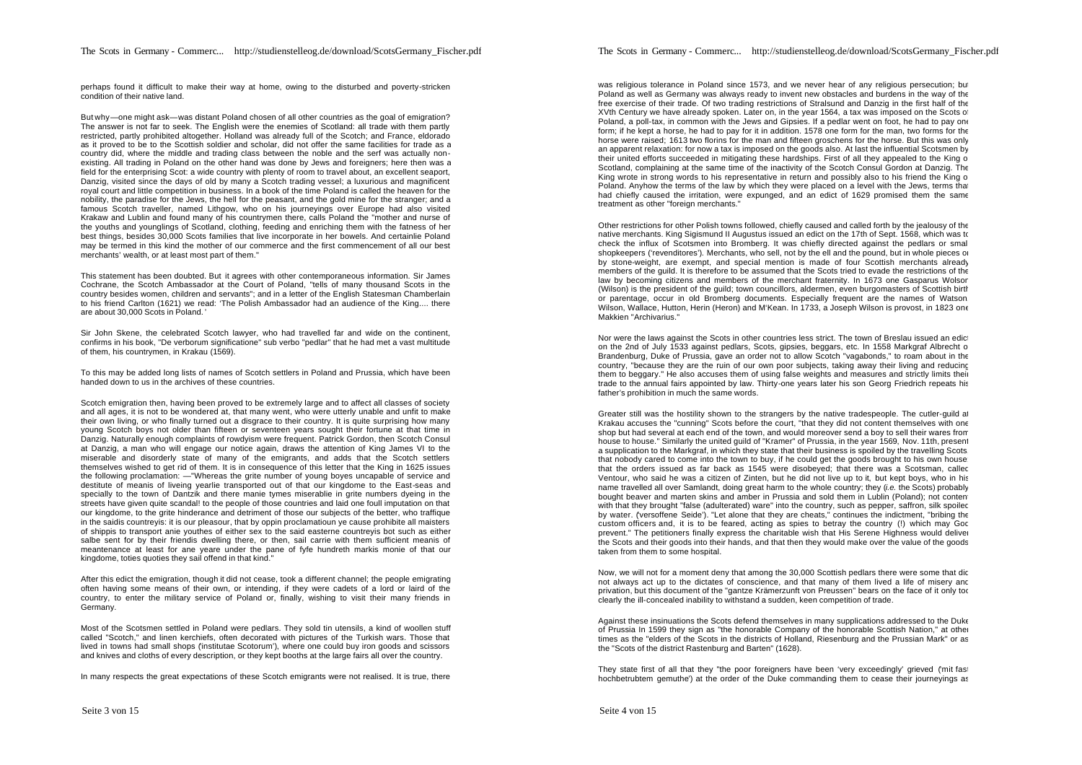perhaps found it difficult to make their way at home, owing to the disturbed and poverty-stricken condition of their native land.

But why—one might ask—was distant Poland chosen of all other countries as the goal of emigration? The answer is not far to seek. The English were the enemies of Scotland: all trade with them partly restricted, partly prohibited altogether. Holland was already full of the Scotch; and France, eldorado as it proved to be to the Scottish soldier and scholar, did not offer the same facilities for trade as a country did, where the middle and trading class between the noble and the serf was actually nonexisting. All trading in Poland on the other hand was done by Jews and foreigners; here then was a field for the enterprising Scot: a wide country with plenty of room to travel about, an excellent seaport, Danzig, visited since the days of old by many a Scotch trading vessel; a luxurious and magnificent royal court and little competition in business. In a book of the time Poland is called the heaven for the nobility, the paradise for the Jews, the hell for the peasant, and the gold mine for the stranger; and a famous Scotch traveller, named Lithgow, who on his journeyings over Europe had also visited Krakaw and Lublin and found many of his countrymen there, calls Poland the "mother and nurse of the youths and younglings of Scotland, clothing, feeding and enriching them with the fatness of her best things, besides 30,000 Scots families that live incorporate in her bowels. And certainlie Poland may be termed in this kind the mother of our commerce and the first commencement of all our best merchants' wealth, or at least most part of them."

This statement has been doubted. But it agrees with other contemporaneous information. Sir James Cochrane, the Scotch Ambassador at the Court of Poland, "tells of many thousand Scots in the country besides women, children and servants"; and in a letter of the English Statesman Chamberlain to his friend Carlton (1621) we read: 'The Polish Ambassador had an audience of the King.... there are about 30,000 Scots in Poland. '

Sir John Skene, the celebrated Scotch lawyer, who had travelled far and wide on the continent, confirms in his book, "De verborum significatione" sub verbo "pedlar" that he had met a vast multitude of them, his countrymen, in Krakau (1569).

To this may be added long lists of names of Scotch settlers in Poland and Prussia, which have been handed down to us in the archives of these countries.

Scotch emigration then, having been proved to be extremely large and to affect all classes of society and all ages, it is not to be wondered at, that many went, who were utterly unable and unfit to make their own living, or who finally turned out a disgrace to their country. It is quite surprising how many young Scotch boys not older than fifteen or seventeen years sought their fortune at that time in Danzig. Naturally enough complaints of rowdyism were frequent. Patrick Gordon, then Scotch Consul at Danzig, a man who will engage our notice again, draws the attention of King James VI to the miserable and disorderly state of many of the emigrants, and adds that the Scotch settlers themselves wished to get rid of them. It is in consequence of this letter that the King in 1625 issues the following proclamation: —"Whereas the grite number of young boyes uncapable of service and destitute of meanis of liveing yearlie transported out of that our kingdome to the East-seas and specially to the town of Dantzik and there manie tymes miserablie in grite numbers dyeing in the streets have given quite scandal! to the people of those countries and laid one foull imputation on that our kingdome, to the grite hinderance and detriment of those our subjects of the better, who traffique in the saidis countreyis: it is our pleasour, that by oppin proclamatioun ye cause prohibite all maisters of shippis to transport anie youthes of either sex to the said easterne countreyis bot such as either salbe sent for by their friendis dwelling there, or then, sail carrie with them sufficient meanis of meantenance at least for ane yeare under the pane of fyfe hundreth markis monie of that our kingdome, toties quoties they sail offend in that kind."

After this edict the emigration, though it did not cease, took a different channel; the people emigrating often having some means of their own, or intending, if they were cadets of a lord or laird of the country, to enter the military service of Poland or, finally, wishing to visit their many friends in Germany.

Most of the Scotsmen settled in Poland were pedlars. They sold tin utensils, a kind of woollen stuff called "Scotch," and linen kerchiefs, often decorated with pictures of the Turkish wars. Those that lived in towns had small shops ('institutae Scotorum'), where one could buy iron goods and scissors and knives and cloths of every description, or they kept booths at the large fairs all over the country.

In many respects the great expectations of these Scotch emigrants were not realised. It is true, there

was religious tolerance in Poland since 1573, and we never hear of any religious persecution; but Poland as well as Germany was always ready to invent new obstacles and burdens in the way of the free exercise of their trade. Of two trading restrictions of Stralsund and Danzig in the first half of the XVth Century we have already spoken. Later on, in the year 1564, a tax was imposed on the Scots of Poland, a poll-tax, in common with the Jews and Gipsies. If a pedlar went on foot, he had to pay one form; if he kept a horse, he had to pay for it in addition. 1578 one form for the man, two forms for the horse were raised; 1613 two florins for the man and fifteen groschens for the horse. But this was only an apparent relaxation: for now a tax is imposed on the goods also. At last the influential Scotsmen by their united efforts succeeded in mitigating these hardships. First of all they appealed to the King of Scotland, complaining at the same time of the inactivity of the Scotch Consul Gordon at Danzig. The King wrote in strong words to his representative in return and possibly also to his friend the King of Poland. Anyhow the terms of the law by which they were placed on a level with the Jews, terms that had chiefly caused the irritation, were expunged, and an edict of 1629 promised them the same treatment as other "foreign merchants."

Other restrictions for other Polish towns followed, chiefly caused and called forth by the jealousy of the native merchants. King Sigismund II Augustus issued an edict on the 17th of Sept. 1568, which was to check the influx of Scotsmen into Bromberg. It was chiefly directed against the pedlars or small shopkeepers ('revenditores'). Merchants, who sell, not by the ell and the pound, but in whole pieces or by stone-weight, are exempt, and special mention is made of four Scottish merchants already members of the guild. It is therefore to be assumed that the Scots tried to evade the restrictions of the law by becoming citizens and members of the merchant fraternity. In 1673 one Gasparus Wolson (Wilson) is the president of the guild; town councillors, aldermen, even burgomasters of Scottish birth or parentage, occur in old Bromberg documents. Especially frequent are the names of Watson, Wilson, Wallace, Hutton, Herin (Heron) and M'Kean. In 1733, a Joseph Wilson is provost, in 1823 one Makkien "Archivarius."

Nor were the laws against the Scots in other countries less strict. The town of Breslau issued an ediction on the 2nd of July 1533 against pedlars, Scots, gipsies, beggars, etc. In 1558 Markgraf Albrecht of Brandenburg, Duke of Prussia, gave an order not to allow Scotch "vagabonds," to roam about in the country, "because they are the ruin of our own poor subjects, taking away their living and reducing them to beggary." He also accuses them of using false weights and measures and strictly limits their trade to the annual fairs appointed by law. Thirty-one years later his son Georg Friedrich repeats his father's prohibition in much the same words.

Greater still was the hostility shown to the strangers by the native tradespeople. The cutler-guild at Krakau accuses the "cunning" Scots before the court, "that they did not content themselves with one shop but had several at each end of the town, and would moreover send a boy to sell their wares from house to house." Similarly the united guild of "Kramer" of Prussia, in the year 1569, Nov. 11th, present a supplication to the Markgraf, in which they state that their business is spoiled by the travelling Scots, that nobody cared to come into the town to buy, if he could get the goods brought to his own house; that the orders issued as far back as 1545 were disobeyed; that there was a Scotsman, called Ventour, who said he was a citizen of Zinten, but he did not live up to it, but kept boys, who in his name travelled all over Samlandt, doing great harm to the whole country; they (*i.e.* the Scots) probably bought beaver and marten skins and amber in Prussia and sold them in Lublin (Poland); not content with that they brought "false (adulterated) ware" into the country, such as pepper, saffron, silk spoiled by water. ('versoffene Seide'). "Let alone that they are cheats," continues the indictment, "bribing the custom officers and, it is to be feared, acting as spies to betray the country (!) which may God prevent." The petitioners finally express the charitable wish that His Serene Highness would deliver the Scots and their goods into their hands, and that then they would make over the value of the goods taken from them to some hospital.

Now, we will not for a moment deny that among the 30,000 Scottish pedlars there were some that dic not always act up to the dictates of conscience, and that many of them lived a life of misery and privation, but this document of the "gantze Krämerzunft von Preussen" bears on the face of it only too clearly the ill-concealed inability to withstand a sudden, keen competition of trade.

Against these insinuations the Scots defend themselves in many supplications addressed to the Duke of Prussia In 1599 they sign as "the honorable Company of the honorable Scottish Nation," at other times as the "elders of the Scots in the districts of Holland, Riesenburg and the Prussian Mark" or as the "Scots of the district Rastenburg and Barten" (1628).

They state first of all that they "the poor foreigners have been 'very exceedingly' grieved ('mit fast hochbetrubtem gemuthe') at the order of the Duke commanding them to cease their journeyings as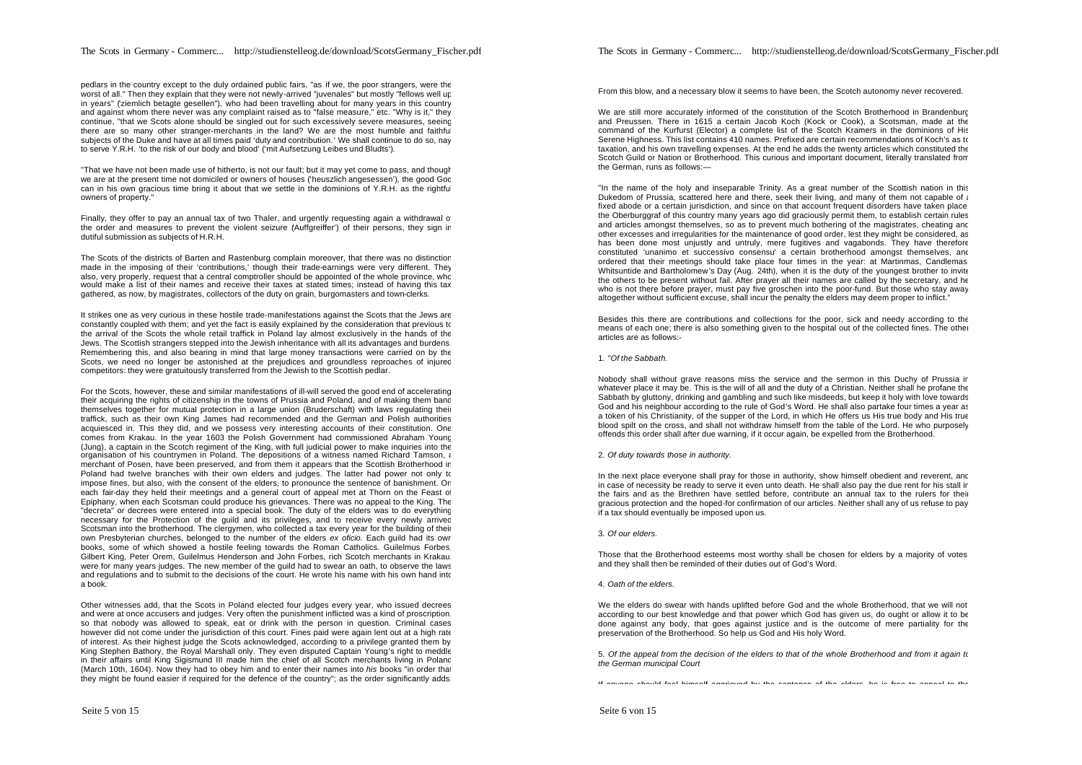pedlars in the country except to the duly ordained public fairs, "as if we, the poor strangers, were the worst of all." Then they explain that they were not newly-arrived "juvenales" but mostly "fellows well up in years" (ziemlich betagte gesellen"), who had been travelling about for many years in this country and against whom there never was any complaint raised as to "false measure," etc. "Why is it," they continue, "that we Scots alone should be singled out for such excessively severe measures, seeing there are so many other stranger-merchants in the land? We are the most humble and faithful subjects of the Duke and have at all times paid 'duty and contribution.' We shall continue to do so, nay to serve Y.R.H. 'to the risk of our body and blood' ('mit Aufsetzung Leibes und Bludts').

"That we have not been made use of hitherto, is not our fault; but it may yet come to pass, and though we are at the present time not domiciled or owners of houses ('heuszlich angesessen'), the good God can in his own gracious time bring it about that we settle in the dominions of Y.R.H. as the rightful owners of property."

Finally, they offer to pay an annual tax of two Thaler, and urgently requesting again a withdrawal of the order and measures to prevent the violent seizure (Auffgreiffer') of their persons, they sign in dutiful submission as subjects of H.R.H.

The Scots of the districts of Barten and Rastenburg complain moreover, that there was no distinction made in the imposing of their 'contributions,' though their trade-earnings were very different. They also, very properly, request that a central comptroller should be appointed of the whole province, who would make a list of their names and receive their taxes at stated times; instead of having this tax gathered, as now, by magistrates, collectors of the duty on grain, burgomasters and town-clerks.

It strikes one as very curious in these hostile trade-manifestations against the Scots that the Jews are constantly coupled with them; and yet the fact is easily explained by the consideration that previous to the arrival of the Scots the whole retail traffick in Poland lay almost exclusively in the hands of the Jews. The Scottish strangers stepped into the Jewish inheritance with all its advantages and burdens. Remembering this, and also bearing in mind that large money transactions were carried on by the Scots, we need no longer be astonished at the prejudices and groundless reproaches of injured competitors: they were gratuitously transferred from the Jewish to the Scottish pedlar.

For the Scots, however, these and similar manifestations of ill-will served the good end of accelerating their acquiring the rights of citizenship in the towns of Prussia and Poland, and of making them band themselves together for mutual protection in a large union (Bruderschaft) with laws regulating their traffick, such as their own King James had recommended and the German and Polish authorities acquiesced in. This they did, and we possess very interesting accounts of their constitution. One comes from Krakau. In the year 1603 the Polish Government had commissioned Abraham Young (Jung), a captain in the Scotch regiment of the King, with full judicial power to make inquiries into the organisation of his countrymen in Poland. The depositions of a witness named Richard Tamson, a merchant of Posen, have been preserved, and from them it appears that the Scottish Brotherhood in Poland had twelve branches with their own elders and judges. The latter had power not only to impose fines, but also, with the consent of the elders, to pronounce the sentence of banishment. On each fair-day they held their meetings and a general court of appeal met at Thorn on the Feast of Epiphany, when each Scotsman could produce his grievances. There was no appeal to the King. The "decreta" or decrees were entered into a special book. The duty of the elders was to do everything necessary for the Protection of the guild and its privileges, and to receive every newly arrived Scotsman into the brotherhood. The clergymen, who collected a tax every year for the building of their own Presbyterian churches, belonged to the number of the elders *ex oficio.* Each guild had its own books, some of which showed a hostile feeling towards the Roman Catholics. Guilelmus Forbes, Gilbert King, Peter Orem, Guilelmus Henderson and John Forbes, rich Scotch merchants in Krakau, were for many years judges. The new member of the guild had to swear an oath, to observe the laws and regulations and to submit to the decisions of the court. He wrote his name with his own hand into a book.

Other witnesses add, that the Scots in Poland elected four judges every year, who issued decrees and were at once accusers and judges. Very often the punishment inflicted was a kind of proscription, so that nobody was allowed to speak, eat or drink with the person in question. Criminal cases however did not come under the jurisdiction of this court. Fines paid were again lent out at a high rate of interest. As their highest judge the Scots acknowledged, according to a privilege granted them by King Stephen Bathory, the Royal Marshall only. They even disputed Captain Young's right to meddle in their affairs until King Sigismund III made him the chief of all Scotch merchants living in Polanc (March 10th, 1604). Now they had to obey him and to enter their names into *his* books "in order that they might be found easier if required for the defence of the country"; as the order significantly adds.

From this blow, and a necessary blow it seems to have been, the Scotch autonomy never recovered.

We are still more accurately informed of the constitution of the Scotch Brotherhood in Brandenburg and Preussen. There in 1615 a certain Jacob Koch (Kock or Cook), a Scotsman, made at the command of the Kurfurst (Elector) a complete list of the Scotch Kramers in the dominions of His Serene Highness. This list contains 410 names. Prefixed are certain recommendations of Koch's as to taxation, and his own travelling expenses. At the end he adds the twenty articles which constituted the Scotch Guild or Nation or Brotherhood. This curious and important document, literally translated from the German, runs as follows:—

"In the name of the holy and inseparable Trinity. As a great number of the Scottish nation in this Dukedom of Prussia, scattered here and there, seek their living, and many of them not capable of a fixed abode or a certain jurisdiction, and since on that account frequent disorders have taken place the Oberburggraf of this country many years ago did graciously permit them, to establish certain rules and articles amongst themselves, so as to prevent much bothering of the magistrates, cheating and other excesses and irregularities for the maintenance of good order, lest they might be considered, as has been done most unjustly and untruly, mere fugitives and vagabonds. They have therefore constituted 'unanimo et successivo consensu' a certain brotherhood amongst themselves, and ordered that their meetings should take place four times in the year: at Martinmas, Candlemas, Whitsuntide and Bartholomew's Day (Aug. 24th), when it is the duty of the youngest brother to invite the others to be present without fail. After prayer all their names are called by the secretary, and he who is not there before prayer, must pay five groschen into the poor-fund. But those who stay away altogether without sufficient excuse, shall incur the penalty the elders may deem proper to inflict."

Besides this there are contributions and collections for the poor, sick and needy according to the means of each one; there is also something given to the hospital out of the collected fines. The other articles are as follows:-

1. *"Of the Sabbath.*

Nobody shall without grave reasons miss the service and the sermon in this Duchy of Prussia in whatever place it may be. This is the will of all and the duty of a Christian. Neither shall he profane the Sabbath by gluttony, drinking and gambling and such like misdeeds, but keep it holy with love towards God and his neighbour according to the rule of God's Word. He shall also partake four times a year as a token of his Christianity, of the supper of the Lord, in which He offers us His true body and His true blood spilt on the cross, and shall not withdraw himself from the table of the Lord. He who purposely offends this order shall after due warning, if it occur again, be expelled from the Brotherhood.

#### 2. *Of duty towards those in authority.*

In the next place everyone shall pray for those in authority, show himself obedient and reverent, and in case of necessity be ready to serve it even unto death. He shall also pay the due rent for his stall in the fairs and as the Brethren have settled before, contribute an annual tax to the rulers for their gracious protection and the hoped-for confirmation of our articles. Neither shall any of us refuse to pay if a tax should eventually be imposed upon us.

#### 3. *Of our elders.*

Those that the Brotherhood esteems most worthy shall be chosen for elders by a majority of votes, and they shall then be reminded of their duties out of God's Word.

#### 4. *Oath of the elders.*

We the elders do swear with hands uplifted before God and the whole Brotherhood, that we will not according to our best knowledge and that power which God has given us, do ought or allow it to be done against any body, that goes against justice and is the outcome of mere partiality for the preservation of the Brotherhood. So help us God and His holy Word.

5. *Of the appeal from the decision of the elders to that of the whole Brotherhood and from it again to the German municipal Court*

If anyone should feel himself aggrieved by the sentence of the elders, he is free to appeal to the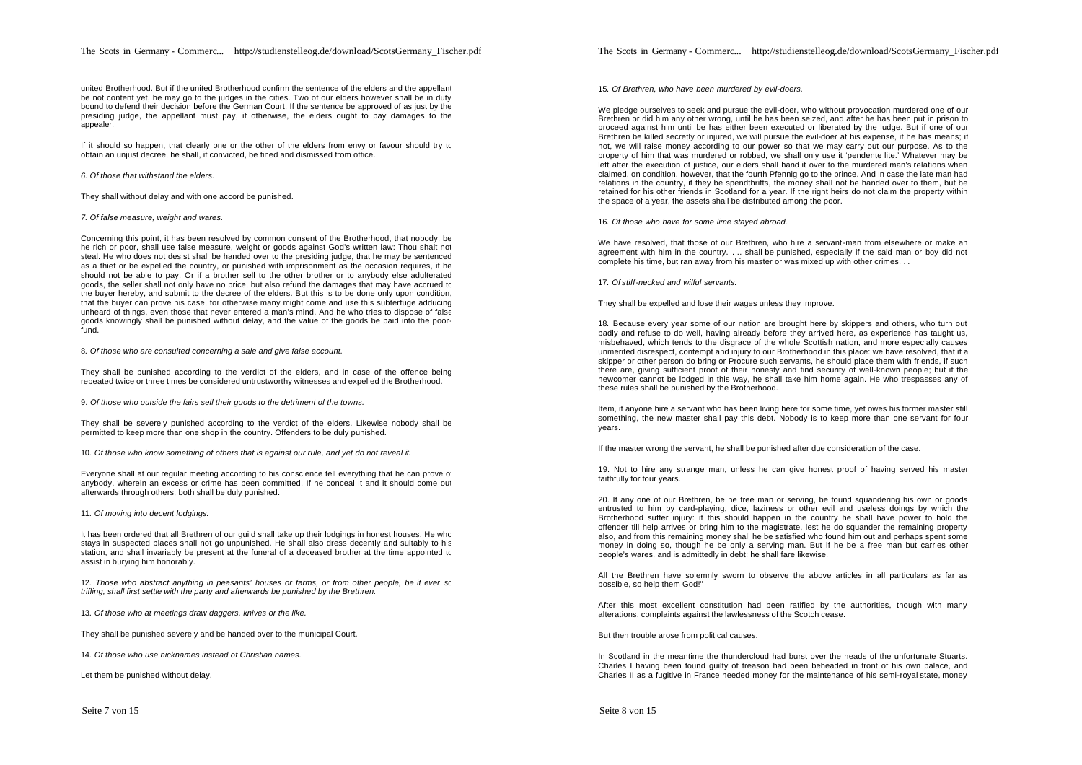united Brotherhood. But if the united Brotherhood confirm the sentence of the elders and the appellant be not content yet, he may go to the judges in the cities. Two of our elders however shall be in duty bound to defend their decision before the German Court. If the sentence be approved of as just by the presiding judge, the appellant must pay, if otherwise, the elders ought to pay damages to the appealer.

If it should so happen, that clearly one or the other of the elders from envy or favour should try to obtain an unjust decree, he shall, if convicted, be fined and dismissed from office.

#### *6. Of those that withstand the elders.*

They shall without delay and with one accord be punished.

#### *7. Of false measure, weight and wares.*

Concerning this point, it has been resolved by common consent of the Brotherhood, that nobody, be he rich or poor, shall use false measure, weight or goods against God's written law: Thou shalt not steal. He who does not desist shall be handed over to the presiding judge, that he may be sentenced as a thief or be expelled the country, or punished with imprisonment as the occasion requires, if he should not be able to pay. Or if a brother sell to the other brother or to anybody else adulterated goods, the seller shall not only have no price, but also refund the damages that may have accrued to the buyer hereby, and submit to the decree of the elders. But this is to be done only upon condition, that the buyer can prove his case, for otherwise many might come and use this subterfuge adducing unheard of things, even those that never entered a man's mind. And he who tries to dispose of false goods knowingly shall be punished without delay, and the value of the goods be paid into the poorfund.

8. *Of those who are consulted concerning a sale and give false account.*

They shall be punished according to the verdict of the elders, and in case of the offence being repeated twice or three times be considered untrustworthy witnesses and expelled the Brotherhood.

9*. Of those who outside the fairs sell their goods to the detriment of the towns.*

They shall be severely punished according to the verdict of the elders. Likewise nobody shall be permitted to keep more than one shop in the country. Offenders to be duly punished.

10. *Of those who know something of others that is against our rule, and yet do not reveal it.*

Everyone shall at our regular meeting according to his conscience tell everything that he can prove of anybody, wherein an excess or crime has been committed. If he conceal it and it should come out afterwards through others, both shall be duly punished.

11. *Of moving into decent lodgings.*

It has been ordered that all Brethren of our guild shall take up their lodgings in honest houses. He who stays in suspected places shall not go unpunished. He shall also dress decently and suitably to his station, and shall invariably be present at the funeral of a deceased brother at the time appointed to assist in burying him honorably.

12. *Those who abstract anything in peasants' houses or farms, or from other people, be it ever so trifling, shall first settle with the party and afterwards be punished by the Brethren.*

13. *Of those who at meetings draw daggers, knives or the like.*

They shall be punished severely and be handed over to the municipal Court.

14. *Of those who use nicknames instead of Christian names.*

Let them be punished without delay.

The Scots in Germany - Commerc... http://studienstelleog.de/download/ScotsGermany\_Fischer.pdf

15. *Of Brethren, who have been murdered by evil-doers.*

We pledge ourselves to seek and pursue the evil-doer, who without provocation murdered one of our Brethren or did him any other wrong, until he has been seized, and after he has been put in prison to proceed against him until be has either been executed or liberated by the ludge. But if one of our Brethren be killed secretly or injured, we will pursue the evil-doer at his expense, if he has means; if not, we will raise money according to our power so that we may carry out our purpose. As to the property of him that was murdered or robbed, we shall only use it 'pendente lite.' Whatever may be left after the execution of justice, our elders shall hand it over to the murdered man's relations when claimed, on condition, however, that the fourth Pfennig go to the prince. And in case the late man had relations in the country, if they be spendthrifts, the money shall not be handed over to them, but be retained for his other friends in Scotland for a year. If the right heirs do not claim the property within the space of a year, the assets shall be distributed among the poor.

16. *Of those who have for some lime stayed abroad.*

We have resolved, that those of our Brethren, who hire a servant-man from elsewhere or make an agreement with him in the country. . .. shall be punished, especially if the said man or boy did not complete his time, but ran away from his master or was mixed up with other crimes. . .

17. *Of stiff-necked and wilful servants.*

They shall be expelled and lose their wages unless they improve.

18. Because every year some of our nation are brought here by skippers and others, who turn out badly and refuse to do well, having already before they arrived here, as experience has taught us, misbehaved, which tends to the disgrace of the whole Scottish nation, and more especially causes unmerited disrespect, contempt and injury to our Brotherhood in this place: we have resolved, that if a skipper or other person do bring or Procure such servants, he should place them with friends, if such there are, giving sufficient proof of their honesty and find security of well-known people; but if the newcomer cannot be lodged in this way, he shall take him home again. He who trespasses any of these rules shall be punished by the Brotherhood.

Item, if anyone hire a servant who has been living here for some time, yet owes his former master still something, the new master shall pay this debt. Nobody is to keep more than one servant for four years.

If the master wrong the servant, he shall be punished after due consideration of the case.

19. Not to hire any strange man, unless he can give honest proof of having served his master faithfully for four years.

20. If any one of our Brethren, be he free man or serving, be found squandering his own or goods entrusted to him by card-playing, dice, laziness or other evil and useless doings by which the Brotherhood suffer injury: if this should happen in the country he shall have power to hold the offender till help arrives or bring him to the magistrate, lest he do squander the remaining property also, and from this remaining money shall he be satisfied who found him out and perhaps spent some money in doing so, though he be only a serving man. But if he be a free man but carries other people's wares, and is admittedly in debt: he shall fare likewise.

All the Brethren have solemnly sworn to observe the above articles in all particulars as far as possible, so help them God!"

After this most excellent constitution had been ratified by the authorities, though with many alterations, complaints against the lawlessness of the Scotch cease.

But then trouble arose from political causes.

In Scotland in the meantime the thundercloud had burst over the heads of the unfortunate Stuarts. Charles I having been found guilty of treason had been beheaded in front of his own palace, and Charles II as a fugitive in France needed money for the maintenance of his semi-royal state, money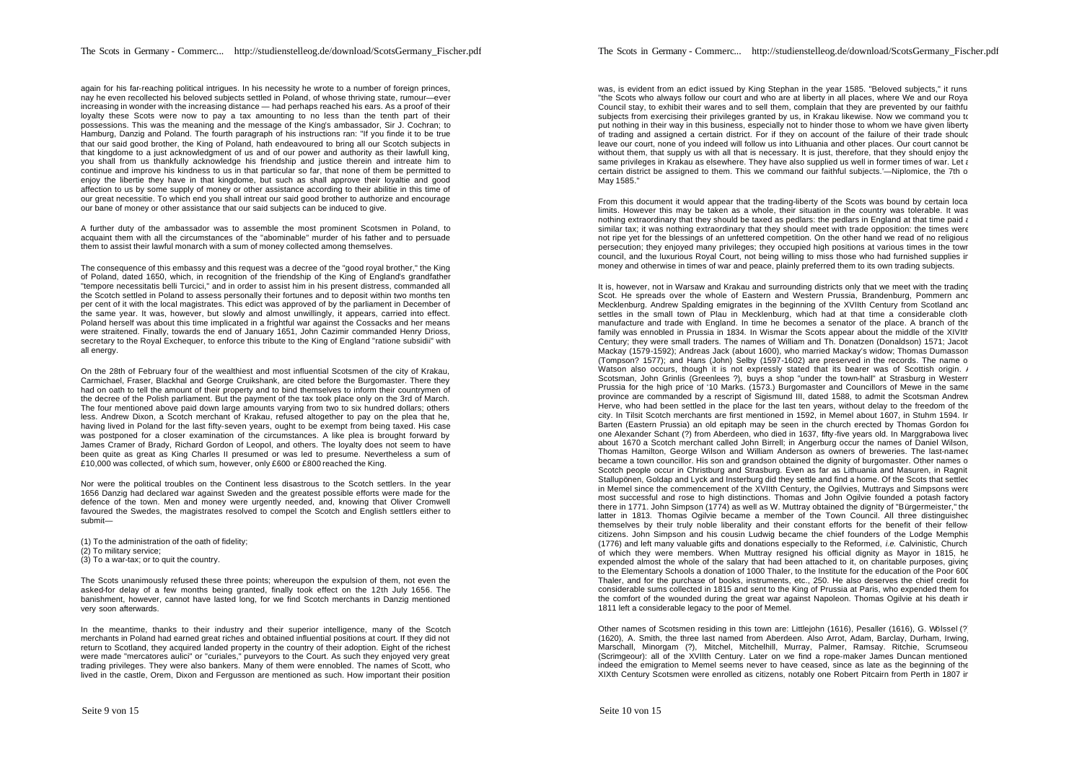again for his far-reaching political intrigues. In his necessity he wrote to a number of foreign princes, nay he even recollected his beloved subjects settled in Poland, of whose thriving state, rumour—ever increasing in wonder with the increasing distance — had perhaps reached his ears. As a proof of their loyalty these Scots were now to pay a tax amounting to no less than the tenth part of their possessions. This was the meaning and the message of the King's ambassador, Sir J. Cochran; to Hamburg, Danzig and Poland. The fourth paragraph of his instructions ran: "If you finde it to be true that our said good brother, the King of Poland, hath endeavoured to bring all our Scotch subjects in that kingdome to a just acknowledgment of us and of our power and authority as their lawfull king, you shall from us thankfully acknowledge his friendship and justice therein and intreate him to continue and improve his kindness to us in that particular so far, that none of them be permitted to enjoy the libertie they have in that kingdome, but such as shall approve their loyaltie and good affection to us by some supply of money or other assistance according to their abilitie in this time of our great necessitie. To which end you shall intreat our said good brother to authorize and encourage our bane of money or other assistance that our said subjects can be induced to give.

A further duty of the ambassador was to assemble the most prominent Scotsmen in Poland, to acquaint them with all the circumstances of the "abominable" murder of his father and to persuade them to assist their lawful monarch with a sum of money collected among themselves.

The consequence of this embassy and this request was a decree of the "good royal brother," the King of Poland, dated 1650, which, in recognition of the friendship of the King of England's grandfather "tempore necessitatis belli Turcici," and in order to assist him in his present distress, commanded all the Scotch settled in Poland to assess personally their fortunes and to deposit within two months ten per cent of it with the local magistrates. This edict was approved of by the parliament in December of the same year. It was, however, but slowly and almost unwillingly, it appears, carried into effect. Poland herself was about this time implicated in a frightful war against the Cossacks and her means were straitened. Finally, towards the end of January 1651, John Cazimir commanded Henry Drioss, secretary to the Royal Exchequer, to enforce this tribute to the King of England "ratione subsidii" with all energy.

On the 28th of February four of the wealthiest and most influential Scotsmen of the city of Krakau, Carmichael, Fraser, Blackhal and George Cruikshank, are cited before the Burgomaster. There they had on oath to tell the amount of their property and to bind themselves to inform their countrymen of the decree of the Polish parliament. But the payment of the tax took place only on the 3rd of March. The four mentioned above paid down large amounts varying from two to six hundred dollars; others less. Andrew Dixon, a Scotch merchant of Krakau, refused altogether to pay on the plea that he, having lived in Poland for the last fifty-seven years, ought to be exempt from being taxed. His case was postponed for a closer examination of the circumstances. A like plea is brought forward by James Cramer of Brady, Richard Gordon of Leopol, and others. The loyalty does not seem to have been quite as great as King Charles II presumed or was led to presume. Nevertheless a sum of £10,000 was collected, of which sum, however, only £600 or £800 reached the King.

Nor were the political troubles on the Continent less disastrous to the Scotch settlers. In the year 1656 Danzig had declared war against Sweden and the greatest possible efforts were made for the defence of the town. Men and money were urgently needed, and, knowing that Oliver Cromwell favoured the Swedes, the magistrates resolved to compel the Scotch and English settlers either to submit—

(1) To the administration of the oath of fidelity; (2) To military service; (3) To a war-tax; or to quit the country.

The Scots unanimously refused these three points; whereupon the expulsion of them, not even the asked-for delay of a few months being granted, finally took effect on the 12th July 1656. The banishment, however, cannot have lasted long, for we find Scotch merchants in Danzig mentioned very soon afterwards.

In the meantime, thanks to their industry and their superior intelligence, many of the Scotch merchants in Poland had earned great riches and obtained influential positions at court. If they did not return to Scotland, they acquired landed property in the country of their adoption. Eight of the richest were made "mercatores aulici" or "curiales," purveyors to the Court. As such they enjoyed very great trading privileges. They were also bankers. Many of them were ennobled. The names of Scott, who lived in the castle, Orem, Dixon and Fergusson are mentioned as such. How important their position

was, is evident from an edict issued by King Stephan in the year 1585. "Beloved subjects," it runs "the Scots who always follow our court and who are at liberty in all places, where We and our Royal Council stay, to exhibit their wares and to sell them, complain that they are prevented by our faithful subjects from exercising their privileges granted by us, in Krakau likewise. Now we command you to put nothing in their way in this business, especially not to hinder those to whom we have given liberty of trading and assigned a certain district. For if they on account of the failure of their trade should leave our court, none of you indeed will follow us into Lithuania and other places. Our court cannot be without them, that supply us with all that is necessary. It is just, therefore, that they should enjoy the same privileges in Krakau as elsewhere. They have also supplied us well in former times of war. Let a certain district be assigned to them. This we command our faithful subjects.'—Niplomice, the 7th of May 1585."

From this document it would appear that the trading-liberty of the Scots was bound by certain local limits. However this may be taken as a whole, their situation in the country was tolerable. It was nothing extraordinary that they should be taxed as pedlars: the pedlars in England at that time paid a similar tax; it was nothing extraordinary that they should meet with trade opposition: the times were not ripe yet for the blessings of an unfettered competition. On the other hand we read of no religious persecution; they enjoyed many privileges; they occupied high positions at various times in the town council, and the luxurious Royal Court, not being willing to miss those who had furnished supplies in money and otherwise in times of war and peace, plainly preferred them to its own trading subjects.

It is, however, not in Warsaw and Krakau and surrounding districts only that we meet with the trading Scot. He spreads over the whole of Eastern and Western Prussia. Brandenburg, Pommern and Mecklenburg. Andrew Spalding emigrates in the beginning of the XVIIth Century from Scotland and settles in the small town of Plau in Mecklenburg, which had at that time a considerable clothmanufacture and trade with England. In time he becomes a senator of the place. A branch of the family was ennobled in Prussia in 1834. In Wismar the Scots appear about the middle of the XIVIth Century; they were small traders. The names of William and Th. Donatzen (Donaldson) 1571; Jacob Mackay (1579-1592); Andreas Jack (about 1600), who married Mackay's widow; Thomas Dumasson  $(T_0, T_0)$  (Tompson? 1577); and Hans (John) Selby (1597-1602) are preserved in the records. The name of Watson also occurs, though it is not expressly stated that its bearer was of Scottish origin. A Scotsman, John Grinlis (Greenlees ?), buys a shop "under the town-hall" at Strasburg in Western Prussia for the high price of '10 Marks. (1573.) Burgomaster and Councillors of Mewe in the same province are commanded by a rescript of Sigismund III, dated 1588, to admit the Scotsman Andrew Herve, who had been settled in the place for the last ten years, without delay to the freedom of the city. In Tilsit Scotch merchants are first mentioned in 1592, in Memel about 1607, in Stuhm 1594. In Barten (Eastern Prussia) an old epitaph may be seen in the church erected by Thomas Gordon for one Alexander Schant (?) from Aberdeen, who died in 1637, fifty -five years old. In Marggrabowa lived about 1670 a Scotch merchant called John Birrell; in Angerburg occur the names of Daniel Wilson, Thomas Hamilton, George Wilson and William Anderson as owners of breweries. The last-named became a town councillor. His son and grandson obtained the dignity of burgomaster. Other names o Scotch people occur in Christburg and Strasburg. Even as far as Lithuania and Masuren, in Ragnit Stallupönen. Goldap and Lyck and Insterburg did they settle and find a home. Of the Scots that settled in Memel since the commencement of the XVIIth Century, the Ogilvies, Muttrays and Simpsons were most successful and rose to high distinctions. Thomas and John Ogilvie founded a potash factory there in 1771. John Simpson (1774) as well as W. Muttray obtained the dignity of "Bürgermeister," the latter in 1813. Thomas Ogilvie became a member of the Town Council. All three distinguished themselves by their truly noble liberality and their constant efforts for the benefit of their fellowcitizens. John Simpson and his cousin Ludwig became the chief founders of the Lodge Memphis (1776) and left many valuable gifts and donations especially to the Reformed, *i.e.* Calvinistic, Church, of which they were members. When Muttray resigned his official dignity as Mayor in 1815, he expended almost the whole of the salary that had been attached to it, on charitable purposes, giving to the Elementary Schools a donation of 1000 Thaler, to the Institute for the education of the Poor 600 Thaler, and for the purchase of books, instruments, etc., 250. He also deserves the chief credit for considerable sums collected in 1815 and sent to the King of Prussia at Paris, who expended them for the comfort of the wounded during the great war against Napoleon. Thomas Ogilvie at his death in 1811 left a considerable legacy to the poor of Memel.

Other names of Scotsmen residing in this town are: Littlejohn (1616), Pesaller (1616), G. Wölssel (?) (1620), A. Smith, the three last named from Aberdeen. Also Arrot, Adam, Barclay, Durham, Irwing, Marschall, Minorgam (?), Mitchel, Mitchelhill, Murray, Palmer, Ramsay. Ritchie, Scrumseour (Scrimgeour): all of the XVIIth Century. Later on we find a rope-maker James Duncan mentioned; indeed the emigration to Memel seems never to have ceased, since as late as the beginning of the XIXth Century Scotsmen were enrolled as citizens, notably one Robert Pitcairn from Perth in 1807 in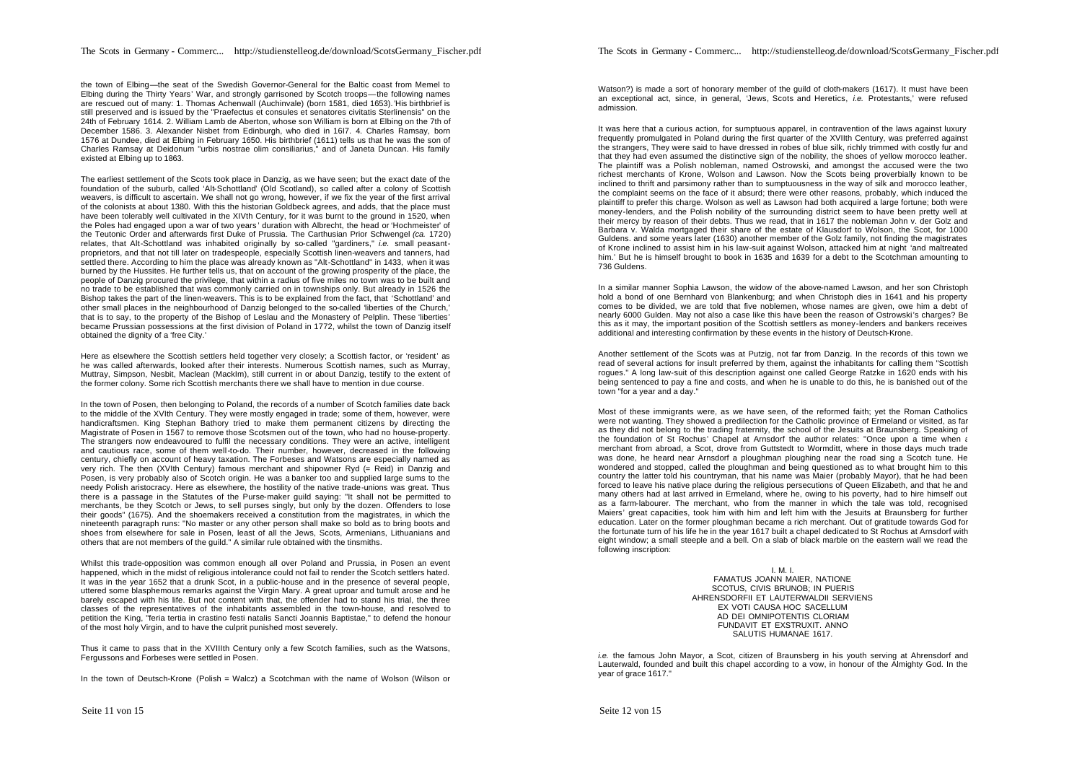the town of Elbing—the seat of the Swedish Governor-General for the Baltic coast from Memel to Elbing during the Thirty Years' War, and strongly garrisoned by Scotch troops—the following names are rescued out of many: 1. Thomas Achenwall (Auchinvale) (born 1581, died 1653).*'*His birthbrief is still preserved and is issued by the "Praefectus et consules et senatores civitatis Sterlinensis" on the 24th of February 1614. 2. William Lamb de Aberton, whose son William is born at Elbing on the 7th of December 1586. 3. Alexander Nisbet from Edinburgh, who died in 16I7. 4. Charles Ramsay, born 1576 at Dundee, died at Elbing in February 1650. His birthbrief (1611) tells us that he was the son of Charles Ramsay at Deidonum "urbis nostrae olim consiliarius," and of Janeta Duncan. His family existed at Elbing up to 1863.

The earliest settlement of the Scots took place in Danzig, as we have seen; but the exact date of the foundation of the suburb, called 'Alt-Schottland' (Old Scotland), so called after a colony of Scottish weavers, is difficult to ascertain. We shall not go wrong, however, if we fix the year of the first arrival of the colonists at about 1380. With this the historian Goldbeck agrees, and adds, that the place must have been tolerably well cultivated in the XIVth Century, for it was burnt to the ground in 1520, when the Poles had engaged upon a war of two years ' duration with Albrecht, the head or 'Hochmeister' of the Teutonic Order and afterwards first Duke of Prussia. The Carthusian Prior Schwengel *(ca.* 1720) relates, that Alt-Schottland was inhabited originally by so-called "gardiners," *i.e.* small peasantproprietors, and that not till later on tradespeople, especially Scottish linen-weavers and tanners, had settled there. According to him the place was already known as "Alt-Schottland" in 1433, when it was burned by the Hussites. He further tells us, that on account of the growing prosperity of the place, the people of Danzig procured the privilege, that within a radius of five miles no town was to be built and no trade to be established that was commonly carried on in townships only. But already in 1526 the Bishop takes the part of the linen-weavers. This is to be explained from the fact, that 'Schottland' and other small places in the neighbourhood of Danzig belonged to the so-called 'liberties of the Church,' that is to say, to the property of the Bishop of Leslau and the Monastery of Pelplin. These 'liberties' became Prussian possessions at the first division of Poland in 1772, whilst the town of Danzig itself obtained the dignity of a 'free City.'

Here as elsewhere the Scottish settlers held together very closely; a Scottish factor, or 'resident' as he was called afterwards, looked after their interests. Numerous Scottish names, such as Murray, Muttray, Simpson, Nesbit, Maclean (MackIm), still current in or about Danzig, testify to the extent of the former colony. Some rich Scottish merchants there we shall have to mention in due course.

In the town of Posen, then belonging to Poland, the records of a number of Scotch families date back to the middle of the XVIth Century. They were mostly engaged in trade; some of them, however, were handicraftsmen. King Stephan Bathory tried to make them permanent citizens by directing the Magistrate of Posen in 1567 to remove those Scotsmen out of the town, who had no house-property. The strangers now endeavoured to fulfil the necessary conditions. They were an active, intelligent and cautious race, some of them well-to-do. Their number, however, decreased in the following century, chiefly on account of heavy taxation. The Forbeses and Watsons are especially named as very rich. The then (XVIth Century) famous merchant and shipowner Ryd (= Reid) in Danzig and Posen, is very probably also of Scotch origin. He was a banker too and supplied large sums to the needy Polish aristocracy. Here as elsewhere, the hostility of the native trade-unions was great. Thus there is a passage in the Statutes of the Purse-maker guild saying: "It shall not be permitted to merchants, be they Scotch or Jews, to sell purses singly, but only by the dozen. Offenders to lose their goods" (1675). And the shoemakers received a constitution from the magistrates, in which the nineteenth paragraph runs: "No master or any other person shall make so bold as to bring boots and shoes from elsewhere for sale in Posen, least of all the Jews, Scots, Armenians, Lithuanians and others that are not members of the guild." A similar rule obtained with the tinsmiths.

Whilst this trade-opposition was common enough all over Poland and Prussia, in Posen an event happened, which in the midst of religious intolerance could not fail to render the Scotch settlers hated. It was in the year 1652 that a drunk Scot, in a public-house and in the presence of several people, uttered some blasphemous remarks against the Virgin Mary. A great uproar and tumult arose and he barely escaped with his life. But not content with that, the offender had to stand his trial, the three classes of the representatives of the inhabitants assembled in the town-house, and resolved to petition the King, "feria tertia in crastino festi natalis Sancti Joannis Baptistae," to defend the honour of the most holy Virgin, and to have the culprit punished most severely.

Thus it came to pass that in the XVIIIth Century only a few Scotch families, such as the Watsons, Fergussons and Forbeses were settled in Posen.

In the town of Deutsch-Krone (Polish = Walcz) a Scotchman with the name of Wolson (Wilson or

Watson?) is made a sort of honorary member of the quild of cloth-makers (1617). It must have been an exceptional act, since, in general, 'Jews, Scots and Heretics, *i.e.* Protestants,' were refused admission.

It was here that a curious action, for sumptuous apparel, in contravention of the laws against luxury frequently promulgated in Poland during the first quarter of the XVIIth Century, was preferred against the strangers, They were said to have dressed in robes of blue silk, richly trimmed with costly fur and that they had even assumed the distinctive sign of the nobility, the shoes of yellow morocco leather. The plaintiff was a Polish nobleman, named Ostrowski, and amongst the accused were the two richest merchants of Krone, Wolson and Lawson. Now the Scots being proverbially known to be inclined to thrift and parsimony rather than to sumptuousness in the way of silk and morocco leather, the complaint seems on the face of it absurd; there were other reasons, probably, which induced the plaintiff to prefer this charge. Wolson as well as Lawson had both acquired a large fortune; both were money-lenders, and the Polish nobility of the surrounding district seem to have been pretty well at their mercy by reason of their debts. Thus we read, that in 1617 the nobleman John v. der Golz and Barbara v. Walda mortgaged their share of the estate of Klausdorf to Wolson, the Scot, for 1000 Guldens. and some years later (1630) another member of the Golz family, not finding the magistrates of Krone inclined to assist him in his law-suit against Wolson, attacked him at night 'and maltreated him.' But he is himself brought to book in 1635 and 1639 for a debt to the Scotchman amounting to 736 Guldens.

In a similar manner Sophia Lawson, the widow of the above-named Lawson, and her son Christoph hold a bond of one Bernhard von Blankenburg; and when Christoph dies in 1641 and his property comes to be divided, we are told that five noblemen, whose names are given, owe him a debt of nearly 6000 Gulden. May not also a case like this have been the reason of Ostrowski's charges? Be this as it may, the important position of the Scottish settlers as money-lenders and bankers receives additional and interesting confirmation by these events in the history of Deutsch-Krone.

Another settlement of the Scots was at Putzig, not far from Danzig. In the records of this town we read of several actions for insult preferred by them, against the inhabitants for calling them "Scottish rogues." A long law-suit of this description against one called George Ratzke in 1620 ends with his being sentenced to pay a fine and costs, and when he is unable to do this, he is banished out of the town "for a year and a day."

Most of these immigrants were, as we have seen, of the reformed faith; yet the Roman Catholics were not wanting. They showed a predilection for the Catholic province of Ermeland or visited, as far as they did not belong to the trading fraternity, the school of the Jesuits at Braunsberg. Speaking of the foundation of St Rochus' Chapel at Arnsdorf the author relates: "Once upon a time when a merchant from abroad, a Scot, drove from Guttstedt to Wormditt, where in those days much trade was done, he heard near Arnsdorf a ploughman ploughing near the road sing a Scotch tune. He wondered and stopped, called the ploughman and being questioned as to what brought him to this country the latter told his countryman, that his name was Maier (probably Mayor), that he had been forced to leave his native place during the religious persecutions of Queen Elizabeth, and that he and many others had at last arrived in Ermeland, where he, owing to his poverty, had to hire himself out as a farm-labourer. The merchant, who from the manner in which the tale was told, recognised Maiers' great capacities, took him with him and left him with the Jesuits at Braunsberg for further education. Later on the former ploughman became a rich merchant. Out of gratitude towards God for the fortunate turn of his life he in the year 1617 built a chapel dedicated to St Rochus at Arnsdorf with eight window; a small steeple and a bell. On a slab of black marble on the eastern wall we read the following inscription:

> I. M. I. FAMATUS JOANN MAlER, NATIONE SCOTUS, CIVIS BRUNOB; IN PUERIS AHRENSDORFII ET LAUTERWALDII SERVIENS EX VOTI CAUSA HOC SACELLUM AD DEI OMNIPOTENTIS CLORIAM FUNDAVIT ET EXSTRUXIT. ANNO SALUTIS HUMANAE 1617.

*i.e.* the famous John Mayor, a Scot, citizen of Braunsberg in his youth serving at Ahrensdorf and Lauterwald, founded and built this chapel according to a vow, in honour of the Almighty God. In the year of grace 1617."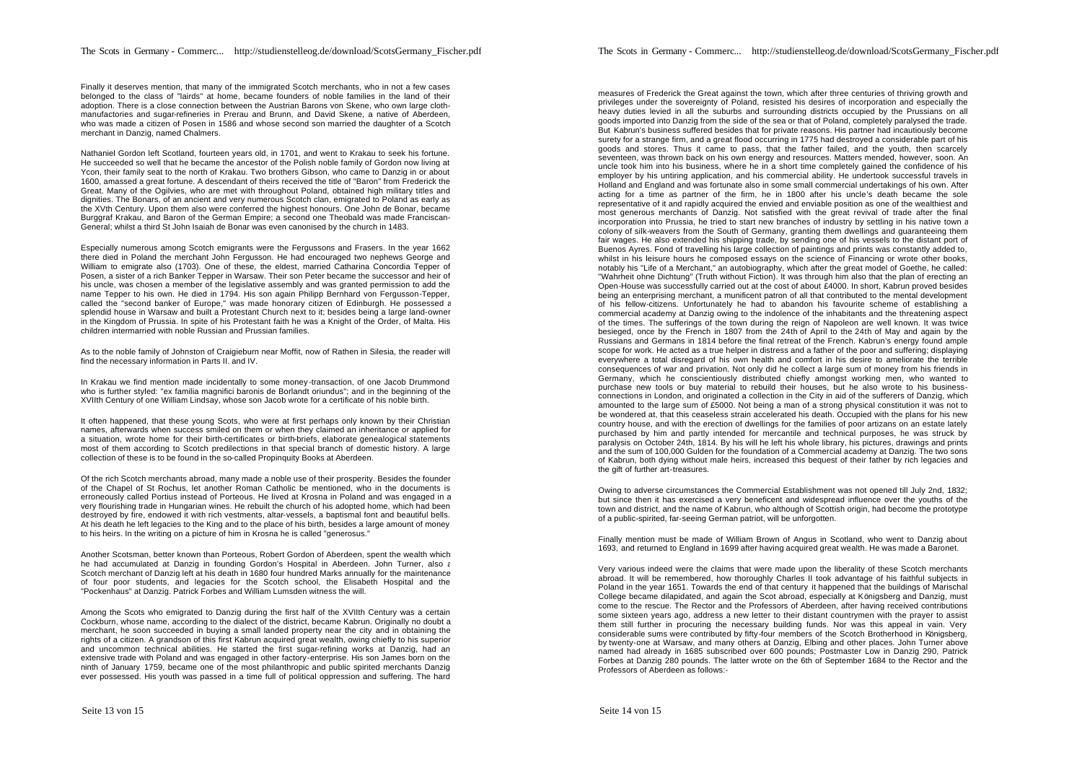Finally it deserves mention, that many of the immigrated Scotch merchants, who in not a few cases belonged to the class of "lairds" at home, became founders of noble families in the land of their adoption. There is a close connection between the Austrian Barons von Skene, who own large clothmanufactories and sugar-refineries in Prerau and Brunn, and David Skene, a native of Aberdeen, who was made a citizen of Posen in 1586 and whose second son married the daughter of a Scotch merchant in Danzig, named Chalmers.

Nathaniel Gordon left Scotland, fourteen years old, in 1701, and went to Krakau to seek his fortune. He succeeded so well that he became the ancestor of the Polish noble family of Gordon now living at Ycon, their family seat to the north of Krakau. Two brothers Gibson, who came to Danzig in or about 1600, amassed a great fortune. A descendant of theirs received the title of "Baron" from Frederick the Great. Many of the Ogilvies, who are met with throughout Poland, obtained high military titles and dignities. The Bonars, of an ancient and very numerous Scotch clan, emigrated to Poland as early as the XVth Century. Upon them also were conferred the highest honours. One John de Bonar, became Burggraf Krakau, and Baron of the German Empire; a second one Theobald was made Franciscan-General; whilst a third St John Isaiah de Bonar was even canonised by the church in 1483.

Especially numerous among Scotch emigrants were the Fergussons and Frasers. In the year 1662 there died in Poland the merchant John Fergusson. He had encouraged two nephews George and William to emigrate also (1703). One of these, the eldest, married Catharina Concordia Tepper of Posen, a sister of a rich Banker Tepper in Warsaw. Their son Peter became the successor and heir of his uncle, was chosen a member of the legislative assembly and was granted permission to add the name Tepper to his own. He died in 1794. His son again Philipp Bernhard von Fergusson-Tepper, called the "second banker of Europe," was made honorary citizen of Edinburgh. He possessed a splendid house in Warsaw and built a Protestant Church next to it; besides being a large land-owner in the Kingdom of Prussia. In spite of his Protestant faith he was a Knight of the Order, of Malta. His children intermarried with noble Russian and Prussian families.

As to the noble family of Johnston of Craigieburn near Moffit, now of Rathen in Silesia, the reader will find the necessary information in Parts II. and IV.

In Krakau we find mention made incidentally to some money -transaction, of one Jacob Drummond who is further styled: "ex familia magnifici baronis de Borlandt oriundus"; and in the beginning of the XVIIth Century of one William Lindsay, whose son Jacob wrote for a certificate of his noble birth.

It often happened, that these young Scots, who were at first perhaps only known by their Christian names, afterwards when success smiled on them or when they claimed an inheritance or applied for a situation, wrote home for their birth-certificates or birth-briefs, elaborate genealogical statements most of them according to Scotch predilections in that special branch of domestic history. A large collection of these is to be found in the so-called Propinquity Books at Aberdeen.

Of the rich Scotch merchants abroad, many made a noble use of their prosperity. Besides the founder of the Chapel of St Rochus, let another Roman Catholic be mentioned, who in the documents is erroneously called Portius instead of Porteous. He lived at Krosna in Poland and was engaged in a very flourishing trade in Hungarian wines. He rebuilt the church of his adopted home, which had been destroyed by fire, endowed it with rich vestments, altar-vessels, a baptismal font and beautiful bells. At his death he left legacies to the King and to the place of his birth, besides a large amount of money to his heirs. In the writing on a picture of him in Krosna he is called "generosus."

Another Scotsman, better known than Porteous, Robert Gordon of Aberdeen, spent the wealth which he had accumulated at Danzig in founding Gordon's Hospital in Aberdeen. John Turner, also a Scotch merchant of Danzig left at his death in 1680 four hundred Marks annually for the maintenance of four poor students, and legacies for the Scotch school, the Elisabeth Hospital and the "Pockenhaus" at Danzig. Patrick Forbes and William Lumsden witness the will.

Among the Scots who emigrated to Danzig during the first half of the XVIIth Century was a certain Cockburn, whose name, according to the dialect of the district, became Kabrun. Originally no doubt a merchant, he soon succeeded in buying a small landed property near the city and in obtaining the rights of a citizen. A grandson of this first Kabrun acquired great wealth, owing chiefly to his superior and uncommon technical abilities. He started the first sugar-refining works at Danzig, had an extensive trade with Poland and was engaged in other factory-enterprise. His son James born on the ninth of January 1759, became one of the most philanthropic and public spirited merchants Danzig ever possessed. His youth was passed in a time full of political oppression and suffering. The hard

measures of Frederick the Great against the town, which after three centuries of thriving growth and privileges under the sovereignty of Poland, resisted his desires of incorporation and especially the heavy duties levied in all the suburbs and surrounding districts occupied by the Prussians on all goods imported into Danzig from the side of the sea or that of Poland, completely paralysed the trade. But Kabrun's business suffered besides that for private reasons. His partner had incautiously become surety for a strange firm, and a great flood occurring in 1775 had destroyed a considerable part of his goods and stores. Thus it came to pass, that the father failed, and the youth, then scarcely seventeen, was thrown back on his own energy and resources. Matters mended, however, soon. An uncle took him into his business, where he in a short time completely gained the confidence of his employer by his untiring application, and his commercial ability. He undertook successful travels in Holland and England and was fortunate also in some small commercial undertakings of his own. After acting for a time as partner of the firm, he in 1800 after his uncle's death became the sole representative of it and rapidly acquired the envied and enviable position as one of the wealthiest and most generous merchants of Danzig. Not satisfied with the great revival of trade after the final incorporation into Prussia, he tried to start new branches of industry by settling in his native town a colony of silk-weavers from the South of Germany, granting them dwellings and guaranteeing them fair wages. He also extended his shipping trade, by sending one of his vessels to the distant port of Buenos Ayres. Fond of travelling his large collection of paintings and prints was constantly added to, whilst in his leisure hours he composed essays on the science of Financing or wrote other books. notably his "Life of a Merchant," an autobiography, which after the great model of Goethe, he called: "Wahrheit ohne Dichtung" (Truth without Fiction). It was through him also that the plan of erecting an Open-House was successfully carried out at the cost of about £4000. In short, Kabrun proved besides being an enterprising merchant, a munificent patron of all that contributed to the mental development of his fellow-citizens. Unfortunately he had to abandon his favourite scheme of establishing a commercial academy at Danzig owing to the indolence of the inhabitants and the threatening aspect of the times. The sufferings of the town during the reign of Napoleon are well known. It was twice besieged, once by the French in 1807 from the 24th of April to the 24th of May and again by the Russians and Germans in 1814 before the final retreat of the French. Kabrun's energy found ample scope for work. He acted as a true helper in distress and a father of the poor and suffering; displaying everywhere a total disregard of his own health and comfort in his desire to ameliorate the terrible consequences of war and privation. Not only did he collect a large sum of money from his friends in Germany, which he conscientiously distributed chiefly amongst working men, who wanted to purchase new tools or buy material to rebuild their houses, but he also wrote to his businessconnections in London, and originated a collection in the City in aid of the sufferers of Danzig, which amounted to the large sum of £5000. Not being a man of a strong physical constitution it was not to be wondered at, that this ceaseless strain accelerated his death. Occupied with the plans for his new country house, and with the erection of dwellings for the families of poor artizans on an estate lately purchased by him and partly intended for mercantile and technical purposes, he was struck by paralysis on October 24th, 1814. By his will he left his whole library, his pictures, drawings and prints and the sum of 100,000 Gulden for the foundation of a Commercial academy at Danzig. The two sons of Kabrun, both dying without male heirs, increased this bequest of their father by rich legacies and the gift of further art-treasures.

Owing to adverse circumstances the Commercial Establishment was not opened till July 2nd, 1832; but since then it has exercised a very beneficent and widespread influence over the youths of the town and district, and the name of Kabrun, who although of Scottish origin, had become the prototype of a public-spirited, far-seeing German patriot, will be unforgotten.

Finally mention must be made of William Brown of Angus in Scotland, who went to Danzig about 1693, and returned to England in 1699 after having acquired great wealth. He was made a Baronet.

Very various indeed were the claims that were made upon the liberality of these Scotch merchants abroad. It will be remembered, how thoroughly Charles II took advantage of his faithful subjects in Poland in the year 1651. Towards the end of that century it happened that the buildings of Marischal College became dilapidated, and again the Scot abroad, especially at Königsberg and Danzig, must come to the rescue. The Rector and the Professors of Aberdeen, after having received contributions some sixteen years ago, address a new letter to their distant countrymen with the prayer to assist them still further in procuring the necessary building funds. Nor was this appeal in vain. Very considerable sums were contributed by fifty-four members of the Scotch Brotherhood in Königsberg, by twenty-one at Warsaw, and many others at Danzig, Elbing and other places. John Turner above named had already in 1685 subscribed over 600 pounds; Postmaster Low in Danzig 290, Patrick Forbes at Danzig 280 pounds. The latter wrote on the 6th of September 1684 to the Rector and the Professors of Aberdeen as follows:-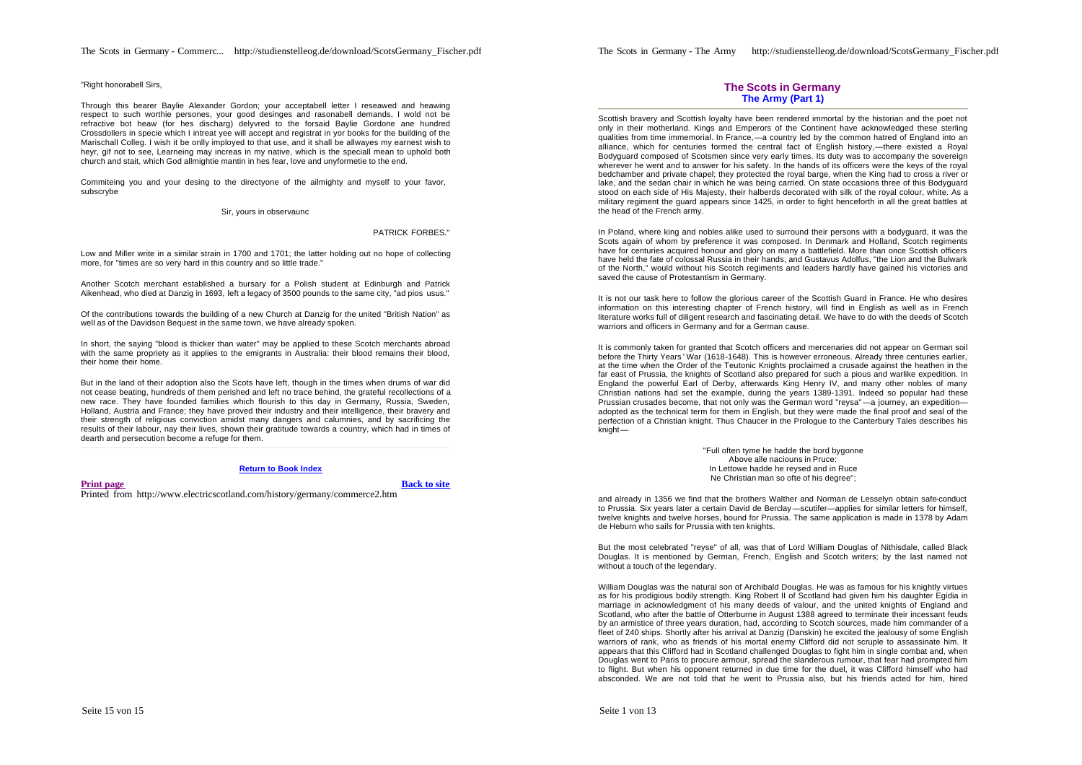#### "Right honorabell Sirs

Through this bearer Baylie Alexander Gordon; your acceptabell letter I reseawed and heawing respect to such worthie persones, your good desinges and rasonabell demands, I wold not be refractive bot heaw (for hes discharg) delyvred to the forsaid Baylie Gordone ane hundred Crossdollers in specie which I intreat yee will accept and registrat in yor books for the building of the Marischall Colleg. I wish it be onlly imployed to that use, and it shall be allwayes my earnest wish to heyr, gif not to see, Learneing may increas in my native, which is the speciall mean to uphold both church and stait, which God allmightie mantin in hes fear, love and unyformetie to the end.

Commiteing you and your desing to the directyone of the ailmighty and myself to your favor, subscrybe

#### Sir, yours in observaunc

#### PATRICK FORBES."

Low and Miller write in a similar strain in 1700 and 1701; the latter holding out no hope of collecting more, for "times are so very hard in this country and so little trade."

Another Scotch merchant established a bursary for a Polish student at Edinburgh and Patrick Aikenhead, who died at Danzig in 1693, left a legacy of 3500 pounds to the same city, "ad pios usus."

Of the contributions towards the building of a new Church at Danzig for the united "British Nation" as well as of the Davidson Bequest in the same town, we have already spoken.

In short, the saying "blood is thicker than water" may be applied to these Scotch merchants abroad with the same propriety as it applies to the emigrants in Australia: their blood remains their blood, their home their home.

But in the land of their adoption also the Scots have left, though in the times when drums of war did not cease beating, hundreds of them perished and left no trace behind, the grateful recollections of a new race. They have founded families which flourish to this day in Germany, Russia, Sweden, Holland, Austria and France; they have proved their industry and their intelligence, their bravery and their strength of religious conviction amidst many dangers and calumnies, and by sacrificing the results of their labour, nay their lives, shown their gratitude towards a country, which had in times of dearth and persecution become a refuge for them.

#### **Return to Book Index**

**Print page Back to site** Printed from http://www.electricscotland.com/history/germany/commerce2.htm

## **The Scots in Germany The Army (Part 1)**

Scottish bravery and Scottish loyalty have been rendered immortal by the historian and the poet not only in their motherland. Kings and Emperors of the Continent have acknowledged these sterling qualities from time immemorial. In France,—a country led by the common hatred of England into an alliance, which for centuries formed the central fact of English history,—there existed a Royal Bodyguard composed of Scotsmen since very early times. Its duty was to accompany the sovereign wherever he went and to answer for his safety. In the hands of its officers were the keys of the royal bedchamber and private chapel; they protected the royal barge, when the King had to cross a river or lake, and the sedan chair in which he was being carried. On state occasions three of this Bodyguard stood on each side of His Majesty, their halberds decorated with silk of the royal colour, white. As a military regiment the guard appears since 1425, in order to fight henceforth in all the great battles at the head of the French army.

In Poland, where king and nobles alike used to surround their persons with a bodyguard, it was the Scots again of whom by preference it was composed. In Denmark and Holland, Scotch regiments have for centuries acquired honour and glory on many a battlefield. More than once Scottish officers have held the fate of colossal Russia in their hands, and Gustavus Adolfus, "the Lion and the Bulwark of the North," would without his Scotch regiments and leaders hardly have gained his victories and saved the cause of Protestantism in Germany.

It is not our task here to follow the glorious career of the Scottish Guard in France. He who desires information on this interesting chapter of French history, will find in English as well as in French literature works full of diligent research and fascinating detail. We have to do with the deeds of Scotch warriors and officers in Germany and for a German cause.

It is commonly taken for granted that Scotch officers and mercenaries did not appear on German soil before the Thirty Years ' War (1618-1648). This is however erroneous. Already three centuries earlier, at the time when the Order of the Teutonic Knights proclaimed a crusade against the heathen in the far east of Prussia, the knights of Scotland also prepared for such a pious and warlike expedition. In England the powerful Earl of Derby, afterwards King Henry IV, and many other nobles of many Christian nations had set the example, during the years 1389-1391. Indeed so popular had these Prussian crusades become, that not only was the German word "reysa" —a journey, an expedition adopted as the technical term for them in English, but they were made the final proof and seal of the perfection of a Christian knight. Thus Chaucer in the Prologue to the Canterbury Tales describes his knight—

> "Full often tyme he hadde the bord bygonne Above alle naciouns in Pruce: In Lettowe hadde he reysed and in Ruce Ne Christian man so ofte of his degree";

and already in 1356 we find that the brothers Walther and Norman de Lesselyn obtain safe-conduct to Prussia. Six years later a certain David de Berclay—scutifer—applies for similar letters for himself, twelve knights and twelve horses, bound for Prussia. The same application is made in 1378 by Adam de Heburn who sails for Prussia with ten knights.

But the most celebrated "reyse" of all, was that of Lord William Douglas of Nithisdale, called Black Douglas. It is mentioned by German, French, English and Scotch writers; by the last named not without a touch of the legendary.

William Douglas was the natural son of Archibald Douglas. He was as famous for his knightly virtues as for his prodigious bodily strength. King Robert II of Scotland had given him his daughter Egidia in marriage in acknowledgment of his many deeds of valour, and the united knights of England and Scotland, who after the battle of Otterburne in August 1388 agreed to terminate their incessant feuds by an armistice of three years duration, had, according to Scotch sources, made him commander of a fleet of 240 ships. Shortly after his arrival at Danzig (Danskin) he excited the jealousy of some English warriors of rank, who as friends of his mortal enemy Clifford did not scruple to assassinate him. It appears that this Clifford had in Scotland challenged Douglas to fight him in single combat and, when Douglas went to Paris to procure armour, spread the slanderous rumour, that fear had prompted him to flight. But when his opponent returned in due time for the duel, it was Clifford himself who had absconded. We are not told that he went to Prussia also, but his friends acted for him, hired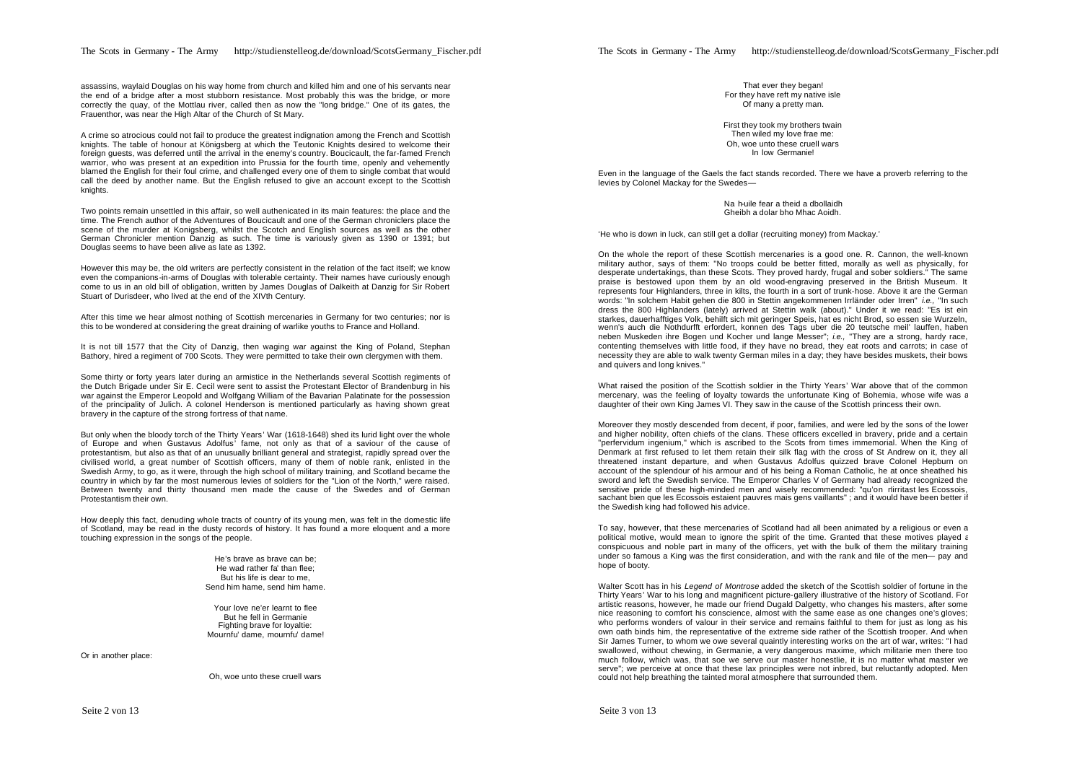assassins, waylaid Douglas on his way home from church and killed him and one of his servants near the end of a bridge after a most stubborn resistance. Most probably this was the bridge, or more correctly the quay, of the Mottlau river, called then as now the "long bridge." One of its gates, the Frauenthor, was near the High Altar of the Church of St Mary.

A crime so atrocious could not fail to produce the greatest indignation among the French and Scottish knights. The table of honour at Königsberg at which the Teutonic Knights desired to welcome their foreign guests, was deferred until the arrival in the enemy's country. Boucicault, the far-famed French warrior, who was present at an expedition into Prussia for the fourth time, openly and vehemently blamed the English for their foul crime, and challenged every one of them to single combat that would call the deed by another name. But the English refused to give an account except to the Scottish knights.

Two points remain unsettled in this affair, so well authenicated in its main features: the place and the time. The French author of the Adventures of Boucicault and one of the German chroniclers place the scene of the murder at Konigsberg, whilst the Scotch and English sources as well as the other German Chronicler mention Danzig as such. The time is variously given as 1390 or 1391; but Douglas seems to have been alive as late as 1392.

However this may be, the old writers are perfectly consistent in the relation of the fact itself; we know even the companions-in-arms of Douglas with tolerable certainty. Their names have curiously enough come to us in an old bill of obligation, written by James Douglas of Dalkeith at Danzig for Sir Robert Stuart of Durisdeer, who lived at the end of the XIVth Century.

After this time we hear almost nothing of Scottish mercenaries in Germany for two centuries; nor is this to be wondered at considering the great draining of warlike youths to France and Holland.

It is not till 1577 that the City of Danzig, then waging war against the King of Poland, Stephan Bathory, hired a regiment of 700 Scots. They were permitted to take their own clergymen with them.

Some thirty or forty years later during an armistice in the Netherlands several Scottish regiments of the Dutch Brigade under Sir E. Cecil were sent to assist the Protestant Elector of Brandenburg in his war against the Emperor Leopold and Wolfgang William of the Bavarian Palatinate for the possession of the principality of Julich. A colonel Henderson is mentioned particularly as having shown great bravery in the capture of the strong fortress of that name.

But only when the bloody torch of the Thirty Years' War (1618-1648) shed its lurid light over the whole of Europe and when Gustavus Adolfus' fame, not only as that of a saviour of the cause of protestantism, but also as that of an unusually brilliant general and strategist, rapidly spread over the civilised world, a great number of Scottish officers, many of them of noble rank, enlisted in the Swedish Army, to go, as it were, through the high school of military training, and Scotland became the country in which by far the most numerous levies of soldiers for the "Lion of the North," were raised. Between twenty and thirty thousand men made the cause of the Swedes and of German Protestantism their own.

How deeply this fact, denuding whole tracts of country of its young men, was felt in the domestic life of Scotland, may be read in the dusty records of history. It has found a more eloquent and a more touching expression in the songs of the people.

> He's brave as brave can be; He wad rather fa' than flee; But his life is dear to me, Send him hame, send him hame.

Your love ne'er learnt to flee But he fell in Germanie Fighting brave for loyaltie: Mournfu' dame, mournfu' dame!

Or in another place:

Oh, woe unto these cruell wars

That ever they began! For they have reft my native isle Of many a pretty man.

First they took my brothers twain Then wiled my love frae me: Oh, woe unto these cruell wars In low Germanie!

Even in the language of the Gaels the fact stands recorded. There we have a proverb referring to the levies by Colonel Mackay for the Swedes—

> Na h-uile fear a theid a dbollaidh Gheibh a dolar bho Mhac Aoidh.

'He who is down in luck, can still get a dollar (recruiting money) from Mackay.'

On the whole the report of these Scottish mercenaries is a good one. R. Cannon, the well-known military author, says of them: "No troops could be better fitted, morally as well as physically, for desperate undertakings, than these Scots. They proved hardy, frugal and sober soldiers." The same praise is bestowed upon them by an old wood-engraving preserved in the British Museum. It represents four Highlanders, three in kilts, the fourth in a sort of trunk-hose. Above it are the German words: "In solchem Habit gehen die 800 in Stettin angekommenen Irrländer oder Irren" *i.e.,* "In such dress the 800 Highlanders (lately) arrived at Stettin walk (about)." Under it we read: "Es ist ein starkes, dauerhafftiges Volk, behilft sich mit geringer Speis, hat es nicht Brod, so essen sie Wurzeln, wenn's auch die Nothdurfft erfordert, konnen des Tags uber die 20 teutsche meil' lauffen, haben neben Muskeden ihre Bogen und Kocher und lange Messer"; *i.e.,* "They are a strong, hardy race, contenting themselves with little food, if they have no bread, they eat roots and carrots; in case of necessity they are able to walk twenty German miles in a day; they have besides muskets, their bows and quivers and long knives."

What raised the position of the Scottish soldier in the Thirty Years' War above that of the common mercenary, was the feeling of loyalty towards the unfortunate King of Bohemia, whose wife was a daughter of their own King James VI. They saw in the cause of the Scottish princess their own.

Moreover they mostly descended from decent, if poor, families, and were led by the sons of the lower and higher nobility, often chiefs of the clans. These officers excelled in bravery, pride and a certain "perfervidum ingenium," which is ascribed to the Scots from times immemorial. When the King of Denmark at first refused to let them retain their silk flag with the cross of St Andrew on it, they all threatened instant departure, and when Gustavus Adolfus quizzed brave Colonel Hepburn on account of the splendour of his armour and of his being a Roman Catholic, he at once sheathed his sword and left the Swedish service. The Emperor Charles V of Germany had already recognized the sensitive pride of these high-minded men and wisely recommended: "qu'on nirritast les Ecossois, sachant bien que les Ecossois estaient pauvres mais gens vaillants" ; and it would have been better if the Swedish king had followed his advice.

To say, however, that these mercenaries of Scotland had all been animated by a religious or even a political motive, would mean to ignore the spirit of the time. Granted that these motives played a conspicuous and noble part in many of the officers, yet with the bulk of them the military training under so famous a King was the first consideration, and with the rank and file of the men— pay and hope of booty.

Walter Scott has in his *Legend of Montrose* added the sketch of the Scottish soldier of fortune in the Thirty Years' War to his long and magnificent picture-gallery illustrative of the history of Scotland. For artistic reasons, however, he made our friend Dugald Dalgetty, who changes his masters, after some nice reasoning to comfort his conscience, almost with the same ease as one changes one's gloves; who performs wonders of valour in their service and remains faithful to them for just as long as his own oath binds him, the representative of the extreme side rather of the Scottish trooper. And when Sir James Turner, to whom we owe several quaintly interesting works on the art of war, writes: "I had swallowed, without chewing, in Germanie, a very dangerous maxime, which militarie men there too much follow, which was, that soe we serve our master honestlie, it is no matter what master we serve"; we perceive at once that these lax principles were not inbred, but reluctantly adopted. Men could not help breathing the tainted moral atmosphere that surrounded them.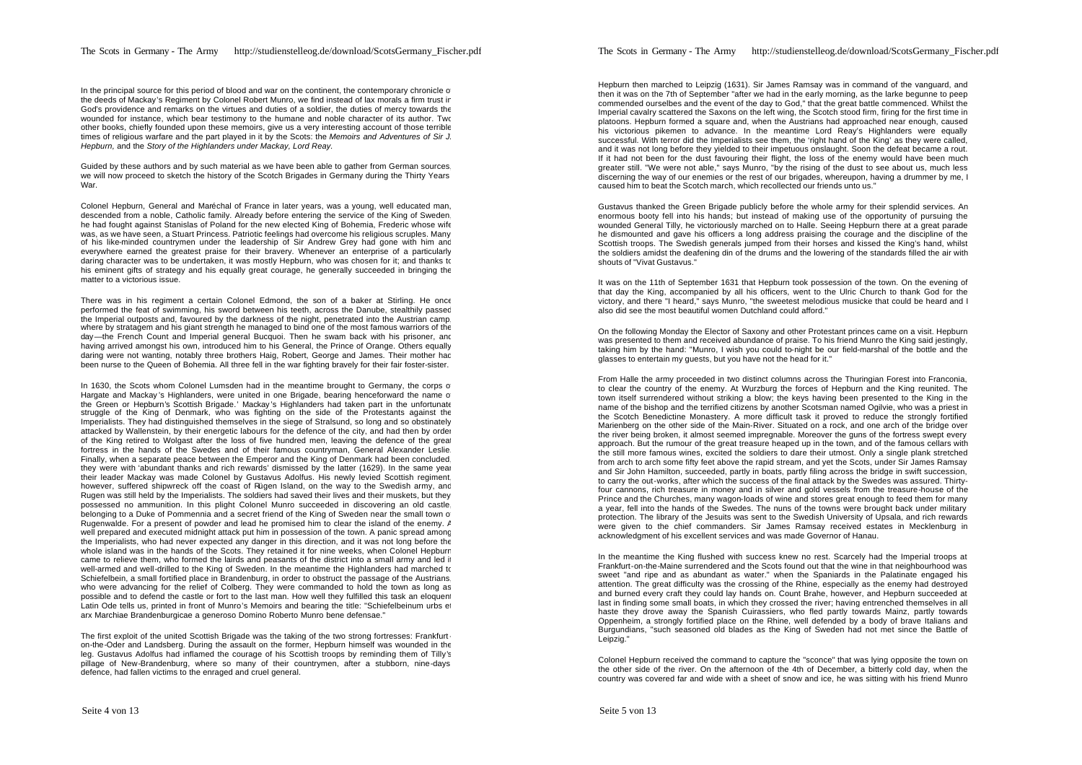In the principal source for this period of blood and war on the continent, the contemporary chronicle of the deeds of Mackay's Regiment by Colonel Robert Munro, we find instead of lax morals a firm trust in God's providence and remarks on the virtues and duties of a soldier, the duties of mercy towards the wounded for instance, which bear testimony to the humane and noble character of its author. Two other books, chiefly founded upon these memoirs, give us a very interesting account of those terrible times of religious warfare and the part played in it by the Scots: the *Memoirs and Adventures of Sir J. Hepburn,* and the *Story of the Highlanders under Mackay, Lord Reay.*

Guided by these authors and by such material as we have been able to gather from German sources, we will now proceed to sketch the history of the Scotch Brigades in Germany during the Thirty Years War.

Colonel Hepburn, General and Maréchal of France in later years, was a young, well educated man, descended from a noble, Catholic family. Already before entering the service of the King of Sweden, he had fought against Stanislas of Poland for the new elected King of Bohemia, Frederic whose wife was, as we have seen, a Stuart Princess. Patriotic feelings had overcome his religious scruples. Many of his like-minded countrymen under the leadership of Sir Andrew Grey had gone with him and everywhere earned the greatest praise for their bravery. Whenever an enterprise of a particularly daring character was to be undertaken, it was mostly Hepburn, who was chosen for it; and thanks to his eminent gifts of strategy and his equally great courage, he generally succeeded in bringing the matter to a victorious issue.

There was in his regiment a certain Colonel Edmond, the son of a baker at Stirling. He once performed the feat of swimming, his sword between his teeth, across the Danube, stealthily passed the Imperial outposts and, favoured by the darkness of the night, penetrated into the Austrian camp, where by stratagem and his giant strength he managed to bind one of the most famous warriors of the day—the French Count and Imperial general Bucquoi. Then he swam back with his prisoner, and having arrived amongst his own, introduced him to his General, the Prince of Orange. Others equally daring were not wanting, notably three brothers Haig, Robert, George and James. Their mother hac been nurse to the Queen of Bohemia. All three fell in the war fighting bravely for their fair foster-sister.

In 1630, the Scots whom Colonel Lumsden had in the meantime brought to Germany, the corps of Hargate and Mackay's Highlanders, were united in one Brigade, bearing henceforward the name o the Green or Hepburn's Scottish Brigade.' Mackay 's Highlanders had taken part in the unfortunate struggle of the King of Denmark, who was fighting on the side of the Protestants against the Imperialists. They had distinguished themselves in the siege of Stralsund, so long and so obstinately attacked by Wallenstein, by their energetic labours for the defence of the city, and had then by order of the King retired to Wolgast after the loss of five hundred men, leaving the defence of the great fortress in the hands of the Swedes and of their famous countryman. General Alexander Leslie. Finally, when a separate peace between the Emperor and the King of Denmark had been concluded, they were with 'abundant thanks and rich rewards' dismissed by the latter (1629). In the same year their leader Mackay was made Colonel by Gustavus Adolfus. His newly levied Scottish regiment, however, suffered shipwreck off the coast of Rügen Island, on the way to the Swedish army, and Rugen was still held by the Imperialists. The soldiers had saved their lives and their muskets, but they possessed no ammunition. In this plight Colonel Munro succeeded in discovering an old castle, belonging to a Duke of Pommennia and a secret friend of the King of Sweden near the small town of Rugenwalde. For a present of powder and lead he promised him to clear the island of the enemy. A well prepared and executed midnight attack put him in possession of the town. A panic spread among the Imperialists, who had never expected any danger in this direction, and it was not long before the whole island was in the hands of the Scots. They retained it for nine weeks, when Colonel Hepburn came to relieve them, who formed the lairds and peasants of the district into a small army and led it well-armed and well-drilled to the King of Sweden. In the meantime the Highlanders had marched to Schiefelbein, a small fortified place in Brandenburg, in order to obstruct the passage of the Austrians, who were advancing for the relief of Colberg. They were commanded to hold the town as long as possible and to defend the castle or fort to the last man. How well they fulfilled this task an eloquent Latin Ode tells us, printed in front of Munro's Memoirs and bearing the title: "Schiefelbeinum urbs etc." arx Marchiae Brandenburgicae a generoso Domino Roberto Munro bene defensae."

The first exploit of the united Scottish Brigade was the taking of the two strong fortresses: Frankfurton-the-Oder and Landsberg. During the assault on the former, Hepburn himself was wounded in the leg. Gustavus Adolfus had inflamed the courage of his Scottish troops by reminding them of Tilly's pillage of New-Brandenburg, where so many of their countrymen, after a stubborn, nine-days defence, had fallen victims to the enraged and cruel general.

Hepburn then marched to Leipzig (1631). Sir James Ramsay was in command of the vanguard, and then it was on the 7th of September "after we had in the early morning, as the larke begunne to peep commended ourselbes and the event of the day to God," that the great battle commenced. Whilst the Imperial cavalry scattered the Saxons on the left wing, the Scotch stood firm, firing for the first time in platoons. Hepburn formed a square and, when the Austrians had approached near enough, caused his victorious pikemen to advance. In the meantime Lord Reay's Highlanders were equally successful. With terror did the Imperialists see them, the 'right hand of the King' as they were called, and it was not long before they yielded to their impetuous onslaught. Soon the defeat became a rout. If it had not been for the dust favouring their flight, the loss of the enemy would have been much greater still. "We were not able," says Munro, "by the rising of the dust to see about us, much less discerning the way of our enemies or the rest of our brigades, whereupon, having a drummer by me, I caused him to beat the Scotch march, which recollected our friends unto us."

Gustavus thanked the Green Brigade publicly before the whole army for their splendid services. An enormous booty fell into his hands; but instead of making use of the opportunity of pursuing the wounded General Tilly, he victoriously marched on to Halle. Seeing Hepburn there at a great parade he dismounted and gave his officers a long address praising the courage and the discipline of the Scottish troops. The Swedish generals jumped from their horses and kissed the King's hand, whilst the soldiers amidst the deafening din of the drums and the lowering of the standards filled the air with shouts of "Vivat Gustavus."

It was on the 11th of September 1631 that Hepburn took possession of the town. On the evening of that day the King, accompanied by all his officers, went to the Ulric Church to thank God for the victory, and there "I heard," says Munro, "the sweetest melodious musicke that could be heard and I also did see the most beautiful women Dutchland could afford."

On the following Monday the Elector of Saxony and other Protestant princes came on a visit. Hepburn was presented to them and received abundance of praise. To his friend Munro the King said jestingly, taking him by the hand: "Munro, I wish you could to-night be our field-marshal of the bottle and the glasses to entertain my guests, but you have not the head for it."

From Halle the army proceeded in two distinct columns across the Thuringian Forest into Franconia, to clear the country of the enemy. At Wurzburg the forces of Hepburn and the King reunited. The town itself surrendered without striking a blow; the keys having been presented to the King in the name of the bishop and the terrified citizens by another Scotsman named Ogilvie, who was a priest in the Scotch Benedictine Monastery. A more difficult task it proved to reduce the strongly fortified Marienberg on the other side of the Main-River. Situated on a rock, and one arch of the bridge over the river being broken, it almost seemed impregnable. Moreover the guns of the fortress swept every approach. But the rumour of the great treasure heaped up in the town, and of the famous cellars with the still more famous wines, excited the soldiers to dare their utmost. Only a single plank stretched from arch to arch some fifty feet above the rapid stream, and yet the Scots, under Sir James Ramsay and Sir John Hamilton, succeeded, partly in boats, partly filing across the bridge in swift succession, to carry the out-works, after which the success of the final attack by the Swedes was assured. Thirtyfour cannons, rich treasure in money and in silver and gold vessels from the treasure-house of the Prince and the Churches, many wagon-loads of wine and stores great enough to feed them for many a year, fell into the hands of the Swedes. The nuns of the towns were brought back under military protection. The library of the Jesuits was sent to the Swedish University of Upsala, and rich rewards were given to the chief commanders. Sir James Ramsay received estates in Mecklenburg in acknowledgment of his excellent services and was made Governor of Hanau.

In the meantime the King flushed with success knew no rest. Scarcely had the Imperial troops at Frankfurt-on-the-Maine surrendered and the Scots found out that the wine in that neighbourhood was sweet "and ripe and as abundant as water." when the Spaniards in the Palatinate engaged his attention. The great difficulty was the crossing of the Rhine, especially as the enemy had destroyed and burned every craft they could lay hands on. Count Brahe, however, and Hepburn succeeded at last in finding some small boats, in which they crossed the river; having entrenched themselves in all haste they drove away the Spanish Cuirassiers, who fled partly towards Mainz, partly towards Oppenheim, a strongly fortified place on the Rhine, well defended by a body of brave Italians and Burgundians, "such seasoned old blades as the King of Sweden had not met since the Battle of Leipzig."

Colonel Hepburn received the command to capture the "sconce" that was lying opposite the town on the other side of the river. On the afternoon of the 4th of December, a bitterly cold day, when the country was covered far and wide with a sheet of snow and ice, he was sitting with his friend Munro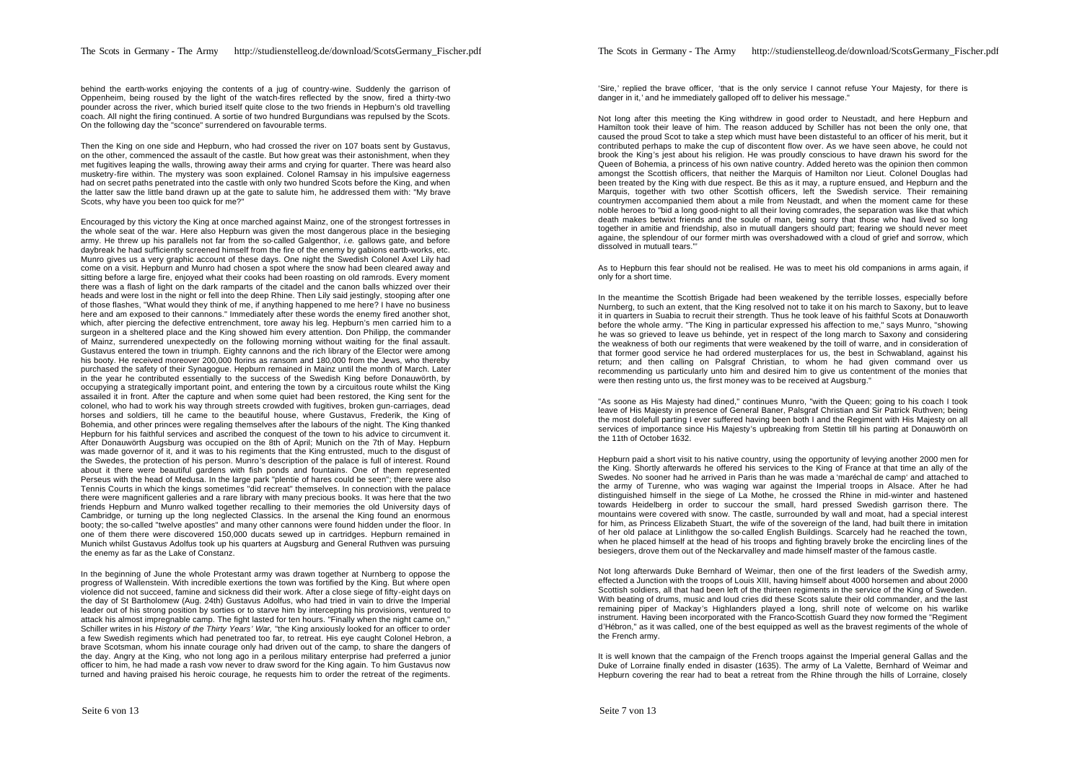The Scots in Germany - The Army http://studienstelleog.de/download/ScotsGermany\_Fischer.pdf

behind the earth-works enjoying the contents of a jug of country-wine. Suddenly the garrison of Oppenheim, being roused by the light of the watch-fires reflected by the snow, fired a thirty-two pounder across the river, which buried itself quite close to the two friends in Hepburn's old travelling coach. All night the firing continued. A sortie of two hundred Burgundians was repulsed by the Scots. On the following day the "sconce" surrendered on favourable terms.

Then the King on one side and Hepburn, who had crossed the river on 107 boats sent by Gustavus, on the other, commenced the assault of the castle. But how great was their astonishment, when they met fugitives leaping the walls, throwing away their arms and crying for quarter. There was heard also musketry-fire within. The mystery was soon explained. Colonel Ramsay in his impulsive eagerness had on secret paths penetrated into the castle with only two hundred Scots before the King, and when the latter saw the little band drawn up at the gate to salute him, he addressed them with: "My brave Scots, why have you been too quick for me?"

Encouraged by this victory the King at once marched against Mainz, one of the strongest fortresses in the whole seat of the war. Here also Hepburn was given the most dangerous place in the besieging army. He threw up his parallels not far from the so-called Galgenthor, *i.e.* gallows gate, and before daybreak he had sufficiently screened himself from the fire of the enemy by gabions eartb-works, etc. Munro gives us a very graphic account of these days. One night the Swedish Colonel Axel Lily had come on a visit. Hepburn and Munro had chosen a spot where the snow had been cleared away and sitting before a large fire, enjoyed what their cooks had been roasting on old ramrods. Every moment there was a flash of light on the dark ramparts of the citadel and the canon balls whizzed over their heads and were lost in the night or fell into the deep Rhine. Then Lily said jestingly, stooping after one of those flashes, "What would they think of me, if anything happened to me here? I have no business here and am exposed to their cannons." Immediately after these words the enemy fired another shot, which, after piercing the defective entrenchment, tore away his leg. Hepburn's men carried him to a surgeon in a sheltered place and the King showed him every attention. Don Philipp, the commander of Mainz, surrendered unexpectedly on the following morning without waiting for the final assault. Gustavus entered the town in triumph. Eighty cannons and the rich library of the Elector were among his booty. He received moreover 200,000 florins as ransom and 180,000 from the Jews, who thereby purchased the safety of their Synagogue. Hepburn remained in Mainz until the month of March. Later in the year he contributed essentially to the success of the Swedish King before Donauwörth, by occupying a strategically important point, and entering the town by a circuitous route whilst the King assailed it in front. After the capture and when some quiet had been restored, the King sent for the colonel, who had to work his way through streets crowded with fugitives, broken gun-carriages, dead horses and soldiers, till he came to the beautiful house, where Gustavus, Frederik, the King of Bohemia, and other princes were regaling themselves after the labours of the night. The King thanked Hepburn for his faithful services and ascribed the conquest of the town to his advice to circumvent it. After Donauwörth Augsburg was occupied on the 8th of April; Munich on the 7th of May. Hepburn was made governor of it, and it was to his regiments that the King entrusted, much to the disgust of the Swedes, the protection of his person. Munro's description of the palace is full of interest. Round about it there were beautiful gardens with fish ponds and fountains. One of them represented Perseus with the head of Medusa. In the large park "plentie of hares could be seen"; there were also Tennis Courts in which the kings sometimes "did recreat" themselves. In connection with the palace there were magnificent galleries and a rare library with many precious books. It was here that the two friends Hepburn and Munro walked together recalling to their memories the old University days of Cambridge, or turning up the long neglected Classics. In the arsenal the King found an enormous booty; the so-called "twelve apostles" and many other cannons were found hidden under the floor. In one of them there were discovered 150,000 ducats sewed up in cartridges. Hepburn remained in Munich whilst Gustavus Adolfus took up his quarters at Augsburg and General Ruthven was pursuing the enemy as far as the Lake of Constanz.

In the beginning of June the whole Protestant army was drawn together at Nurnberg to oppose the progress of Wallenstein. With incredible exertions the town was fortified by the King. But where open violence did not succeed, famine and sickness did their work. After a close siege of fifty-eight days on the day of St Bartholomew (Aug. 24th) Gustavus Adolfus, who had tried in vain to drive the Imperial leader out of his strong position by sorties or to starve him by intercepting his provisions, ventured to attack his almost impregnable camp. The fight lasted for ten hours. "Finally when the night came on," Schiller writes in his *History of the Thirty Years' War,* "the King anxiously looked for an officer to order a few Swedish regiments which had penetrated too far, to retreat. His eye caught Colonel Hebron, a brave Scotsman, whom his innate courage only had driven out of the camp, to share the dangers of the day. Angry at the King, who not long ago in a perilous military enterprise had preferred a junior officer to him, he had made a rash vow never to draw sword for the King again. To him Gustavus now turned and having praised his heroic courage, he requests him to order the retreat of the regiments.

'Sire,' replied the brave officer, 'that is the only service I cannot refuse Your Majesty, for there is danger in it,' and he immediately galloped off to deliver his message."

Not long after this meeting the King withdrew in good order to Neustadt, and here Hepburn and Hamilton took their leave of him. The reason adduced by Schiller has not been the only one, that caused the proud Scot to take a step which must have been distasteful to an officer of his merit, but it contributed perhaps to make the cup of discontent flow over. As we have seen above, he could not brook the King's jest about his religion. He was proudly conscious to have drawn his sword for the Queen of Bohemia, a princess of his own native country. Added hereto was the opinion then common amongst the Scottish officers, that neither the Marquis of Hamilton nor Lieut. Colonel Douglas had been treated by the King with due respect. Be this as it may, a rupture ensued, and Hepburn and the Marquis, together with two other Scottish officers, left the Swedish service. Their remaining countrymen accompanied them about a mile from Neustadt, and when the moment came for these noble heroes to "bid a long good-night to all their loving comrades, the separation was like that which death makes betwixt friends and the soule of man, being sorry that those who had lived so long together in amitie and friendship, also in mutuall dangers should part; fearing we should never meet againe, the splendour of our former mirth was overshadowed with a cloud of grief and sorrow, which dissolved in mutuall tears."'

As to Hepburn this fear should not be realised. He was to meet his old companions in arms again, if only for a short time.

In the meantime the Scottish Brigade had been weakened by the terrible losses, especially before Nurnberg, to such an extent, that the King resolved not to take it on his march to Saxony, but to leave it in quarters in Suabia to recruit their strength. Thus he took leave of his faithful Scots at Donauworth before the whole army. "The King in particular expressed his affection to me," says Munro, "showing he was so grieved to leave us behinde, yet in respect of the long march to Saxony and considering the weakness of both our regiments that were weakened by the toill of warre, and in consideration of that former good service he had ordered musterplaces for us, the best in Schwabland, against his return; and then calling on Palsgraf Christian, to whom he had given command over us recommending us particularly unto him and desired him to give us contentment of the monies that were then resting unto us, the first money was to be received at Augsburg."

"As soone as His Majesty had dined," continues Munro, "with the Queen; going to his coach I took leave of His Majesty in presence of General Baner, Palsgraf Christian and Sir Patrick Ruthven; being the most dolefull parting I ever suffered having been both I and the Regiment with His Majesty on all services of importance since His Majesty's upbreaking from Stettin till his parting at Donauwörth on the 11th of October 1632.

Hepburn paid a short visit to his native country, using the opportunity of levying another 2000 men for the King. Shortly afterwards he offered his services to the King of France at that time an ally of the Swedes. No sooner had he arrived in Paris than he was made a 'maréchal de camp' and attached to the army of Turenne, who was waging war against the Imperial troops in Alsace. After he had distinguished himself in the siege of La Mothe, he crossed the Rhine in mid-winter and hastened towards Heidelberg in order to succour the small, hard pressed Swedish garrison there. The mountains were covered with snow. The castle, surrounded by wall and moat, had a special interest for him, as Princess Elizabeth Stuart, the wife of the sovereign of the land, had built there in imitation of her old palace at Linlithgow the so-called English Buildings. Scarcely had he reached the town, when he placed himself at the head of his troops and fighting bravely broke the encircling lines of the besiegers, drove them out of the Neckarvalley and made himself master of the famous castle.

Not long afterwards Duke Bernhard of Weimar, then one of the first leaders of the Swedish army, effected a Junction with the troops of Louis XIII, having himself about 4000 horsemen and about 2000 Scottish soldiers, all that had been left of the thirteen regiments in the service of the King of Sweden. With beating of drums, music and loud cries did these Scots salute their old commander, and the last remaining piper of Mackay's Highlanders played a long, shrill note of welcome on his warlike instrument. Having been incorporated with the Franco-Scottish Guard they now formed the "Regiment d'Hébron," as it was called, one of the best equipped as well as the bravest regiments of the whole of the French army.

It is well known that the campaign of the French troops against the Imperial general Gallas and the Duke of Lorraine finally ended in disaster (1635). The army of La Valette, Bernhard of Weimar and Hepburn covering the rear had to beat a retreat from the Rhine through the hills of Lorraine, closely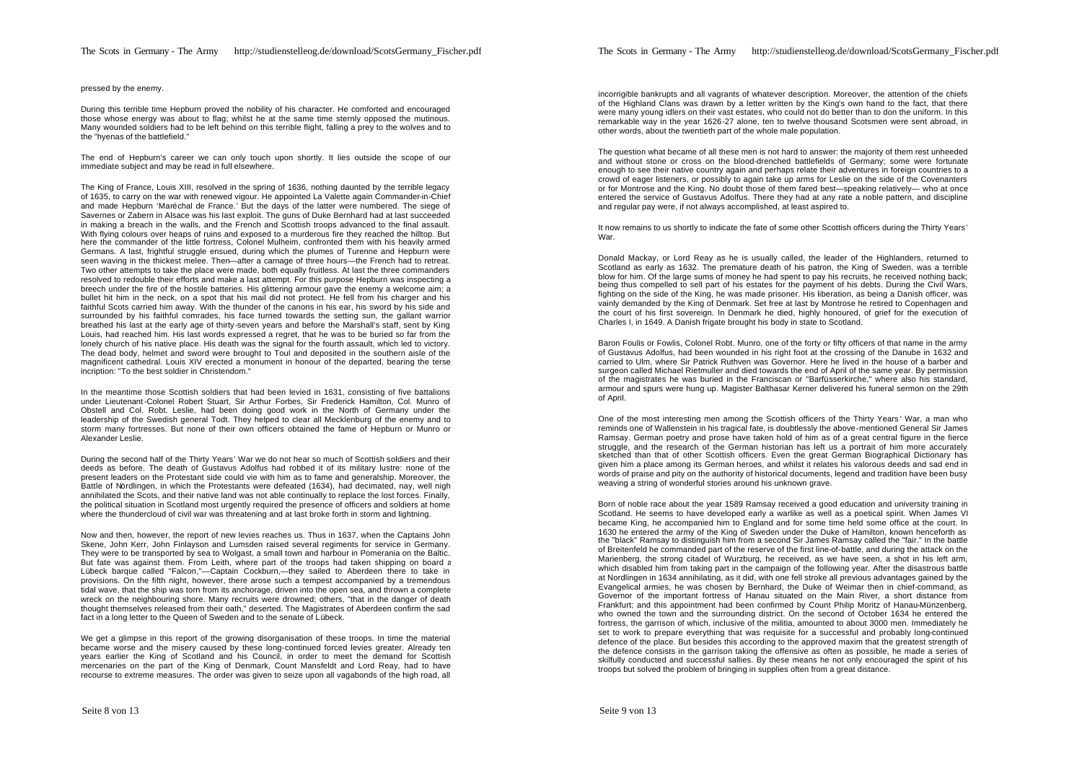#### pressed by the enemy.

During this terrible time Hepburn proved the nobility of his character. He comforted and encouraged those whose energy was about to flag; whilst he at the same time sternly opposed the mutinous. Many wounded soldiers had to be left behind on this terrible flight, falling a prey to the wolves and to the "hyenas of the battlefield."

The end of Hepburn's career we can only touch upon shortly. It lies outside the scope of our immediate subject and may be read in full elsewhere.

The King of France, Louis XIII, resolved in the spring of 1636, nothing daunted by the terrible legacy of 1635, to carry on the war with renewed vigour. He appointed La Valette again Commander-in-Chief and made Hepburn 'Maréchal de France.' But the days of the latter were numbered. The siege of Savernes or Zabern in Alsace was his last exploit. The guns of Duke Bernhard had at last succeeded in making a breach in the walls, and the French and Scottish troops advanced to the final assault. With flying colours over heaps of ruins and exposed to a murderous fire they reached the hilltop. But here the commander of the little fortress, Colonel Mulheim, confronted them with his heavily armed Germans. A last, frightful struggle ensued, during which the plumes of Turenne and Hepburn were seen waving in the thickest melee. Then—after a carnage of three hours—the French had to retreat. Two other attempts to take the place were made, both equally fruitless. At last the three commanders resolved to redouble their efforts and make a last attempt. For this purpose Hepburn was inspecting a breech under the fire of the hostile batteries. His glittering armour gave the enemy a welcome aim; a bullet hit him in the neck, on a spot that his mail did not protect. He fell from his charger and his faithful Scots carried him away. With the thunder of the canons in his ear, his sword by his side and surrounded by his faithful comrades, his face turned towards the setting sun, the gallant warrior breathed his last at the early age of thirty-seven years and before the Marshall's staff, sent by King Louis, had reached him. His last words expressed a regret, that he was to be buried so far from the lonely church of his native place. His death was the signal for the fourth assault, which led to victory. The dead body, helmet and sword were brought to Toul and deposited in the southern aisle of the magnificent cathedral. Louis XIV erected a monument in honour of the departed, bearing the terse incription: "To the best soldier in Christendom."

In the meantime those Scottish soldiers that had been levied in 1631, consisting of five battalions under Lieutenant-Colonel Robert Stuart, Sir Arthur Forbes, Sir Frederick Hamilton, Col. Munro of Obstell and Col. Robt. Leslie, had been doing good work in the North of Germany under the leadership of the Swedish general Todt. They helped to clear all Mecklenburg of the enemy and to storm many fortresses. But none of their own officers obtained the fame of Hepburn or Munro or Alexander Leslie.

During the second half of the Thirty Years' War we do not hear so much of Scottish soldiers and their deeds as before. The death of Gustavus Adolfus had robbed it of its military lustre: none of the present leaders on the Protestant side could vie with him as to fame and generalship. Moreover, the Battle of Nördlingen, in which the Protestants were defeated (1634), had decimated, nay, well nigh annihilated the Scots, and their native land was not able continually to replace the lost forces. Finally, the political situation in Scotland most urgently required the presence of officers and soldiers at home where the thundercloud of civil war was threatening and at last broke forth in storm and lightning.

Now and then, however, the report of new levies reaches us. Thus in 1637, when the Captains John Skene, John Kerr, John Finlayson and Lumsden raised several regiments for service in Germany. They were to be transported by sea to Wolgast, a small town and harbour in Pomerania on the Baltic. But fate was against them. From Leith, where part of the troops had taken shipping on board  $\varepsilon$ Lübeck barque called "Falcon,"—Captain Cockburn,—they sailed to Aberdeen there to take in provisions. On the fifth night, however, there arose such a tempest accompanied by a tremendous tidal wave, that the ship was torn from its anchorage, driven into the open sea, and thrown a complete wreck on the neighbouring shore. Many recruits were drowned; others, "that in the danger of death thought themselves released from their oath," deserted. The Magistrates of Aberdeen confirm the sad fact in a long letter to the Queen of Sweden and to the senate of Lübeck.

We get a glimpse in this report of the growing disorganisation of these troops. In time the material became worse and the misery caused by these long-continued forced levies greater. Already ten years earlier the King of Scotland and his Council, in order to meet the demand for Scottish mercenaries on the part of the King of Denmark, Count Mansfeldt and Lord Reay, had to have recourse to extreme measures. The order was given to seize upon all vagabonds of the high road, all

incorrigible bankrupts and all vagrants of whatever description. Moreover, the attention of the chiefs of the Highland Clans was drawn by a letter written by the King's own hand to the fact, that there were many young idlers on their vast estates, who could not do better than to don the uniform. In this remarkable way in the year 1626-27 alone, ten to twelve thousand Scotsmen were sent abroad, in other words, about the twentieth part of the whole male population.

The question what became of all these men is not hard to answer: the majority of them rest unheeded and without stone or cross on the blood-drenched battlefields of Germany; some were fortunate enough to see their native country again and perhaps relate their adventures in foreign countries to a crowd of eager listeners, or possibly to again take up arms for Leslie on the side of the Covenanters or for Montrose and the King. No doubt those of them fared best—speaking relatively— who at once entered the service of Gustavus Adolfus. There they had at any rate a noble pattern, and discipline and regular pay were, if not always accomplished, at least aspired to.

It now remains to us shortly to indicate the fate of some other Scottish officers during the Thirty Years' War.

Donald Mackay, or Lord Reay as he is usually called, the leader of the Highlanders, returned to Scotland as early as 1632. The premature death of his patron, the King of Sweden, was a terrible blow for him. Of the large sums of money he had spent to pay his recruits, he received nothing back; being thus compelled to sell part of his estates for the payment of his debts. During the Civil Wars, fighting on the side of the King, he was made prisoner. His liberation, as being a Danish officer, was vainly demanded by the King of Denmark. Set free at last by Montrose he retired to Copenhagen and the court of his first sovereign. In Denmark he died, highly honoured, of grief for the execution of Charles I, in 1649. A Danish frigate brought his body in state to Scotland.

Baron Foulis or Fowlis, Colonel Robt. Munro, one of the forty or fifty officers of that name in the army of Gustavus Adolfus, had been wounded in his right foot at the crossing of the Danube in 1632 and carried to Ulm, where Sir Patrick Ruthven was Governor. Here he lived in the house of a barber and surgeon called Michael Rietmuller and died towards the end of April of the same year. By permission of the magistrates he was buried in the Franciscan or "Barfüsserkirche," where also his standard, armour and spurs were hung up. Magister Balthasar Kerner delivered his funeral sermon on the 29th of April.

One of the most interesting men among the Scottish officers of the Thirty Years ' War, a man who reminds one of Wallenstein in his tragical fate, is doubtlessly the above-mentioned General Sir James Ramsay. German poetry and prose have taken hold of him as of a great central figure in the fierce struggle, and the research of the German historian has left us a portrait of him more accurately sketched than that of other Scottish officers. Even the great German Biographical Dictionary has given him a place among its German heroes, and whilst it relates his valorous deeds and sad end in words of praise and pity on the authority of historical documents, legend and tradition have been busy weaving a string of wonderful stories around his unknown grave.

Born of noble race about the year 1589 Ramsay received a good education and university training in Scotland. He seems to have developed early a warlike as well as a poetical spirit. When James VI became King, he accompanied him to England and for some time held some office at the court. In 1630 he entered the army of the King of Sweden under the Duke of Hamilton, known henceforth as the "black" Ramsay to distinguish him from a second Sir James Ramsay called the "fair." In the battle of Breitenfeld he commanded part of the reserve of the first line-of-battle, and during the attack on the Marienberg, the strong citadel of Wurzburg, he received, as we have seen, a shot in his left arm, which disabled him from taking part in the campaign of the following year. After the disastrous battle at Nordlingen in 1634 annihilating, as it did, with one fell stroke all previous advantages gained by the Evangelical armies, he was chosen by Bernhard, the Duke of Weimar then in chief-command, as Governor of the important fortress of Hanau situated on the Main River, a short distance from Frankfurt; and this appointment had been confirmed by Count Philip Moritz of Hanau-Münzenberg, who owned the town and the surrounding district. On the second of October 1634 he entered the fortress, the garrison of which, inclusive of the militia, amounted to about 3000 men. Immediately he set to work to prepare everything that was requisite for a successful and probably long-continued defence of the place. But besides this according to the approved maxim that the greatest strength of the defence consists in the garrison taking the offensive as often as possible, he made a series of skilfully conducted and successful sallies. By these means he not only encouraged the spirit of his troops but solved the problem of bringing in supplies often from a great distance.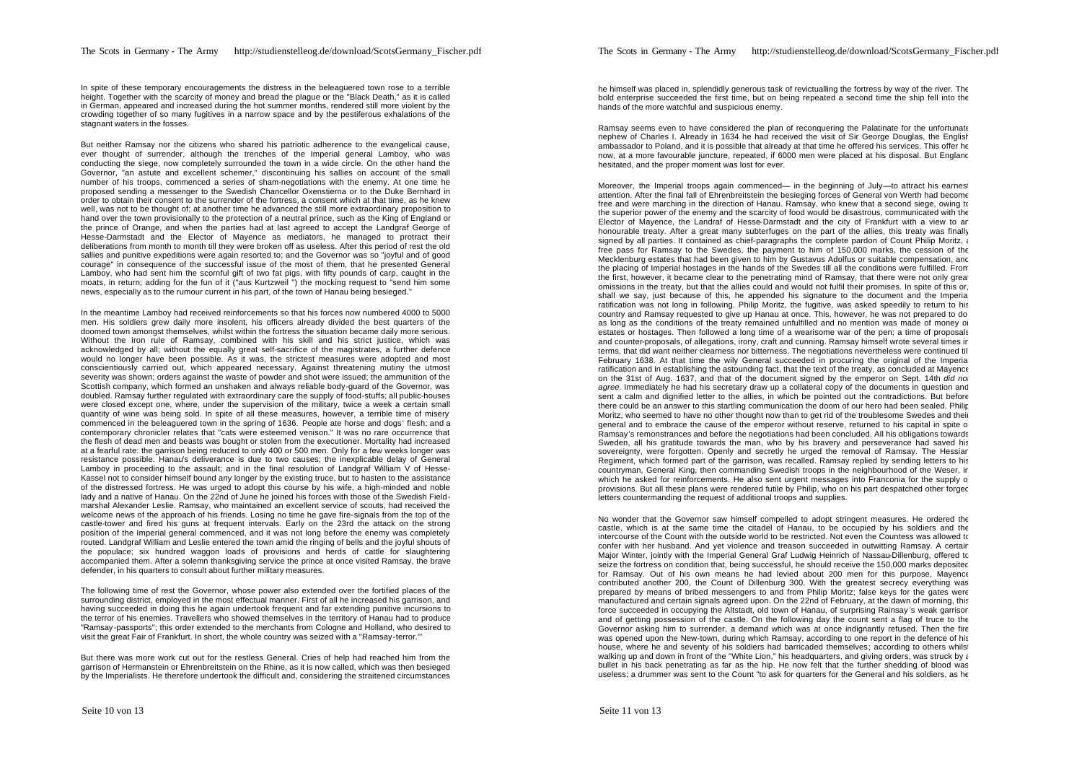In spite of these temporary encouragements the distress in the beleaguered town rose to a terrible height. Together with the scarcity of money and bread the plague or the "Black Death," as it is called in German, appeared and increased during the hot summer months, rendered still more violent by the crowding together of so many fugitives in a narrow space and by the pestiferous exhalations of the stagnant waters in the fosses.

But neither Ramsay nor the citizens who shared his patriotic adherence to the evangelical cause, ever thought of surrender, although the trenches of the Imperial general Lamboy, who was conducting the siege, now completely surrounded the town in a wide circle. On the other hand the Governor, "an astute and excellent schemer," discontinuing his sallies on account of the small number of his troops, commenced a series of sham-negotiations with the enemy. At one time he proposed sending a messenger to the Swedish Chancellor Oxenstierna or to the Duke Bernhard in order to obtain their consent to the surrender of the fortress, a consent which at that time, as he knew well, was not to be thought of; at another time he advanced the still more extraordinary proposition to hand over the town provisionally to the protection of a neutral prince, such as the King of England or the prince of Orange, and when the parties had at last agreed to accept the Landgraf George of Hesse-Darmstadt and the Elector of Mayence as mediators, he managed to protract their deliberations from month to month till they were broken off as useless. After this period of rest the old sallies and punitive expeditions were again resorted to; and the Governor was so "joyful and of good courage" in consequence of the successful issue of the most of them, that he presented General Lamboy, who had sent him the scornful gift of two fat pigs, with fifty pounds of carp, caught in the moats, in return; adding for the fun of it ("aus Kurtzweil ") the mocking request to "send him some news, especially as to the rumour current in his part, of the town of Hanau being besieged."

In the meantime Lamboy had received reinforcements so that his forces now numbered 4000 to 5000 men. His soldiers grew daily more insolent, his officers already divided the best quarters of the doomed town amongst themselves, whilst within the fortress the situation became daily more serious. Without the iron rule of Ramsay, combined with his skill and his strict justice, which was acknowledged by all; without the equally great self-sacrifice of the magistrates, a further defence would no longer have been possible. As it was, the strictest measures were adopted and most conscientiously carried out, which appeared necessary. Against threatening mutiny the utmost severity was shown; orders against the waste of powder and shot were issued; the ammunition of the Scottish company, which formed an unshaken and always reliable body-guard of the Governor, was doubled. Ramsay further regulated with extraordinary care the supply of food-stuffs; all public-houses were closed except one, where, under the supervision of the military, twice a week a certain small quantity of wine was being sold. In spite of all these measures, however, a terrible time of misery commenced in the beleaguered town in the spring of 1636. People ate horse and dogs' flesh; and a contemporary chronicler relates that "cats were esteemed venison." It was no rare occurrence that the flesh of dead men and beasts was bought or stolen from the executioner. Mortality had increased at a fearful rate: the garrison being reduced to only 400 or 500 men. Only for a few weeks longer was resistance possible. Hanau's deliverance is due to two causes; the inexplicable delay of General Lamboy in proceeding to the assault; and in the final resolution of Landgraf William V of Hesse-Kassel not to consider himself bound any longer by the existing truce, but to hasten to the assistance of the distressed fortress. He was urged to adopt this course by his wife, a high-minded and noble lady and a native of Hanau. On the 22nd of June he joined his forces with those of the Swedish Fieldmarshal Alexander Leslie. Ramsay, who maintained an excellent service of scouts, had received the welcome news of the approach of his friends. Losing no time he gave fire-signals from the top of the castle-tower and fired his guns at frequent intervals. Early on the 23rd the attack on the strong position of the Imperial general commenced, and it was not long before the enemy was completely routed. Landgraf William and Leslie entered the town amid the ringing of bells and the joyful shouts of the populace; six hundred waggon loads of provisions and herds of cattle for slaughtering accompanied them. After a solemn thanksgiving service the prince at once visited Ramsay, the brave defender, in his quarters to consult about further military measures.

The following time of rest the Governor, whose power also extended over the fortified places of the surrounding district, employed in the most effectual manner. First of all he increased his garrison, and having succeeded in doing this he again undertook frequent and far extending punitive incursions to the terror of his enemies. Travellers who showed themselves in the territory of Hanau had to produce "Ramsay -passports"; this order extended to the merchants from Cologne and Holland, who desired to visit the great Fair of Frankfurt. In short, the whole country was seized with a "Ramsay-terror."'

But there was more work cut out for the restless General. Cries of help had reached him from the garrison of Hermanstein or Ehrenbreitstein on the Rhine, as it is now called, which was then besieged by the Imperialists. He therefore undertook the difficult and, considering the straitened circumstances

he himself was placed in, splendidly generous task of revictualling the fortress by way of the river. The bold enterprise succeeded the first time, but on being repeated a second time the ship fell into the hands of the more watchful and suspicious enemy.

Ramsay seems even to have considered the plan of reconquering the Palatinate for the unfortunate nephew of Charles I. Already in 1634 he had received the visit of Sir George Douglas, the English ambassador to Poland, and it is possible that already at that time he offered his services. This offer he now, at a more favourable juncture, repeated, if 6000 men were placed at his disposal. But England hesitated, and the proper moment was lost for ever.

Moreover, the Imperial troops again commenced— in the beginning of July—to attract his earnest attention. After the final fall of Ehrenbreitstein the besieging forces of General von Werth had become free and were marching in the direction of Hanau. Ramsay, who knew that a second siege, owing to the superior power of the enemy and the scarcity of food would be disastrous, communicated with the Elector of Mayence, the Landraf of Hesse-Darmstadt and the city of Frankfurt with a view to an honourable treaty. After a great many subterfuges on the part of the allies, this treaty was finally signed by all parties. It contained as chief-paragraphs the complete pardon of Count Philip Moritz, a free pass for Ramsay to the Swedes, the payment to him of 150,000 marks, the cession of the Mecklenburg estates that had been given to him by Gustavus Adolfus or suitable compensation, and the placing of Imperial hostages in the hands of the Swedes till all the conditions were fulfilled. From the first, however, it became clear to the penetrating mind of Ramsay, that there were not only great omissions in the treaty, but that the allies could and would not fulfil their promises. In spite of this or, shall we say, just because of this, he appended his signature to the document and the Imperial ratification was not long in following. Philip Moritz, the fugitive, was asked speedily to return to his country and Ramsay requested to give up Hanau at once. This, however, he was not prepared to do, as long as the conditions of the treaty remained unfulfilled and no mention was made of money or estates or hostages. Then followed a long time of a wearisome war of the pen; a time of proposals and counter-proposals, of allegations, irony, craft and cunning. Ramsay himself wrote several times in terms, that did want neither clearness nor bitterness. The negotiations nevertheless were continued till February 1638. At that time the wily General succeeded in procuring the original of the Imperial ratification and in establishing the astounding fact, that the text of the treaty, as concluded at Mayence on the 31st of Aug. 1637, and that of the document signed by the emperor on Sept. 14th *did not agree.* Immediately he had his secretary draw up a collateral copy of the documents in question and sent a calm and dignified letter to the allies, in which be pointed out the contradictions. But before there could be an answer to this startling communication the doom of our hero had been sealed. Philip Moritz, who seemed to have no other thought now than to get rid of the troublesome Swedes and their general and to embrace the cause of the emperor without reserve, returned to his capital in spite of Ramsay's remonstrances and before the negotiations had been concluded. All his obligations towards Sweden, all his gratitude towards the man, who by his bravery and perseverance had saved his sovereignty, were forgotten. Openly and secretly he urged the removal of Ramsay. The Hessiar Regiment, which formed part of the garrison, was recalled. Ramsay replied by sending letters to his countryman, General King, then commanding Swedish troops in the neighbourhood of the Weser, in which he asked for reinforcements. He also sent urgent messages into Franconia for the supply of provisions. But all these plans were rendered futile by Philip, who on his part despatched other forged letters countermanding the request of additional troops and supplies.

No wonder that the Governor saw himself compelled to adopt stringent measures. He ordered the castle, which is at the same time the citadel of Hanau, to be occupied by his soldiers and the intercourse of the Count with the outside world to be restricted. Not even the Countess was allowed to confer with her husband. And yet violence and treason succeeded in outwitting Ramsay. A certain Major Winter, jointly with the Imperial General Graf Ludwig Heinrich of Nassau-Dillenburg, offered to seize the fortress on condition that, being successful, he should receive the 150,000 marks deposited for Ramsay. Out of his own means he had levied about 200 men for this purpose, Mayence contributed another 200, the Count of Dillenburg 300. With the greatest secrecy everything was prepared by means of bribed messengers to and from Philip Moritz; false keys for the gates were manufactured and certain signals agreed upon. On the 22nd of February, at the dawn of morning, this force succeeded in occupying the Altstadt, old town of Hanau, of surprising Rainsay 's weak garrison and of getting possession of the castle. On the following day the count sent a flag of truce to the Governor asking him to surrender, a demand which was at once indignantly refused. Then the fire was opened upon the New-town, during which Ramsay, according to one report in the defence of his house, where he and seventy of his soldiers had barricaded themselves; according to others whils walking up and down in front of the "White Lion," his headquarters, and giving orders, was struck by a bullet in his back penetrating as far as the hip. He now felt that the further shedding of blood was useless; a drummer was sent to the Count "to ask for quarters for the General and his soldiers, as he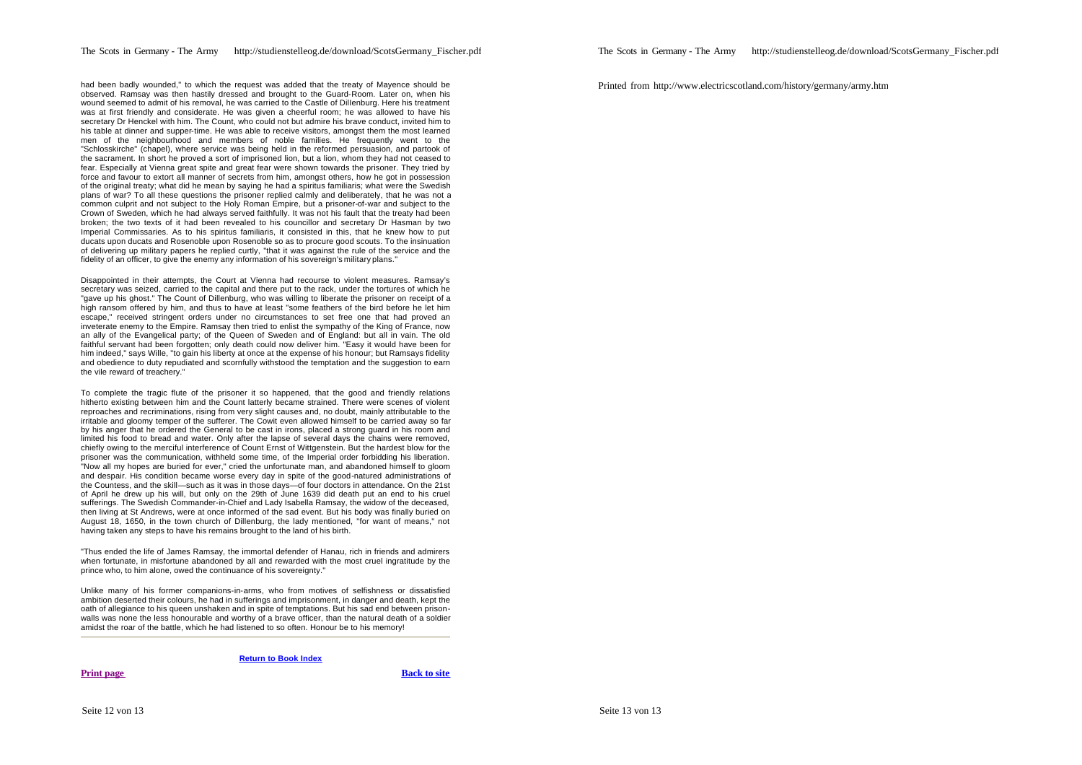had been badly wounded," to which the request was added that the treaty of Mayence should be observed. Ramsay was then hastily dressed and brought to the Guard-Room. Later on, when his wound seemed to admit of his removal, he was carried to the Castle of DilIenburg. Here his treatment was at first friendly and considerate. He was given a cheerful room; he was allowed to have his secretary Dr Henckel with him. The Count, who could not but admire his brave conduct, invited him to his table at dinner and supper-time. He was able to receive visitors, amongst them the most learned men of the neighbourhood and members of noble families. He frequently went to the "Schlosskirche" (chapel), where service was being held in the reformed persuasion, and partook of the sacrament. In short he proved a sort of imprisoned lion, but a lion, whom they had not ceased to fear. Especially at Vienna great spite and great fear were shown towards the prisoner. They tried by force and favour to extort all manner of secrets from him, amongst others, how he got in possession of the original treaty; what did he mean by saying he had a spiritus familiaris; what were the Swedish plans of war? To all these questions the prisoner replied calmly and deliberately, that he was not a common culprit and not subject to the Holy Roman Empire, but a prisoner-of-war and subject to the Crown of Sweden, which he had always served faithfully. It was not his fault that the treaty had been broken; the two texts of it had been revealed to his councillor and secretary Dr Hasman by two Imperial Commissaries. As to his spiritus familiaris, it consisted in this, that he knew how to put ducats upon ducats and Rosenoble upon Rosenoble so as to procure good scouts. To the insinuation of delivering up military papers he replied curtly, "that it was against the rule of the service and the fidelity of an officer, to give the enemy any information of his sovereign's military plans."

Disappointed in their attempts, the Court at Vienna had recourse to violent measures. Ramsay's secretary was seized, carried to the capital and there put to the rack, under the tortures of which he "gave up his ghost." The Count of Dillenburg, who was willing to liberate the prisoner on receipt of a high ransom offered by him, and thus to have at least "some feathers of the bird before he let him escape," received stringent orders under no circumstances to set free one that had proved an inveterate enemy to the Empire. Ramsay then tried to enlist the sympathy of the King of France, now an ally of the Evangelical party; of the Queen of Sweden and of England: but all in vain. The old faithful servant had been forgotten; only death could now deliver him. "Easy it would have been for him indeed," says Wille, "to gain his liberty at once at the expense of his honour; but Ramsays fidelity and obedience to duty repudiated and scornfully withstood the temptation and the suggestion to earn the vile reward of treachery."

To complete the tragic flute of the prisoner it so happened, that the good and friendly relations hitherto existing between him and the Count latterly became strained. There were scenes of violent reproaches and recriminations, rising from very slight causes and, no doubt, mainly attributable to the irritable and gloomy temper of the sufferer. The Cowit even allowed himself to be carried away so far by his anger that he ordered the General to be cast in irons, placed a strong guard in his room and limited his food to bread and water. Only after the lapse of several days the chains were removed, chiefly owing to the merciful interference of Count Ernst of Wittgenstein. But the hardest blow for the prisoner was the communication, withheld some time, of the Imperial order forbidding his liberation. "Now all my hopes are buried for ever," cried the unfortunate man, and abandoned himself to gloom and despair. His condition became worse every day in spite of the good-natured administrations of the Countess, and the skill—such as it was in those days—of four doctors in attendance. On the 21st of April he drew up his will, but only on the 29th of June 1639 did death put an end to his cruel sufferings. The Swedish Commander-in-Chief and Lady Isabella Ramsay, the widow of the deceased, then living at St Andrews, were at once informed of the sad event. But his body was finally buried on August 18, 1650, in the town church of Dillenburg, the lady mentioned, "for want of means," not having taken any steps to have his remains brought to the land of his birth.

"Thus ended the life of James Ramsay, the immortal defender of Hanau, rich in friends and admirers when fortunate, in misfortune abandoned by all and rewarded with the most cruel ingratitude by the prince who, to him alone, owed the continuance of his sovereignty."

Unlike many of his former companions-in-arms, who from motives of selfishness or dissatisfied ambition deserted their colours, he had in sufferings and imprisonment, in danger and death, kept the oath of allegiance to his queen unshaken and in spite of temptations. But his sad end between prisonwalls was none the less honourable and worthy of a brave officer, than the natural death of a soldier amidst the roar of the battle, which he had listened to so often. Honour be to his memory!

**Return to Book Index**

**Print page Back to site** 

Printed from http://www.electricscotland.com/history/germany/army.htm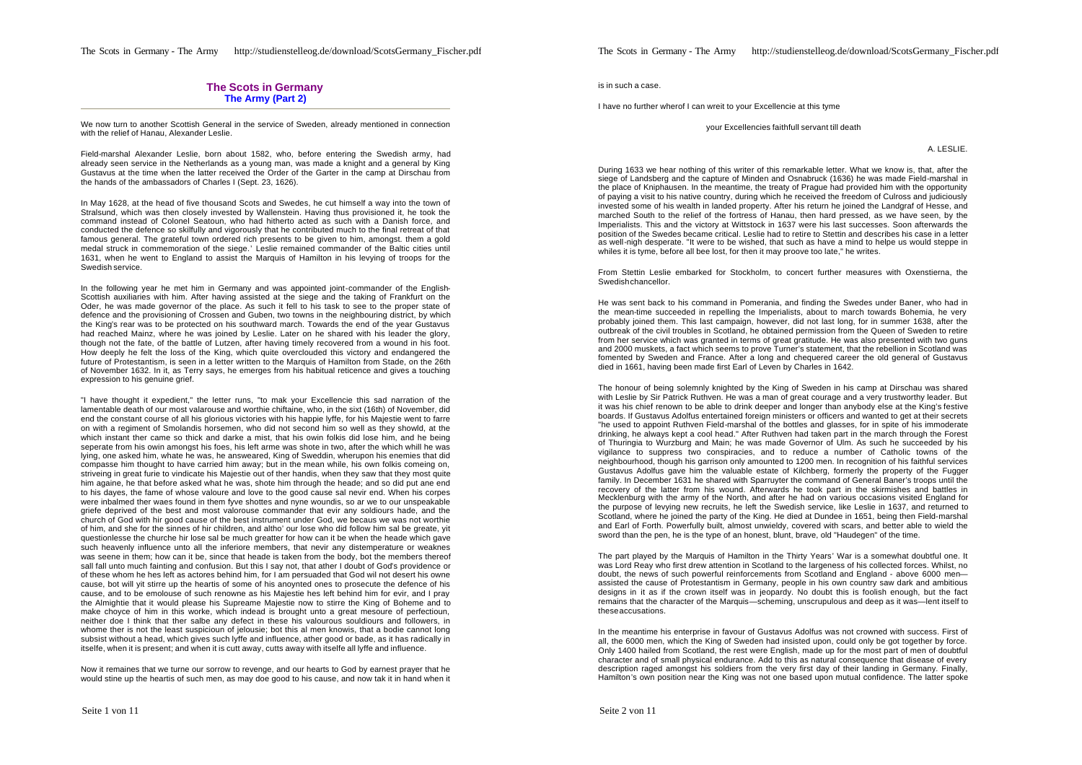## **The Scots in Germany The Army (Part 2)**

We now turn to another Scottish General in the service of Sweden, already mentioned in connection with the relief of Hanau, Alexander Leslie.

Field-marshal Alexander Leslie, born about 1582, who, before entering the Swedish army, had already seen service in the Netherlands as a young man, was made a knight and a general by King Gustavus at the time when the latter received the Order of the Garter in the camp at Dirschau from the hands of the ambassadors of Charles I (Sept. 23, 1626).

In May 1628, at the head of five thousand Scots and Swedes, he cut himself a way into the town of Stralsund, which was then closely invested by Wallenstein. Having thus provisioned it, he took the command instead of Colonel Seatoun, who had hitherto acted as such with a Danish force, and conducted the defence so skilfully and vigorously that he contributed much to the final retreat of that famous general. The grateful town ordered rich presents to be given to him, amongst. them a gold medal struck in commemoration of the siege.' Leslie remained commander of the Baltic cities until 1631, when he went to England to assist the Marquis of Hamilton in his levying of troops for the Swedish service.

In the following year he met him in Germany and was appointed joint-commander of the English-Scottish auxiliaries with him. After having assisted at the siege and the taking of Frankfurt on the Oder, he was made governor of the place. As such it fell to his task to see to the proper state of defence and the provisioning of Crossen and Guben, two towns in the neighbouring district, by which the King's rear was to be protected on his southward march. Towards the end of the year Gustavus had reached Mainz, where he was joined by Leslie. Later on he shared with his leader the glory, though not the fate, of the battle of Lutzen, after having timely recovered from a wound in his foot. How deeply he felt the loss of the King, which quite overclouded this victory and endangered the future of Protestantism, is seen in a letter written to the Marquis of Hamilton from Stade, on the 26th of November 1632. In it, as Terry says, he emerges from his habitual reticence and gives a touching expression to his genuine grief.

"I have thought it expedient," the letter runs, "to mak your Excellencie this sad narration of the lamentable death of our most valarouse and worthie chiftaine, who, in the sixt (16th) of November, did end the constant course of all his glorious victories with his happie lyffe, for his Majestie went to farre on with a regiment of Smolandis horsemen, who did not second him so well as they showld, at the which instant ther came so thick and darke a mist, that his owin folkis did lose him, and he being seperate from his owin amongst his foes, his left arme was shote in two, after the which whill he was lying, one asked him, whate he was, he answeared, King of Sweddin, wherupon his enemies that did compasse him thought to have carried him away; but in the mean while, his own folkis comeing on, striveing in great furie to vindicate his Majestie out of ther handis, when they saw that they most quite him againe, he that before asked what he was, shote him through the heade; and so did put ane end to his dayes, the fame of whose valoure and love to the good cause sal nevir end. When his corpes were inbalmed ther waes found in them fyve shottes and nyne woundis, so ar we to our unspeakable griefe deprived of the best and most valorouse commander that evir any soldiours hade, and the church of God with hir good cause of the best instrument under God, we becaus we was not worthie of him, and she for the sinnes of hir children, and altho' our lose who did follow him sal be greate, yit questionlesse the churche hir lose sal be much greatter for how can it be when the heade which gave such heavenly influence unto all the inferiore members, that nevir any distemperature or weaknes was seene in them; how can it be, since that heade is taken from the body, bot the members thereof sall fall unto much fainting and confusion. But this I say not, that ather I doubt of God's providence or of these whom he hes left as actores behind him, for I am persuaded that God wil not desert his owne cause, bot will yit stirre up the heartis of some of his anoynted ones to prosecute the defence of his cause, and to be emolouse of such renowne as his Majestie hes left behind him for evir, and I pray the Almightie that it would please his Supreame Majestie now to stirre the King of Boheme and to make choyce of him in this worke, which indead is brought unto a great mesoure of perfectioun, neither doe I think that ther salbe any defect in these his valourous souldiours and followers, in whome ther is not the least suspicioun of jelousie; bot this al men knowis, that a bodie cannot long subsist without a head, which gives such lyffe and influence, ather good or bade, as it has radically in itselfe, when it is present; and when it is cutt away, cutts away with itselfe all lyffe and influence.

Now it remaines that we turne our sorrow to revenge, and our hearts to God by earnest prayer that he would stine up the heartis of such men, as may doe good to his cause, and now tak it in hand when it The Scots in Germany - The Army http://studienstelleog.de/download/ScotsGermany\_Fischer.pdf

is in such a case.

I have no further wherof I can wreit to your Excellencie at this tyme

your Excellencies faithfull servant till death

A. LESLIE.

During 1633 we hear nothing of this writer of this remarkable letter. What we know is, that, after the siege of Landsberg and the capture of Minden and Osnabruck (1636) he was made Field-marshal in the place of Kniphausen. In the meantime, the treaty of Prague had provided him with the opportunity of paying a visit to his native country, during which he received the freedom of Culross and judiciously invested some of his wealth in landed property. After his return he joined the Landgraf of Hesse, and marched South to the relief of the fortress of Hanau, then hard pressed, as we have seen, by the Imperialists. This and the victory at Wittstock in 1637 were his last successes. Soon afterwards the position of the Swedes became critical. Leslie had to retire to Stettin and describes his case in a letter as well-nigh desperate. "It were to be wished, that such as have a mind to helpe us would steppe in whiles it is tyme, before all bee lost, for then it may proove too late," he writes.

From Stettin Leslie embarked for Stockholm, to concert further measures with Oxenstierna, the Swedish chancellor.

He was sent back to his command in Pomerania, and finding the Swedes under Baner, who had in the mean-time succeeded in repelling the Imperialists, about to march towards Bohemia, he very probably joined them. This last campaign, however, did not last long, for in summer 1638, after the outbreak of the civil troubles in Scotland, he obtained permission from the Queen of Sweden to retire from her service which was granted in terms of great gratitude. He was also presented with two guns and 2000 muskets, a fact which seems to prove Turner's statement, that the rebellion in Scotland was fomented by Sweden and France. After a long and chequered career the old general of Gustavus died in 1661, having been made first Earl of Leven by Charles in 1642.

The honour of being solemnly knighted by the King of Sweden in his camp at Dirschau was shared with Leslie by Sir Patrick Ruthven. He was a man of great courage and a very trustworthy leader. But it was his chief renown to be able to drink deeper and longer than anybody else at the King's festive boards. If Gustavus Adolfus entertained foreign ministers or officers and wanted to get at their secrets "he used to appoint Ruthven Field-marshal of the bottles and glasses, for in spite of his immoderate drinking, he always kept a cool head." After Ruthven had taken part in the march through the Forest of Thuringia to Wurzburg and Main; he was made Governor of Ulm. As such he succeeded by his vigilance to suppress two conspiracies, and to reduce a number of Catholic towns of the neighbourhood, though his garrison only amounted to 1200 men. In recognition of his faithful services Gustavus Adolfus gave him the valuable estate of Kilchberg, formerly the property of the Fugger family. In December 1631 he shared with Sparruyter the command of General Baner's troops until the recovery of the latter from his wound. Afterwards he took part in the skirmishes and battles in Mecklenburg with the army of the North, and after he had on various occasions visited England for the purpose of levying new recruits, he left the Swedish service, like Leslie in 1637, and returned to Scotland, where he joined the party of the King. He died at Dundee in 1651, being then Field-marshal and Earl of Forth. Powerfully built, almost unwieldy, covered with scars, and better able to wield the sword than the pen, he is the type of an honest, blunt, brave, old "Haudegen" of the time.

The part played by the Marquis of Hamilton in the Thirty Years' War is a somewhat doubtful one. It was Lord Reay who first drew attention in Scotland to the largeness of his collected forces. Whilst, no doubt, the news of such powerful reinforcements from Scotland and England - above 6000 men assisted the cause of Protestantism in Germany, people in his own country saw dark and ambitious designs in it as if the crown itself was in jeopardy. No doubt this is foolish enough, but the fact remains that the character of the Marquis—scheming, unscrupulous and deep as it was—lent itself to these accusations.

In the meantime his enterprise in favour of Gustavus Adolfus was not crowned with success. First of all, the 6000 men, which the King of Sweden had insisted upon, could only be got together by force. Only 1400 hailed from Scotland, the rest were English, made up for the most part of men of doubtful character and of small physical endurance. Add to this as natural consequence that disease of every description raged amongst his soldiers from the very first day of their landing in Germany. Finally, Hamilton's own position near the King was not one based upon mutual confidence. The latter spoke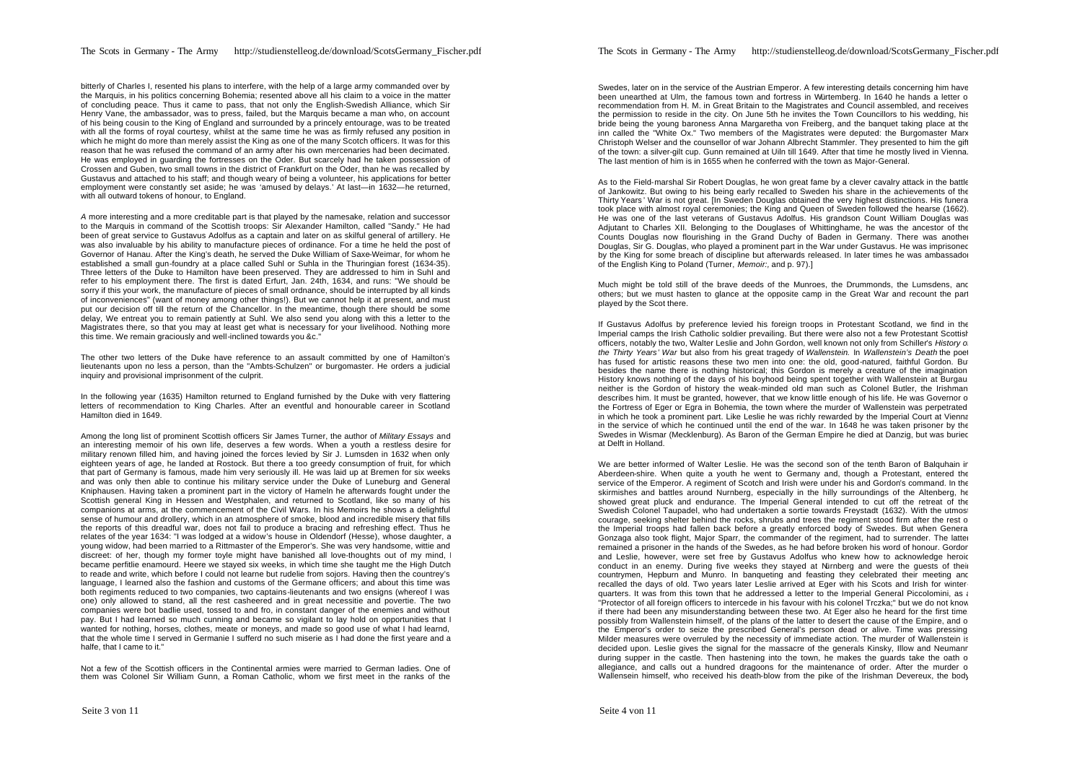bitterly of Charles I, resented his plans to interfere, with the help of a large army commanded over by the Marquis, in his politics concerning Bohemia; resented above all his claim to a voice in the matter of concluding peace. Thus it came to pass, that not only the English-Swedish Alliance, which Sir Henry Vane, the ambassador, was to press, failed, but the Marquis became a man who, on account of his being cousin to the King of England and surrounded by a princely entourage, was to be treated with all the forms of royal courtesy, whilst at the same time he was as firmly refused any position in which he might do more than merely assist the King as one of the many Scotch officers. It was for this reason that he was refused the command of an army after his own mercenaries had been decimated. He was employed in guarding the fortresses on the Oder. But scarcely had he taken possession of Crossen and Guben, two small towns in the district of Frankfurt on the Oder, than he was recalled by Gustavus and attached to his staff; and though weary of being a volunteer, his applications for better employment were constantly set aside; he was 'amused by delays.' At last—in 1632—he returned, with all outward tokens of honour, to England.

*A* more interesting and a more creditable part is that played by the namesake, relation and successor to the Marquis in command of the Scottish troops: Sir Alexander Hamilton, called "Sandy." He had been of great service to Gustavus Adolfus as a captain and later on as skilful general of artillery. He was also invaluable by his ability to manufacture pieces of ordinance. For a time he held the post of Governor of Hanau. After the King's death, he served the Duke William of Saxe-Weimar, for whom he established a small gun-foundry at a place called Suhl or Suhla in the Thuringian forest (1634-35). Three letters of the Duke to Hamilton have been preserved. They are addressed to him in SuhI and refer to his employment there. The first is dated Erfurt, Jan. 24th, 1634, and runs: "We should be sorry if this your work, the manufacture of pieces of small ordnance, should be interrupted by all kinds of inconveniences" (want of money among other things!). But we cannot help it at present, and must put our decision off till the return of the Chancellor. In the meantime, though there should be some delay, We entreat you to remain patiently at Suhl. We also send you along with this a letter to the Magistrates there, so that you may at least get what is necessary for your livelihood. Nothing more this time. We remain graciously and well-inclined towards you &c."

The other two letters of the Duke have reference to an assault committed by one of Hamilton's lieutenants upon no less a person, than the "Ambts-Schulzen" or burgomaster. He orders a judicial inquiry and provisional imprisonment of the culprit.

In the following year (1635) Hamilton returned to England furnished by the Duke with very flattering letters of recommendation to King Charles. After an eventful and honourable career in Scotland Hamilton died in 1649.

Among the long list of prominent Scottish officers Sir James Turner, the author of *Military Essays* and an interesting memoir of his own life, deserves a few words. When a youth a restless desire for military renown filled him, and having joined the forces levied by Sir J. Lumsden in 1632 when only eighteen years of age, he landed at Rostock. But there a too greedy consumption of fruit, for which that part of Germany is famous, made him very seriously ill. He was laid up at Bremen for six weeks and was only then able to continue his military service under the Duke of Luneburg and General Kniphausen. Having taken a prominent part in the victory of Hameln he afterwards fought under the Scottish general King in Hessen and Westphalen, and returned to Scotland, like so many of his companions at arms, at the commencement of the Civil Wars. In his Memoirs he shows a delightful sense of humour and drollery, which in an atmosphere of smoke, blood and incredible misery that fills the reports of this dreadful war, does not fail to produce a bracing and refreshing effect. Thus he relates of the year 1634: "I was lodged at a widow's house in Oldendorf (Hesse), whose daughter, a young widow, had been married to a Rittmaster of the Emperor's. She was very handsome, wittie and discreet: of her, though my former toyle might have banished all love-thoughts out of my mind, I became perfitlie enamourd. Heere we stayed six weeks, in which time she taught me the High Dutch to reade and write, which before I could not learne but rudelie from sojors. Having then the countrey's language, I learned also the fashion and customs of the Germane officers; and about this time was both regiments reduced to two companies, two captains-lieutenants and two ensigns (whereof I was one) only allowed to stand, all the rest casheered and in great necessitie and povertie. The two companies were bot badlie used, tossed to and fro, in constant danger of the enemies and without pay. But I had learned so much cunning and became so vigilant to lay hold on opportunities that I wanted for nothing, horses, clothes, meate or moneys, and made so good use of what I had learnd, that the whole time I served in Germanie I sufferd no such miserie as I had done the first yeare and a halfe, that I came to it."

Not a few of the Scottish officers in the Continental armies were married to German ladies. One of them was Colonel Sir William Gunn, a Roman Catholic, whom we first meet in the ranks of the

Swedes, later on in the service of the Austrian Emperor. A few interesting details concerning him have been unearthed at Ulm, the famous town and fortress in Würtemberg. In 1640 he hands a letter of recommendation from H. M. in Great Britain to the Magistrates and Council assembled, and receives the permission to reside in the city. On June 5th he invites the Town Councillors to his wedding, his bride being the young baroness Anna Margaretha von Freiberg, and the banquet taking place at the inn called the "White Ox." Two members of the Magistrates were deputed: the Burgomaster Marx Christoph Welser and the counsellor of war Johann Albrecht Stammler. They presented to him the gift of the town: a silver-gilt cup. Gunn remained at Uiln till 1649. After that time he mostly lived in Vienna. The last mention of him is in 1655 when he conferred with the town as Major-General.

As to the Field-marshal Sir Robert Douglas, he won great fame by a clever cavalry attack in the battle of Jankowitz. But owing to his being early recalled to Sweden his share in the achievements of the Thirty Years' War is not great. [In Sweden Douglas obtained the very highest distinctions. His funeral took place with almost royal ceremonies; the King and Queen of Sweden followed the hearse (1662). He was one of the last veterans of Gustavus Adolfus. His grandson Count William Douglas was Adjutant to Charles XII. Belonging to the Douglases of Whittinghame, he was the ancestor of the Counts Douglas now flourishing in the Grand Duchy of Baden in Germany. There was another Douglas, Sir G. Douglas, who played a prominent part in the War under Gustavus. He was imprisoned by the King for some breach of discipline but afterwards released. In later times he was ambassador of the English King to Poland (Turner, *Memoir:,* and p. 97).]

Much might be told still of the brave deeds of the Munroes, the Drummonds, the Lumsdens, and others; but we must hasten to glance at the opposite camp in the Great War and recount the part played by the Scot there.

If Gustavus Adolfus by preference levied his foreign troops in Protestant Scotland, we find in the Imperial camps the Irish Catholic soldier prevailing. But there were also not a few Protestant Scottish officers, notably the two, Walter Leslie and John Gordon, well known not only from Schiller's *History of the Thirty Years' War* but also from his great tragedy of *Wallenstein.* In *Wallenstein's Death* the poet has fused for artistic reasons these two men into one: the old, good-natured, faithful Gordon. But besides the name there is nothing historical; this Gordon is merely a creature of the imagination. History knows nothing of the days of his boyhood being spent together with Wallenstein at Burgau, neither is the Gordon of history the weak-minded old man such as Colonel Butler, the Irishman, describes him. It must be granted, however, that we know little enough of his life. He was Governor of the Fortress of Eger or Egra in Bohemia, the town where the murder of Wallenstein was perpetrated in which he took a prominent part. Like Leslie he was richly rewarded by the Imperial Court at Vienna in the service of which he continued until the end of the war. In 1648 he was taken prisoner by the Swedes in Wismar (Mecklenburg). As Baron of the German Empire he died at Danzig, but was buried at Delft in Holland.

We are better informed of Walter Leslie. He was the second son of the tenth Baron of Balguhain in Aberdeen-shire. When quite a youth he went to Germany and, though a Protestant, entered the service of the Emperor. A regiment of Scotch and Irish were under his and Gordon's command. In the skirmishes and battles around Nurnberg, especially in the hilly surroundings of the Altenberg, he showed great pluck and endurance. The Imperial General intended to cut off the retreat of the Swedish Colonel Taupadel, who had undertaken a sortie towards Freystadt (1632). With the utmost courage, seeking shelter behind the rocks, shrubs and trees the regiment stood firm after the rest of the Imperial troops had fallen back before a greatly enforced body of Swedes. But when General Gonzaga also took flight, Major Sparr, the commander of the regiment, had to surrender. The latter remained a prisoner in the hands of the Swedes, as he had before broken his word of honour. Gordon and Leslie, however, were set free by Gustavus Adolfus who knew how to acknowledge heroic conduct in an enemy. During five weeks they stayed at Nürnberg and were the guests of their countrymen, Hepburn and Munro. In banqueting and feasting they celebrated their meeting and recalled the days of old. Two years later Leslie arrived at Eger with his Scots and Irish for winterquarters. It was from this town that he addressed a letter to the Imperial General Piccolomini, as a "Protector of all foreign officers to intercede in his favour with his colonel Trczka;" but we do not know if there had been any misunderstanding between these two. At Eger also he heard for the first time possibly from Wallenstein himself, of the plans of the latter to desert the cause of the Empire, and o the Emperor's order to seize the prescribed General's person dead or alive. Time was pressing. Milder measures were overruled by the necessity of immediate action. The murder of Wallenstein is decided upon. Leslie gives the signal for the massacre of the generals Kinsky, Illow and Neumanr during supper in the castle. Then hastening into the town, he makes the guards take the oath of allegiance, and calls out a hundred dragoons for the maintenance of order. After the murder of Wallensein himself, who received his death-blow from the pike of the Irishman Devereux, the body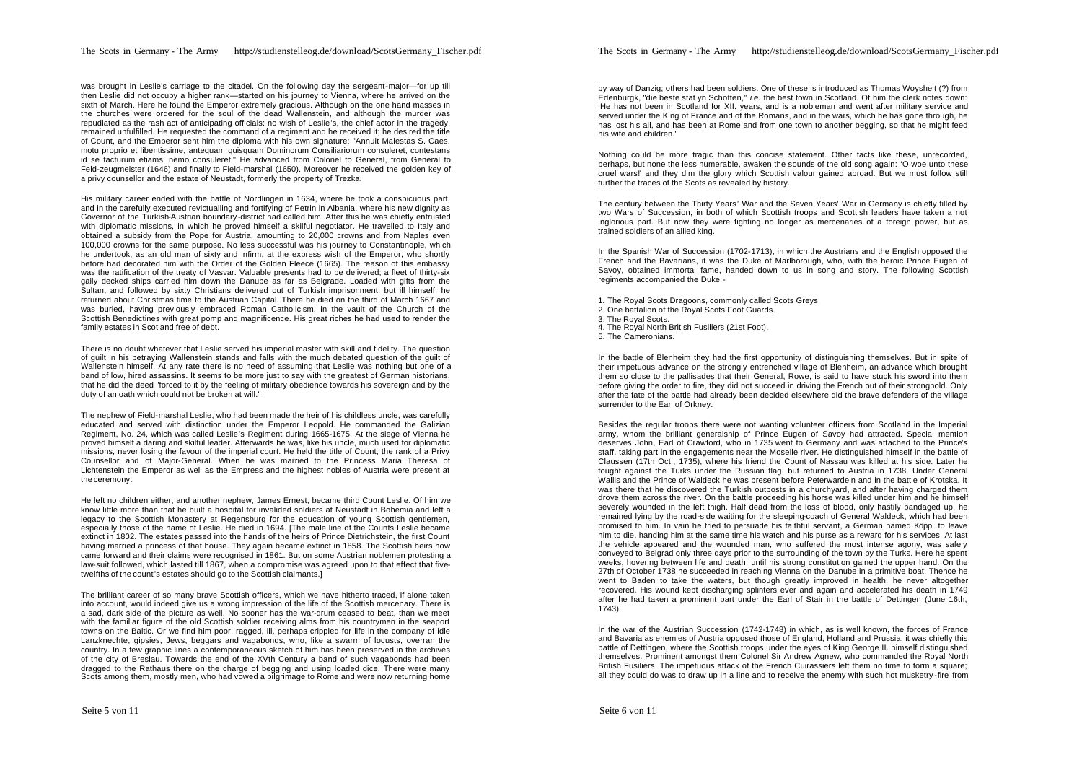was brought in Leslie's carriage to the citadel. On the following day the sergeant-major-for up till then Leslie did not occupy a higher rank—started on his journey to Vienna, where he arrived on the sixth of March. Here he found the Emperor extremely gracious. Although on the one hand masses in the churches were ordered for the soul of the dead Wallenstein, and although the murder was repudiated as the rash act of anticipating officials: no wish of Leslie's, the chief actor in the tragedy, remained unfulfilled. He requested the command of a regiment and he received it; he desired the title of Count, and the Emperor sent him the diploma with his own signature: "Annuit Maiestas S. Caes. motu proprio et libentissime, antequam quisquam Dominorum Consiliariorum consuleret, contestans id se facturum etiamsi nemo consuleret." He advanced from Colonel to General, from General to Feld-zeugmeister (1646) and finally to Field-marshal (1650). Moreover he received the golden key of a privy counsellor and the estate of Neustadt, formerly the property of Trezka.

His military career ended with the battle of Nordlingen in 1634, where he took a conspicuous part, and in the carefully executed revictualling and fortifying of Petrin in Albania, where his new dignity as Governor of the Turkish-Austrian boundary -district had called him. After this he was chiefly entrusted with diplomatic missions, in which he proved himself a skilful negotiator. He travelled to Italy and obtained a subsidy from the Pope for Austria, amounting to 20,000 crowns and from Naples even 100,000 crowns for the same purpose. No less successful was his journey to Constantinople, which he undertook, as an old man of sixty and infirm, at the express wish of the Emperor, who shortly before had decorated him with the Order of the Golden Fleece (1665). The reason of this embassy was the ratification of the treaty of Vasvar. Valuable presents had to be delivered; a fleet of thirty-six gaily decked ships carried him down the Danube as far as Belgrade. Loaded with gifts from the Sultan, and followed by sixty Christians delivered out of Turkish imprisonment, but ill himself, he returned about Christmas time to the Austrian Capital. There he died on the third of March 1667 and was buried, having previously embraced Roman Catholicism, in the vault of the Church of the Scottish Benedictines with great pomp and magnificence. His great riches he had used to render the family estates in Scotland free of debt.

There is no doubt whatever that Leslie served his imperial master with skill and fidelity. The question of guilt in his betraying Wallenstein stands and falls with the much debated question of the guilt of Wallenstein himself. At any rate there is no need of assuming that Leslie was nothing but one of a band of low, hired assassins. It seems to be more just to say with the greatest of German historians, that he did the deed "forced to it by the feeling of military obedience towards his sovereign and by the duty of an oath which could not be broken at will."

The nephew of Field-marshal Leslie, who had been made the heir of his childless uncle, was carefully educated and served with distinction under the Emperor Leopold. He commanded the Galizian Regiment, No. 24, which was called Leslie's Regiment during 1665-1675. At the siege of Vienna he proved himself a daring and skilful leader. Afterwards he was, like his uncle, much used for diplomatic missions, never losing the favour of the imperial court. He held the title of Count, the rank of a Privy Counsellor and of Major-General. When he was married to the Princess Maria Theresa of Lichtenstein the Emperor as well as the Empress and the highest nobles of Austria were present at the ceremony.

He left no children either, and another nephew, James Ernest, became third Count Leslie. Of him we know little more than that he built a hospital for invalided soldiers at Neustadt in Bohemia and left a legacy to the Scottish Monastery at Regensburg for the education of young Scottish gentlemen, especially those of the name of Leslie. He died in 1694. [The male line of the Counts Leslie became extinct in 1802. The estates passed into the hands of the heirs of Prince Dietrichstein, the first Count having married a princess of that house. They again became extinct in 1858. The Scottish heirs now came forward and their claims were recognised in 1861. But on some Austrian noblemen protesting a law-suit followed, which lasted till 1867, when a compromise was agreed upon to that effect that fivetwelfths of the count's estates should go to the Scottish claimants.]

The brilliant career of so many brave Scottish officers, which we have hitherto traced, if alone taken into account, would indeed give us a wrong impression of the life of the Scottish mercenary. There is a sad, dark side of the picture as well. No sooner has the war-drum ceased to beat, than we meet with the familiar figure of the old Scottish soldier receiving alms from his countrymen in the seaport towns on the Baltic. Or we find him poor, ragged, ill, perhaps crippled for life in the company of idle Lanzknechte, gipsies, Jews, beggars and vagabonds, who, like a swarm of locusts, overran the country. In a few graphic lines a contemporaneous sketch of him has been preserved in the archives of the city of Breslau. Towards the end of the XVth Century a band of such vagabonds had been dragged to the Rathaus there on the charge of begging and using loaded dice. There were many Scots among them, mostly men, who had vowed a pilgrimage to Rome and were now returning home

by way of Danzig; others had been soldiers. One of these is introduced as Thomas Woysheit (?) from Edenburgk, "die beste stat yn Schotten," *i.e.* the best town in Scotland. Of him the clerk notes down: 'He has not been in Scotland for XII. years, and is a nobleman and went after military service and served under the King of France and of the Romans, and in the wars, which he has gone through, he has lost his all, and has been at Rome and from one town to another begging, so that he might feed his wife and children."

Nothing could be more tragic than this concise statement. Other facts like these, unrecorded, perhaps, but none the less numerable, awaken the sounds of the old song again: 'O woe unto these cruel wars!' and they dim the glory which Scottish valour gained abroad. But we must follow still further the traces of the Scots as revealed by history.

The century between the Thirty Years' War and the Seven Years' War in Germany is chiefly filled by two Wars of Succession, in both of which Scottish troops and Scottish leaders have taken a not inglorious part. But now they were fighting no longer as mercenaries of a foreign power, but as trained soldiers of an allied king.

In the Spanish War of Succession (1702-1713), in which the Austrians and the English opposed the French and the Bavarians, it was the Duke of Marlborough, who, with the heroic Prince Eugen of Savoy, obtained immortal fame, handed down to us in song and story. The following Scottish regiments accompanied the Duke:-

1. The Royal Scots Dragoons, commonly called Scots Greys.

- 2. One battalion of the Royal Scots Foot Guards.
- 3. The Royal Scots.
- 4. The Royal North British Fusiliers (21st Foot).
- 5. The Cameronians.

In the battle of Blenheim they had the first opportunity of distinguishing themselves. But in spite of their impetuous advance on the strongly entrenched village of Blenheim, an advance which brought them so close to the pallisades that their General, Rowe, is said to have stuck his sword into them before giving the order to fire, they did not succeed in driving the French out of their stronghold. Only after the fate of the battle had already been decided elsewhere did the brave defenders of the village surrender to the Earl of Orkney.

Besides the regular troops there were not wanting volunteer officers from Scotland in the Imperial army, whom the brilliant generalship of Prince Eugen of Savoy had attracted. Special mention deserves John, Earl of Crawford, who in 1735 went to Germany and was attached to the Prince's staff, taking part in the engagements near the Moselle river. He distinguished himself in the battle of Claussen (17th Oct., 1735), where his friend the Count of Nassau was killed at his side. Later he fought against the Turks under the Russian flag, but returned to Austria in 1738. Under General Wallis and the Prince of Waldeck he was present before Peterwardein and in the battle of Krotska. It was there that he discovered the Turkish outposts in a churchyard, and after having charged them drove them across the river. On the battle proceeding his horse was killed under him and he himself severely wounded in the left thigh. Half dead from the loss of blood, only hastily bandaged up, he remained lying by the road-side waiting for the sleeping-coach of General Waldeck, which had been promised to him. In vain he tried to persuade his faithful servant, a German named Köpp, to leave him to die, handing him at the same time his watch and his purse as a reward for his services. At last the vehicle appeared and the wounded man, who suffered the most intense agony, was safely conveyed to Belgrad only three days prior to the surrounding of the town by the Turks. Here he spent weeks, hovering between life and death, until his strong constitution gained the upper hand. On the 27th of October 1738 he succeeded in reaching Vienna on the Danube in a primitive boat. Thence he went to Baden to take the waters, but though greatly improved in health, he never altogether recovered. His wound kept discharging splinters ever and again and accelerated his death in 1749 after he had taken a prominent part under the Earl of Stair in the battle of Dettingen (June 16th, 1743).

In the war of the Austrian Succession (1742-1748) in which, as is well known, the forces of France and Bavaria as enemies of Austria opposed those of England, Holland and Prussia, it was chiefly this battle of Dettingen, where the Scottish troops under the eyes of King George II. himself distinguished themselves. Prominent amongst them Colonel Sir Andrew Agnew, who commanded the Royal North British Fusiliers. The impetuous attack of the French Cuirassiers left them no time to form a square; all they could do was to draw up in a line and to receive the enemy with such hot musketry -fire from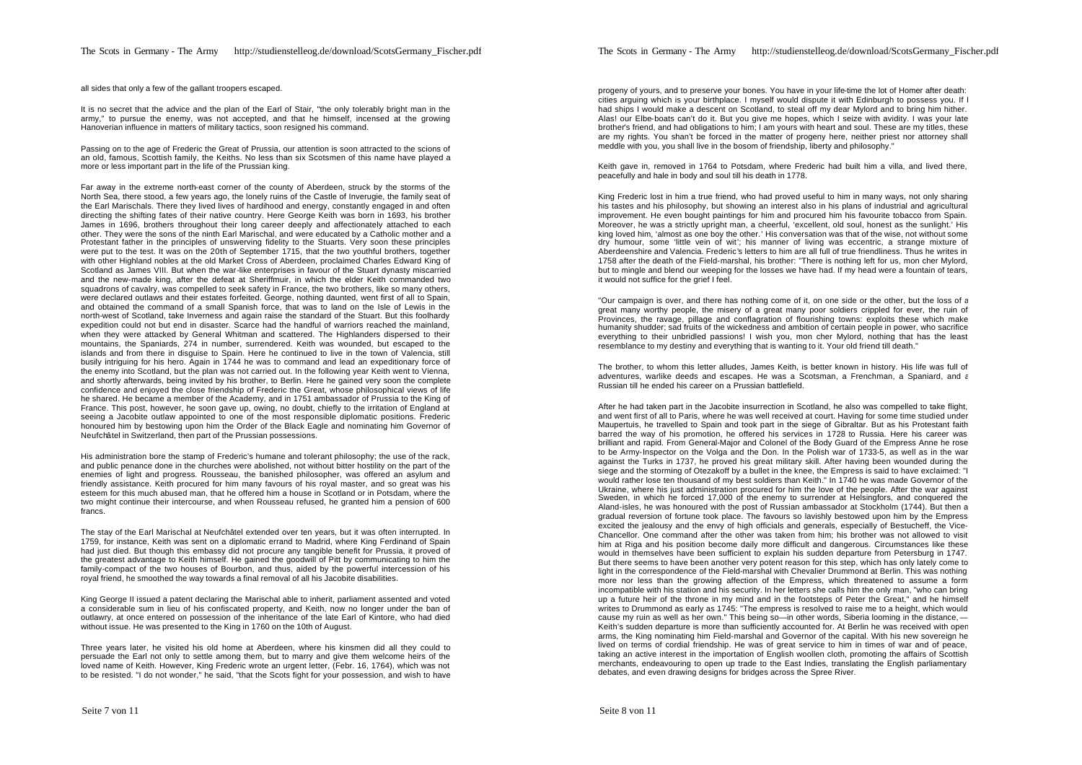all sides that only a few of the gallant troopers escaped.

It is no secret that the advice and the plan of the Earl of Stair, "the only tolerably bright man in the army," to pursue the enemy, was not accepted, and that he himself, incensed at the growing Hanoverian influence in matters of military tactics, soon resigned his command.

Passing on to the age of Frederic the Great of Prussia, our attention is soon attracted to the scions of an old, famous, Scottish family, the Keiths. No less than six Scotsmen of this name have played a more or less important part in the life of the Prussian king.

Far away in the extreme north-east corner of the county of Aberdeen, struck by the storms of the North Sea, there stood, a few years ago, the lonely ruins of the Castle of Inverugie, the family seat of the Earl Marischals. There they lived lives of hardihood and energy, constantly engaged in and often directing the shifting fates of their native country. Here George Keith was born in 1693, his brother James in 1696, brothers throughout their long career deeply and affectionately attached to each other. They were the sons of the ninth Earl Marischal, and were educated by a Catholic mother and a Protestant father in the principles of unswerving fidelity to the Stuarts. Very soon these principles were put to the test. It was on the 20th of September 1715, that the two youthful brothers, together with other Highland nobles at the old Market Cross of Aberdeen, proclaimed Charles Edward King of Scotland as James VIII. But when the war-like enterprises in favour of the Stuart dynasty miscarried and the new-made king, after the defeat at Sheriffmuir, in which the elder Keith commanded two squadrons of cavalry, was compelled to seek safety in France, the two brothers, like so many others, were declared outlaws and their estates forfeited. George, nothing daunted, went first of all to Spain, and obtained the command of a small Spanish force, that was to land on the Isle of Lewis in the north-west of Scotland, take Inverness and again raise the standard of the Stuart. But this foolhardy expedition could not but end in disaster. Scarce had the handful of warriors reached the mainland, when they were attacked by General Whitman and scattered. The Highlanders dispersed to their mountains, the Spaniards, 274 in number, surrendered. Keith was wounded, but escaped to the islands and from there in disguise to Spain. Here he continued to live in the town of Valencia, still busily intriguing for his hero. Again in 1744 he was to command and lead an expeditionary force of the enemy into Scotland, but the plan was not carried out. In the following year Keith went to Vienna, and shortly afterwards, being invited by his brother, to Berlin. Here he gained very soon the complete confidence and enjoyed the close friendship of Frederic the Great, whose philosophical views of life he shared. He became a member of the Academy, and in 1751 ambassador of Prussia to the King of France. This post, however, he soon gave up, owing, no doubt, chiefly to the irritation of England at seeing a Jacobite outlaw appointed to one of the most responsible diplomatic positions. Frederic honoured him by bestowing upon him the Order of the Black Eagle and nominating him Governor of Neufchâtel in Switzerland, then part of the Prussian possessions.

His administration bore the stamp of Frederic's humane and tolerant philosophy; the use of the rack, and public penance done in the churches were abolished, not without bitter hostility on the part of the enemies of light and progress. Rousseau, the banished philosopher, was offered an asylum and friendly assistance. Keith procured for him many favours of his royal master, and so great was his esteem for this much abused man, that he offered him a house in Scotland or in Potsdam, where the two might continue their intercourse, and when Rousseau refused, he granted him a pension of 600 francs.

The stay of the Earl Marischal at Neufchâtel extended over ten years, but it was often interrupted. In 1759, for instance, Keith was sent on a diplomatic errand to Madrid, where King Ferdinand of Spain had just died. But though this embassy did not procure any tangible benefit for Prussia, it proved of the greatest advantage to Keith himself. He gained the goodwill of Pitt by communicating to him the family-compact of the two houses of Bourbon, and thus, aided by the powerful intercession of his royal friend, he smoothed the way towards a final removal of all his Jacobite disabilities.

King George II issued a patent declaring the Marischal able to inherit, parliament assented and voted a considerable sum in lieu of his confiscated property, and Keith, now no longer under the ban of outlawry, at once entered on possession of the inheritance of the late Earl of Kintore, who had died without issue. He was presented to the King in 1760 on the 10th of August.

Three years later, he visited his old home at Aberdeen, where his kinsmen did all they could to persuade the Earl not only to settle among them, but to marry and give them welcome heirs of the loved name of Keith. However, King Frederic wrote an urgent letter, (Febr. 16, 1764), which was not to be resisted. "I do not wonder," he said, "that the Scots fight for your possession, and wish to have progeny of yours, and to preserve your bones. You have in your life-time the lot of Homer after death: cities arguing which is your birthplace. I myself would dispute it with Edinburgh to possess you. If I had ships I would make a descent on Scotland, to steal off my dear Mylord and to bring him hither. Alas! our Elbe-boats can't do it. But you give me hopes, which I seize with avidity. I was your late brother's friend, and had obligations to him; I am yours with heart and soul. These are my titles, these are my rights. You shan't be forced in the matter of progeny here, neither priest nor attorney shall meddle with you, you shall live in the bosom of friendship, liberty and philosophy."

Keith gave in, removed in 1764 to Potsdam, where Frederic had built him a villa, and lived there, peacefully and hale in body and soul till his death in 1778.

King Frederic lost in him a true friend, who had proved useful to him in many ways, not only sharing his tastes and his philosophy, but showing an interest also in his plans of industrial and agricultural improvement. He even bought paintings for him and procured him his favourite tobacco from Spain. Moreover, he was a strictly upright man, a cheerful, 'excellent, old soul, honest as the sunlight.' His king loved him, 'almost as one boy the other.' His conversation was that of the wise, not without some dry humour, some 'little vein of wit'; his manner of living was eccentric, a strange mixture of Aberdeenshire and Valencia. Frederic's letters to him are all full of true friendliness. Thus he writes in 1758 after the death of the Field-marshal, his brother: "There is nothing left for us, mon cher Mylord, but to mingle and blend our weeping for the losses we have had. If my head were a fountain of tears, it would not suffice for the grief I feel.

"Our campaign is over, and there has nothing come of it, on one side or the other, but the loss of a great many worthy people, the misery of a great many poor soldiers crippled for ever, the ruin of Provinces, the ravage, pillage and conflagration of flourishing towns: exploits these which make humanity shudder; sad fruits of the wickedness and ambition of certain people in power, who sacrifice everything to their unbridled passions! I wish you, mon cher Mylord, nothing that has the least resemblance to my destiny and everything that is wanting to it. Your old friend till death."

The brother, to whom this letter alludes, James Keith, is better known in history. His life was full of adventures, warlike deeds and escapes. He was a Scotsman, a Frenchman, a Spaniard, and  $\varepsilon$ Russian till he ended his career on a Prussian battlefield.

After he had taken part in the Jacobite insurrection in Scotland, he also was compelled to take flight, and went first of all to Paris, where he was well received at court. Having for some time studied under Maupertuis, he travelled to Spain and took part in the siege of Gibraltar. But as his Protestant faith barred the way of his promotion, he offered his services in 1728 to Russia. Here his career was brilliant and rapid. From General-Major and Colonel of the Body Guard of the Empress Anne he rose to be Army-Inspector on the Volga and the Don. In the Polish war of 1733-5, as well as in the war against the Turks in 1737, he proved his great military skill. After having been wounded during the siege and the storming of Otezakoff by a bullet in the knee, the Empress is said to have exclaimed: "I would rather lose ten thousand of my best soldiers than Keith." In 1740 he was made Governor of the Ukraine, where his just administration procured for him the love of the people. After the war against Sweden, in which he forced 17,000 of the enemy to surrender at Helsingfors, and conquered the Aland-isles, he was honoured with the post of Russian ambassador at Stockholm (1744). But then a gradual reversion of fortune took place. The favours so lavishly bestowed upon him by the Empress excited the jealousy and the envy of high officials and generals, especially of Bestucheff, the Vice-Chancellor. One command after the other was taken from him; his brother was not allowed to visit him at Riga and his position become daily more difficult and dangerous. Circumstances like these would in themselves have been sufficient to explain his sudden departure from Petersburg in 1747. But there seems to have been another very potent reason for this step, which has only lately come to light in the correspondence of the Field-marshal with Chevalier Drummond at Berlin. This was nothing more nor less than the growing affection of the Empress, which threatened to assume a form incompatible with his station and his security. In her letters she calls him the only man, "who can bring up a future heir of the throne in my mind and in the footsteps of Peter the Great," and he himself writes to Drummond as early as 1745: "The empress is resolved to raise me to a height, which would cause my ruin as well as her own." This being so—in other words, Siberia looming in the distance,— Keith's sudden departure is more than sufficiently accounted for. At Berlin he was received with open arms, the King nominating him Field-marshal and Governor of the capital. With his new sovereign he lived on terms of cordial friendship. He was of great service to him in times of war and of peace, taking an active interest in the importation of English woollen cloth, promoting the affairs of Scottish merchants, endeavouring to open up trade to the East Indies, translating the English parliamentary debates, and even drawing designs for bridges across the Spree River.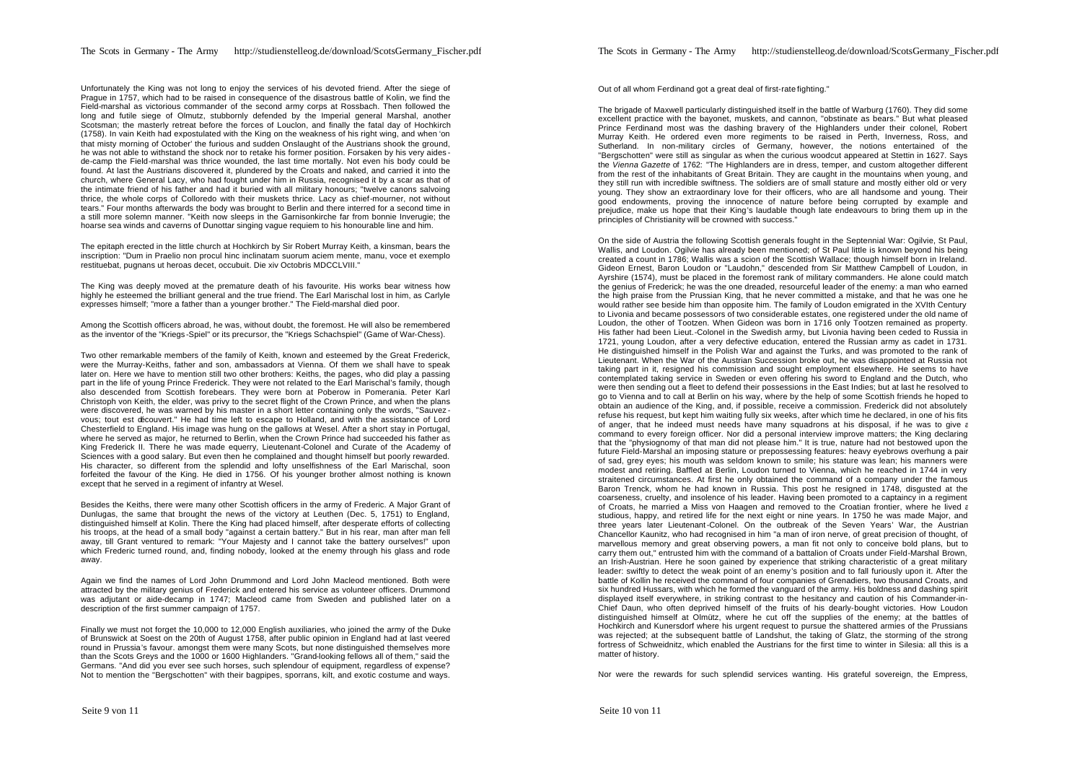Unfortunately the King was not long to enjoy the services of his devoted friend. After the siege of Prague in 1757, which had to be raised in consequence of the disastrous battle of Kolin, we find the Field-marshal as victorious commander of the second army corps at Rossbach. Then followed the long and futile siege of Olmutz, stubbornly defended by the Imperial general Marshal, another Scotsman; the masterly retreat before the forces of Louclon, and finally the fatal day of Hochkirch (1758). In vain Keith had expostulated with the King on the weakness of his right wing, and when 'on that misty morning of October' the furious and sudden Onslaught of the Austrians shook the ground, he was not able to withstand the shock nor to retake his former position. Forsaken by his very aides de-camp the Field-marshal was thrice wounded, the last time mortally. Not even his body could be found. At last the Austrians discovered it, plundered by the Croats and naked, and carried it into the church, where General Lacy, who had fought under him in Russia, recognised it by a scar as that of the intimate friend of his father and had it buried with all military honours; "twelve canons salvoing thrice, the whole corps of Colloredo with their muskets thrice. Lacy as chief-mourner, not without tears." Four months afterwards the body was brought to Berlin and there interred for a second time in a still more solemn manner. "Keith now sleeps in the Garnisonkirche far from bonnie Inverugie; the hoarse sea winds and caverns of Dunottar singing vague requiem to his honourable line and him.

The epitaph erected in the little church at Hochkirch by Sir Robert Murray Keith, a kinsman, bears the inscription: "Dum in Praelio non procul hinc inclinatam suorum aciem mente, manu, voce et exemplo restituebat, pugnans ut heroas decet, occubuit. Die xiv Octobris MDCCLVIII."

The King was deeply moved at the premature death of his favourite. His works bear witness how highly he esteemed the brilliant general and the true friend. The Earl Marischal lost in him, as Carlyle expresses himself; "more a father than a younger brother." The Field-marshal died poor.

Among the Scottish officers abroad, he was, without doubt, the foremost. He will also be remembered as the inventor of the "Kriegs -Spiel" or its precursor, the "Kriegs Schachspiel" (Game of War-Chess).

Two other remarkable members of the family of Keith, known and esteemed by the Great Frederick, were the Murray-Keiths, father and son, ambassadors at Vienna. Of them we shall have to speak later on. Here we have to mention still two other brothers: Keiths, the pages, who did play a passing part in the life of young Prince Frederick. They were not related to the Earl Marischal's family, though also descended from Scottish forebears. They were born at Poberow in Pomerania. Peter Karl Christoph von Keith, the elder, was privy to the secret flight of the Crown Prince, and when the plans were discovered, he was warned by his master in a short letter containing only the words, "Sauvez vous; tout est découvert." He had time left to escape to Holland, and with the assistance of Lord Chesterfield to England. His image was hung on the gallows at Wesel. After a short stay in Portugal, where he served as major, he returned to Berlin, when the Crown Prince had succeeded his father as King Frederick II. There he was made equerry, Lieutenant-Colonel and Curate of the Academy of Sciences with a good salary. But even then he complained and thought himself but poorly rewarded. His character, so different from the splendid and lofty unselfishness of the Earl Marischal, soon forfeited the favour of the King. He died in 1756. Of his younger brother almost nothing is known except that he served in a regiment of infantry at Wesel.

Besides the Keiths, there were many other Scottish officers in the army of Frederic. A Major Grant of Dunlugas, the same that brought the news of the victory at Leuthen (Dec. 5, 1751) to England, distinguished himself at Kolin. There the King had placed himself, after desperate efforts of collecting his troops, at the head of a small body "against a certain battery." But in his rear, man after man fell away, till Grant ventured to remark: "Your Majesty and I cannot take the battery ourselves!" upon which Frederic turned round, and, finding nobody, looked at the enemy through his glass and rode away.

Again we find the names of Lord John Drummond and Lord John Macleod mentioned. Both were attracted by the military genius of Frederick and entered his service as volunteer officers. Drummond was adjutant or aide-decamp in 1747; Macleod came from Sweden and published later on a description of the first summer campaign of 1757.

Finally we must not forget the 10,000 to 12,000 English auxiliaries, who joined the army of the Duke of Brunswick at Soest on the 20th of August 1758, after public opinion in England had at last veered round in Prussia's favour. amongst them were many Scots, but none distinguished themselves more than the Scots Greys and the 1000 or 1600 Highlanders. "Grand-looking fellows all of them," said the Germans. "And did you ever see such horses, such splendour of equipment, regardless of expense? Not to mention the "Bergschotten" with their bagpipes, sporrans, kilt, and exotic costume and ways.

Out of all whom Ferdinand got a great deal of first-rate fighting."

The brigade of Maxwell particularly distinguished itself in the battle of Warburg (1760). They did some excellent practice with the bayonet, muskets, and cannon, "obstinate as bears." But what pleased Prince Ferdinand most was the dashing bravery of the Highlanders under their colonel, Robert Murray Keith. He ordered even more regiments to be raised in Perth, Inverness, Ross, and Sutherland. In non-military circles of Germany, however, the notions entertained of the "Bergschotten" were still as singular as when the curious woodcut appeared at Stettin in 1627. Says the *Vienna Gazette* of 1762: "The Highlanders are in dress, temper, and custom altogether different from the rest of the inhabitants of Great Britain. They are caught in the mountains when young, and they still run with incredible swiftness. The soldiers are of small stature and mostly either old or very young. They show an extraordinary love for their officers, who are all handsome and young. Their good endowments, proving the innocence of nature before being corrupted by example and prejudice, make us hope that their King's laudable though late endeavours to bring them up in the principles of Christianity will be crowned with success."

On the side of Austria the following Scottish generals fought in the Septennial War: Ogilvie, St Paul, Wallis, and Loudon. Ogilvie has already been mentioned; of St Paul little is known beyond his being created a count in 1786; Wallis was a scion of the Scottish Wallace; though himself born in Ireland. Gideon Ernest, Baron Loudon or "Laudohn," descended from Sir Matthew Campbell of Loudon, in Ayrshire (1574), must be placed in the foremost rank of military commanders. He alone could match the genius of Frederick; he was the one dreaded, resourceful leader of the enemy: a man who earned the high praise from the Prussian King, that he never committed a mistake, and that he was one he would rather see beside him than opposite him. The family of Loudon emigrated in the XVIth Century to Livonia and became possessors of two considerable estates, one registered under the old name of Loudon, the other of Tootzen. When Gideon was born in 1716 only Tootzen remained as property. His father had been Lieut.-Colonel in the Swedish army, but Livonia having been ceded to Russia in 1721, young Loudon, after a very defective education, entered the Russian army as cadet in 1731. He distinguished himself in the Polish War and against the Turks, and was promoted to the rank of Lieutenant. When the War of the Austrian Succession broke out, he was disappointed at Russia not taking part in it, resigned his commission and sought employment elsewhere. He seems to have contemplated taking service in Sweden or even offering his sword to England and the Dutch, who were then sending out a fleet to defend their possessions in the East Indies; but at last he resolved to go to Vienna and to call at Berlin on his way, where by the help of some Scottish friends he hoped to obtain an audience of the King, and, if possible, receive a commission. Frederick did not absolutely refuse his request, but kept him waiting fully six weeks, after which time he declared, in one of his fits of anger, that he indeed must needs have many squadrons at his disposal, if he was to give a command to every foreign officer. Nor did a personal interview improve matters; the King declaring that the "physiognomy of that man did not please him." It is true, nature had not bestowed upon the future Field-Marshal an imposing stature or prepossessing features: heavy eyebrows overhung a pair of sad, grey eyes; his mouth was seldom known to smile; his stature was lean; his manners were modest and retiring. Baffled at Berlin, Loudon turned to Vienna, which he reached in 1744 in very straitened circumstances. At first he only obtained the command of a company under the famous Baron Trenck, whom he had known in Russia. This post he resigned in 1748, disgusted at the coarseness, cruelty, and insolence of his leader. Having been promoted to a captaincy in a regiment of Croats, he married a Miss von Haagen and removed to the Croatian frontier, where he lived a studious, happy, and retired life for the next eight or nine years. In 1750 he was made Major, and three years later Lieutenant-Colonel. On the outbreak of the Seven Years' War, the Austrian Chancellor Kaunitz, who had recognised in him "a man of iron nerve, of great precision of thought, of marvellous memory and great observing powers, a man fit not only to conceive bold plans, but to carry them out," entrusted him with the command of a battalion of Croats under Field-Marshal Brown, an Irish-Austrian. Here he soon gained by experience that striking characteristic of a great military leader: swiftly to detect the weak point of an enemy's position and to fall furiously upon it. After the battle of Kollin he received the command of four companies of Grenadiers, two thousand Croats, and six hundred Hussars, with which he formed the vanguard of the army. His boldness and dashing spirit displayed itself everywhere, in striking contrast to the hesitancy and caution of his Commander-in-Chief Daun, who often deprived himself of the fruits of his dearly-bought victories. How Loudon distinguished himself at Olmütz, where he cut off the supplies of the enemy; at the battles of Hochkirch and Kunersdorf where his urgent request to pursue the shattered armies of the Prussians was rejected; at the subsequent battle of Landshut, the taking of Glatz, the storming of the strong fortress of Schweidnitz, which enabled the Austrians for the first time to winter in Silesia: all this is a matter of history.

Nor were the rewards for such splendid services wanting. His grateful sovereign, the Empress,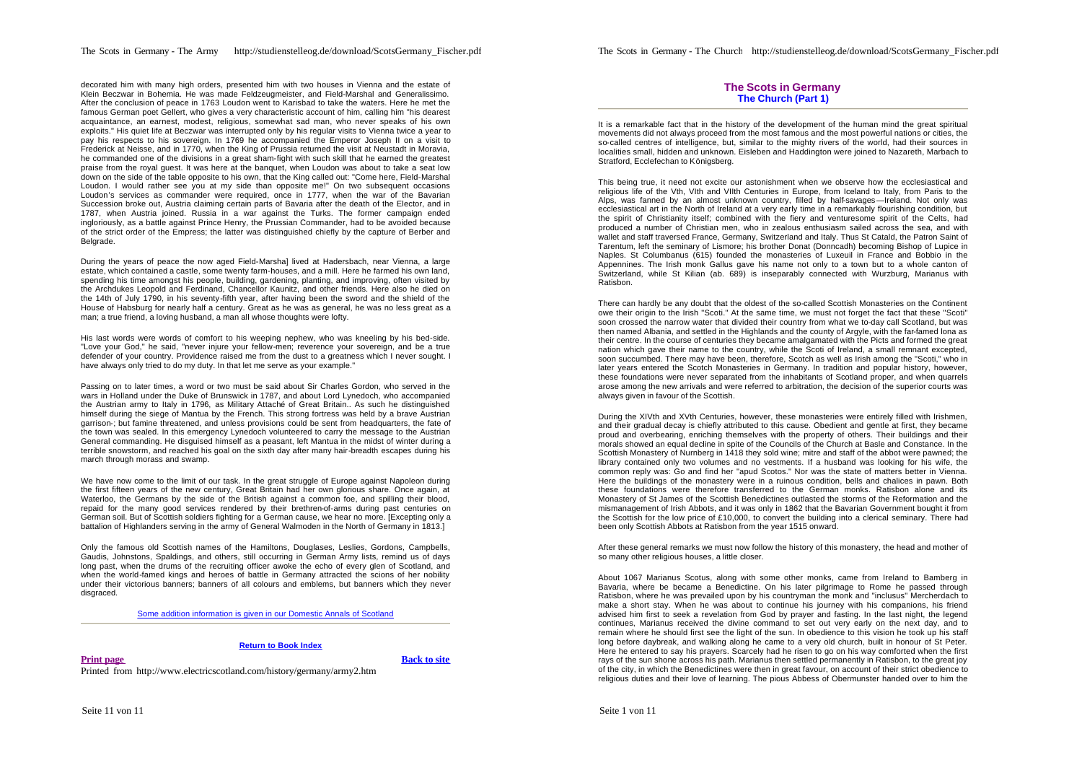decorated him with many high orders, presented him with two houses in Vienna and the estate of Klein Beczwar in Bohemia. He was made Feldzeugmeister, and Field-Marshal and Generalissimo. After the conclusion of peace in 1763 Loudon went to Karisbad to take the waters. Here he met the famous German poet Gellert, who gives a very characteristic account of him, calling him "his dearest acquaintance, an earnest, modest, religious, somewhat sad man, who never speaks of his own exploits." His quiet life at Beczwar was interrupted only by his regular visits to Vienna twice a year to pay his respects to his sovereign. In 1769 he accompanied the Emperor Joseph II on a visit to Frederick at Neisse, and in 1770, when the King of Prussia returned the visit at Neustadt in Moravia, he commanded one of the divisions in a great sham-fight with such skill that he earned the greatest praise from the royal guest. It was here at the banquet, when Loudon was about to take a seat low down on the side of the table opposite to his own, that the King called out: "Come here, Field-Marshal Loudon. I would rather see you at my side than opposite me!" On two subsequent occasions Loudon's services as commander were required, once in 1777, when the war of the Bavarian Succession broke out, Austria claiming certain parts of Bavaria after the death of the Elector, and in 1787, when Austria joined. Russia in a war against the Turks. The former campaign ended ingloriously, as a battle against Prince Henry, the Prussian Commander, had to be avoided because of the strict order of the Empress; the latter was distinguished chiefly by the capture of Berber and **Belgrade** 

During the years of peace the now aged Field-Marshal lived at Hadersbach, near Vienna, a large estate, which contained a castle, some twenty farm-houses, and a mill. Here he farmed his own land, spending his time amongst his people, building, gardening, planting, and improving, often visited by the Archdukes Leopold and Ferdinand, Chancellor Kaunitz, and other friends. Here also he died on the 14th of July 1790, in his seventy-fifth year, after having been the sword and the shield of the House of Habsburg for nearly half a century. Great as he was as general, he was no less great as a man; a true friend, a loving husband, a man all whose thoughts were lofty.

His last words were words of comfort to his weeping nephew, who was kneeling by his bed-side. "Love your God," he said, "never injure your fellow-men; reverence your sovereign, and be a true defender of your country. Providence raised me from the dust to a greatness which I never sought. I have always only tried to do my duty. In that let me serve as your example."

Passing on to later times, a word or two must be said about Sir Charles Gordon, who served in the wars in Holland under the Duke of Brunswick in 1787, and about Lord Lynedoch, who accompanied the Austrian army to Italy in 1796, as Military Attaché of Great Britain.. As such he distinguished himself during the siege of Mantua by the French. This strong fortress was held by a brave Austrian garrison-; but famine threatened, and unless provisions could be sent from headquarters, the fate of the town was sealed. In this emergency Lynedoch volunteered to carry the message to the Austrian General commanding. He disguised himself as a peasant, left Mantua in the midst of winter during a terrible snowstorm, and reached his goal on the sixth day after many hair-breadth escapes during his march through morass and swamp.

We have now come to the limit of our task. In the great struggle of Europe against Napoleon during the first fifteen years of the new century, Great Britain had her own glorious share. Once again, at Waterloo, the Germans by the side of the British against a common foe, and spilling their blood, repaid for the many good services rendered by their brethren-of-arms during past centuries on German soil. But of Scottish soldiers fighting for a German cause, we hear no more. [Excepting only a battalion of Highlanders serving in the army of General Walmoden in the North of Germany in 1813.]

Only the famous old Scottish names of the Hamiltons, Douglases, Leslies, Gordons, Campbells, Gaudis, Johnstons, Spaldings, and others, still occurring in German Army lists, remind us of days long past, when the drums of the recruiting officer awoke the echo of every glen of Scotland, and when the world-famed kings and heroes of battle in Germany attracted the scions of her nobility under their victorious banners; banners of all colours and emblems, but banners which they never disgraced.

Some addition information is given in our Domestic Annals of Scotland

## **Return to Book Index**

**Print page Back to site** 

Printed from http://www.electricscotland.com/history/germany/army2.htm

## **The Scots in Germany The Church (Part 1)**

It is a remarkable fact that in the history of the development of the human mind the great spiritual movements did not always proceed from the most famous and the most powerful nations or cities, the so-called centres of intelligence, but, similar to the mighty rivers of the world, had their sources in localities small, hidden and unknown. Eisleben and Haddington were joined to Nazareth, Marbach to Stratford, Ecclefechan to Königsberg.

This being true, it need not excite our astonishment when we observe how the ecclesiastical and religious life of the Vth, VIth and VIIth Centuries in Europe, from Iceland to Italy, from Paris to the Alps, was fanned by an almost unknown country, filled by half-savages—Ireland. Not only was ecclesiastical art in the North of Ireland at a very early time in a remarkably flourishing condition, but the spirit of Christianity itself; combined with the fiery and venturesome spirit of the Celts, had produced a number of Christian men, who in zealous enthusiasm sailed across the sea, and with wallet and staff traversed France, Germany, Switzerland and Italy. Thus St Catald, the Patron Saint of Tarentum, left the seminary of Lismore; his brother Donat (Donncadh) becoming Bishop of Lupice in Naples. St Columbanus (615) founded the monasteries of Luxeuil in France and Bobbio in the Appennines. The Irish monk Gallus gave his name not only to a town but to a whole canton of Switzerland, while St Kilian (ab. 689) is inseparably connected with Wurzburg, Marianus with Ratisbon.

There can hardly be any doubt that the oldest of the so-called Scottish Monasteries on the Continent owe their origin to the Irish "Scoti." At the same time, we must not forget the fact that these "Scoti" soon crossed the narrow water that divided their country from what we to-day call Scotland, but was then named Albania, and settled in the Highlands and the county of Argyle, with the far-famed lona as their centre. In the course of centuries they became amalgamated with the Picts and formed the great nation which gave their name to the country, while the Scoti of Ireland, a small remnant excepted, soon succumbed. There may have been, therefore, Scotch as well as Irish among the "Scoti," who in later years entered the Scotch Monasteries in Germany. In tradition and popular history, however, these foundations were never separated from the inhabitants of Scotland proper, and when quarrels arose among the new arrivals and were referred to arbitration, the decision of the superior courts was always given in favour of the Scottish.

During the XIVth and XVth Centuries, however, these monasteries were entirely filled with Irishmen, and their gradual decay is chiefly attributed to this cause. Obedient and gentle at first, they became proud and overbearing, enriching themselves with the property of others. Their buildings and their morals showed an equal decline in spite of the Councils of the Church at Basle and Constance. In the Scottish Monastery of Nurnberg in 1418 they sold wine; mitre and staff of the abbot were pawned; the library contained only two volumes and no vestments. If a husband was looking for his wife, the common reply was: Go and find her "apud Scotos." Nor was the state of matters better in Vienna. Here the buildings of the monastery were in a ruinous condition, bells and chalices in pawn. Both these foundations were therefore transferred to the German monks. Ratisbon alone and its Monastery of St James of the Scottish Benedictines outlasted the storms of the Reformation and the mismanagement of Irish Abbots, and it was only in 1862 that the Bavarian Government bought it from the Scottish for the low price of £10,000, to convert the building into a clerical seminary. There had been only Scottish Abbots at Ratisbon from the year 1515 onward.

After these general remarks we must now follow the history of this monastery, the head and mother of so many other religious houses, a little closer.

About 1067 Marianus Scotus, along with some other monks, came from Ireland to Bamberg in Bavaria, where be became a Benedictine. On his later pilgrimage to Rome he passed through Ratisbon, where he was prevailed upon by his countryman the monk and "inclusus" Mercherdach to make a short stay. When he was about to continue his journey with his companions, his friend advised him first to seek a revelation from God by prayer and fasting. In the last night, the legend continues, Marianus received the divine command to set out very early on the next day, and to remain where he should first see the light of the sun. In obedience to this vision he took up his staff long before daybreak, and walking along he came to a very old church, built in honour of St Peter. Here he entered to say his prayers. Scarcely had he risen to go on his way comforted when the first rays of the sun shone across his path. Marianus then settled permanently in Ratisbon, to the great joy of the city, in which the Benedictines were then in great favour, on account of their strict obedience to religious duties and their love of learning. The pious Abbess of Obermunster handed over to him the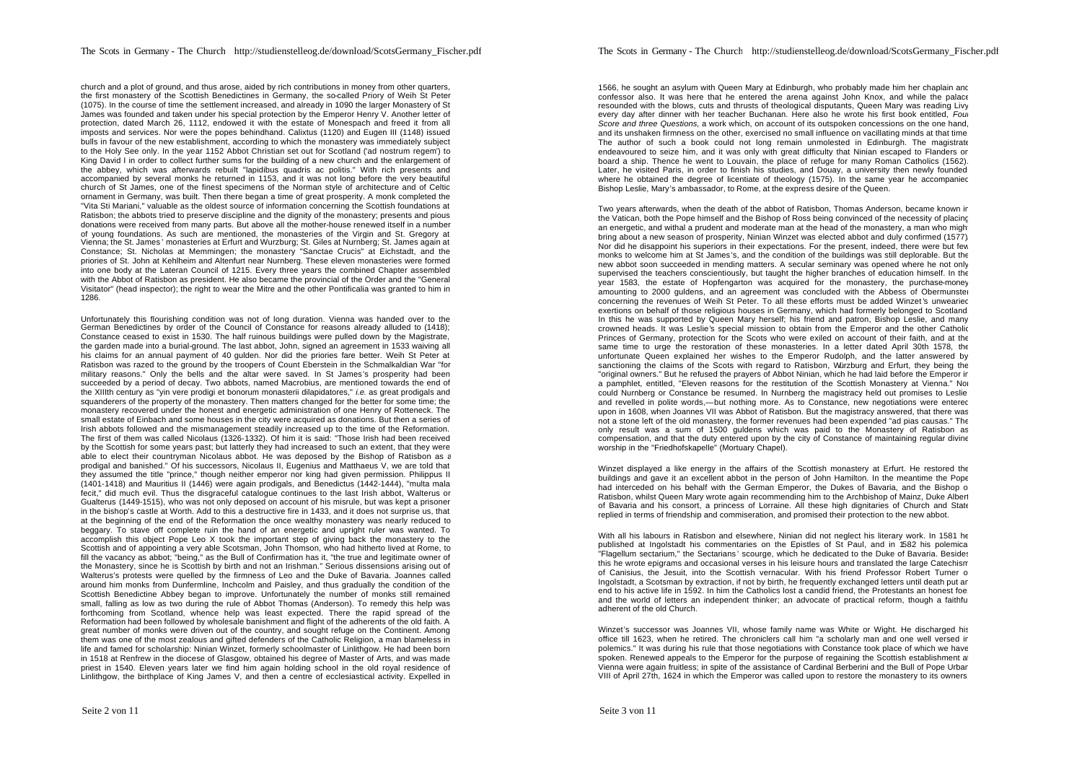church and a plot of ground, and thus arose, aided by rich contributions in money from other quarters, the first monastery of the Scottish Benedictines in Germany, the so-called Priory of Weih St Peter (1075). In the course of time the settlement increased, and already in 1090 the larger Monastery of St James was founded and taken under his special protection by the Emperor Henry V. Another letter of protection, dated March 26, 1112, endowed it with the estate of Monespach and freed it from all imposts and services. Nor were the popes behindhand. Calixtus (1120) and Eugen III (1148) issued bulls in favour of the new establishment, according to which the monastery was immediately subject to the Holy See only. In the year 1152 Abbot Christian set out for Scotland ('ad nostrum regem') to King David I in order to collect further sums for the building of a new church and the enlargement of the abbey, which was afterwards rebuilt "lapidibus quadris ac politis." With rich presents and accompanied by several monks he returned in 1153, and it was not long before the very beautiful church of St James, one of the finest specimens of the Norman style of architecture and of Celtic ornament in Germany, was built. Then there began a time of great prosperity. A monk completed the "Vita Sti Mariani," valuable as the oldest source of information concerning the Scottish foundations at Ratisbon; the abbots tried to preserve discipline and the dignity of the monastery; presents and pious donations were received from many parts. But above all the mother-house renewed itself in a number of young foundations. As such are mentioned, the monasteries of the Virgin and St. Gregory at Vienna; the St. James ' monasteries at Erfurt and Wurzburg; St. Giles at Nurnberg; St. James again at Constance; St. Nicholas at Memmingen; the monastery "Sanctae Crucis" at Eichstadt, and the priories of St. John at Kehlheim and Altenfurt near Nurnberg. These eleven monasteries were formed into one body at the Lateran Council of 1215. Every three years the combined Chapter assembled with the Abbot of Ratisbon as president. He also became the provincial of the Order and the "General Visitator" (head inspector); the right to wear the Mitre and the other Pontificalia was granted to him in 1286.

Unfortunately this flourishing condition was not of long duration. Vienna was handed over to the German Benedictines by order of the Council of Constance for reasons already alluded to (1418); Constance ceased to exist in 1530. The half ruinous buildings were pulled down by the Magistrate, the garden made into a burial-ground. The last abbot, John, signed an agreement in 1533 waiving all his claims for an annual payment of 40 gulden. Nor did the priories fare better. Weih St Peter at Ratisbon was razed to the ground by the troopers of Count Eberstein in the Schmalkaldian War "for military reasons." Only the bells and the altar were saved. In St James's prosperity had been succeeded by a period of decay. Two abbots, named Macrobius, are mentioned towards the end of the XIIIth century as "yin vere prodigi et bonorum monasterii dilapidatores," *i.e.* as great prodigals and squanderers of the property of the monastery. Then matters changed for the better for some time; the monastery recovered under the honest and energetic administration of one Henry of Rotteneck. The small estate of Einbach and some houses in the city were acquired as donations. But then a series of Irish abbots followed and the mismanagement steadily increased up to the time of the Reformation. The first of them was called Nicolaus (1326-1332). Of him it is said: "Those Irish had been received by the Scottish for some years past; but latterly they had increased to such an extent, that they were able to elect their countryman Nicolaus abbot. He was deposed by the Bishop of Ratisbon as a prodigal and banished." Of his successors, Nicolaus II, Eugenius and Matthaeus V, we are told that they assumed the title "prince," though neither emperor nor king had given permission. Philippus II (1401-1418) and Mauritius II (1446) were again prodigals, and Benedictus (1442-1444), "multa mala fecit," did much evil. Thus the disgraceful catalogue continues to the last Irish abbot, Walterus or Gualterus (1449-1515), who was not only deposed on account of his misrule, but was kept a prisoner in the bishop's castle at Worth. Add to this a destructive fire in 1433, and it does not surprise us, that at the beginning of the end of the Reformation the once wealthy monastery was nearly reduced to beggary. To stave off complete ruin the hand of an energetic and upright ruler was wanted. To accomplish this object Pope Leo X took the important step of giving back the monastery to the Scottish and of appointing a very able Scotsman, John Thomson, who had hitherto lived at Rome, to fill the vacancy as abbot; "being," as the Bull of Confirmation has it, "the true and legitimate owner of the Monastery, since he is Scottish by birth and not an Irishman." Serious dissensions arising out of Walterus's protests were quelled by the firmness of Leo and the Duke of Bavaria. Joannes called around him monks from Dunfermline, Inchcolm and Paisley, and thus gradually the condition of the Scottish Benedictine Abbey began to improve. Unfortunately the number of monks still remained small, falling as low as two during the rule of Abbot Thomas (Anderson). To remedy this help was forthcoming from Scotland, whence help was least expected. There the rapid spread of the Reformation had been followed by wholesale banishment and flight of the adherents of the old faith. A great number of monks were driven out of the country, and sought refuge on the Continent. Among them was one of the most zealous and gifted defenders of the Catholic Religion, a man blameless in life and famed for scholarship: Ninian Winzet, formerly schoolmaster of Linlithgow. He had been born in 1518 at Renfrew in the diocese of Glasgow, obtained his degree of Master of Arts, and was made priest in 1540. Eleven years later we find him again holding school in the old royal residence of Linlithgow, the birthplace of King James V, and then a centre of ecclesiastical activity. Expelled in

1566, he sought an asylum with Queen Mary at Edinburgh, who probably made him her chaplain and confessor also. It was here that he entered the arena against John Knox, and while the palace resounded with the blows, cuts and thrusts of theological disputants, Queen Mary was reading Livy every day after dinner with her teacher Buchanan. Here also he wrote his first book entitled, *Four Score and three Questions,* a work which, on account of its outspoken concessions on the one hand, and its unshaken firmness on the other, exercised no small influence on vacillating minds at that time. The author of such a book could not long remain unmolested in Edinburgh. The magistrate endeavoured to seize him, and it was only with great difficulty that Ninian escaped to Flanders on board a ship. Thence he went to Louvain, the place of refuge for many Roman Catholics (1562). Later, he visited Paris, in order to finish his studies, and Douay, a university then newly founded where he obtained the degree of licentiate of theology (1575). In the same year he accompanied Bishop Leslie, Mary's ambassador, to Rome, at the express desire of the Queen.

Two years afterwards, when the death of the abbot of Ratisbon, Thomas Anderson, became known in the Vatican, both the Pope himself and the Bishop of Ross being convinced of the necessity of placing an energetic, and withal a prudent and moderate man at the head of the monastery, a man who might bring about a new season of prosperity, Ninian Winzet was elected abbot and duly confirmed (1577)*.* Nor did he disappoint his superiors in their expectations. For the present, indeed, there were but few monks to welcome him at St James's, and the condition of the buildings was still deplorable. But the new abbot soon succeeded in mending matters. A secular seminary was opened where he not only supervised the teachers conscientiously, but taught the higher branches of education himself. In the year 1583, the estate of Hopfengarton was acquired for the monastery, the purchase-money amounting to 2000 guldens, and an agreement was concluded with the Abbess of Obermunster concerning the revenues of Weih St Peter. To all these efforts must be added Winzet 's unwearied exertions on behalf of those religious houses in Germany, which had formerly belonged to Scotland. In this he was supported by Queen Mary herself; his friend and patron, Bishop Leslie, and many crowned heads. It was Leslie's special mission to obtain from the Emperor and the other Catholic Princes of Germany, protection for the Scots who were exiled on account of their faith, and at the same time to urge the restoration of these monasteries. In a letter dated April 30th 1578, the unfortunate Queen explained her wishes to the Emperor Rudolph, and the latter answered by sanctioning the claims of the Scots with regard to Ratisbon, Würzburg and Erfurt, they being the "original owners." But he refused the prayers of Abbot Ninian, which he had laid before the Emperor in a pamphlet, entitled, "Eleven reasons for the restitution of the Scottish Monastery at Vienna." Nor could Nurnberg or Constance be resumed. In Nurnberg the magistracy held out promises to Leslie, and revelled in polite words,—but nothing more. As to Constance, new negotiations were entered upon in 1608, when Joannes VII was Abbot of Ratisbon. But the magistracy answered, that there was not a stone left of the old monastery, the former revenues had been expended "ad pias causas." The only result was a sum of 1500 guldens which was paid to the Monastery of Ratisbon as compensation, and that the duty entered upon by the city of Constance of maintaining regular divine worship in the "Friedhofskapelle" (Mortuary Chapel).

Winzet displayed a like energy in the affairs of the Scottish monastery at Erfurt. He restored the buildings and gave it an excellent abbot in the person of John Hamilton. In the meantime the Pope had interceded on his behalf with the German Emperor, the Dukes of Bavaria, and the Bishop of Ratisbon, whilst Queen Mary wrote again recommending him to the Archbishop of Mainz, Duke Albert of Bavaria and his consort, a princess of Lorraine. All these high dignitaries of Church and State replied in terms of friendship and commiseration, and promised their protection to the new abbot.

With all his labours in Ratisbon and elsewhere, Ninian did not neglect his literary work. In 1581 he published at Ingolstadt his commentaries on the Epistles of St Paul, and in 1582 his polemical "Flagellum sectarium," the Sectarians ' scourge, which he dedicated to the Duke of Bavaria. Besides this he wrote epigrams and occasional verses in his leisure hours and translated the large Catechism of Canisius, the Jesuit, into the Scottish vernacular. With his friend Professor Robert Turner of Ingolstadt, a Scotsman by extraction, if not by birth, he frequently exchanged letters until death put an end to his active life in 1592. In him the Catholics lost a candid friend, the Protestants an honest foe, and the world of letters an independent thinker; an advocate of practical reform, though a faithful adherent of the old Church.

Winzet's successor was Joannes VII, whose family name was White or Wight. He discharged his office till 1623, when he retired. The chroniclers call him "a scholarly man and one well versed in polemics." It was during his rule that those negotiations with Constance took place of which we have spoken. Renewed appeals to the Emperor for the purpose of regaining the Scottish establishment at Vienna were again fruitless; in spite of the assistance of Cardinal Berberini and the Bull of Pope Urban VIII of April 27th, 1624 in which the Emperor was called upon to restore the monastery to its owners,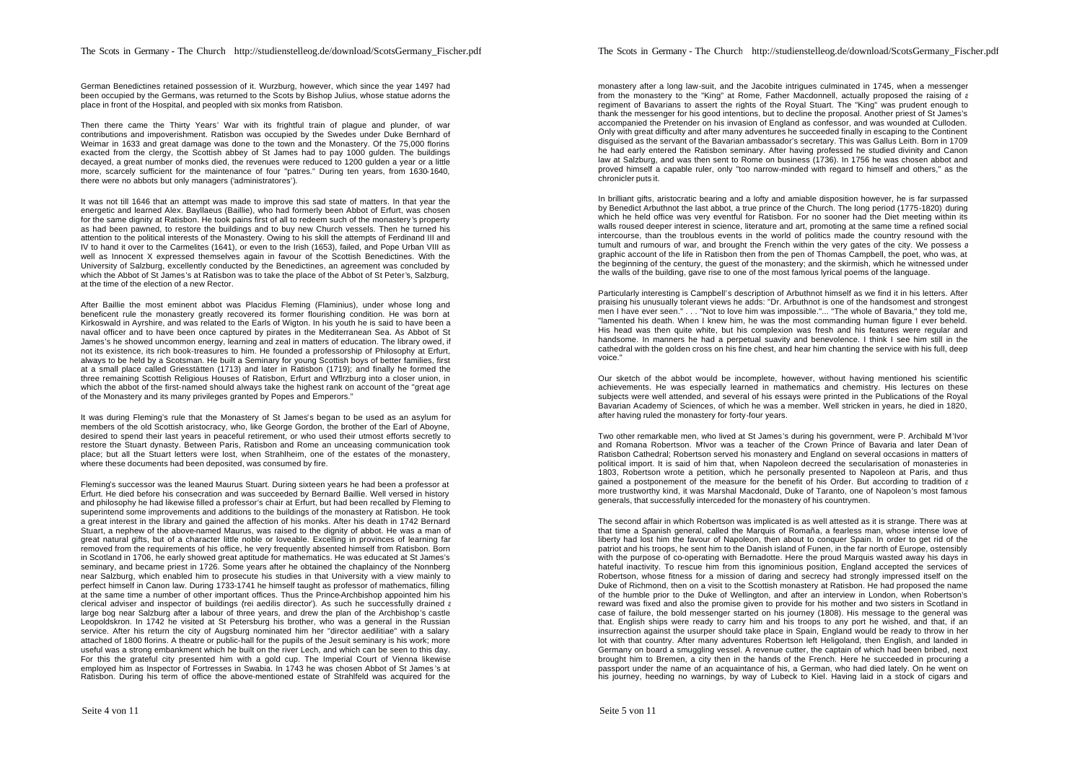German Benedictines retained possession of it. Wurzburg, however, which since the year 1497 had been occupied by the Germans, was returned to the Scots by Bishop Julius, whose statue adorns the place in front of the Hospital, and peopled with six monks from Ratisbon.

Then there came the Thirty Years' War with its frightful train of plague and plunder, of war contributions and impoverishment. Ratisbon was occupied by the Swedes under Duke Bernhard of Weimar in 1633 and great damage was done to the town and the Monastery. Of the 75,000 florins exacted from the clergy, the Scottish abbey of St James had to pay 1000 gulden. The buildings decayed, a great number of monks died, the revenues were reduced to 1200 gulden a year or a little more, scarcely sufficient for the maintenance of four "patres." During ten years, from 1630-1640, there were no abbots but only managers ('administratores').

It was not till 1646 that an attempt was made to improve this sad state of matters. In that year the energetic and learned Alex. Bayllaeus (Baillie), who had formerly been Abbot of Erfurt, was chosen for the same dignity at Ratisbon. He took pains first of all to redeem such of the monastery 's property as had been pawned, to restore the buildings and to buy new Church vessels. Then he turned his attention to the political interests of the Monastery. Owing to his skill the attempts of Ferdinand III and IV to hand it over to the Carmelites (1641), or even to the Irish (1653), failed, and Pope Urban VIII as well as Innocent X expressed themselves again in favour of the Scottish Benedictines. With the University of Salzburg, excellently conducted by the Benedictines, an agreement was concluded by which the Abbot of St James's at Ratisbon was to take the place of the Abbot of St Peter's, Salzburg, at the time of the election of a new Rector.

After Baillie the most eminent abbot was Placidus Fleming (Flaminius), under whose long and beneficent rule the monastery greatly recovered its former flourishing condition. He was born at Kirkoswald in Ayrshire, and was related to the Earls of Wigton. In his youth he is said to have been a naval officer and to have been once captured by pirates in the Mediterranean Sea. As Abbot of St James's he showed uncommon energy, learning and zeal in matters of education. The library owed, if not its existence, its rich book-treasures to him. He founded a professorship of Philosophy at Erfurt, always to be held by a Scotsman. He built a Seminary for young Scottish boys of better families, first at a small place called Griesstätten (1713) and later in Ratisbon (1719); and finally he formed the three remaining Scottish Religious Houses of Ratisbon, Erfurt and Wflrzburg into a closer union, in which the abbot of the first-named should always take the highest rank on account of the "great age of the Monastery and its many privileges granted by Popes and Emperors."

It was during Fleming's rule that the Monastery of St James's began to be used as an asylum for members of the old Scottish aristocracy, who, like George Gordon, the brother of the Earl of Aboyne, desired to spend their last years in peaceful retirement, or who used their utmost efforts secretly to restore the Stuart dynasty. Between Paris, Ratisbon and Rome an unceasing communication took place; but all the Stuart letters were lost, when Strahlheim, one of the estates of the monastery, where these documents had been deposited, was consumed by fire.

Fleming's successor was the leaned Maurus Stuart. During sixteen years he had been a professor at Erfurt. He died before his consecration and was succeeded by Bernard Baillie. Well versed in history and philosophy he had likewise filled a professor's chair at Erfurt, but had been recalled by Fleming to superintend some improvements and additions to the buildings of the monastery at Ratisbon. He took a great interest in the library and gained the affection of his monks. After his death in 1742 Bernard Stuart, a nephew of the above-named Maurus, was raised to the dignity of abbot. He was a man of great natural gifts, but of a character little noble or loveable. Excelling in provinces of learning far removed from the requirements of his office, he very frequently absented himself from Ratisbon. Born in Scotland in 1706, he early showed great aptitude for mathematics. He was educated at St James's seminary, and became priest in 1726. Some years after he obtained the chaplaincy of the Nonnberg near Salzburg, which enabled him to prosecute his studies in that University with a view mainly to perfect himself in Canon law. During 1733-1741 he himself taught as professor of mathematics, filling at the same time a number of other important offices. Thus the Prince-Archbishop appointed him his clerical adviser and inspector of buildings (rei aedilis director). As such he successfully drained a large bog near Salzburg after a labour of three years, and drew the plan of the Archbishop's castle Leopoldskron. In 1742 he visited at St Petersburg his brother, who was a general in the Russian service. After his return the city of Augsburg nominated him her "director aedilitiae" with a salary attached of 1800 florins. A theatre or public-hall for the pupils of the Jesuit seminary is his work; more useful was a strong embankment which he built on the river Lech, and which can be seen to this day. For this the grateful city presented him with a gold cup. The Imperial Court of Vienna likewise employed him as Inspector of Fortresses in Swabia. In 1743 he was chosen Abbot of St James 's at Ratisbon. During his term of office the above-mentioned estate of Strahlfeld was acquired for the

monastery after a long law-suit, and the Jacobite intrigues culminated in 1745, when a messenger from the monastery to the "King" at Rome, Father Macdonnell, actually proposed the raising of a regiment of Bavarians to assert the rights of the Royal Stuart. The "King" was prudent enough to thank the messenger for his good intentions, but to decline the proposal. Another priest of St James's accompanied the Pretender on his invasion of England as confessor, and was wounded at Culloden. Only with great difficulty and after many adventures he succeeded finally in escaping to the Continent disguised as the servant of the Bavarian ambassador's secretary. This was Gallus Leith. Born in 1709 he had early entered the Ratisbon seminary. After having professed he studied divinity and Canon law at Salzburg, and was then sent to Rome on business (1736). In 1756 he was chosen abbot and proved himself a capable ruler, only "too narrow-minded with regard to himself and others," as the chronicler puts it.

In brilliant gifts, aristocratic bearing and a lofty and amiable disposition however, he is far surpassed by Benedict Arbuthnot the last abbot, a true prince of the Church. The long period (1775-1820) during which he held office was very eventful for Ratisbon. For no sooner had the Diet meeting within its walls roused deeper interest in science, literature and art, promoting at the same time a refined social intercourse, than the troublous events in the world of politics made the country resound with the tumult and rumours of war, and brought the French within the very gates of the city. We possess a graphic account of the life in Ratisbon then from the pen of Thomas Campbell, the poet, who was, at the beginning of the century, the guest of the monastery; and the skirmish, which he witnessed under the walls of the building, gave rise to one of the most famous lyrical poems of the language.

Particularly interesting is Campbell's description of Arbuthnot himself as we find it in his letters. After praising his unusually tolerant views he adds: "Dr. Arbuthnot is one of the handsomest and strongest men I have ever seen." . . . "Not to love him was impossible."... "The whole of Bavaria," they told me, "lamented his death. When I knew him, he was the most commanding human figure I ever beheld. His head was then quite white, but his complexion was fresh and his features were regular and handsome. In manners he had a perpetual suavity and benevolence. I think I see him still in the cathedral with the golden cross on his fine chest, and hear him chanting the service with his full, deep voice."

Our sketch of the abbot would be incomplete, however, without having mentioned his scientific achievements. He was especially learned in mathematics and chemistry. His lectures on these subjects were well attended, and several of his essays were printed in the Publications of the Royal Bavarian Academy of Sciences, of which he was a member. Well stricken in years, he died in 1820, after having ruled the monastery for forty-four years.

Two other remarkable men, who lived at St James's during his government, were P. Archibald M'Ivor and Romana Robertson. M'Ivor was a teacher of the Crown Prince of Bavaria and later Dean of Ratisbon Cathedral; Robertson served his monastery and England on several occasions in matters of political import. It is said of him that, when Napoleon decreed the secularisation of monasteries in 1803, Robertson wrote a petition, which he personally presented to Napoleon at Paris, and thus gained a postponement of the measure for the benefit of his Order. But according to tradition of a more trustworthy kind, it was Marshal Macdonald, Duke of Taranto, one of Napoleon's most famous generals, that successfully interceded for the monastery of his countrymen.

The second affair in which Robertson was implicated is as well attested as it is strange. There was at that time a Spanish general, called the Marquis of Romaña, a fearless man, whose intense love of liberty had lost him the favour of Napoleon, then about to conquer Spain. In order to get rid of the patriot and his troops, he sent him to the Danish island of Funen, in the far north of Europe, ostensibly with the purpose of co-operating with Bernadotte. Here the proud Marquis wasted away his days in hateful inactivity. To rescue him from this ignominious position, England accepted the services of Robertson, whose fitness for a mission of daring and secrecy had strongly impressed itself on the Duke of Richmond, then on a visit to the Scottish monastery at Ratisbon. He had proposed the name of the humble prior to the Duke of Wellington, and after an interview in London, when Robertson's reward was fixed and also the promise given to provide for his mother and two sisters in Scotland in case of failure, the bold messenger started on his journey (1808). His message to the general was that. English ships were ready to carry him and his troops to any port he wished, and that, if an insurrection against the usurper should take place in Spain, England would be ready to throw in her lot with that country. After many adventures Robertson left Heligoland, then English, and landed in Germany on board a smuggling vessel. A revenue cutter, the captain of which had been bribed, next brought him to Bremen, a city then in the hands of the French. Here he succeeded in procuring a passport under the name of an acquaintance of his, a German, who had died lately. On he went on his journey, heeding no warnings, by way of Lubeck to Kiel. Having laid in a stock of cigars and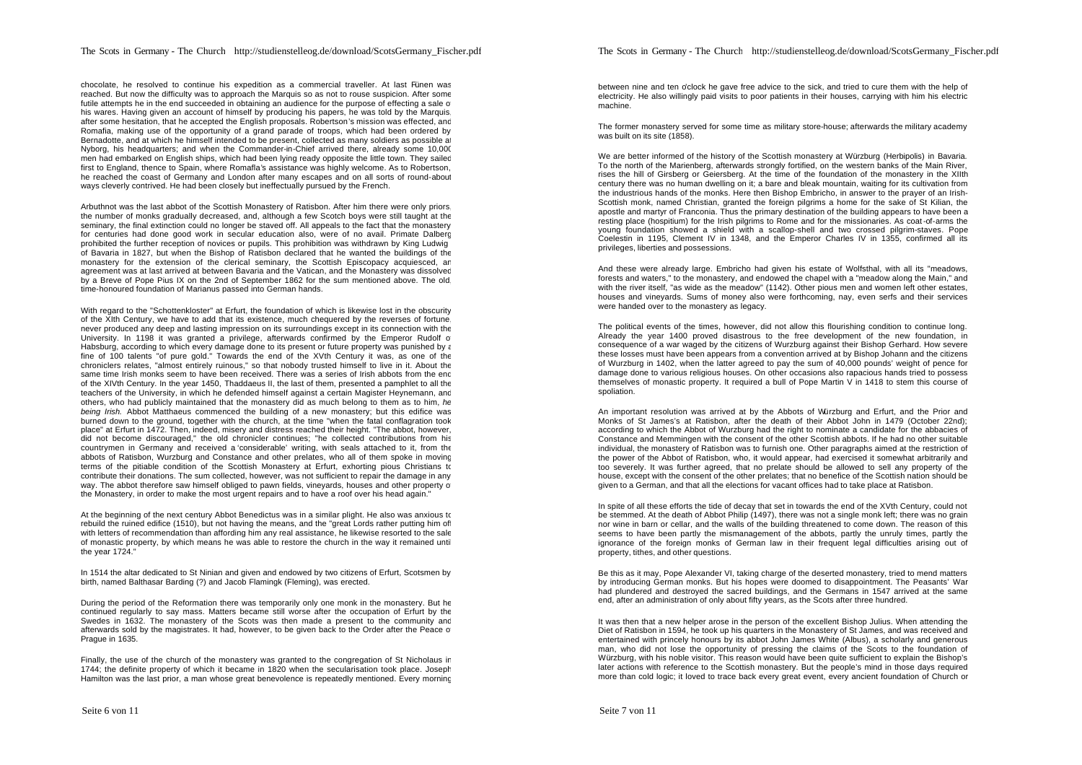chocolate, he resolved to continue his expedition as a commercial traveller. At last Fünen was reached. But now the difficulty was to approach the Marquis so as not to rouse suspicion. After some futile attempts he in the end succeeded in obtaining an audience for the purpose of effecting a sale of his wares. Having given an account of himself by producing his papers, he was told by the Marquis after some hesitation, that he accepted the English proposals. Robertson's mission was effected, and Romafia, making use of the opportunity of a grand parade of troops, which had been ordered by Bernadotte, and at which he himself intended to be present, collected as many soldiers as possible at Nyborg, his headquarters; and when the Commander-in-Chief arrived there, already some 10,000 men had embarked on English ships, which had been lying ready opposite the little town. They sailed first to England, thence to Spain, where Romafla's assistance was highly welcome. As to Robertson, he reached the coast of Germany and London after many escapes and on all sorts of round-about ways cleverly contrived. He had been closely but ineffectually pursued by the French.

Arbuthnot was the last abbot of the Scottish Monastery of Ratisbon. After him there were only priors, the number of monks gradually decreased, and, although a few Scotch boys were still taught at the seminary, the final extinction could no longer be staved off. All appeals to the fact that the monastery for centuries had done good work in secular education also, were of no avail. Primate Dalberg prohibited the further reception of novices or pupils. This prohibition was withdrawn by King Ludwig I of Bavaria in 1827, but when the Bishop of Ratisbon declared that he wanted the buildings of the monastery for the extension of the clerical seminary, the Scottish Episcopacy acquiesced, an agreement was at last arrived at between Bavaria and the Vatican, and the Monastery was dissolved by a Breve of Pope Pius IX on the 2nd of September 1862 for the sum mentioned above. The old, time-honoured foundation of Marianus passed into German hands.

With regard to the "Schottenkloster" at Erfurt, the foundation of which is likewise lost in the obscurity of the XIth Century, we have to add that its existence, much chequered by the reverses of fortune, never produced any deep and lasting impression on its surroundings except in its connection with the University. In 1198 it was granted a privilege, afterwards confirmed by the Emperor Rudolf o Habsburg, according to which every damage done to its present or future property was punished by a fine of 100 talents "of pure gold." Towards the end of the XVth Century it was, as one of the chroniclers relates, "almost entirely ruinous," so that nobody trusted himself to live in it. About the same time Irish monks seem to have been received. There was a series of Irish abbots from the end of the XIVth Century. In the year 1450, Thaddaeus II, the last of them, presented a pamphlet to all the teachers of the University, in which he defended himself against a certain Magister Heynemann, and others, who had publicly maintained that the monastery did as much belong to them as to him, *he being Irish.* Abbot Matthaeus commenced the building of a new monastery; but this edifice was burned down to the ground, together with the church, at the time "when the fatal conflagration took place" at Erfurt in 1472. Then, indeed, misery and distress reached their height. "The abbot, however, did not become discouraged," the old chronicler continues; "he collected contributions from his countrymen in Germany and received a 'considerable' writing, with seals attached to it, from the abbots of Ratisbon, Wurzburg and Constance and other prelates, who all of them spoke in moving terms of the pitiable condition of the Scottish Monastery at Erfurt, exhorting pious Christians to contribute their donations. The sum collected, however, was not sufficient to repair the damage in any way. The abbot therefore saw himself obliged to pawn fields, vineyards, houses and other property of the Monastery, in order to make the most urgent repairs and to have a roof over his head again."

At the beginning of the next century Abbot Benedictus was in a similar plight. He also was anxious to rebuild the ruined edifice (1510), but not having the means, and the "great Lords rather putting him off with letters of recommendation than affording him any real assistance, he likewise resorted to the sale of monastic property, by which means he was able to restore the church in the way it remained until the year 1724."

In 1514 the altar dedicated to St Ninian and given and endowed by two citizens of Erfurt, Scotsmen by birth, named Balthasar Barding (?) and Jacob Flamingk (Fleming), was erected.

During the period of the Reformation there was temporarily only one monk in the monastery. But he continued regularly to say mass. Matters became still worse after the occupation of Erfurt by the Swedes in 1632. The monastery of the Scots was then made a present to the community and afterwards sold by the magistrates. It had, however, to be given back to the Order after the Peace of Prague in 1635.

Finally, the use of the church of the monastery was granted to the congregation of St Nicholaus in 1744; the definite property of which it became in 1820 when the secularisation took place. Joseph Hamilton was the last prior, a man whose great benevolence is repeatedly mentioned. Every morning between nine and ten o'clock he gave free advice to the sick, and tried to cure them with the help of electricity. He also willingly paid visits to poor patients in their houses, carrying with him his electric machine.

The former monastery served for some time as military store-house; afterwards the military academy was built on its site (1858).

We are better informed of the history of the Scottish monastery at Würzburg (Herbipolis) in Bavaria. To the north of the Marienberg, afterwards strongly fortified, on the western banks of the Main River, rises the hill of Girsberg or Geiersberg. At the time of the foundation of the monastery in the XIIth century there was no human dwelling on it; a bare and bleak mountain, waiting for its cultivation from the industrious hands of the monks. Here then Bishop Embricho, in answer to the prayer of an Irish-Scottish monk, named Christian, granted the foreign pilgrims a home for the sake of St Kilian, the apostle and martyr of Franconia. Thus the primary destination of the building appears to have been a resting place (hospitium) for the Irish pilgrims to Rome and for the missionaries. As coat-of-arms the young foundation showed a shield with a scallop-shell and two crossed pilgrim-staves. Pope Coelestin in 1195, Clement IV in 1348, and the Emperor Charles IV in 1355, confirmed all its privileges, liberties and possessions.

And these were already large. Embricho had given his estate of Wolfsthal, with all its "meadows, forests and waters," to the monastery, and endowed the chapel with a "meadow along the Main," and with the river itself, "as wide as the meadow" (1142). Other pious men and women left other estates, houses and vineyards. Sums of money also were forthcoming, nay, even serfs and their services were handed over to the monastery as legacy.

The political events of the times, however, did not allow this flourishing condition to continue long. Already the year 1400 proved disastrous to the free development of the new foundation, in consequence of a war waged by the citizens of Wurzburg against their Bishop Gerhard. How severe these losses must have been appears from a convention arrived at by Bishop Johann and the citizens of Wurzburg in 1402, when the latter agreed to pay the sum of 40,000 pounds' weight of pence for damage done to various religious houses. On other occasions also rapacious hands tried to possess themselves of monastic property. It required a bull of Pope Martin V in 1418 to stem this course of spoliation.

An important resolution was arrived at by the Abbots of Würzburg and Erfurt, and the Prior and Monks of St James's at Ratisbon, after the death of their Abbot John in 1479 (October 22nd); according to which the Abbot of Wurzburg had the right to nominate a candidate for the abbacies of Constance and Memmingen with the consent of the other Scottish abbots. If he had no other suitable individual, the monastery of Ratisbon was to furnish one. Other paragraphs aimed at the restriction of the power of the Abbot of Ratisbon, who, it would appear, had exercised it somewhat arbitrarily and too severely. It was further agreed, that no prelate should be allowed to sell any property of the house, except with the consent of the other prelates; that no benefice of the Scottish nation should be given to a German, and that all the elections for vacant offices had to take place at Ratisbon.

In spite of all these efforts the tide of decay that set in towards the end of the XVth Century, could not be stemmed. At the death of Abbot Philip (1497), there was not a single monk left; there was no grain nor wine in barn or cellar, and the walls of the building threatened to come down. The reason of this seems to have been partly the mismanagement of the abbots, partly the unruly times, partly the ignorance of the foreign monks of German law in their frequent legal difficulties arising out of property, tithes, and other questions.

Be this as it may, Pope Alexander VI, taking charge of the deserted monastery, tried to mend matters by introducing German monks. But his hopes were doomed to disappointment. The Peasants' War had plundered and destroyed the sacred buildings, and the Germans in 1547 arrived at the same end, after an administration of only about fifty years, as the Scots after three hundred.

It was then that a new helper arose in the person of the excellent Bishop Julius. When attending the Diet of Ratisbon in 1594, he took up his quarters in the Monastery of St James, and was received and entertained with princely honours by its abbot John James White (Albus), a scholarly and generous man, who did not lose the opportunity of pressing the claims of the Scots to the foundation of Würzburg, with his noble visitor. This reason would have been quite sufficient to explain the Bishop's later actions with reference to the Scottish monastery. But the people's mind in those days required more than cold logic; it loved to trace back every great event, every ancient foundation of Church or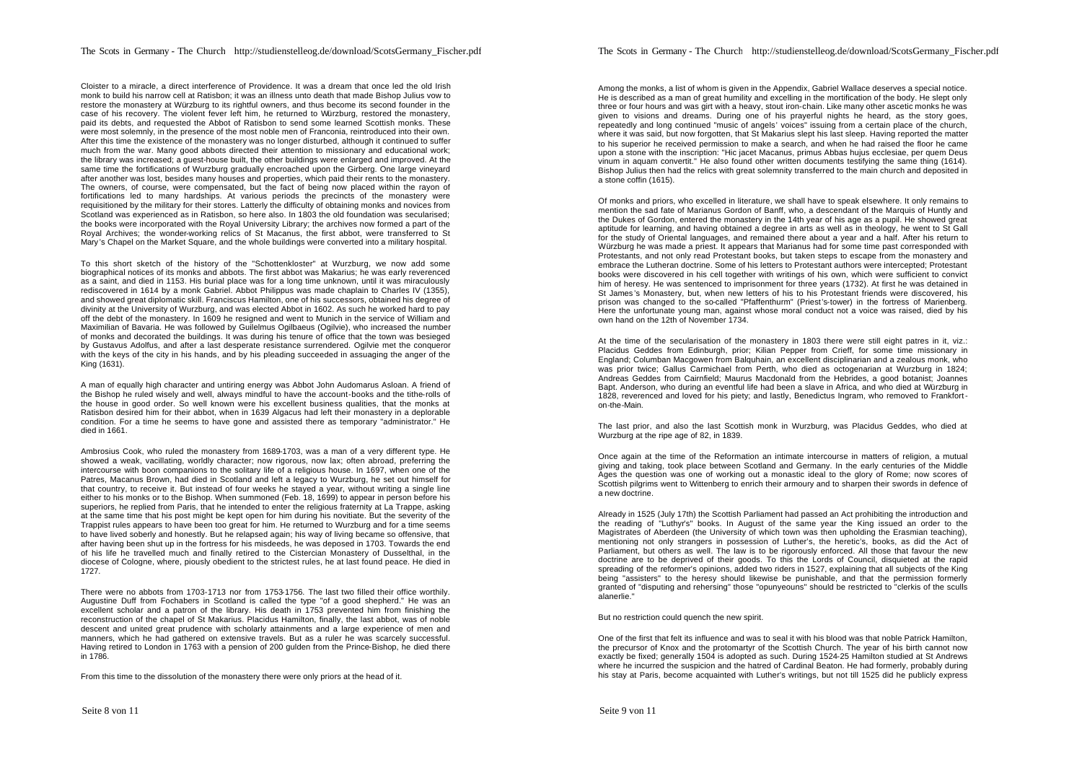Cloister to a miracle, a direct interference of Providence. It was a dream that once led the old Irish monk to build his narrow cell at Ratisbon; it was an illness unto death that made Bishop Julius vow to restore the monastery at Würzburg to its rightful owners, and thus become its second founder in the case of his recovery. The violent fever left him, he returned to Würzburg, restored the monastery, paid its debts, and requested the Abbot of Ratisbon to send some learned Scottish monks. These were most solemnly, in the presence of the most noble men of Franconia, reintroduced into their own. After this time the existence of the monastery was no longer disturbed, although it continued to suffer much from the war. Many good abbots directed their attention to missionary and educational work; the library was increased; a guest-house built, the other buildings were enlarged and improved. At the same time the fortifications of Wurzburg gradually encroached upon the Girberg. One large vineyard after another was lost, besides many houses and properties, which paid their rents to the monastery. The owners, of course, were compensated, but the fact of being now placed within the rayon of fortifications led to many hardships. At various periods the precincts of the monastery were requisitioned by the military for their stores. Latterly the difficulty of obtaining monks and novices from Scotland was experienced as in Ratisbon, so here also. In 1803 the old foundation was secularised; the books were incorporated with the Royal University Library; the archives now formed a part of the Royal Archives; the wonder-working relics of St Macanus, the first abbot, were transferred to St Mary 's Chapel on the Market Square, and the whole buildings were converted into a military hospital.

To this short sketch of the history of the "Schottenkloster" at Wurzburg, we now add some biographical notices of its monks and abbots. The first abbot was Makarius; he was early reverenced as a saint, and died in 1153. His burial place was for a long time unknown, until it was miraculously rediscovered in 1614 by a monk Gabriel. Abbot Philippus was made chaplain to Charles IV (1355), and showed great diplomatic skill. Franciscus Hamilton, one of his successors, obtained his degree of divinity at the University of Wurzburg, and was elected Abbot in 1602. As such he worked hard to pay off the debt of the monastery. In 1609 he resigned and went to Munich in the service of William and Maximilian of Bavaria. He was followed by Guilelmus Ogilbaeus (Ogilvie), who increased the number of monks and decorated the buildings. It was during his tenure of office that the town was besieged by Gustavus Adolfus, and after a last desperate resistance surrendered. Ogilvie met the conqueror with the keys of the city in his hands, and by his pleading succeeded in assuaging the anger of the King (1631).

A man of equally high character and untiring energy was Abbot John Audomarus Asloan. A friend of the Bishop he ruled wisely and well, always mindful to have the account-books and the tithe-rolls of the house in good order. So well known were his excellent business qualities, that the monks at Ratisbon desired him for their abbot, when in 1639 Algacus had left their monastery in a deplorable condition. For a time he seems to have gone and assisted there as temporary "administrator." He died in 1661.

Ambrosius Cook, who ruled the monastery from 1689-1703, was a man of a very different type. He showed a weak, vacillating, worldly character; now rigorous, now lax; often abroad, preferring the intercourse with boon companions to the solitary life of a religious house. In 1697, when one of the Patres, Macanus Brown, had died in Scotland and left a legacy to Wurzburg, he set out himself for that country, to receive it. But instead of four weeks he stayed a year, without writing a single line either to his monks or to the Bishop. When summoned (Feb. 18, 1699) to appear in person before his superiors, he replied from Paris, that he intended to enter the religious fraternity at La Trappe, asking at the same time that his post might be kept open for him during his novitiate. But the severity of the Trappist rules appears to have been too great for him. He returned to Wurzburg and for a time seems to have lived soberly and honestly. But he relapsed again; his way of living became so offensive, that after having been shut up in the fortress for his misdeeds, he was deposed in 1703. Towards the end of his life he travelled much and finally retired to the Cistercian Monastery of Dusselthal, in the diocese of Cologne, where, piously obedient to the strictest rules, he at last found peace. He died in 1727.

There were no abbots from 1703-1713 nor from 1753-1756. The last two filled their office worthily. Augustine Duff from Fochabers in Scotland is called the type "of a good shepherd." He was an excellent scholar and a patron of the library. His death in 1753 prevented him from finishing the reconstruction of the chapel of St Makarius. Placidus Hamilton, finally, the last abbot, was of noble descent and united great prudence with scholarly attainments and a large experience of men and manners, which he had gathered on extensive travels. But as a ruler he was scarcely successful. Having retired to London in 1763 with a pension of 200 gulden from the Prince-Bishop, he died there in 1786.

From this time to the dissolution of the monastery there were only priors at the head of it.

Among the monks, a list of whom is given in the Appendix, Gabriel Wallace deserves a special notice. He is described as a man of great humility and excelling in the mortification of the body. He slept only three or four hours and was girt with a heavy, stout iron-chain. Like many other ascetic monks he was given to visions and dreams. During one of his prayerful nights he heard, as the story goes, repeatedly and long continued "music of angels' voices" issuing from a certain place of the church, where it was said, but now forgotten, that St Makarius slept his last sleep. Having reported the matter to his superior he received permission to make a search, and when he had raised the floor he came upon a stone with the inscription: "Hic jacet Macanus, primus Abbas hujus ecclesiae, per quem Deus vinum in aquam convertit." He also found other written documents testifying the same thing (1614). Bishop Julius then had the relics with great solemnity transferred to the main church and deposited in a stone coffin (1615).

Of monks and priors, who excelled in literature, we shall have to speak elsewhere. It only remains to mention the sad fate of Marianus Gordon of Banff, who, a descendant of the Marquis of Huntly and the Dukes of Gordon, entered the monastery in the 14th year of his age as a pupil. He showed great aptitude for learning, and having obtained a degree in arts as well as in theology, he went to St Gall for the study of Oriental languages, and remained there about a year and a half. After his return to Würzburg he was made a priest. It appears that Marianus had for some time past corresponded with Protestants, and not only read Protestant books, but taken steps to escape from the monastery and embrace the Lutheran doctrine. Some of his letters to Protestant authors were intercepted; Protestant books were discovered in his cell together with writings of his own, which were sufficient to convict him of heresy. He was sentenced to imprisonment for three years (1732). At first he was detained in St James 's Monastery, but, when new letters of his to his Protestant friends were discovered, his prison was changed to the so-called "Pfaffenthurm" (Priest's-tower) in the fortress of Marienberg. Here the unfortunate young man, against whose moral conduct not a voice was raised, died by his own hand on the 12th of November 1734.

At the time of the secularisation of the monastery in 1803 there were still eight patres in it, viz.: Placidus Geddes from Edinburgh, prior; Kilian Pepper from Crieff, for some time missionary in England; Columban Macgowen from Balquhain, an excellent disciplinarian and a zealous monk, who was prior twice; Gallus Carmichael from Perth, who died as octogenarian at Wurzburg in 1824; Andreas Geddes from Cairnfield; Maurus Macdonald from the Hebrides, a good botanist; Joannes Bapt. Anderson, who during an eventful life had been a slave in Africa, and who died at Würzburg in 1828, reverenced and loved for his piety; and lastly, Benedictus Ingram, who removed to Frankforton-the-Main.

The last prior, and also the last Scottish monk in Wurzburg, was Placidus Geddes, who died at Wurzburg at the ripe age of 82, in 1839.

Once again at the time of the Reformation an intimate intercourse in matters of religion, a mutual giving and taking, took place between Scotland and Germany. In the early centuries of the Middle Ages the question was one of working out a monastic ideal to the glory of Rome; now scores of Scottish pilgrims went to Wittenberg to enrich their armoury and to sharpen their swords in defence of a new doctrine.

Already in 1525 (July 17th) the Scottish Parliament had passed an Act prohibiting the introduction and the reading of "Luthyr's" books. In August of the same year the King issued an order to the Magistrates of Aberdeen (the University of which town was then upholding the Erasmian teaching), mentioning not only strangers in possession of Luther's, the heretic's, books, as did the Act of Parliament, but others as well. The law is to be rigorously enforced. All those that favour the new doctrine are to be deprived of their goods. To this the Lords of Council, disquieted at the rapid spreading of the reformer's opinions, added two riders in 1527, explaining that all subjects of the King being "assisters" to the heresy should likewise be punishable, and that the permission formerly granted of "disputing and rehersing" those "opunyeouns" should be restricted to "clerkis of the sculls alanerlie."

But no restriction could quench the new spirit.

One of the first that felt its influence and was to seal it with his blood was that noble Patrick Hamilton, the precursor of Knox and the protomartyr of the Scottish Church. The year of his birth cannot now exactly be fixed; generally 1504 is adopted as such. During 1524-25 Hamilton studied at St Andrews where he incurred the suspicion and the hatred of Cardinal Beaton. He had formerly, probably during his stay at Paris, become acquainted with Luther's writings, but not till 1525 did he publicly express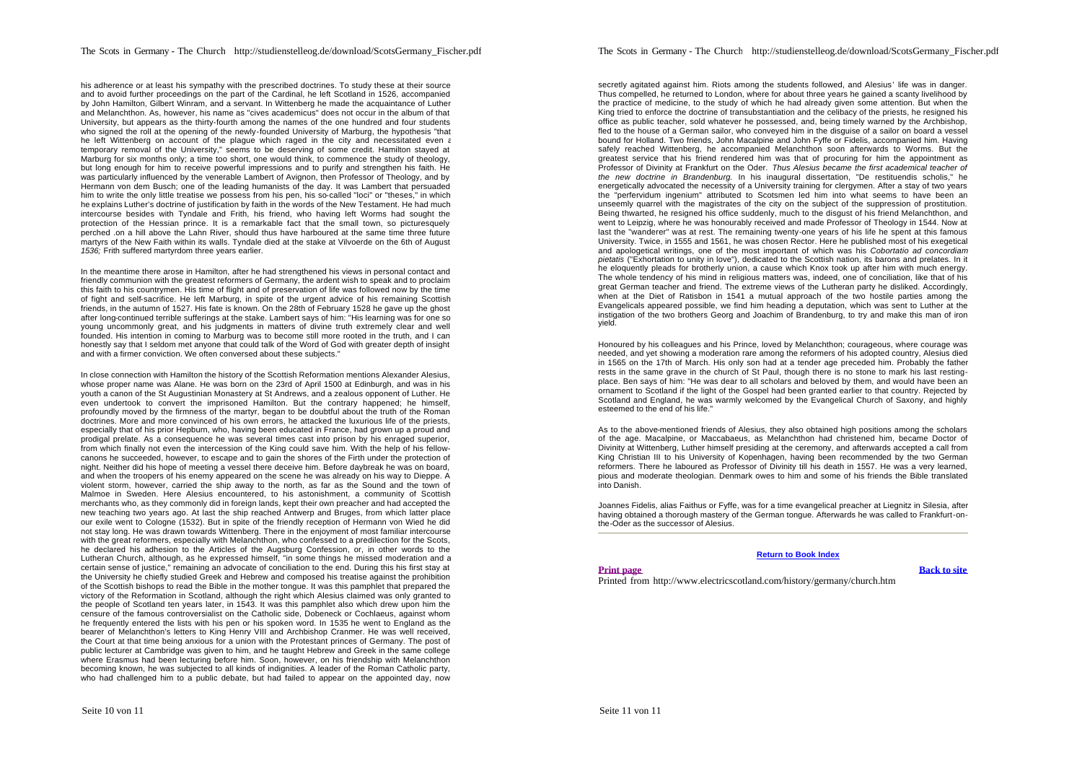his adherence or at least his sympathy with the prescribed doctrines. To study these at their source and to avoid further proceedings on the part of the Cardinal, he left Scotland in 1526, accompanied by John Hamilton, Gilbert Winram, and a servant. In Wittenberg he made the acquaintance of Luther and Melanchthon. As, however, his name as "cives academicus" does not occur in the album of that University, but appears as the thirty-fourth among the names of the one hundred and four students who signed the roll at the opening of the newly-founded University of Marburg, the hypothesis "that he left Wittenberg on account of the plague which raged in the city and necessitated even a temporary removal of the University," seems to be deserving of some credit. Hamilton stayed at Marburg for six months only; a time too short, one would think, to commence the study of theology, but long enough for him to receive powerful impressions and to purify and strengthen his faith. He was particularly influenced by the venerable Lambert of Avignon, then Professor of Theology, and by Hermann von dem Busch; one of the leading humanists of the day. It was Lambert that persuaded him to write the only little treatise we possess from his pen, his so-called "loci" or "theses," in which he explains Luther's doctrine of justification by faith in the words of the New Testament. He had much intercourse besides with Tyndale and Frith, his friend, who having left Worms had sought the protection of the Hessian prince. It is a remarkable fact that the small town, so picturesquely perched .on a hill above the Lahn River, should thus have harboured at the same time three future martyrs of the New Faith within its walls. Tyndale died at the stake at Vilvoerde on the 6th of August *1536;* Frith suffered martyrdom three years earlier.

In the meantime there arose in Hamilton, after he had strengthened his views in personal contact and friendly communion with the greatest reformers of Germany, the ardent wish to speak and to proclaim this faith to his countrymen. His time of flight and of preservation of life was followed now by the time of fight and self-sacrifice. He left Marburg, in spite of the urgent advice of his remaining Scottish friends, in the autumn of 1527. His fate is known. On the 28th of February 1528 he gave up the ghost after long-continued terrible sufferings at the stake. Lambert says of him: "His learning was for one so young uncommonly great, and his judgments in matters of divine truth extremely clear and well founded. His intention in coming to Marburg was to become still more rooted in the truth, and I can honestly say that I seldom met anyone that could talk of the Word of God with greater depth of insight and with a firmer conviction. We often conversed about these subjects."

In close connection with Hamilton the history of the Scottish Reformation mentions Alexander Alesius, whose proper name was Alane. He was born on the 23rd of April 1500 at Edinburgh, and was in his youth a canon of the St Augustinian Monastery at St Andrews, and a zealous opponent of Luther. He even undertook to convert the imprisoned Hamilton. But the contrary happened; he himself, profoundly moved by the firmness of the martyr, began to be doubtful about the truth of the Roman doctrines. More and more convinced of his own errors, he attacked the luxurious life of the priests, especially that of his prior Hepburn, who, having been educated in France, had grown up a proud and prodigal prelate. As a consequence he was several times cast into prison by his enraged superior, from which finally not even the intercession of the King could save him. With the help of his fellowcanons he succeeded, however, to escape and to gain the shores of the Firth under the protection of night. Neither did his hope of meeting a vessel there deceive him. Before daybreak he was on board, and when the troopers of his enemy appeared on the scene he was already on his way to Dieppe. A violent storm, however, carried the ship away to the north, as far as the Sound and the town of Malmoe in Sweden. Here Alesius encountered, to his astonishment, a community of Scottish merchants who, as they commonly did in foreign lands, kept their own preacher and had accepted the new teaching two years ago. At last the ship reached Antwerp and Bruges, from which latter place our exile went to Cologne (1532). But in spite of the friendly reception of Hermann von Wied he did not stay long. He was drawn towards Wittenberg. There in the enjoyment of most familiar intercourse with the great reformers, especially with Melanchthon, who confessed to a predilection for the Scots, he declared his adhesion to the Articles of the Augsburg Confession, or, in other words to the Lutheran Church, although, as he expressed himself, "in some things he missed moderation and a certain sense of justice," remaining an advocate of conciliation to the end. During this his first stay at the University he chiefly studied Greek and Hebrew and composed his treatise against the prohibition of the Scottish bishops to read the Bible in the mother tongue. It was this pamphlet that prepared the victory of the Reformation in Scotland, although the right which Alesius claimed was only granted to the people of Scotland ten years later, in 1543. It was this pamphlet also which drew upon him the censure of the famous controversialist on the Catholic side, Dobeneck or Cochlaeus, against whom he frequently entered the lists with his pen or his spoken word. In 1535 he went to England as the bearer of Melanchthon's letters to King Henry VIII and Archbishop Cranmer. He was well received, the Court at that time being anxious for a union with the Protestant princes of Germany. The post of public lecturer at Cambridge was given to him, and he taught Hebrew and Greek in the same college where Erasmus had been lecturing before him. Soon, however, on his friendship with Melanchthon becoming known, he was subjected to all kinds of indignities. A leader of the Roman Catholic party, who had challenged him to a public debate, but had failed to appear on the appointed day, now

Seite 10 von 11

secretly agitated against him. Riots among the students followed, and Alesius' life was in danger Thus compelled, he returned to London, where for about three years he gained a scanty livelihood by the practice of medicine, to the study of which he had already given some attention. But when the King tried to enforce the doctrine of transubstantiation and the celibacy of the priests, he resigned his office as public teacher, sold whatever he possessed, and, being timely warned by the Archbishop, fled to the house of a German sailor, who conveyed him in the disguise of a sailor on board a vessel bound for Holland. Two friends, John Macalpine and John Fyffe or Fidelis, accompanied him. Having safely reached Wittenberg, he accompanied Melanchthon soon afterwards to Worms. But the greatest service that his friend rendered him was that of procuring for him the appointment as Professor of Divinity at Frankfurt on the Oder. *Thus Alesius became the first academical teacher of the new doctrine in Brandenburg.* In his inaugural dissertation, "De restituendis scholis," he energetically advocated the necessity of a University training for clergymen. After a stay of two years the "perfervidum ingenium" attributed to Scotsmen led him into what seems to have been an unseemly quarrel with the magistrates of the city on the subject of the suppression of prostitution. Being thwarted, he resigned his office suddenly, much to the disgust of his friend Melanchthon, and went to Leipzig, where he was honourably received and made Professor of Theology in 1544. Now at last the "wanderer" was at rest. The remaining twenty-one years of his life he spent at this famous University. Twice, in 1555 and 1561, he was chosen Rector. Here he published most of his exegetical and apologetical writings, one of the most important of which was his *Cobortatio ad concordiam pietatis* ("Exhortation to unity in love"), dedicated to the Scottish nation, its barons and prelates. In it he eloquently pleads for brotherly union, a cause which Knox took up after him with much energy. The whole tendency of his mind in religious matters was, indeed, one of conciliation, like that of his great German teacher and friend. The extreme views of the Lutheran party he disliked. Accordingly, when at the Diet of Ratisbon in 1541 a mutual approach of the two hostile parties among the Evangelicals appeared possible, we find him heading a deputation, which was sent to Luther at the instigation of the two brothers Georg and Joachim of Brandenburg, to try and make this man of iron yield.

Honoured by his colleagues and his Prince, loved by Melanchthon; courageous, where courage was needed, and yet showing a moderation rare among the reformers of his adopted country, Alesius died in 1565 on the 17th of March. His only son had at a tender age preceded him. Probably the father rests in the same grave in the church of St Paul, though there is no stone to mark his last restingplace. Ben says of him: "He was dear to all scholars and beloved by them, and would have been an ornament to Scotland if the light of the Gospel had been granted earlier to that country. Rejected by Scotland and England, he was warmly welcomed by the Evangelical Church of Saxony, and highly esteemed to the end of his life."

As to the above-mentioned friends of Alesius, they also obtained high positions among the scholars of the age. Macalpine, or Maccabaeus, as Melanchthon had christened him, became Doctor of Divinity at Wittenberg, Luther himself presiding at the ceremony, and afterwards accepted a call from King Christian III to his University of Kopenhagen, having been recommended by the two German reformers. There he laboured as Professor of Divinity till his death in 1557. He was a very learned, pious and moderate theologian. Denmark owes to him and some of his friends the Bible translated into Danish.

Joannes Fidelis, alias Faithus or Fyffe, was for a time evangelical preacher at Liegnitz in Silesia, after having obtained a thorough mastery of the German tongue. Afterwards he was called to Frankfurt-onthe-Oder as the successor of Alesius.

#### **Return to Book Index**

## **Print page Back to site**

Printed from http://www.electricscotland.com/history/germany/church.htm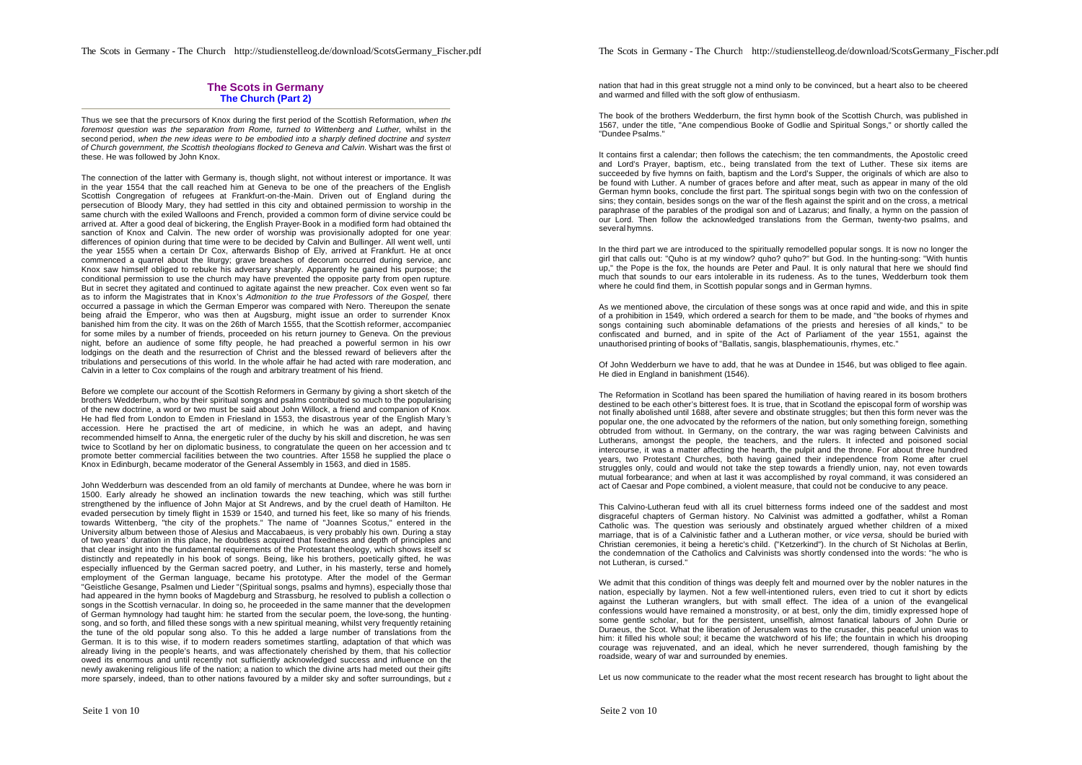## **The Scots in Germany The Church (Part 2)**

Thus we see that the precursors of Knox during the first period of the Scottish Reformation, *when the foremost question was the separation from Rome, turned to Wittenberg and Luther,* whilst in the second period, *when the new ideas were to be embodied into a sharply defined doctrine and system of Church government, the Scottish theologians flocked to Geneva and Calvin.* Wishart was the first of these. He was followed by John Knox.

The connection of the latter with Germany is, though slight, not without interest or importance. It was in the year 1554 that the call reached him at Geneva to be one of the preachers of the English-Scottish Congregation of refugees at Frankfurt-on-the-Main. Driven out of England during the persecution of Bloody Mary, they had settled in this city and obtained permission to worship in the same church with the exiled Walloons and French, provided a common form of divine service could be arrived at. After a good deal of bickering, the English Prayer-Book in a modified form had obtained the sanction of Knox and Calvin. The new order of worship was provisionally adopted for one year. differences of opinion during that time were to be decided by Calvin and Bullinger. All went well, until the year 1555 when a certain Dr Cox, afterwards Bishop of Ely, arrived at Frankfurt. He at once commenced a quarrel about the liturgy; grave breaches of decorum occurred during service, and Knox saw himself obliged to rebuke his adversary sharply. Apparently he gained his purpose; the conditional permission to use the church may have prevented the opposite party from open rupture. But in secret they agitated and continued to agitate against the new preacher. Cox even went so far as to inform the Magistrates that in Knox's *Admonition to the true Professors of the Gospel,* there occurred a passage in which the German Emperor was compared with Nero. Thereupon the senate, being afraid the Emperor, who was then at Augsburg, might issue an order to surrender Knox, banished him from the city. It was on the 26th of March 1555, that the Scottish reformer, accompanied for some miles by a number of friends, proceeded on his return journey to Geneva. On the previous night, before an audience of some fifty people, he had preached a powerful sermon in his own lodgings on the death and the resurrection of Christ and the blessed reward of believers after the tribulations and persecutions of this world. In the whole affair he had acted with rare moderation, and Calvin in a letter to Cox complains of the rough and arbitrary treatment of his friend.

Before we complete our account of the Scottish Reformers in Germany by giving a short sketch of the brothers Wedderburn, who by their spiritual songs and psalms contributed so much to the popularising of the new doctrine, a word or two must be said about John Willock, a friend and companion of Knox. He had fled from London to Emden in Friesland in 1553, the disastrous year of the English Mary 's accession. Here he practised the art of medicine, in which he was an adept, and having recommended himself to Anna, the energetic ruler of the duchy by his skill and discretion, he was sen twice to Scotland by her on diplomatic business, to congratulate the queen on her accession and to promote better commercial facilities between the two countries. After 1558 he supplied the place of Knox in Edinburgh, became moderator of the General Assembly in 1563, and died in 1585.

John Wedderburn was descended from an old family of merchants at Dundee, where he was born in 1500. Early already he showed an inclination towards the new teaching, which was still further strengthened by the influence of John Major at St Andrews, and by the cruel death of Hamilton. He evaded persecution by timely flight in 1539 or 1540, and turned his feet, like so many of his friends, towards Wittenberg, "the city of the prophets." The name of "Joannes Scotus," entered in the University album between those of Alesius and Maccabaeus, is very probably his own. During a stay of two years' duration in this place, he doubtless acquired that fixedness and depth of principles and that clear insight into the fundamental requirements of the Protestant theology, which shows itself so distinctly and repeatedly in his book of songs. Being, like his brothers, poetically gifted, he was especially influenced by the German sacred poetry, and Luther, in his masterly, terse and homely employment of the German language, became his prototype. After the model of the German "Geistliche Gesange, Psalmen und Lieder "(Spiritual songs, psalms and hymns), especially those that had appeared in the hymn books of Magdeburg and Strassburg, he resolved to publish a collection o songs in the Scottish vernacular. In doing so, he proceeded in the same manner that the development of German hymnology had taught him: he started from the secular poem, the love-song, the huntingsong, and so forth, and filled these songs with a new spiritual meaning, whilst very frequently retaining the tune of the old popular song also. To this he added a large number of translations from the German. It is to this wise, if to modern readers sometimes startling, adaptation of that which was already living in the people's hearts, and was affectionately cherished by them, that his collection owed its enormous and until recently not sufficiently acknowledged success and influence on the newly awakening religious life of the nation; a nation to which the divine arts had meted out their gifts more sparsely, indeed, than to other nations favoured by a milder sky and softer surroundings, but a The Scots in Germany - The Church http://studienstelleog.de/download/ScotsGermany\_Fischer.pdf

nation that had in this great struggle not a mind only to be convinced, but a heart also to be cheered and warmed and filled with the soft glow of enthusiasm.

The book of the brothers Wedderburn, the first hymn book of the Scottish Church, was published in 1567, under the title, "Ane compendious Booke of Godlie and Spiritual Songs," or shortly called the "Dundee Psalms."

It contains first a calendar; then follows the catechism; the ten commandments, the Apostolic creed and Lord's Prayer, baptism, etc., being translated from the text of Luther. These six items are succeeded by five hymns on faith, baptism and the Lord's Supper, the originals of which are also to be found with Luther. A number of graces before and after meat, such as appear in many of the old German hymn books, conclude the first part. The spiritual songs begin with two on the confession of sins; they contain, besides songs on the war of the flesh against the spirit and on the cross, a metrical paraphrase of the parables of the prodigal son and of Lazarus; and finally, a hymn on the passion of our Lord. Then follow the acknowledged translations from the German, twenty-two psalms, and several hymns.

In the third part we are introduced to the spiritually remodelled popular songs. It is now no longer the girl that calls out: "Quho is at my window? quho? quho?" but God. In the hunting-song: "With huntis up," the Pope is the fox, the hounds are Peter and Paul. It is only natural that here we should find much that sounds to our ears intolerable in its rudeness. As to the tunes, Wedderburn took them where he could find them, in Scottish popular songs and in German hymns.

As we mentioned above, the circulation of these songs was at once rapid and wide, and this in spite of a prohibition in 1549, which ordered a search for them to be made, and "the books of rhymes and songs containing such abominable defamations of the priests and heresies of all kinds," to be confiscated and burned, and in spite of the Act of Parliament of the year 1551, against the unauthorised printing of books of "Ballatis, sangis, blasphematiounis, rhymes, etc."

Of John Wedderburn we have to add, that he was at Dundee in 1546, but was obliged to flee again. He died in England in banishment (1546).

The Reformation in Scotland has been spared the humiliation of having reared in its bosom brothers destined to be each other's bitterest foes. It is true, that in Scotland the episcopal form of worship was not finally abolished until 1688, after severe and obstinate struggles; but then this form never was the popular one, the one advocated by the reformers of the nation, but only something foreign, something obtruded from without. In Germany, on the contrary, the war was raging between Calvinists and Lutherans, amongst the people, the teachers, and the rulers. It infected and poisoned social intercourse, it was a matter affecting the hearth, the pulpit and the throne. For about three hundred years, two Protestant Churches, both having gained their independence from Rome after cruel struggles only, could and would not take the step towards a friendly union, nay, not even towards mutual forbearance; and when at last it was accomplished by royal command, it was considered an act of Caesar and Pope combined, a violent measure, that could not be conducive to any peace.

This Calvino-Lutheran feud with all its cruel bitterness forms indeed one of the saddest and most disgraceful chapters of German history. No Calvinist was admitted a godfather, whilst a Roman Catholic was. The question was seriously and obstinately argued whether children of a mixed marriage, that is of a Calvinistic father and a Lutheran mother, or *vice versa,* should be buried with Christian ceremonies, it being a heretic's child. ("Ketzerkind"). In the church of St Nicholas at Berlin, the condemnation of the Catholics and Calvinists was shortly condensed into the words: "he who is not Lutheran, is cursed."

We admit that this condition of things was deeply felt and mourned over by the nobler natures in the nation, especially by laymen. Not a few well-intentioned rulers, even tried to cut it short by edicts against the Lutheran wranglers, but with small effect. The idea of a union of the evangelical confessions would have remained a monstrosity, or at best, only the dim, timidly expressed hope of some gentle scholar, but for the persistent, unselfish, almost fanatical labours of John Durie or Duraeus, the Scot. What the liberation of Jerusalem was to the crusader, this peaceful union was to him: it filled his whole soul; it became the watchword of his life; the fountain in which his drooping courage was rejuvenated, and an ideal, which he never surrendered, though famishing by the roadside, weary of war and surrounded by enemies.

Let us now communicate to the reader what the most recent research has brought to light about the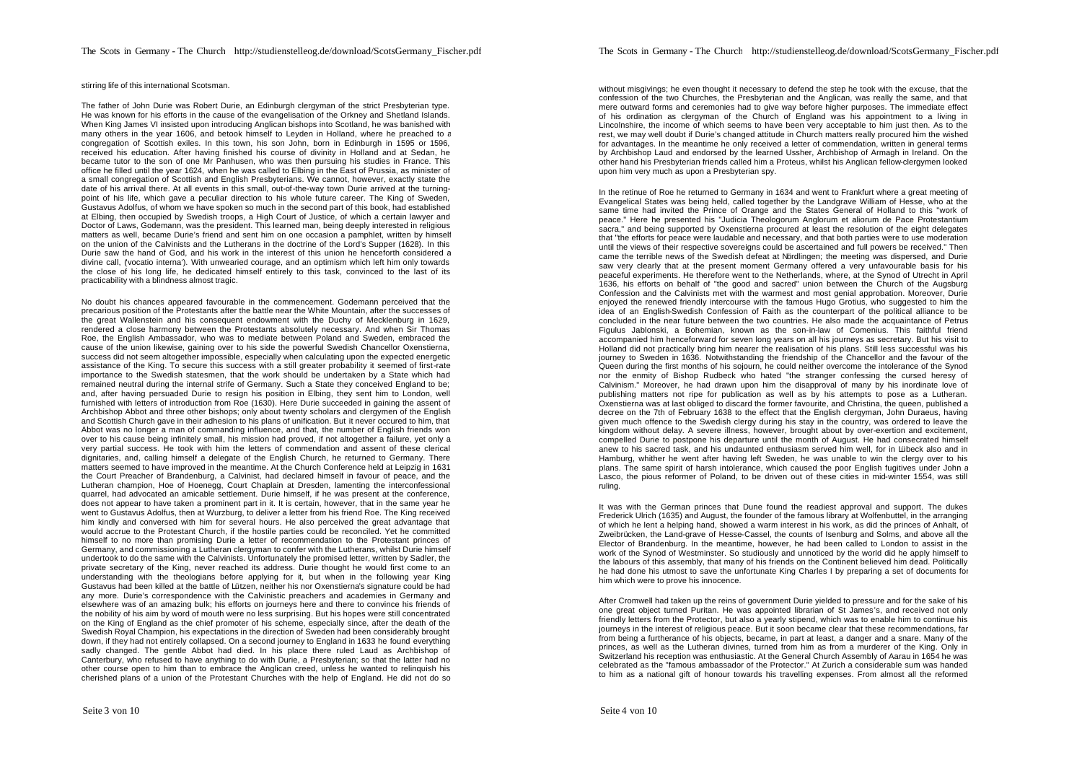#### stirring life of this international Scotsman.

The father of John Durie was Robert Durie, an Edinburgh clergyman of the strict Presbyterian type. He was known for his efforts in the cause of the evangelisation of the Orkney and Shetland Islands. When King James VI insisted upon introducing Anglican bishops into Scotland, he was banished with many others in the year 1606, and betook himself to Leyden in Holland, where he preached to a congregation of Scottish exiles. In this town, his son John, born in Edinburgh in 1595 or 1596, received his education. After having finished his course of divinity in Holland and at Sedan, he became tutor to the son of one Mr Panhusen, who was then pursuing his studies in France. This office he filled until the year 1624, when he was called to Elbing in the East of Prussia, as minister of a small congregation of Scottish and English Presbyterians. We cannot, however, exactly state the date of his arrival there. At all events in this small, out-of-the-way town Durie arrived at the turningpoint of his life, which gave a peculiar direction to his whole future career. The King of Sweden, Gustavus Adolfus, of whom we have spoken so much in the second part of this book, had established at Elbing, then occupied by Swedish troops, a High Court of Justice, of which a certain lawyer and Doctor of Laws, Godemann, was the president. This learned man, being deeply interested in religious matters as well, became Durie's friend and sent him on one occasion a pamphlet, written by himself on the union of the Calvinists and the Lutherans in the doctrine of the Lord's Supper (1628). In this Durie saw the hand of God, and his work in the interest of this union he henceforth considered a divine call, ('vocatio interna'). With unwearied courage, and an optimism which left him only towards the close of his long life, he dedicated himself entirely to this task, convinced to the last of its practicability with a blindness almost tragic.

No doubt his chances appeared favourable in the commencement. Godemann perceived that the precarious position of the Protestants after the battle near the White Mountain, after the successes of the great Wallenstein and his consequent endowment with the Duchy of Mecklenburg in 1629, rendered a close harmony between the Protestants absolutely necessary. And when Sir Thomas Roe, the English Ambassador, who was to mediate between Poland and Sweden, embraced the cause of the union likewise, gaining over to his side the powerful Swedish Chancellor Oxenstierna, success did not seem altogether impossible, especially when calculating upon the expected energetic assistance of the King. To secure this success with a still greater probability it seemed of first-rate importance to the Swedish statesmen, that the work should be undertaken by a State which had remained neutral during the internal strife of Germany. Such a State they conceived England to be; and, after having persuaded Durie to resign his position in Elbing, they sent him to London, well furnished with letters of introduction from Roe (1630). Here Durie succeeded in gaining the assent of Archbishop Abbot and three other bishops; only about twenty scholars and clergymen of the English and Scottish Church gave in their adhesion to his plans of unification. But it never occured to him, that Abbot was no longer a man of commanding influence, and that, the number of English friends won over to his cause being infinitely small, his mission had proved, if not altogether a failure, yet only a very partial success. He took with him the letters of commendation and assent of these clerical dignitaries, and, calling himself a delegate of the English Church, he returned to Germany. There matters seemed to have improved in the meantime. At the Church Conference held at Leipzig in 1631 the Court Preacher of Brandenburg, a Calvinist, had declared himself in favour of peace, and the Lutheran champion, Hoe of Hoenegg, Court Chaplain at Dresden, lamenting the interconfessional quarrel, had advocated an amicable settlement. Durie himself, if he was present at the conference, does not appear to have taken a prominent part in it. It is certain, however, that in the same year he went to Gustavus Adolfus, then at Wurzburg, to deliver a letter from his friend Roe. The King received him kindly and conversed with him for several hours. He also perceived the great advantage that would accrue to the Protestant Church, if the hostile parties could be reconciled. Yet he committed himself to no more than promising Durie a letter of recommendation to the Protestant princes of Germany, and commissioning a Lutheran clergyman to confer with the Lutherans, whilst Durie himself undertook to do the same with the Calvinists. Unfortunately the promised letter, written by Sadler, the private secretary of the King, never reached its address. Durie thought he would first come to an understanding with the theologians before applying for it, but when in the following year King Gustavus had been killed at the battle of Lützen, neither his nor Oxenstierna's signature could be had any more. Durie's correspondence with the Calvinistic preachers and academies in Germany and elsewhere was of an amazing bulk; his efforts on journeys here and there to convince his friends of the nobility of his aim by word of mouth were no less surprising. But his hopes were still concentrated on the King of England as the chief promoter of his scheme, especially since, after the death of the Swedish Royal Champion, his expectations in the direction of Sweden had been considerably brought down, if they had not entirely collapsed. On a second journey to England in 1633 he found everything sadly changed. The gentle Abbot had died. In his place there ruled Laud as Archbishop of Canterbury, who refused to have anything to do with Durie, a Presbyterian; so that the latter had no other course open to him than to embrace the Anglican creed, unless he wanted to relinquish his cherished plans of a union of the Protestant Churches with the help of England. He did not do so

without misgivings; he even thought it necessary to defend the step he took with the excuse, that the confession of the two Churches, the Presbyterian and the Anglican, was really the same, and that mere outward forms and ceremonies had to give way before higher purposes. The immediate effect of his ordination as clergyman of the Church of England was his appointment to a living in Lincolnshire, the income of which seems to have been very acceptable to him just then. As to the rest, we may well doubt if Durie's changed attitude in Church matters really procured him the wished for advantages. In the meantime he only received a letter of commendation, written in general terms by Archbishop Laud and endorsed by the learned Ussher, Archbishop of Armagh in Ireland. On the other hand his Presbyterian friends called him a Proteus, whilst his Anglican fellow-clergymen looked upon him very much as upon a Presbyterian spy.

In the retinue of Roe he returned to Germany in 1634 and went to Frankfurt where a great meeting of Evangelical States was being held, called together by the Landgrave William of Hesse, who at the same time had invited the Prince of Orange and the States General of Holland to this "work of peace." Here he presented his "Judicia Theologorum Anglorum et aliorum de Pace Protestantium sacra," and being supported by Oxenstierna procured at least the resolution of the eight delegates that "the efforts for peace were laudable and necessary, and that both parties were to use moderation until the views of their respective sovereigns could be ascertained and full powers be received." Then came the terrible news of the Swedish defeat at Nördlingen; the meeting was dispersed, and Durie saw very clearly that at the present moment Germany offered a very unfavourable basis for his peaceful experiments. He therefore went to the Netherlands, where, at the Synod of Utrecht in April 1636, his efforts on behalf of "the good and sacred" union between the Church of the Augsburg Confession and the Calvinists met with the warmest and most genial approbation. Moreover, Durie enjoyed the renewed friendly intercourse with the famous Hugo Grotius, who suggested to him the idea of an English-Swedish Confession of Faith as the counterpart of the political alliance to be concluded in the near future between the two countries. He also made the acquaintance of Petrus Figulus Jablonski, a Bohemian, known as the son-in-law of Comenius. This faithful friend accompanied him henceforward for seven long years on all his journeys as secretary. But his visit to Holland did not practically bring him nearer the realisation of his plans. Still less successful was his journey to Sweden in 1636. Notwithstanding the friendship of the Chancellor and the favour of the Queen during the first months of his sojourn, he could neither overcome the intolerance of the Synod nor the enmity of Bishop Rudbeck who hated "the stranger confessing the cursed heresy of Calvinism." Moreover, he had drawn upon him the disapproval of many by his inordinate love of publishing matters not ripe for publication as well as by his attempts to pose as a Lutheran. Oxenstierna was at last obliged to discard the former favourite, and Christina, the queen, published a decree on the 7th of February 1638 to the effect that the English clergyman, John Duraeus, having given much offence to the Swedish clergy during his stay in the country, was ordered to leave the kingdom without delay. A severe illness, however, brought about by over-exertion and excitement, compelled Durie to postpone his departure until the month of August. He had consecrated himself anew to his sacred task, and his undaunted enthusiasm served him well, for in Lübeck also and in Hamburg, whither he went after having left Sweden, he was unable to win the clergy over to his plans. The same spirit of harsh intolerance, which caused the poor English fugitives under John a Lasco, the pious reformer of Poland, to be driven out of these cities in mid-winter 1554, was still ruling.

It was with the German princes that Dune found the readiest approval and support. The dukes Frederick Ulrich (1635) and August, the founder of the famous library at Wolfenbuttel, in the arranging of which he lent a helping hand, showed a warm interest in his work, as did the princes of Anhalt, of Zweibrücken, the Land-grave of Hesse-Cassel, the counts of Isenburg and Solms, and above all the Elector of Brandenburg. In the meantime, however, he had been called to London to assist in the work of the Synod of Westminster. So studiously and unnoticed by the world did he apply himself to the labours of this assembly, that many of his friends on the Continent believed him dead. Politically he had done his utmost to save the unfortunate King Charles I by preparing a set of documents for him which were to prove his innocence.

After Cromwell had taken up the reins of government Durie yielded to pressure and for the sake of his one great object turned Puritan. He was appointed librarian of St James's, and received not only friendly letters from the Protector, but also a yearly stipend, which was to enable him to continue his journeys in the interest of religious peace. But it soon became clear that these recommendations, far from being a furtherance of his objects, became, in part at least, a danger and a snare. Many of the princes, as well as the Lutheran divines, turned from him as from a murderer of the King. Only in Switzerland his reception was enthusiastic. At the General Church Assembly of Aarau in 1654 he was celebrated as the "famous ambassador of the Protector." At Zurich a considerable sum was handed to him as a national gift of honour towards his travelling expenses. From almost all the reformed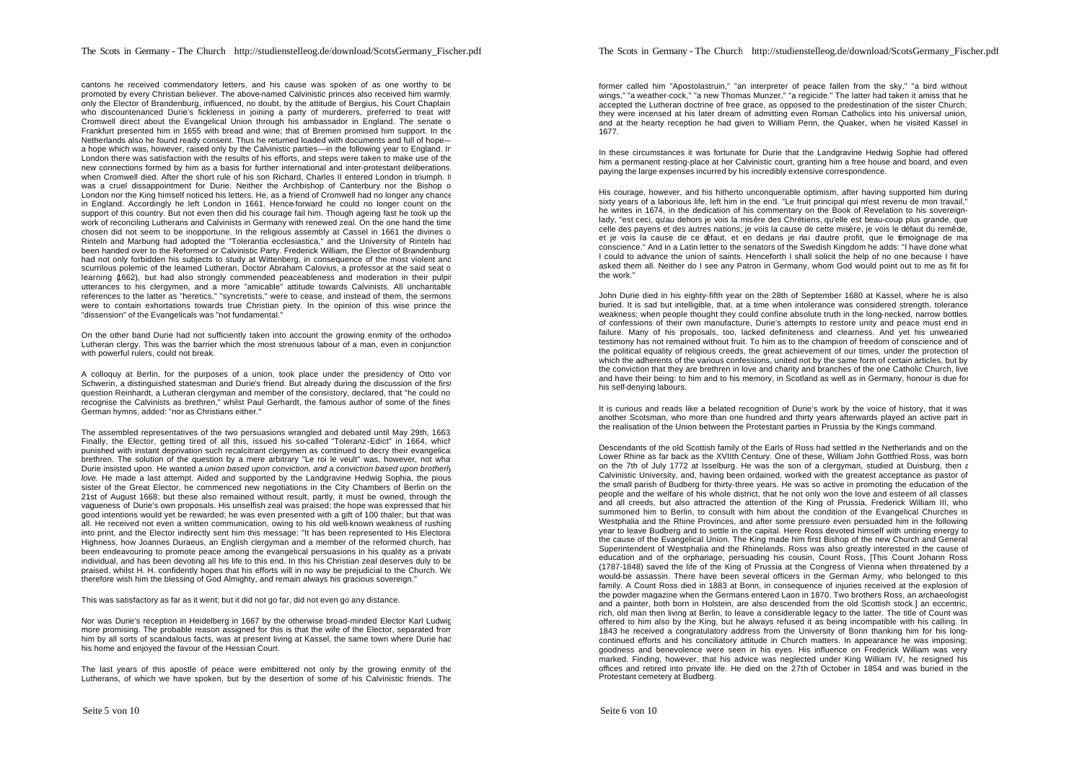cantons he received commendatory letters, and his cause was spoken of as one worthy to be promoted by every Christian believer. The above-named Calvinistic princes also received him warmly, only the Elector of Brandenburg, influenced, no doubt, by the attitude of Bergius, his Court Chaplain who discountenanced Durie's fickleness in joining a party of murderers, preferred to treat with Cromwell direct about the Evangelical Union through his ambassador in England. The senate of Frankfurt presented him in 1655 with bread and wine; that of Bremen promised him support. In the Netherlands also he found ready consent. Thus he returned loaded with documents and full of hope a hope which was, however, raised only by the Calvinistic parties—in the following year to England. In London there was satisfaction with the results of his efforts, and steps were taken to make use of the new connections formed by him as a basis for further international and inter-protestant deliberations, when Cromwell died. After the short rule of his son Richard, Charles II entered London in triumph. It was a cruel dissappointment for Durie. Neither the Archbishop of Canterbury nor the Bishop o London nor the King himself noticed his letters. He, as a friend of Cromwell had no longer any chance in England. Accordingly he left London in 1661. Hence-forward he could no longer count on the support of this country. But not even then did his courage fail him. Though ageing fast he took up the work of reconciling Lutherans and Calvinists in Germany with renewed zeal. On the one hand the time chosen did not seem to be inopportune. In the religious assembly at Cassel in 1661 the divines of Rinteln and Marbung had adopted the "Tolerantia ecclesiastica," and the University of Rinteln had been handed over to the Reformed or Calvinistic Party. Frederick William, the Elector of Brandenburg, had not only forbidden his subjects to study at Wittenberg, in consequence of the most violent and scurrilous polemic of the learned Lutheran, Doctor Abraham Calovius, a professor at the said seat o learning (1662), but had also strongly commended peaceableness and moderation in their pulpit utterances to his clergymen, and a more "amicable" attitude towards Calvinists. All uncharitable references to the latter as "heretics," "syncretists," were to cease, and instead of them, the sermons were to contain exhortations towards true Christian piety. In the opinion of this wise prince the "dissension" of the Evangelicals was "not fundamental."

On the other band Durie had not sufficiently taken into account the growing enmity of the orthodox Lutheran clergy. This was the barrier which the most strenuous labour of a man, even in conjunction with powerful rulers, could not break.

A colloquy at Berlin, for the purposes of a union, took place under the presidency of Otto von Schwerin, a distinguished statesman and Durie's friend. But already during the discussion of the first question Reinhardt, a Lutheran clergyman and member of the consistory, declared, that "he could no recognise the Calvinists as brethren," whilst Paul Gerhardt, the famous author of some of the fines German hymns, added: "nor as Christians either."

The assembled representatives of the two persuasions wrangled and debated until May 29th, 1663. Finally, the Elector, getting tired of all this, issued his so-called "Toleranz-Edict" in 1664, which punished with instant deprivation such recalcitrant clergymen as continued to decry their evangelical brethren. The solution of the question by a mere arbitrary "Le roi le veult" was, however, not what Durie insisted upon. He wanted a *union based upon conviction, and* a *conviction based upon brotherly love.* He made a last attempt. Aided and supported by the Landgravine Hedwig Sophia, the pious sister of the Great Elector, he commenced new negotiations in the City Chambers of Berlin on the 21st of August 1668; but these also remained without result, partly, it must be owned, through the vagueness of Durie's own proposals. His unselfish zeal was praised; the hope was expressed that his good intentions would yet be rewarded; he was even presented with a gift of 100 thaler; but that was all. He received not even a written communication, owing to his old well-known weakness of rushing into print, and the Elector indirectly sent him this message: "It has been represented to His Electoral Highness, how Joannes Duraeus, an English clergyman and a member of the reformed church, has been endeavouring to promote peace among the evangelical persuasions in his quality as a private individual, and has been devoting all his life to this end. In this his Christian zeal deserves duly to be praised, whilst H. H. confidently hopes that his efforts will in no way be prejudicial to the Church. We therefore wish him the blessing of God Almighty, and remain always his gracious sovereign."

This was satisfactory as far as it went; but it did not go far, did not even go any distance.

Nor was Durie's reception in Heidelberg in 1667 by the otherwise broad-minded Elector Karl Ludwig more promising. The probable reason assigned for this is that the wife of the Elector, separated from him by all sorts of scandalous facts, was at present living at Kassel, the same town where Durie hac his home and enjoyed the favour of the Hessian Court.

The last years of this apostle of peace were embittered not only by the growing enmity of the Lutherans, of which we have spoken, but by the desertion of some of his Calvinistic friends. The

former called him "Apostolastruin," "an interpreter of peace fallen from the sky," "a bird without wings," "a weather-cock," "a new Thomas Munzer," "a regicide." The latter had taken it amiss that he accepted the Lutheran doctrine of free grace, as opposed to the predestination of the sister Church; they were incensed at his later dream of admitting even Roman Catholics into his universal union, and at the hearty reception he had given to William Penn, the Quaker, when he visited Kassel in 1677.

In these circumstances it was fortunate for Durie that the Landgravine Hedwig Sophie had offered him a permanent resting-place at her Calvinistic court, granting him a free house and board, and even paying the large expenses incurred by his incredibly extensive correspondence.

His courage, however, and his hitherto unconquerable optimism, after having supported him during sixty years of a laborious life, left him in the end. "Le fruit principal qui m'est revenu de mon travail," he writes in 1674, in the dedication of his commentary on the Book of Revelation to his sovereignlady, "est ceci, qu'au dehors je vois la misêre des Chrétiens, qu'elle est beau-coup plus grande, que celle des payens et des autres nations; je vois la cause de cette misére, je vois le défaut du remêde, et je vois la cause de ce défaut, et en dedans je nai d'autre profit, que le témoignage de ma conscience." And in a Latin letter to the senators of the Swedish Kingdom he adds: "I have done what I could to advance the union of saints. Henceforth I shall solicit the help of no one because I have asked them all. Neither do I see any Patron in Germany, whom God would point out to me as fit for the work."

John Durie died in his eighty-fifth year on the 28th of September 1680 at Kassel, where he is also buried. It is sad but intelligible, that, at a time when intolerance was considered strength, tolerance weakness; when people thought they could confine absolute truth in the long-necked, narrow bottles of confessions of their own manufacture, Durie's attempts to restore unity and peace must end in failure. Many of his proposals, too, lacked definiteness and clearness. And yet his unwearied testimony has not remained without fruit. To him as to the champion of freedom of conscience and of the political equality of religious creeds, the great achievement of our times, under the protection of which the adherents of the various confessions, united not by the same form of certain articles, but by the conviction that they are brethren in love and charity and branches of the one Catholic Church, live and have their being: to him and to his memory, in Scotland as well as in Germany, honour is due for his self-denying labours.

It is curious and reads like a belated recognition of Durie's work by the voice of history, that it was another Scotsman, who more than one hundred and thirty years afterwards played an active part in the realisation of the Union between the Protestant parties in Prussia by the King's command.

Descendants of the old Scottish family of the Earls of Ross had settled in the Netherlands and on the Lower Rhine as far back as the XVIIth Century. One of these, William John Gottfried Ross, was born on the 7th of July 1772 at Isselburg. He was the son of a clergyman, studied at Duisburg, then a Calvinistic University, and, having been ordained, worked with the greatest acceptance as pastor of the small parish of Budberg for thirty-three years. He was so active in promoting the education of the people and the welfare of his whole district, that he not only won the love and esteem of all classes and all creeds, but also attracted the attention of the King of Prussia, Frederick William III, who summoned him to Berlin, to consult with him about the condition of the Evangelical Churches in Westphalia and the Rhine Provinces, and after some pressure even persuaded him in the following year to leave Budberg and to settle in the capital. Here Ross devoted himself with untiring energy to the cause of the Evangelical Union. The King made him first Bishop of the new Church and General Superintendent of Westphalia and the Rhinelands. Ross was also greatly interested in the cause of education and of the orphanage, persuading his cousin, Count Ross, [This Count Johann Ross (1787-1848) saved the life of the King of Prussia at the Congress of Vienna when threatened by a would-be assassin. There have been several officers in the German Army, who belonged to this family. A Count Ross died in 1883 at Bonn, in consequence of injuries received at the explosion of the powder magazine when the Germans entered Laon in 1870. Two brothers Ross, an archaeologist and a painter, both born in Holstein, are also descended from the old Scottish stock.] an eccentric, rich, old man then living at Berlin, to leave a considerable legacy to the latter. The title of Count was offered to him also by the King, but he always refused it as being incompatible with his calling. In 1843 he received a congratulatory address from the University of Bonn thanking him for his longcontinued efforts and his conciliatory attitude in Church matters. In appearance he was imposing; goodness and benevolence were seen in his eyes. His influence on Frederick William was very marked. Finding, however, that his advice was neglected under King William IV, he resigned his offices and retired into private life. He died on the 27th of October in 1854 and was buried in the Protestant cemetery at Budberg.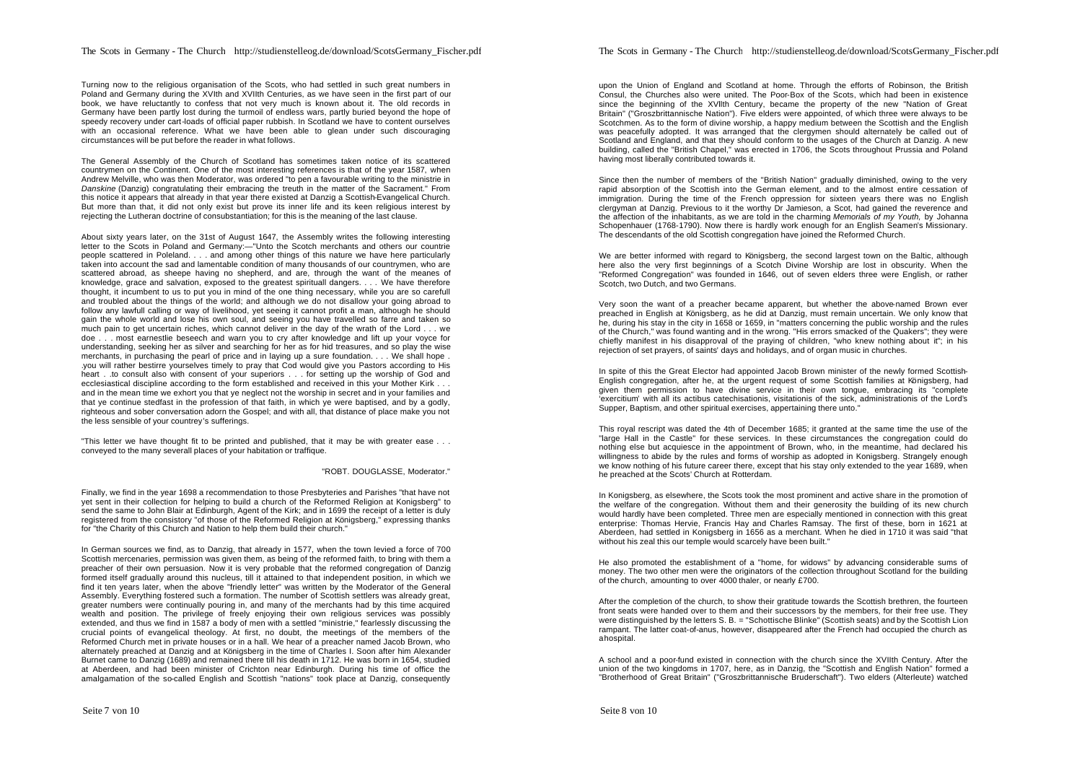Turning now to the religious organisation of the Scots, who had settled in such great numbers in Poland and Germany during the XVIth and XVIIth Centuries, as we have seen in the first part of our book, we have reluctantly to confess that not very much is known about it. The old records in Germany have been partly lost during the turmoil of endless wars, partly buried beyond the hope of speedy recovery under cart-loads of official paper rubbish. In Scotland we have to content ourselves with an occasional reference. What we have been able to glean under such discouraging circumstances will be put before the reader in what follows.

The General Assembly of the Church of Scotland has sometimes taken notice of its scattered countrymen on the Continent. One of the most interesting references is that of the year 1587, when Andrew Melville, who was then Moderator, was ordered "to pen a favourable writing to the ministrie in *Danskine* (Danzig) congratulating their embracing the treuth in the matter of the Sacrament." From this notice it appears that already in that year there existed at Danzig a Scottish-Evangelical Church. But more than that, it did not only exist but prove its inner life and its keen religious interest by rejecting the Lutheran doctrine of consubstantiation; for this is the meaning of the last clause.

About sixty years later, on the 31st of August 1647, the Assembly writes the following interesting letter to the Scots in Poland and Germany:—"Unto the Scotch merchants and others our countrie people scattered in Poleland. . . . and among other things of this nature we have here particularly taken into account the sad and lamentable condition of many thousands of our countrymen, who are scattered abroad, as sheepe having no shepherd, and are, through the want of the meanes of knowledge, grace and salvation, exposed to the greatest spirituall dangers. . . . We have therefore thought, it incumbent to us to put you in mind of the one thing necessary, while you are so carefull and troubled about the things of the world; and although we do not disallow your going abroad to follow any lawfull calling or way of livelihood, yet seeing it cannot profit a man, although he should gain the whole world and lose his own soul, and seeing you have travelled so farre and taken so much pain to get uncertain riches, which cannot deliver in the day of the wrath of the Lord . . . we doe . . . most earnestlie beseech and warn you to cry after knowledge and lift up your voyce for understanding, seeking her as silver and searching for her as for hid treasures, and so play the wise merchants, in purchasing the pearl of price and in laying up a sure foundation. . . . We shall hope . .you will rather bestirre yourselves timely to pray that Cod would give you Pastors according to His heart . .to consult also with consent of your superiors . . . for setting up the worship of God and ecclesiastical discipline according to the form established and received in this your Mother Kirk . . . and in the mean time we exhort you that ye neglect not the worship in secret and in your families and that ye continue stedfast in the profession of that faith, in which ye were baptised, and by a godly, righteous and sober conversation adorn the Gospel; and with all, that distance of place make you not the less sensible of your countrey's sufferings.

"This letter we have thought fit to be printed and published, that it may be with greater ease . . . conveyed to the many severall places of your habitation or traffique.

"ROBT. DOUGLASSE, Moderator."

Finally, we find in the year 1698 a recommendation to those Presbyteries and Parishes "that have not yet sent in their collection for helping to build a church of the Reformed Religion at Konigsberg" to send the same to John Blair at Edinburgh, Agent of the Kirk; and in 1699 the receipt of a letter is duly registered from the consistory "of those of the Reformed Religion at Königsberg," expressing thanks for "the Charity of this Church and Nation to help them build their church."

In German sources we find, as to Danzig, that already in 1577, when the town levied a force of 700 Scottish mercenaries, permission was given them, as being of the reformed faith, to bring with them a preacher of their own persuasion. Now it is very probable that the reformed congregation of Danzig formed itself gradually around this nucleus, till it attained to that independent position, in which we find it ten years later, when the above "friendly letter" was written by the Moderator of the General Assembly. Everything fostered such a formation. The number of Scottish settlers was already great, greater numbers were continually pouring in, and many of the merchants had by this time acquired wealth and position. The privilege of freely enjoying their own religious services was possibly extended, and thus we find in 1587 a body of men with a settled "ministrie," fearlessly discussing the crucial points of evangelical theology. At first, no doubt, the meetings of the members of the Reformed Church met in private houses or in a hall. We hear of a preacher named Jacob Brown, who alternately preached at Danzig and at Königsberg in the time of Charles I. Soon after him Alexander Burnet came to Danzig (1689) and remained there till his death in 1712. He was born in 1654, studied at Aberdeen, and had been minister of Crichton near Edinburgh. During his time of office the amalgamation of the so-called English and Scottish "nations" took place at Danzig, consequently

upon the Union of England and Scotland at home. Through the efforts of Robinson, the British Consul, the Churches also were united. The Poor-Box of the Scots, which had been in existence since the beginning of the XVllth Century, became the property of the new "Nation of Great Britain" ("Groszbrittannische Nation"). Five elders were appointed, of which three were always to be Scotchmen. As to the form of divine worship, a happy medium between the Scottish and the English was peacefully adopted. It was arranged that the clergymen should alternately be called out of Scotland and England, and that they should conform to the usages of the Church at Danzig. A new building, called the "British Chapel," was erected in 1706, the Scots throughout Prussia and Poland having most liberally contributed towards it.

Since then the number of members of the "British Nation" gradually diminished, owing to the very rapid absorption of the Scottish into the German element, and to the almost entire cessation of immigration. During the time of the French oppression for sixteen years there was no English clergyman at Danzig. Previous to it the worthy Dr Jamieson, a Scot, had gained the reverence and the affection of the inhabitants, as we are told in the charming *Memorials of my Youth,* by Johanna Schopenhauer (1768-1790). Now there is hardly work enough for an English Seamen's Missionary. The descendants of the old Scottish congregation have joined the Reformed Church.

We are better informed with regard to Königsberg, the second largest town on the Baltic, although here also the very first beginnings of a Scotch Divine Worship are lost in obscurity. When the "Reformed Congregation" was founded in 1646, out of seven elders three were English, or rather Scotch, two Dutch, and two Germans.

Very soon the want of a preacher became apparent, but whether the above-named Brown ever preached in English at Königsberg, as he did at Danzig, must remain uncertain. We only know that he, during his stay in the city in 1658 or 1659, in "matters concerning the public worship and the rules of the Church," was found wanting and in the wrong. "His errors smacked of the Quakers"; they were chiefly manifest in his disapproval of the praying of children, "who knew nothing about it"; in his rejection of set prayers, of saints' days and holidays, and of organ music in churches.

In spite of this the Great Elector had appointed Jacob Brown minister of the newly formed Scottish-English congregation, after he, at the urgent request of some Scottish families at Königsberg, had given them permission to have divine service in their own tongue, embracing its "complete 'exercitium' with all its actibus catechisationis, visitationis of the sick, administrationis of the Lord's Supper, Baptism, and other spiritual exercises, appertaining there unto."

This royal rescript was dated the 4th of December 1685; it granted at the same time the use of the "large Hall in the Castle" for these services. In these circumstances the congregation could do nothing else but acquiesce in the appointment of Brown, who, in the meantime, had declared his willingness to abide by the rules and forms of worship as adopted in Konigsberg. Strangely enough we know nothing of his future career there, except that his stay only extended to the year 1689, when he preached at the Scots' Church at Rotterdam.

In Konigsberg, as elsewhere, the Scots took the most prominent and active share in the promotion of the welfare of the congregation. Without them and their generosity the building of its new church would hardly have been completed. Three men are especially mentioned in connection with this great enterprise: Thomas Hervie, Francis Hay and Charles Ramsay. The first of these, born in 1621 at Aberdeen, had settled in Konigsberg in 1656 as a merchant. When he died in 1710 it was said "that without his zeal this our temple would scarcely have been built."

He also promoted the establishment of a "home, for widows" by advancing considerable sums of money. The two other men were the originators of the collection throughout Scotland for the building of the church, amounting to over 4000 thaler, or nearly £700.

After the completion of the church, to show their gratitude towards the Scottish brethren, the fourteen front seats were handed over to them and their successors by the members, for their free use. They were distinguished by the letters S. B. = "Schottische Blinke" (Scottish seats) and by the Scottish Lion rampant. The latter coat-of-anus, however, disappeared after the French had occupied the church as a hospital.

A school and a poor-fund existed in connection with the church since the XVIIth Century. After the union of the two kingdoms in 1707, here, as in Danzig, the "Scottish and English Nation" formed a "Brotherhood of Great Britain" ("Groszbrittannische Bruderschaft"). Two elders (Alterleute) watched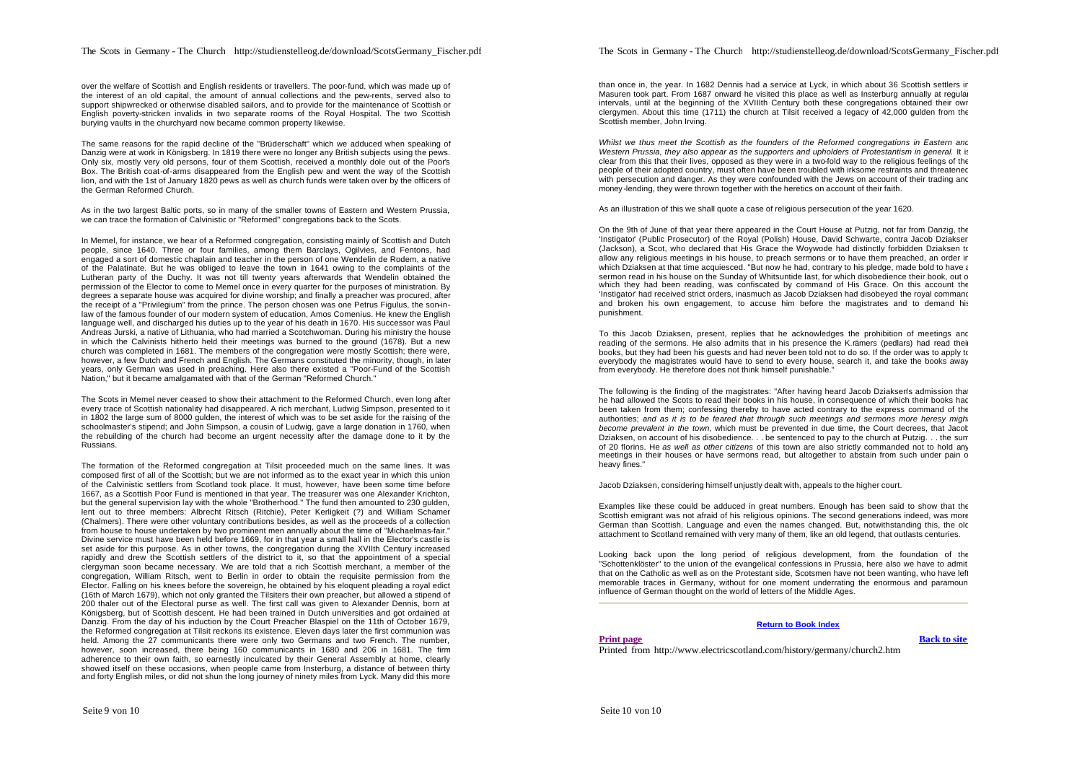over the welfare of Scottish and English residents or travellers. The poor-fund, which was made up of the interest of an old capital, the amount of annual collections and the pew-rents, served also to support shipwrecked or otherwise disabled sailors, and to provide for the maintenance of Scottish or English poverty-stricken invalids in two separate rooms of the Royal Hospital. The two Scottish burying vaults in the churchyard now became common property likewise.

The same reasons for the rapid decline of the "Brüderschaft" which we adduced when speaking of Danzig were at work in Königsberg. In 1819 there were no longer any British subjects using the pews. Only six, mostly very old persons, four of them Scottish, received a monthly dole out of the Poor's Box. The British coat-of-arms disappeared from the English pew and went the way of the Scottish lion, and with the 1st of January 1820 pews as well as church funds were taken over by the officers of the German Reformed Church.

As in the two largest Baltic ports, so in many of the smaller towns of Eastern and Western Prussia, we can trace the formation of Calvinistic or "Reformed" congregations back to the Scots.

In Memel, for instance, we hear of a Reformed congregation, consisting mainly of Scottish and Dutch people, since 1640. Three or four families, among them Barclays, Ogilvies, and Fentons, had engaged a sort of domestic chaplain and teacher in the person of one Wendelin de Rodem, a native of the Palatinate. But he was obliged to leave the town in 1641 owing to the complaints of the Lutheran party of the Duchy. It was not till twenty years afterwards that Wendelin obtained the permission of the Elector to come to Memel once in every quarter for the purposes of ministration. By degrees a separate house was acquired for divine worship; and finally a preacher was procured, after the receipt of a "Privilegium" from the prince. The person chosen was one Petrus Figulus, the son-inlaw of the famous founder of our modern system of education, Amos Comenius. He knew the English language well, and discharged his duties up to the year of his death in 1670. His successor was Paul Andreas Jurski, a native of Lithuania, who had married a Scotchwoman. During his ministry the house in which the Calvinists hitherto held their meetings was burned to the ground (1678). But a new church was completed in 1681. The members of the congregation were mostly Scottish; there were, however, a few Dutch and French and English. The Germans constituted the minority, though, in later years, only German was used in preaching. Here also there existed a "Poor-Fund of the Scottish Nation," but it became amalgamated with that of the German "Reformed Church."

The Scots in Memel never ceased to show their attachment to the Reformed Church, even long after every trace of Scottish nationality had disappeared. A rich merchant, Ludwig Simpson, presented to it in 1802 the large sum of 8000 gulden, the interest of which was to be set aside for the raising of the schoolmaster's stipend; and John Simpson, a cousin of Ludwig, gave a large donation in 1760, when the rebuilding of the church had become an urgent necessity after the damage done to it by the Russians.

The formation of the Reformed congregation at Tilsit proceeded much on the same lines. It was composed first of all of the Scottish; but we are not informed as to the exact year in which this union of the Calvinistic settlers from Scotland took place. It must, however, have been some time before 1667, as a Scottish Poor Fund is mentioned in that year. The treasurer was one Alexander Krichton, but the general supervision lay with the whole "Brotherhood." The fund then amounted to 230 gulden, lent out to three members: Albrecht Ritsch (Ritchie), Peter Kerligkeit (?) and William Schamer (Chalmers). There were other voluntary contributions besides, as well as the proceeds of a collection from house to house undertaken by two prominent men annually about the time of "Michaelmas-fair." Divine service must have been held before 1669, for in that year a small hall in the Elector's castle is set aside for this purpose. As in other towns, the congregation during the XVIIth Century increased rapidly and drew the Scottish settlers of the district to it, so that the appointment of a special clergyman soon became necessary. We are told that a rich Scottish merchant, a member of the congregation, William Ritsch, went to Berlin in order to obtain the requisite permission from the Elector. Falling on his knees before the sovereign, he obtained by his eloquent pleading a royal edict (16th of March 1679), which not only granted the Tilsiters their own preacher, but allowed a stipend of 200 thaler out of the Electoral purse as well. The first call was given to Alexander Dennis, born at Königsberg, but of Scottish descent. He had been trained in Dutch universities and got ordained at Danzig. From the day of his induction by the Court Preacher Blaspiel on the 11th of October 1679, the Reformed congregation at Tilsit reckons its existence. Eleven days later the first communion was held. Among the 27 communicants there were only two Germans and two French. The number, however, soon increased, there being 160 communicants in 1680 and 206 in 1681. The firm adherence to their own faith, so earnestly inculcated by their General Assembly at home, clearly showed itself on these occasions, when people came from Insterburg, a distance of between thirty and forty English miles, or did not shun the long journey of ninety miles from Lyck. Many did this more

than once in, the year. In 1682 Dennis had a service at Lyck, in which about 36 Scottish settlers in Masuren took part. From 1687 onward he visited this place as well as Insterburg annually at regular intervals, until at the beginning of the XVIIIth Century both these congregations obtained their own clergymen. About this time (1711) the church at Tilsit received a legacy of 42,000 gulden from the Scottish member, John Irving.

*Whilst we thus meet the Scottish as the founders of the Reformed congregations in Eastern and Western Prussia, they also appear as the supporters and upholders of Protestantism in general.* It is clear from this that their lives, opposed as they were in a two-fold way to the religious feelings of the people of their adopted country, must often have been troubled with irksome restraints and threatened with persecution and danger. As they were confounded with the Jews on account of their trading and money-lending, they were thrown together with the heretics on account of their faith.

As an illustration of this we shall quote a case of religious persecution of the year 1620.

On the 9th of June of that year there appeared in the Court House at Putzig, not far from Danzig, the 'Instigator' (Public Prosecutor) of the Royal (Polish) House, David Schwarte, contra Jacob Dziaksen (Jackson), a Scot, who declared that His Grace the Woywode had distinctly forbidden Dziaksen to allow any religious meetings in his house, to preach sermons or to have them preached, an order in which Dziaksen at that time acquiesced. "But now he had, contrary to his pledge, made bold to have a sermon read in his house on the Sunday of Whitsuntide last, for which disobedience their book, out of which they had been reading, was confiscated by command of His Grace. On this account the 'Instigator' had received strict orders, inasmuch as Jacob Dziaksen had disobeyed the royal command and broken his own engagement, to accuse him before the magistrates and to demand his punishment.

To this Jacob Dziaksen, present, replies that he acknowledges the prohibition of meetings and reading of the sermons. He also admits that in his presence the K.rämers (pedlars) had read their books, but they had been his quests and had never been told not to do so. If the order was to apply to everybody the magistrates would have to send to every house, search it, and take the books away from everybody. He therefore does not think himself punishable."

The following is the finding of the magistrates: "After having heard Jacob Dziaksen's admission that he had allowed the Scots to read their books in his house, in consequence of which their books had been taken from them; confessing thereby to have acted contrary to the express command of the authorities; and as it is to be feared that through such meetings and sermons more heresy migh *become prevalent in the town,* which must be prevented in due time, the Court decrees, that Jacob Dziaksen, on account of his disobedience. . . be sentenced to pay to the church at Putzig. . . the sum of 20 florins. He *as well as other citizens* of this town are also strictly commanded not to hold any meetings in their houses or have sermons read, but altogether to abstain from such under pain of heavy fines."

Jacob Dziaksen, considering himself unjustly dealt with, appeals to the higher court.

Examples like these could be adduced in great numbers. Enough has been said to show that the Scottish emigrant was not afraid of his religious opinions. The second generations indeed, was more German than Scottish. Language and even the names changed. But, notwithstanding this, the old attachment to Scotland remained with very many of them, like an old legend, that outlasts centuries.

Looking back upon the long period of religious development, from the foundation of the "Schottenklöster" to the union of the evangelical confessions in Prussia, here also we have to admit, that on the Catholic as well as on the Protestant side, Scotsmen have not been wanting, who have left memorable traces in Germany, without for one moment underrating the enormous and paramoun influence of German thought on the world of letters of the Middle Ages.

## **Return to Book Index**

**Print page Back to site** 

Printed from http://www.electricscotland.com/history/germany/church2.htm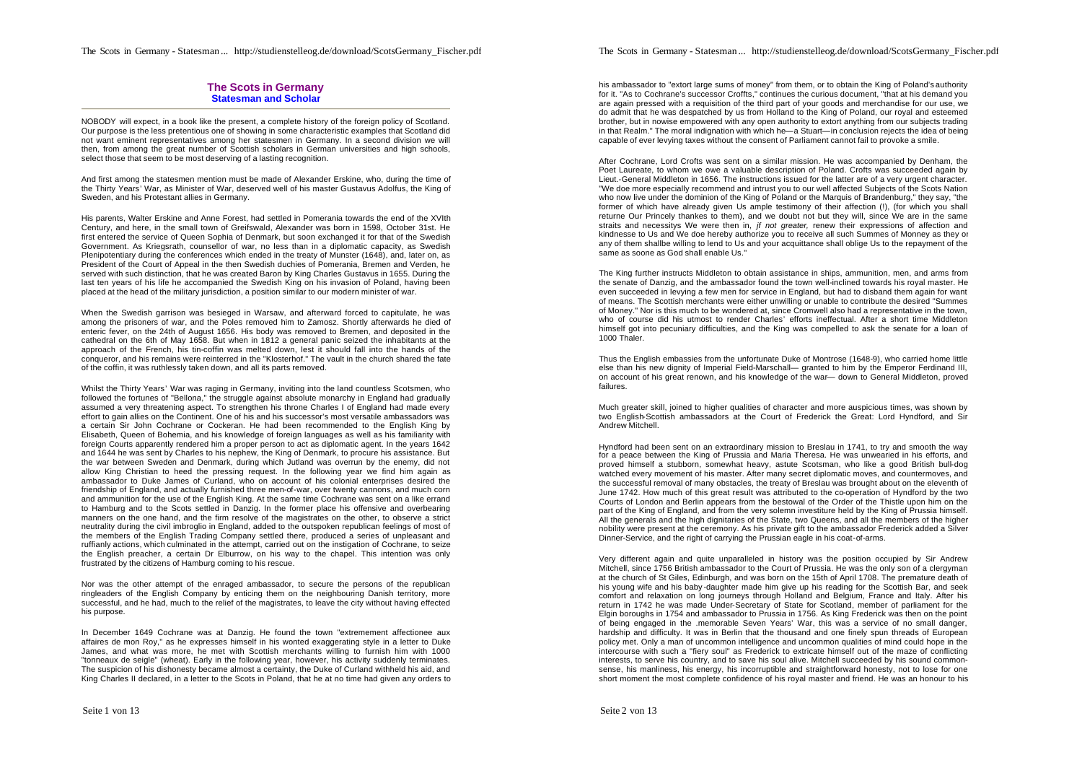## **The Scots in Germany Statesman and Scholar**

NOBODY will expect, in a book like the present, a complete history of the foreign policy of Scotland. Our purpose is the less pretentious one of showing in some characteristic examples that Scotland did not want eminent representatives among her statesmen in Germany. In a second division we will then, from among the great number of Scottish scholars in German universities and high schools, select those that seem to be most deserving of a lasting recognition.

And first among the statesmen mention must be made of Alexander Erskine, who, during the time of the Thirty Years' War, as Minister of War, deserved well of his master Gustavus Adolfus, the King of Sweden, and his Protestant allies in Germany.

His parents, Walter Erskine and Anne Forest, had settled in Pomerania towards the end of the XVIth Century, and here, in the small town of Greifswald, Alexander was born in 1598, October 31st. He first entered the service of Queen Sophia of Denmark, but soon exchanged it for that of the Swedish Government. As Kriegsrath, counsellor of war, no less than in a diplomatic capacity, as Swedish Plenipotentiary during the conferences which ended in the treaty of Munster (1648), and, later on, as President of the Court of Appeal in the then Swedish duchies of Pomerania, Bremen and Verden, he served with such distinction, that he was created Baron by King Charles Gustavus in 1655. During the last ten years of his life he accompanied the Swedish King on his invasion of Poland, having been placed at the head of the military jurisdiction, a position similar to our modern minister of war.

When the Swedish garrison was besieged in Warsaw, and afterward forced to capitulate, he was among the prisoners of war, and the Poles removed him to Zamosz. Shortly afterwards he died of enteric fever, on the 24th of August 1656. His body was removed to Bremen, and deposited in the cathedral on the 6th of May 1658. But when in 1812 a general panic seized the inhabitants at the approach of the French, his tin-coffin was melted down, lest it should fall into the hands of the conqueror, and his remains were reinterred in the "Klosterhof." The vault in the church shared the fate of the coffin, it was ruthlessly taken down, and all its parts removed.

Whilst the Thirty Years' War was raging in Germany, inviting into the land countless Scotsmen, who followed the fortunes of "Bellona," the struggle against absolute monarchy in England had gradually assumed a very threatening aspect. To strengthen his throne Charles I of England had made every effort to gain allies on the Continent. One of his and his successor's most versatile ambassadors was a certain Sir John Cochrane or Cockeran. He had been recommended to the English King by Elisabeth, Queen of Bohemia, and his knowledge of foreign languages as well as his familiarity with foreign Courts apparently rendered him a proper person to act as diplomatic agent. In the years 1642 and 1644 he was sent by Charles to his nephew, the King of Denmark, to procure his assistance. But the war between Sweden and Denmark, during which Jutland was overrun by the enemy, did not allow King Christian to heed the pressing request. In the following year we find him again as ambassador to Duke James of Curland, who on account of his colonial enterprises desired the friendship of England, and actually furnished three men-of-war, over twenty cannons, and much corn and ammunition for the use of the English King. At the same time Cochrane was sent on a like errand to Hamburg and to the Scots settled in Danzig. In the former place his offensive and overbearing manners on the one hand, and the firm resolve of the magistrates on the other, to observe a strict neutrality during the civil imbroglio in England, added to the outspoken republican feelings of most of the members of the English Trading Company settled there, produced a series of unpleasant and ruffianly actions, which culminated in the attempt, carried out on the instigation of Cochrane, to seize the English preacher, a certain Dr Elburrow, on his way to the chapel. This intention was only frustrated by the citizens of Hamburg coming to his rescue.

Nor was the other attempt of the enraged ambassador, to secure the persons of the republican ringleaders of the English Company by enticing them on the neighbouring Danish territory, more successful, and he had, much to the relief of the magistrates, to leave the city without having effected his purpose.

In December 1649 Cochrane was at Danzig. He found the town "extremement affectionee aux affaires de mon Roy," as he expresses himself in his wonted exaggerating style in a letter to Duke James, and what was more, he met with Scottish merchants willing to furnish him with 1000 "tonneaux de seigle" (wheat). Early in the following year, however, his activity suddenly terminates. The suspicion of his dishonesty became almost a certainty, the Duke of Curland withheld his aid, and King Charles II declared, in a letter to the Scots in Poland, that he at no time had given any orders to

Seite 1 von 13

The Scots in Germany - Statesman ... http://studienstelleog.de/download/ScotsGermany\_Fischer.pdf

his ambassador to "extort large sums of money" from them, or to obtain the King of Poland's authority for it. "As to Cochrane's successor Croffts," continues the curious document, "that at his demand you are again pressed with a requisition of the third part of your goods and merchandise for our use, we do admit that he was despatched by us from Holland to the King of Poland, our royal and esteemed brother, but in nowise empowered with any open authority to extort anything from our subjects trading in that Realm." The moral indignation with which he—a Stuart—in conclusion rejects the idea of being capable of ever levying taxes without the consent of Parliament cannot fail to provoke a smile.

After Cochrane, Lord Crofts was sent on a similar mission. He was accompanied by Denham, the Poet Laureate, to whom we owe a valuable description of Poland. Crofts was succeeded again by Lieut.-General Middleton in 1656. The instructions issued for the latter are of a very urgent character. "We doe more especially recommend and intrust you to our well affected Subjects of the Scots Nation who now live under the dominion of the King of Poland or the Marquis of Brandenburg," they say, "the former of which have already given Us ample testimony of their affection (!), (for which you shall returne Our Princely thankes to them), and we doubt not but they will, since We are in the same straits and necessitys We were then in, *jf not greater,* renew their expressions of affection and kindnesse to Us and We doe hereby authorize you to receive all such Summes of Monney as they or any of them shallbe willing to lend to Us and your acquittance shall oblige Us to the repayment of the same as soone as God shall enable Us."

The King further instructs Middleton to obtain assistance in ships, ammunition, men, and arms from the senate of Danzig, and the ambassador found the town well-inclined towards his royal master. He even succeeded in levying a few men for service in England, but had to disband them again for want of means. The Scottish merchants were either unwilling or unable to contribute the desired "Summes of Money." Nor is this much to be wondered at, since Cromwell also had a representative in the town, who of course did his utmost to render Charles' efforts ineffectual. After a short time Middleton himself got into pecuniary difficulties, and the King was compelled to ask the senate for a loan of 1000 Thaler.

Thus the English embassies from the unfortunate Duke of Montrose (1648-9), who carried home little else than his new dignity of Imperial Field-Marschall— granted to him by the Emperor Ferdinand III, on account of his great renown, and his knowledge of the war— down to General Middleton, proved failures.

Much greater skill, joined to higher qualities of character and more auspicious times, was shown by two English-Scottish ambassadors at the Court of Frederick the Great: Lord Hyndford, and Sir Andrew Mitchell.

Hyndford had been sent on an extraordinary mission to Breslau in 1741, to try and smooth the way for a peace between the King of Prussia and Maria Theresa. He was unwearied in his efforts, and proved himself a stubborn, somewhat heavy, astute Scotsman, who like a good British bull-dog watched every movement of his master. After many secret diplomatic moves, and countermoves, and the successful removal of many obstacles, the treaty of Breslau was brought about on the eleventh of June 1742. How much of this great result was attributed to the co-operation of Hyndford by the two Courts of London and Berlin appears from the bestowal of the Order of the Thistle upon him on the part of the King of England, and from the very solemn investiture held by the King of Prussia himself. All the generals and the high dignitaries of the State, two Queens, and all the members of the higher nobility were present at the ceremony. As his private gift to the ambassador Frederick added a Silver Dinner-Service, and the right of carrying the Prussian eagle in his coat-of-arms.

Very different again and quite unparalleled in history was the position occupied by Sir Andrew Mitchell, since 1756 British ambassador to the Court of Prussia. He was the only son of a clergyman at the church of St Giles, Edinburgh, and was born on the 15th of April 1708. The premature death of his young wife and his baby -daughter made him give up his reading for the Scottish Bar, and seek comfort and relaxation on long journeys through Holland and Belgium, France and Italy. After his return in 1742 he was made Under-Secretary of State for Scotland, member of parliament for the Elgin boroughs in 1754 and ambassador to Prussia in 1756. As King Frederick was then on the point of being engaged in the .memorable Seven Years' War, this was a service of no small danger, hardship and difficulty. It was in Berlin that the thousand and one finely spun threads of European policy met. Only a man of uncommon intelligence and uncommon qualities of mind could hope in the intercourse with such a "fiery soul" as Frederick to extricate himself out of the maze of conflicting interests, to serve his country, and to save his soul alive. Mitchell succeeded by his sound commonsense, his manliness, his energy, his incorruptible and straightforward honesty, not to lose for one short moment the most complete confidence of his royal master and friend. He was an honour to his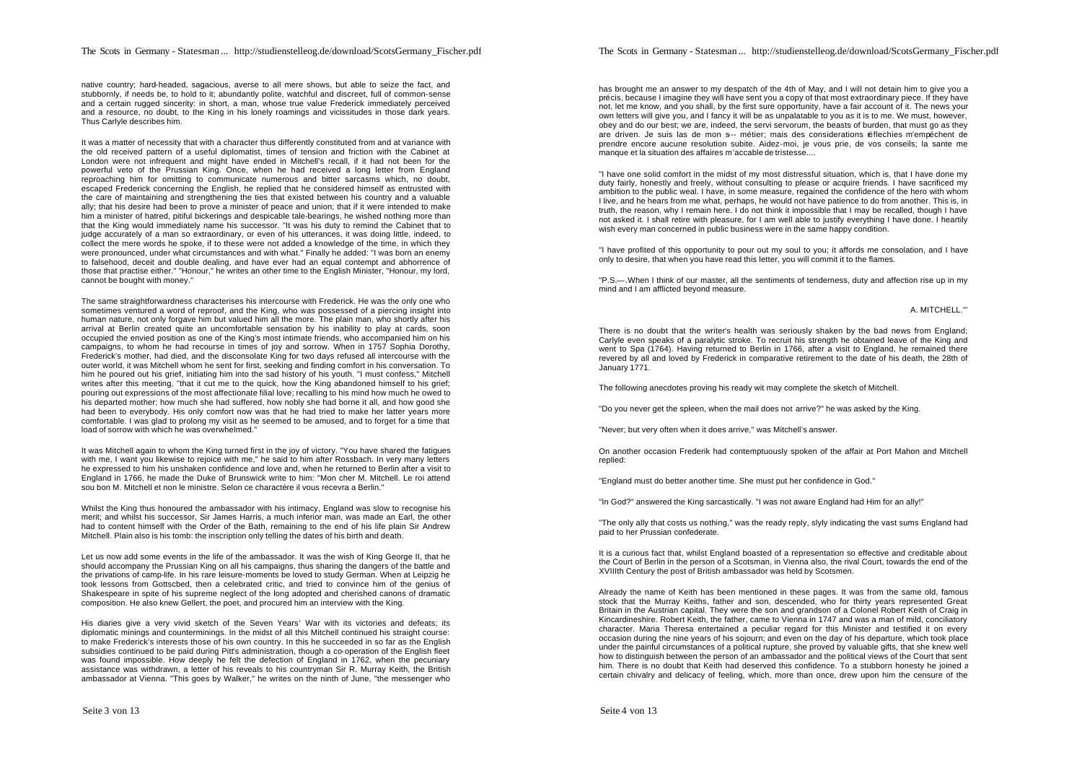native country; hard-headed, sagacious, averse to all mere shows, but able to seize the fact, and stubbornly, if needs be, to hold to it; abundantly polite, watchful and discreet, full of common-sense and a certain rugged sincerity: in short, a man, whose true value Frederick immediately perceived

It was a matter of necessity that with a character thus differently constituted from and at variance with the old received pattern of a useful diplomatist, times of tension and friction with the Cabinet at London were not infrequent and might have ended in Mitchell's recall, if it had not been for the powerful veto of the Prussian King. Once, when he had received a long letter from England reproaching him for omitting to communicate numerous and bitter sarcasms which, no doubt, escaped Frederick concerning the English, he replied that he considered himself as entrusted with the care of maintaining and strengthening the ties that existed between his country and a valuable ally; that his desire had been to prove a minister of peace and union; that if it were intended to make him a minister of hatred, pitiful bickerings and despicable tale-bearings, he wished nothing more than that the King would immediately name his successor. "It was his duty to remind the Cabinet that to judge accurately of a man so extraordinary, or even of his utterances, it was doing little, indeed, to collect the mere words he spoke, if to these were not added a knowledge of the time, in which they were pronounced, under what circumstances and with what." Finally he added: "I was born an enemy to falsehood, deceit and double dealing, and have ever had an equal contempt and abhorrence of those that practise either." "Honour," he writes an other time to the English Minister, "Honour, my lord, cannot be bought with money."

and a resource, no doubt, to the King in his lonely roamings and vicissitudes in those dark years.

Thus Carlyle describes him.

The same straightforwardness characterises his intercourse with Frederick. He was the only one who sometimes ventured a word of reproof, and the King, who was possessed of a piercing insight into human nature, not only forgave him but valued him all the more. The plain man, who shortly after his arrival at Berlin created quite an uncomfortable sensation by his inability to play at cards, soon occupied the envied position as one of the King's most intimate friends, who accompanied him on his campaigns, to whom he had recourse in times of joy and sorrow. When in 1757 Sophia Dorothy, Frederick's mother, had died, and the disconsolate King for two days refused all intercourse with the outer world, it was Mitchell whom he sent for first, seeking and finding comfort in his conversation. To him he poured out his grief, initiating him into the sad history of his youth. "I must confess," Mitchell writes after this meeting, "that it cut me to the quick, how the King abandoned himself to his grief; pouring out expressions of the most affectionate filial love; recalling to his mind how much he owed to his departed mother; how much she had suffered, how nobly she had borne it all, and how good she had been to everybody. His only comfort now was that he had tried to make her latter years more comfortable. I was glad to prolong my visit as he seemed to be amused, and to forget for a time that load of sorrow with which he was overwhelmed."

It was Mitchell again to whom the King turned first in the joy of victory. "You have shared the fatigues with me, I want you likewise to rejoice with me," he said to him after Rossbach. In very many letters he expressed to him his unshaken confidence and love and, when he returned to Berlin after a visit to England in 1766, he made the Duke of Brunswick write to him: "Mon cher M. Mitchell. Le roi attend sou bon M. Mitchell et non le ministre. Selon ce charactère il vous recevra a Berlin."

Whilst the King thus honoured the ambassador with his intimacy, England was slow to recognise his merit; and whilst his successor, Sir James Harris, a much inferior man, was made an Earl, the other had to content himself with the Order of the Bath, remaining to the end of his life plain Sir Andrew Mitchell. Plain also is his tomb: the inscription only telling the dates of his birth and death.

Let us now add some events in the life of the ambassador. It was the wish of King George II, that he should accompany the Prussian King on all his campaigns, thus sharing the dangers of the battle and the privations of camp-life. In his rare leisure-moments be loved to study German. When at Leipzig he took lessons from Gottscbed, then a celebrated critic, and tried to convince him of the genius of Shakespeare in spite of his supreme neglect of the long adopted and cherished canons of dramatic composition. He also knew Gellert, the poet, and procured him an interview with the King.

His diaries give a very vivid sketch of the Seven Years' War with its victories and defeats; its diplomatic minings and counterminings. In the midst of all this Mitchell continued his straight course: to make Frederick's interests those of his own country. In this he succeeded in so far as the English subsidies continued to be paid during Pitt's administration, though a co-operation of the English fleet was found impossible. How deeply he felt the defection of England in 1762, when the pecuniary assistance was withdrawn, a letter of his reveals to his countryman Sir R. Murray Keith, the British ambassador at Vienna. "This goes by Walker," he writes on the ninth of June, "the messenger who

has brought me an answer to my despatch of the 4th of May, and I will not detain him to give you a précis, because I imagine they will have sent you a copy of that most extraordinary piece. If they have not, let me know, and you shall, by the first sure opportunity, have a fair account of it. The news your own letters will give you, and I fancy it will be as unpalatable to you as it is to me. We must, however, obey and do our best; we are, indeed, the servi servorum, the beasts of burden, that must go as they are driven. Je suis las de mon s--- métier; mais des considerations réflechies m'empéchent de prendre encore aucune resolution subite. Aidez-moi, je vous prie, de vos conseils; la sante me manque et la situation des affaires m'accable de tristesse....

"I have one solid comfort in the midst of my most distressful situation, which is, that I have done my duty fairly, honestly and freely, without consulting to please or acquire friends. I have sacrificed my ambition to the public weal. I have, in some measure, regained the confidence of the hero with whom I live, and he hears from me what, perhaps, he would not have patience to do from another. This is, in truth, the reason, why I remain here. I do not think it impossible that I may be recalled, though I have not asked it. I shall retire with pleasure, for I am well able to justify everything I have done. I heartily wish every man concerned in public business were in the same happy condition.

"I have profited of this opportunity to pour out my soul to you; it affords me consolation, and I have only to desire, that when you have read this letter, you will commit it to the flames.

"P.S.—.When I think of our master, all the sentiments of tenderness, duty and affection rise up in my mind and I am afflicted beyond measure.

A. MITCHELL."

There is no doubt that the writer's health was seriously shaken by the bad news from England; Carlyle even speaks of a paralytic stroke. To recruit his strength he obtained leave of the King and went to Spa (1764). Having returned to Berlin in 1766, after a visit to England, he remained there revered by all and loved by Frederick in comparative retirement to the date of his death, the 28th of January 1771.

The following anecdotes proving his ready wit may complete the sketch of Mitchell.

"Do you never get the spleen, when the mail does not arrive?" he was asked by the King.

"Never; but very often when it does arrive," was Mitchell's answer.

On another occasion Frederik had contemptuously spoken of the affair at Port Mahon and Mitchell replied:

"England must do better another time. She must put her confidence in God."

"In God?" answered the King sarcastically. "I was not aware England had Him for an ally!"

"The only ally that costs us nothing," was the ready reply, slyly indicating the vast sums England had paid to her Prussian confederate.

It is a curious fact that, whilst England boasted of a representation so effective and creditable about the Court of Berlin in the person of a Scotsman, in Vienna also, the rival Court, towards the end of the XVIIIth Century the post of British ambassador was held by Scotsmen.

Already the name of Keith has been mentioned in these pages. It was from the same old, famous stock that the Murray Keiths, father and son, descended, who for thirty years represented Great Britain in the Austrian capital. They were the son and grandson of a Colonel Robert Keith of Craig in Kincardineshire. Robert Keith, the father, came to Vienna in 1747 and was a man of mild, conciliatory character. Maria Theresa entertained a peculiar regard for this Minister and testified it on every occasion during the nine years of his sojourn; and even on the day of his departure, which took place under the painful circumstances of a political rupture, she proved by valuable gifts, that she knew well how to distinguish between the person of an ambassador and the political views of the Court that sent him. There is no doubt that Keith had deserved this confidence. To a stubborn honesty he joined a certain chivalry and delicacy of feeling, which, more than once, drew upon him the censure of the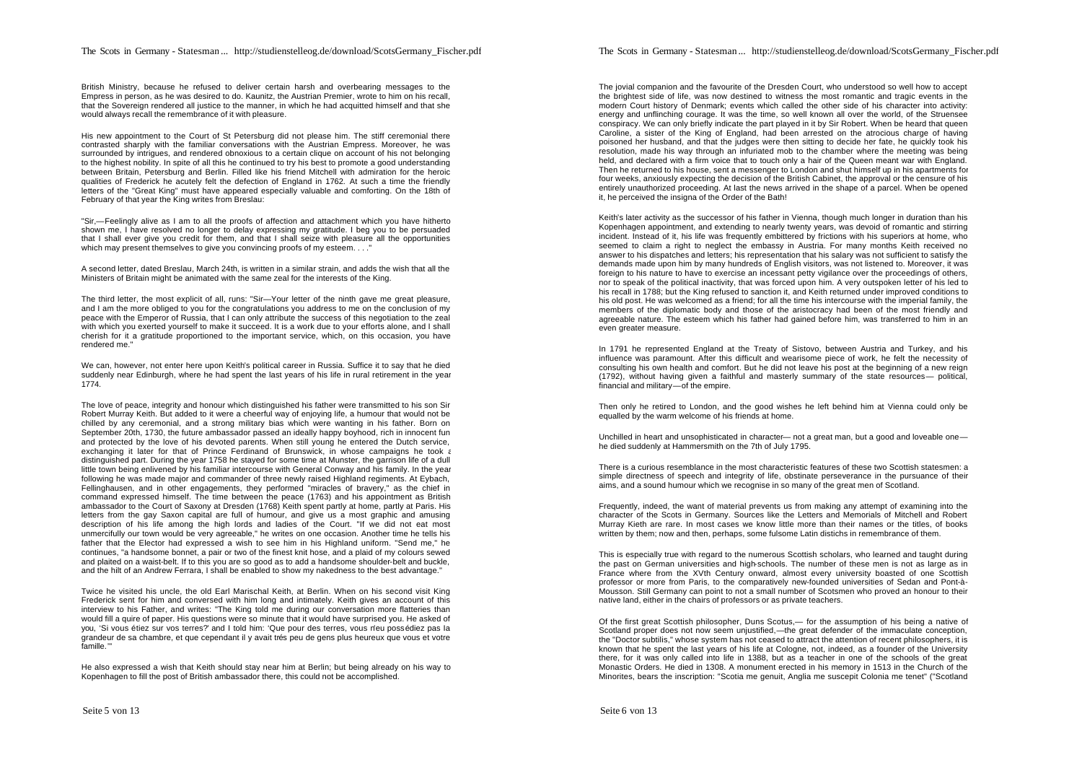British Ministry, because he refused to deliver certain harsh and overbearing messages to the Empress in person, as he was desired to do. Kaunitz, the Austrian Premier, wrote to him on his recall, that the Sovereign rendered all justice to the manner, in which he had acquitted himself and that she would always recall the remembrance of it with pleasure.

His new appointment to the Court of St Petersburg did not please him. The stiff ceremonial there contrasted sharply with the familiar conversations with the Austrian Empress. Moreover, he was surrounded by intrigues, and rendered obnoxious to a certain clique on account of his not belonging to the highest nobility. In spite of all this he continued to try his best to promote a good understanding between Britain, Petersburg and Berlin. Filled like his friend Mitchell with admiration for the heroic qualities of Frederick he acutely felt the defection of England in 1762. At such a time the friendly letters of the "Great King" must have appeared especially valuable and comforting. On the 18th of February of that year the King writes from Breslau:

"Sir,—Feelingly alive as I am to all the proofs of affection and attachment which you have hitherto shown me, I have resolved no longer to delay expressing my gratitude. I beg you to be persuaded that I shall ever give you credit for them, and that I shall seize with pleasure all the opportunities which may present themselves to give you convincing proofs of my esteem.  $\blacksquare$ 

A second letter, dated Breslau, March 24th, is written in a similar strain, and adds the wish that all the Ministers of Britain might be animated with the same zeal for the interests of the King.

The third letter, the most explicit of all, runs: "Sir—Your letter of the ninth gave me great pleasure, and I am the more obliged to you for the congratulations you address to me on the conclusion of my peace with the Emperor of Russia, that I can only attribute the success of this negotiation to the zeal with which you exerted yourself to make it succeed. It is a work due to your efforts alone, and I shall cherish for it a gratitude proportioned to the important service, which, on this occasion, you have rendered me."

We can, however, not enter here upon Keith's political career in Russia. Suffice it to say that he died suddenly near Edinburgh, where he had spent the last years of his life in rural retirement in the year 1774.

The love of peace, integrity and honour which distinguished his father were transmitted to his son Sir Robert Murray Keith. But added to it were a cheerful way of enjoying life, a humour that would not be chilled by any ceremonial, and a strong military bias which were wanting in his father. Born on September 20th, 1730, the future ambassador passed an ideally happy boyhood, rich in innocent fun and protected by the love of his devoted parents. When still young he entered the Dutch service, exchanging it later for that of Prince Ferdinand of Brunswick, in whose campaigns he took a distinguished part. During the year 1758 he stayed for some time at Munster, the garrison life of a dull little town being enlivened by his familiar intercourse with General Conway and his family. In the year following he was made major and commander of three newly raised Highland regiments. At Eybach, Fellinghausen, and in other engagements, they performed "miracles of bravery," as the chief in command expressed himself. The time between the peace (1763) and his appointment as British ambassador to the Court of Saxony at Dresden (1768) Keith spent partly at home, partly at Paris. His letters from the gay Saxon capital are full of humour, and give us a most graphic and amusing description of his life among the high lords and ladies of the Court. "If we did not eat most unmercifully our town would be very agreeable," he writes on one occasion. Another time he tells his father that the Elector had expressed a wish to see him in his Highland uniform. "Send me," he continues, "a handsome bonnet, a pair or two of the finest knit hose, and a plaid of my colours sewed and plaited on a waist-belt. If to this you are so good as to add a handsome shoulder-belt and buckle, and the hilt of an Andrew Ferrara, I shall be enabled to show my nakedness to the best advantage."

Twice he visited his uncle, the old Earl Marischal Keith, at Berlin. When on his second visit King Frederick sent for him and conversed with him long and intimately. Keith gives an account of this interview to his Father, and writes: "The King told me during our conversation more flatteries than would fill a quire of paper. His questions were so minute that it would have surprised you. He asked of you, 'Si vous étiez sur vos terres?' and I told him: 'Que pour des terres, vous n'eu possédiez pas Ia grandeur de sa chambre, et que cependant il y avait trés peu de gens plus heureux que vous et votre famille."

He also expressed a wish that Keith should stay near him at Berlin; but being already on his way to Kopenhagen to fill the post of British ambassador there, this could not be accomplished.

The jovial companion and the favourite of the Dresden Court, who understood so well how to accept the brightest side of life, was now destined to witness the most romantic and tragic events in the modern Court history of Denmark; events which called the other side of his character into activity: energy and unflinching courage. It was the time, so well known all over the world, of the Struensee conspiracy. We can only briefly indicate the part played in it by Sir Robert. When be heard that queen Caroline, a sister of the King of England, had been arrested on the atrocious charge of having poisoned her husband, and that the judges were then sitting to decide her fate, he quickly took his resolution, made his way through an infuriated mob to the chamber where the meeting was being held, and declared with a firm voice that to touch only a hair of the Queen meant war with England. Then he returned to his house, sent a messenger to London and shut himself up in his apartments for four weeks, anxiously expecting the decision of the British Cabinet, the approval or the censure of his entirely unauthorized proceeding. At last the news arrived in the shape of a parcel. When be opened it, he perceived the insigna of the Order of the Bath!

Keith's later activity as the successor of his father in Vienna, though much longer in duration than his Kopenhagen appointment, and extending to nearly twenty years, was devoid of romantic and stirring incident. Instead of it, his life was frequently embittered by frictions with his superiors at home, who seemed to claim a right to neglect the embassy in Austria. For many months Keith received no answer to his dispatches and letters; his representation that his salary was not sufficient to satisfy the demands made upon him by many hundreds of English visitors, was not listened to. Moreover, it was foreign to his nature to have to exercise an incessant petty vigilance over the proceedings of others, nor to speak of the political inactivity, that was forced upon him. A very outspoken letter of his led to his recall in 1788; but the King refused to sanction it, and Keith returned under improved conditions to his old post. He was welcomed as a friend; for all the time his intercourse with the imperial family, the members of the diplomatic body and those of the aristocracy had been of the most friendly and agreeable nature. The esteem which his father had gained before him, was transferred to him in an even greater measure.

In 1791 he represented England at the Treaty of Sistovo, between Austria and Turkey, and his influence was paramount. After this difficult and wearisome piece of work, he felt the necessity of consulting his own health and comfort. But he did not leave his post at the beginning of a new reign (1792), without having given a faithful and masterly summary of the state resources— political, financial and military—of the empire.

Then only he retired to London, and the good wishes he left behind him at Vienna could only be equalled by the warm welcome of his friends at home.

Unchilled in heart and unsophisticated in character— not a great man, but a good and loveable one he died suddenly at Hammersmith on the 7th of July 1795.

There is a curious resemblance in the most characteristic features of these two Scottish statesmen: a simple directness of speech and integrity of life, obstinate perseverance in the pursuance of their aims, and a sound humour which we recognise in so many of the great men of Scotland.

Frequently, indeed, the want of material prevents us from making any attempt of examining into the character of the Scots in Germany. Sources like the Letters and Memorials of Mitchell and Robert Murray Kieth are rare. In most cases we know little more than their names or the titles, of books written by them; now and then, perhaps, some fulsome Latin distichs in remembrance of them.

This is especially true with regard to the numerous Scottish scholars, who learned and taught during the past on German universities and high-schools. The number of these men is not as large as in France where from the XVth Century onward, almost every university boasted of one Scottish professor or more from Paris, to the comparatively new-founded universities of Sedan and Pont-à-Mousson. Still Germany can point to not a small number of Scotsmen who proved an honour to their native land, either in the chairs of professors or as private teachers.

Of the first great Scottish philosopher, Duns Scotus,— for the assumption of his being a native of Scotland proper does not now seem unjustified,—the great defender of the immaculate conception, the "Doctor subtilis," whose system has not ceased to attract the attention of recent philosophers, it is known that he spent the last years of his life at Cologne, not, indeed, as a founder of the University there, for it was only called into life in 1388, but as a teacher in one of the schools of the great Monastic Orders. He died in 1308. A monument erected in his memory in 1513 in the Church of the Minorites, bears the inscription: "Scotia me genuit, Anglia me suscepit Colonia me tenet" ("Scotland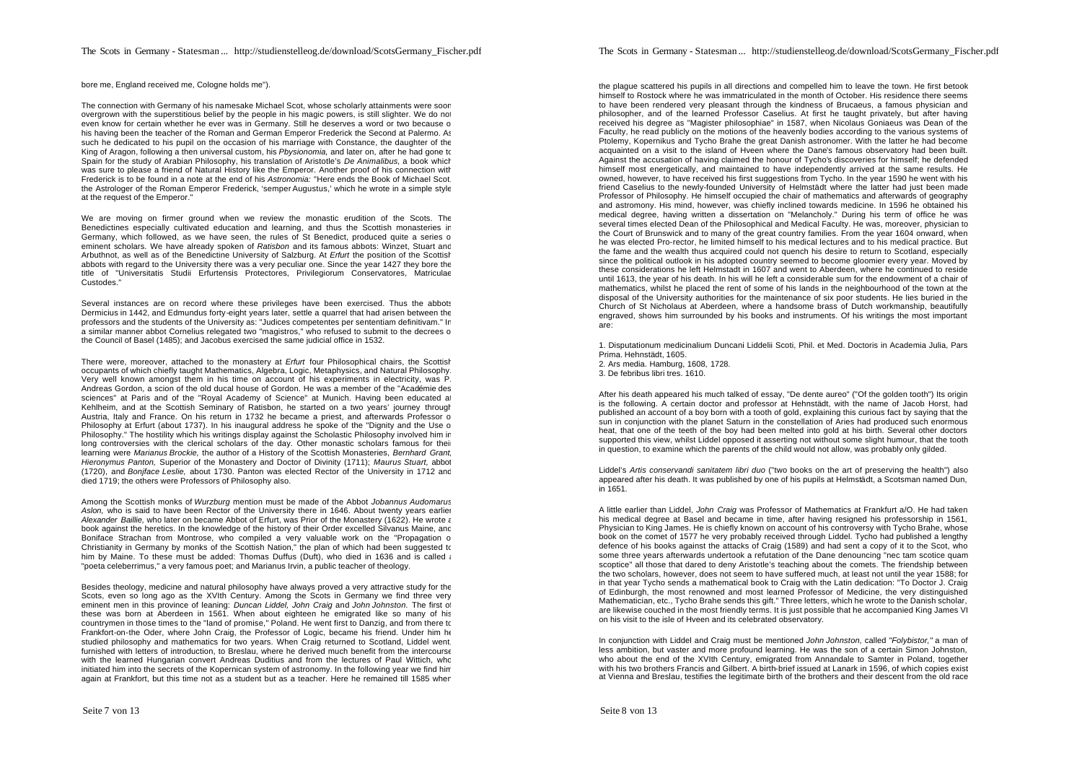bore me, England received me, Cologne holds me").

The connection with Germany of his namesake Michael Scot, whose scholarly attainments were soon overgrown with the superstitious belief by the people in his magic powers, is still slighter. We do not even know for certain whether he ever was in Germany. Still he deserves a word or two because of his having been the teacher of the Roman and German Emperor Frederick the Second at Palermo. As such he dedicated to his pupil on the occasion of his marriage with Constance, the daughter of the King of Aragon, following a then universal custom, his *Pbysionomia,* and later on, after he had gone to Spain for the study of Arabian Philosophy, his translation of Aristotle's *De Animalibus,* a book which was sure to please a friend of Natural History like the Emperor. Another proof of his connection with Frederick is to be found in a note at the end of his *Astronomia:* "Here ends the Book of Michael Scot, the Astrologer of the Roman Emperor Frederick, 'semper Augustus,' which he wrote in a simple style at the request of the Emperor."

We are moving on firmer ground when we review the monastic erudition of the Scots. The Benedictines especially cultivated education and learning, and thus the Scottish monasteries in Germany, which followed, as we have seen, the rules of St Benedict, produced quite a series of eminent scholars. We have already spoken of *Ratisbon* and its famous abbots: Winzet, Stuart and Arbuthnot, as well as of the Benedictine University of Salzburg. At *Erfurt* the position of the Scottish abbots with regard to the University there was a very peculiar one. Since the year 1427 they bore the title of "Universitatis Studii Erfurtensis Protectores, Privilegiorum Conservatores, Matriculae Custodes."

Several instances are on record where these privileges have been exercised. Thus the abbots Dermicius in 1442, and Edmundus forty-eight years later, settle a quarrel that had arisen between the professors and the students of the University as: "Judices competentes per sententiam definitivam." In a similar manner abbot Cornelius relegated two "magistros," who refused to submit to the decrees o the Council of Basel (1485); and Jacobus exercised the same judicial office in 1532.

There were, moreover, attached to the monastery at *Erfurt* four Philosophical chairs, the Scottish occupants of which chiefly taught Mathematics, Algebra, Logic, Metaphysics, and Natural Philosophy. Very well known amongst them in his time on account of his experiments in electricity, was P. Andreas Gordon, a scion of the old ducal house of Gordon. He was a member of the "Académie des sciences" at Paris and of the "Royal Academy of Science" at Munich. Having been educated at Kehlheim, and at the Scottish Seminary of Ratisbon, he started on a two years' journey through Austria, Italy and France. On his return in 1732 he became a priest, and afterwards Professor of Philosophy at Erfurt (about 1737). In his inaugural address he spoke of the "Dignity and the Use of Philosophy." The hostility which his writings display against the Scholastic Philosophy involved him in long controversies with the clerical scholars of the day. Other monastic scholars famous for their learning were *Marianus Brockie,* the author of a History of the Scottish Monasteries, *Bernhard Grant, Hieronymus Panton,* Superior of the Monastery and Doctor of Divinity (1711); *Maurus Stuart,* abbot (1720), and *Bonjface Leslie,* about 1730. Panton was elected Rector of the University in 1712 and died 1719; the others were Professors of Philosophy also.

Among the Scottish monks of *Wurzburg* mention must be made of the Abbot *Jobannus Audomarus Aslon,* who is said to have been Rector of the University there in 1646. About twenty years earlier *Alexander Baillie,* who later on became Abbot of Erfurt, was Prior of the Monastery (1622). He wrote a book against the heretics. In the knowledge of the history of their Order excelled Silvanus Maine, and Boniface Strachan from Montrose, who compiled a very valuable work on the "Propagation of Christianity in Germany by monks of the Scottish Nation," the plan of which had been suggested to him by Maine. To these must be added: Thomas Duffus (Duft), who died in 1636 and is called a "poeta celeberrimus," a very famous poet; and Marianus Irvin, a public teacher of theology.

Besides theology, medicine and natural philosophy have always proved a very attractive study for the Scots, even so long ago as the XVIth Century. Among the Scots in Germany we find three very eminent men in this province of leaning: *Duncan Liddel, John Craig* and *John Johnston.* The first of these was born at Aberdeen in 1561. When about eighteen he emigrated like so many of his countrymen in those times to the "land of promise," Poland. He went first to Danzig, and from there to Frankfort-on-the Oder, where John Craig, the Professor of Logic, became his friend. Under him he studied philosophy and mathematics for two years. When Craig returned to Scotland, Liddel went, furnished with letters of introduction, to Breslau, where he derived much benefit from the intercourse with the learned Hungarian convert Andreas Duditius and from the lectures of Paul Wittich, who initiated him into the secrets of the Kopernican system of astronomy. In the following year we find him again at Frankfort, but this time not as a student but as a teacher. Here he remained till 1585 when

the plague scattered his pupils in all directions and compelled him to leave the town. He first betook himself to Rostock where he was immatriculated in the month of October. His residence there seems to have been rendered very pleasant through the kindness of Brucaeus, a famous physician and philosopher, and of the learned Professor Caselius. At first he taught privately, but after having received his degree as "Magister philosophiae" in 1587, when Nicolaus Goniaeus was Dean of the Faculty, he read publicly on the motions of the heavenly bodies according to the various systems of Ptolemy, Kopernikus and Tycho Brahe the great Danish astronomer. With the latter he had become acquainted on a visit to the island of Hveen where the Dane's famous observatory had been built. Against the accusation of having claimed the honour of Tycho's discoveries for himself; he defended himself most energetically, and maintained to have independently arrived at the same results. He owned, however, to have received his first suggestions from Tycho. In the year 1590 he went with his friend Caselius to the newly-founded University of Helmstädt where the latter had just been made Professor of Philosophy. He himself occupied the chair of mathematics and afterwards of geography and astromony. His mind, however, was chiefly inclined towards medicine. In 1596 he obtained his medical degree, having written a dissertation on "Melancholy." During his term of office he was several times elected Dean of the Philosophical and Medical Faculty. He was, moreover, physician to the Court of Brunswick and to many of the great country families. From the year 1604 onward, when he was elected Pro-rector, he limited himself to his medical lectures and to his medical practice. But the fame and the wealth thus acquired could not quench his desire to return to Scotland, especially since the political outlook in his adopted country seemed to become gloomier every year. Moved by these considerations he left Helmstadt in 1607 and went to Aberdeen, where he continued to reside until 1613, the year of his death. In his will he left a considerable sum for the endowment of a chair of mathematics, whilst he placed the rent of some of his lands in the neighbourhood of the town at the disposal of the University authorities for the maintenance of six poor students. He lies buried in the Church of St Nicholaus at Aberdeen, where a handsome brass of Dutch workmanship, beautifully engraved, shows him surrounded by his books and instruments. Of his writings the most important are:

1. Disputationum medicinalium Duncani Liddelii Scoti, Phil. et Med. Doctoris in Academia Julia, Pars Prima. Hehnstädt, 1605. 2. Ars media. Hamburg, 1608, 1728. 3. De febribus libri tres. 1610.

After his death appeared his much talked of essay, "De dente aureo" ("Of the golden tooth") Its origin is the following. A certain doctor and professor at Hehnstädt, with the name of Jacob Horst, had published an account of a boy born with a tooth of gold, explaining this curious fact by saying that the sun in conjunction with the planet Saturn in the constellation of Aries had produced such enormous heat, that one of the teeth of the boy had been melted into gold at his birth. Several other doctors supported this view, whilst Liddel opposed it asserting not without some slight humour, that the tooth in question, to examine which the parents of the child would not allow, was probably only gilded.

Liddel's *Artis conservandi sanitatem libri duo* ("two books on the art of preserving the health") also appeared after his death. It was published by one of his pupils at Helmstädt, a Scotsman named Dun, in 1651.

A little earlier than Liddel, *John Craig* was Professor of Mathematics at Frankfurt a/O. He had taken his medical degree at Basel and became in time, after having resigned his professorship in 1561, Physician to King James. He is chiefly known on account of his controversy with Tycho Brahe, whose book on the comet of 1577 he very probably received through Liddel. Tycho had published a lengthy defence of his books against the attacks of Craig (1589) and had sent a copy of it to the Scot, who some three years afterwards undertook a refutation of the Dane denouncing "nec tam scotice quam scoptice" all those that dared to deny Aristotle's teaching about the comets. The friendship between the two scholars, however, does not seem to have suffered much, at least not until the year 1588; for in that year Tycho sends a mathematical book to Craig with the Latin dedication: "To Doctor J. Craig of Edinburgh, the most renowned and most learned Professor of Medicine, the very distinguished Mathematician, etc., Tycho Brahe sends this gift." Three letters, which he wrote to the Danish scholar, are likewise couched in the most friendly terms. It is just possible that he accompanied King James VI on his visit to the isle of Hveen and its celebrated observatory.

In conjunction with Liddel and Craig must be mentioned *John Johnston,* called *"Folybistor,"* a man of less ambition, but vaster and more profound learning. He was the son of a certain Simon Johnston, who about the end of the XVIth Century, emigrated from Annandale to Samter in Poland, together with his two brothers Francis and Gilbert. A birth-brief issued at Lanark in 1596, of which copies exist at Vienna and Breslau, testifies the legitimate birth of the brothers and their descent from the old race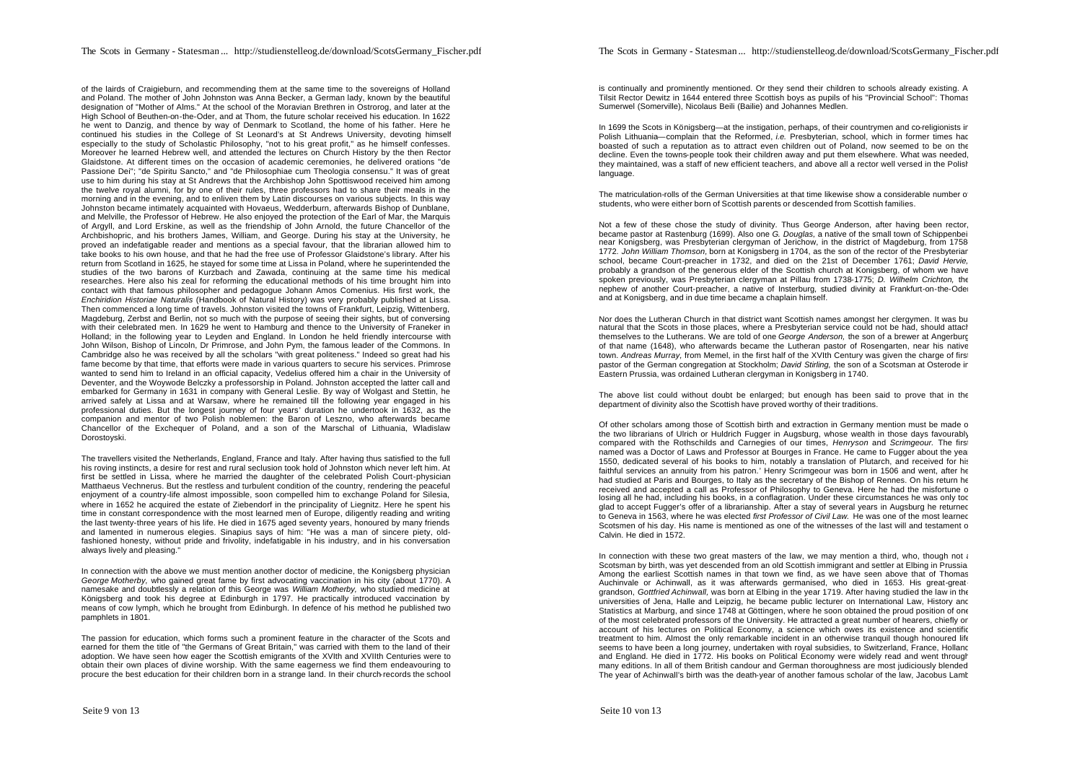of the lairds of Craigieburn, and recommending them at the same time to the sovereigns of Holland and Poland. The mother of John Johnston was Anna Becker, a German lady, known by the beautiful designation of "Mother of Alms." At the school of the Moravian Brethren in Ostrorog, and later at the High School of Beuthen-on-the-Oder, and at Thom, the future scholar received his education. In 1622 he went to Danzig, and thence by way of Denmark to Scotland, the home of his father. Here he continued his studies in the College of St Leonard's at St Andrews University, devoting himself especially to the study of Scholastic Philosophy, "not to his great profit," as he himself confesses. Moreover he learned Hebrew well, and attended the lectures on Church History by the then Rector Glaidstone. At different times on the occasion of academic ceremonies, he delivered orations "de Passione Dei"; "de Spiritu Sancto," and "de Philosophiae cum Theologia consensu." It was of great use to him during his stay at St Andrews that the Archbishop John Spottiswood received him among the twelve royal alumni, for by one of their rules, three professors had to share their meals in the morning and in the evening, and to enliven them by Latin discourses on various subjects. In this way Johnston became intimately acquainted with Hovaeus, Wedderburn, afterwards Bishop of Dunblane, and Melville, the Professor of Hebrew. He also enjoyed the protection of the Earl of Mar, the Marquis of Argyll, and Lord Erskine, as well as the friendship of John Arnold, the future Chancellor of the Archbishopric, and his brothers James, William, and George. During his stay at the University, he proved an indefatigable reader and mentions as a special favour, that the librarian allowed him to take books to his own house, and that he had the free use of Professor Glaidstone's library. After his return from Scotland in 1625, he stayed for some time at Lissa in Poland, where he superintended the studies of the two barons of Kurzbach and Zawada, continuing at the same time his medical researches. Here also his zeal for reforming the educational methods of his time brought him into contact with that famous philosopher and pedagogue Johann Amos Comenius. His first work, the *Enchiridion Historiae Naturalis* (Handbook of Natural History) was very probably published at Lissa. Then commenced a long time of travels. Johnston visited the towns of Frankfurt, Leipzig, Wittenberg, Magdeburg, Zerbst and Berlin, not so much with the purpose of seeing their sights, but of conversing with their celebrated men. In 1629 he went to Hamburg and thence to the University of Franeker in Holland; in the following year to Leyden and England. In London he held friendly intercourse with John Wilson, Bishop of Lincoln, Dr Primrose, and John Pym, the famous leader of the Commons. In Cambridge also he was received by all the scholars "with great politeness." Indeed so great had his fame become by that time, that efforts were made in various quarters to secure his services. Primrose wanted to send him to Ireland in an official capacity, Vedelius offered him a chair in the University of Deventer, and the Woywode Belczky a professorship in Poland. Johnston accepted the latter call and embarked for Germany in 1631 in company with General Leslie. By way of Wolgast and Stettin, he arrived safely at Lissa and at Warsaw, where he remained till the following year engaged in his professional duties. But the longest journey of four years' duration he undertook in 1632, as the companion and mentor of two Polish noblemen: the Baron of Leszno, who afterwards became Chancellor of the Exchequer of Poland, and a son of the Marschal of Lithuania, Wladislaw Dorostoyski.

The travellers visited the Netherlands, England, France and Italy. After having thus satisfied to the full his roving instincts, a desire for rest and rural seclusion took hold of Johnston which never left him. At first be settled in Lissa, where he married the daughter of the celebrated Polish Court-physician Matthaeus Vechnerus. But the restless and turbulent condition of the country, rendering the peaceful enjoyment of a country-life almost impossible, soon compelled him to exchange Poland for Silesia, where in 1652 he acquired the estate of Ziebendorf in the principality of Liegnitz. Here he spent his time in constant correspondence with the most learned men of Europe, diligently reading and writing the last twenty-three years of his life. He died in 1675 aged seventy years, honoured by many friends and lamented in numerous elegies. Sinapius says of him: "He was a man of sincere piety, oldfashioned honesty, without pride and frivolity, indefatigable in his industry, and in his conversation always lively and pleasing."

In connection with the above we must mention another doctor of medicine, the Konigsberg physician *George Motherby,* who gained great fame by first advocating vaccination in his city (about 1770). A namesake and doubtlessly a relation of this George was *William Motherby,* who studied medicine at Königsberg and took his degree at Edinburgh in 1797. He practically introduced vaccination by means of cow lymph, which he brought from Edinburgh. In defence of his method he published two pamphlets in 1801.

The passion for education, which forms such a prominent feature in the character of the Scots and earned for them the title of "the Germans of Great Britain," was carried with them to the land of their adoption. We have seen how eager the Scottish emigrants of the XVIth and XVIIth Centuries were to obtain their own places of divine worship. With the same eagerness we find them endeavouring to procure the best education for their children born in a strange land. In their church-records the school

is continually and prominently mentioned. Or they send their children to schools already existing. A Tilsit Rector Dewitz in 1644 entered three Scottish boys as pupils of his "Provincial School": Thomas Sumerwel (Somerville), Nicolaus Beili (Bailie) and Johannes Medlen.

In 1699 the Scots in Königsberg—at the instigation, perhaps, of their countrymen and co-religionists in Polish Lithuania—complain that the Reformed, *i.e.* Presbyterian, school, which in former times had boasted of such a reputation as to attract even children out of Poland, now seemed to be on the decline. Even the towns-people took their children away and put them elsewhere. What was needed, they maintained, was a staff of new efficient teachers, and above all a rector well versed in the Polish language.

The matriculation-rolls of the German Universities at that time likewise show a considerable number of students, who were either born of Scottish parents or descended from Scottish families.

Not a few of these chose the study of divinity. Thus George Anderson, after having been rector, became pastor at Rastenburg (1699). Also one *G. Douglas,* a native of the small town of Schippenbeil near Konigsberg, was Presbyterian clergyman of Jerichow, in the district of Magdeburg, from 1758- 1772. *John William Thomson,* born at Konigsberg in 1704, as the son of the rector of the Presbyterian school, became Court-preacher in 1732, and died on the 21st of December 1761; *David Hervie,* probably a grandson of the generous elder of the Scottish church at Konigsberg, of whom we have spoken previously, was Presbyterian clergyman at Pillau from 1738-1775; *D. Wilhelm Crichton,* the nephew of another Court-preacher, a native of Insterburg, studied divinity at Frankfurt-on-the-Oder and at Konigsberg, and in due time became a chaplain himself.

Nor does the Lutheran Church in that district want Scottish names amongst her clergymen. It was but natural that the Scots in those places, where a Presbyterian service could not be had, should attach themselves to the Lutherans. We are told of one *George Anderson,* the son of a brewer at Angerburg of that name (1648), who afterwards became the Lutheran pastor of Rosengarten, near his native town. Andreas Murray, from Memel, in the first half of the XVIth Century was given the charge of first pastor of the German congregation at Stockholm; *David Stirling,* the son of a Scotsman at Osterode in Eastern Prussia, was ordained Lutheran clergyman in Konigsberg in 1740.

The above list could without doubt be enlarged; but enough has been said to prove that in the department of divinity also the Scottish have proved worthy of their traditions.

Of other scholars among those of Scottish birth and extraction in Germany mention must be made of the two librarians of Ulrich or Huldrich Fugger in Augsburg, whose wealth in those days favourably compared with the Rothschilds and Carnegies of our times, *Henryson* and *Scrimgeour.* The first named was a Doctor of Laws and Professor at Bourges in France. He came to Fugger about the year 1550, dedicated several of his books to him, notably a translation of Plutarch, and received for his faithful services an annuity from his patron.' Henry Scrimgeour was born in 1506 and went, after he had studied at Paris and Bourges, to Italy as the secretary of the Bishop of Rennes. On his return he received and accepted a call as Professor of Philosophy to Geneva. Here he had the misfortune o losing all he had, including his books, in a conflagration. Under these circumstances he was only too glad to accept Fugger's offer of a librarianship. After a stay of several years in Augsburg he returned to Geneva in 1563, where he was elected *first Professor of Civil Law.* He was one of the most learned Scotsmen of his day. His name is mentioned as one of the witnesses of the last will and testament of Calvin. He died in 1572.

In connection with these two great masters of the law, we may mention a third, who, though not a Scotsman by birth, was yet descended from an old Scottish immigrant and settler at Elbing in Prussia. Among the earliest Scottish names in that town we find, as we have seen above that of Thomas Auchinvale or Achinwall, as it was afterwards germanised, who died in 1653. His great-greatgrandson, *Gottfried Achinwall,* was born at Elbing in the year 1719. After having studied the law in the universities of Jena. Halle and Leipzig, he became public lecturer on International Law. History and Statistics at Marburg, and since 1748 at Göttingen, where he soon obtained the proud position of one of the most celebrated professors of the University. He attracted a great number of hearers, chiefly on account of his lectures on Political Economy, a science which owes its existence and scientific treatment to him. Almost the only remarkable incident in an otherwise tranquil though honoured life seems to have been a long journey, undertaken with royal subsidies, to Switzerland, France, Hollanc and England. He died in 1772. His books on Political Economy were widely read and went through many editions. In all of them British candour and German thoroughness are most judiciously blended. The year of Achinwall's birth was the death-year of another famous scholar of the law, Jacobus Lamb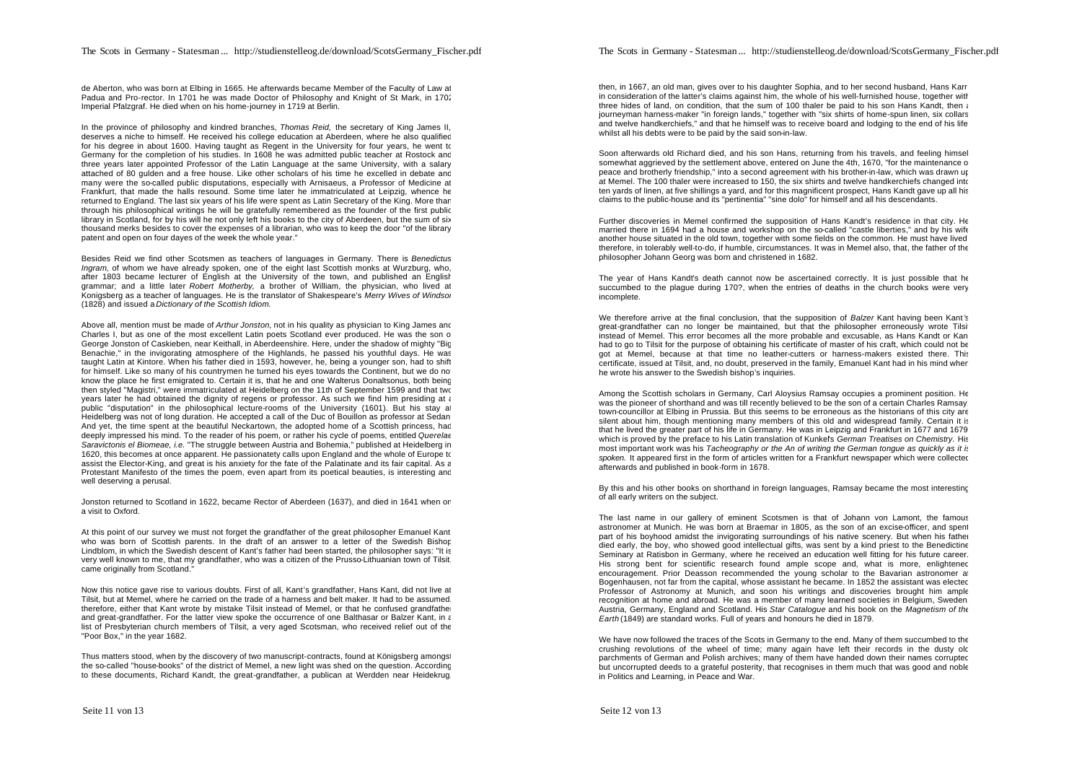de Aberton, who was born at Elbing in 1665. He afterwards became Member of the Faculty of Law at Padua and Pro-rector. In 1701 he was made Doctor of Philosophy and Knight of St Mark, in 1702 Imperial Pfalzgraf. He died when on his home-journey in 1719 at Berlin.

In the province of philosophy and kindred branches, *Thomas Reid,* the secretary of King James II, deserves a niche to himself. He received his college education at Aberdeen, where he also qualified for his degree in about 1600. Having taught as Regent in the University for four years, he went to Germany for the completion of his studies. In 1608 he was admitted public teacher at Rostock and three years later appointed Professor of the Latin Language at the same University, with a salary attached of 80 gulden and a free house. Like other scholars of his time he excelled in debate and many were the so-called public disputations, especially with Arnisaeus, a Professor of Medicine at Frankfurt, that made the halls resound. Some time later he immatriculated at Leipzig, whence he returned to England. The last six years of his life were spent as Latin Secretary of the King. More than through his philosophical writings he will be gratefully remembered as the founder of the first public library in Scotland, for by his will he not only left his books to the city of Aberdeen, but the sum of six thousand merks besides to cover the expenses of a librarian, who was to keep the door "of the library patent and open on four dayes of the week the whole year."

Besides Reid we find other Scotsmen as teachers of languages in Germany. There is *Benedictus Ingram,* of whom we have already spoken, one of the eight last Scottish monks at Wurzburg, who, after 1803 became lecturer of English at the University of the town, and published an English grammar; and a little later *Robert Motherby,* a brother of William, the physician, who lived at Konigsberg as a teacher of languages. He is the translator of Shakespeare's *Merry Wives of Windsor* (1828) and issued a *Dictionary of the Scottish Idiom.*

Above all, mention must be made of *Arthur Jonston,* not in his quality as physician to King James and Charles I, but as one of the most excellent Latin poets Scotland ever produced. He was the son of George Jonston of Caskieben, near Keithall, in Aberdeenshire. Here, under the shadow of mighty "Big Benachie," in the invigorating atmosphere of the Highlands, he passed his youthful days. He was taught Latin at Kintore. When his father died in 1593, however, he, being a younger son, had to shift for himself. Like so many of his countrymen he turned his eyes towards the Continent, but we do no know the place he first emigrated to. Certain it is, that he and one Walterus Donaltsonus, both being then styled "Magistri," were immatriculated at Heidelberg on the 11th of September 1599 and that two years later he had obtained the dignity of regens or professor. As such we find him presiding at a public "disputation" in the philosophical lecture-rooms of the University (1601). But his stay at Heidelberg was not of long duration. He accepted a call of the Duc of Bouillon as professor at Sedan. And yet, the time spent at the beautiful Neckartown, the adopted home of a Scottish princess, had deeply impressed his mind. To the reader of his poem, or rather his cycle of poems, entitled *Querelae Saravictonis el Biomeae, i.e.* "The struggle between Austria and Bohemia," published at Heidelberg in 1620, this becomes at once apparent. He passionatety calls upon England and the whole of Europe to assist the Elector-King, and great is his anxiety for the fate of the Palatinate and its fair capital. As a Protestant Manifesto of the times the poem, even apart from its poetical beauties, is interesting and well deserving a perusal.

Jonston returned to Scotland in 1622, became Rector of Aberdeen (1637), and died in 1641 when on a visit to Oxford.

At this point of our survey we must not forget the grandfather of the great philosopher Emanuel Kant, who was born of Scottish parents. In the draft of an answer to a letter of the Swedish Bishop Lindblom, in which the Swedish descent of Kant's father had been started, the philosopher says: "It is very well known to me, that my grandfather, who was a citizen of the Prusso-Lithuanian town of Tilsit came originally from Scotland."

Now this notice gave rise to various doubts. First of all, Kant's grandfather, Hans Kant, did not live at Tilsit, but at Memel, where he carried on the trade of a harness and belt maker. It had to be assumed, therefore, either that Kant wrote by mistake Tilsit instead of Memel, or that he confused grandfathe and great-grandfather. For the latter view spoke the occurrence of one Balthasar or Balzer Kant, in a list of Presbyterian church members of Tilsit, a very aged Scotsman, who received relief out of the "Poor Box," in the year 1682.

Thus matters stood, when by the discovery of two manuscript-contracts, found at Königsberg amongst the so-called "house-books" of the district of Memel, a new light was shed on the question. According to these documents, Richard Kandt, the great-grandfather, a publican at Werdden near Heidekrug,

then, in 1667, an old man, gives over to his daughter Sophia, and to her second husband. Hans Karr in consideration of the latter's claims against him, the whole of his well-furnished house, together with three hides of land, on condition, that the sum of 100 thaler be paid to his son Hans Kandt, then a journeyman harness-maker "in foreign lands," together with "six shirts of home-spun linen, six collars and twelve handkerchiefs," and that he himself was to receive board and lodging to the end of his life whilst all his debts were to be paid by the said son-in-law.

Soon afterwards old Richard died, and his son Hans, returning from his travels, and feeling himself somewhat aggrieved by the settlement above, entered on June the 4th, 1670, "for the maintenance of peace and brotherly friendship," into a second agreement with his brother-in-law, which was drawn up at Memel. The 100 thaler were increased to 150, the six shirts and twelve handkerchiefs changed into ten yards of linen, at five shillings a yard, and for this magnificent prospect, Hans Kandt gave up all his claims to the public-house and its "pertinentia" "sine dolo" for himself and all his descendants.

Further discoveries in Memel confirmed the supposition of Hans Kandt's residence in that city. He married there in 1694 had a house and workshop on the so-called "castle liberties," and by his wife another house situated in the old town, together with some fields on the common. He must have lived, therefore, in tolerably well-to-do, if humble, circumstances. It was in Memel also, that, the father of the philosopher Johann Georg was born and christened in 1682.

The year of Hans Kandt's death cannot now be ascertained correctly. It is just possible that he succumbed to the plague during 170?, when the entries of deaths in the church books were very incomplete.

We therefore arrive at the final conclusion, that the supposition of *Balzer* Kant having been Kant 's great-grandfather can no longer be maintained, but that the philosopher erroneously wrote Tilsit instead of Memel. This error becomes all the more probable and excusable, as Hans Kandt or Kan had to go to Tilsit for the purpose of obtaining his certificate of master of his craft, which could not be got at Memel, because at that time no leather-cutters or harness-makers existed there. This certificate, issued at Tilsit, and, no doubt, preserved in the family, Emanuel Kant had in his mind when he wrote his answer to the Swedish bishop's inquiries.

Among the Scottish scholars in Germany, Carl Aloysius Ramsay occupies a prominent position. He was the pioneer of shorthand and was till recently believed to be the son of a certain Charles Ramsay, town-councillor at Elbing in Prussia. But this seems to be erroneous as the historians of this city are silent about him, though mentioning many members of this old and widespread family. Certain it is that he lived the greater part of his life in Germany. He was in Leipzig and Frankfurt in 1677 and 1679, which is proved by the preface to his Latin translation of Kunkel's *German Treatises on Chemistry.* His most important work was his *Tacheography or the An of writing the German tongue as quickly as it is* spoken. It appeared first in the form of articles written for a Frankfurt newspaper which were collected afterwards and published in book-form in 1678.

By this and his other books on shorthand in foreign languages, Ramsay became the most interesting of all early writers on the subject.

The last name in our gallery of eminent Scotsmen is that of Johann von Lamont, the famous astronomer at Munich. He was born at Braemar in 1805, as the son of an excise-officer, and spent part of his boyhood amidst the invigorating surroundings of his native scenery. But when his father died early, the boy, who showed good intellectual gifts, was sent by a kind priest to the Benedictine Seminary at Ratisbon in Germany, where he received an education well fitting for his future career. His strong bent for scientific research found ample scope and, what is more, enlightened encouragement. Prior Deasson recommended the young scholar to the Bavarian astronomer at Bogenhausen, not far from the capital, whose assistant he became. In 1852 the assistant was elected Professor of Astronomy at Munich, and soon his writings and discoveries brought him ample recognition at home and abroad. He was a member of many learned societies in Belgium, Sweden, Austria, Germany, England and Scotland. His *Star Catalogue* and his book on the *Magnetism of the Earth* (1849) are standard works. Full of years and honours he died in 1879.

We have now followed the traces of the Scots in Germany to the end. Many of them succumbed to the crushing revolutions of the wheel of time; many again have left their records in the dusty old parchments of German and Polish archives; many of them have handed down their names corrupted but uncorrupted deeds to a grateful posterity, that recognises in them much that was good and noble in Politics and Learning, in Peace and War.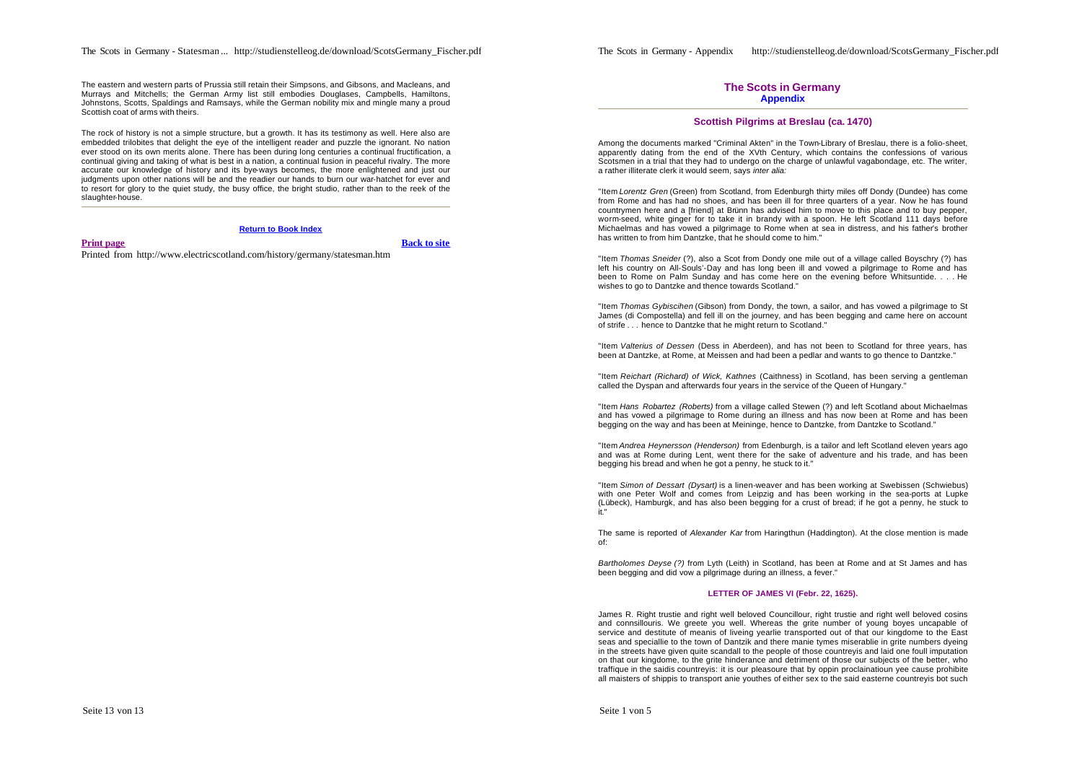The Scots in Germany - Statesman ... http://studienstelleog.de/download/ScotsGermany\_Fischer.pdf

The eastern and western parts of Prussia still retain their Simpsons, and Gibsons, and Macleans, and Murrays and Mitchells; the German Army list still embodies Douglases, Campbells, Hamiltons, Johnstons, Scotts, Spaldings and Ramsays, while the German nobility mix and mingle many a proud Scottish coat of arms with theirs.

The rock of history is not a simple structure, but a growth. It has its testimony as well. Here also are embedded trilobites that delight the eye of the intelligent reader and puzzle the ignorant. No nation ever stood on its own merits alone. There has been during long centuries a continual fructification, a continual giving and taking of what is best in a nation, a continual fusion in peaceful rivalry. The more accurate our knowledge of history and its bye-ways becomes, the more enlightened and just our judgments upon other nations will be and the readier our hands to burn our war-hatchet for ever and to resort for glory to the quiet study, the busy office, the bright studio, rather than to the reek of the slaughter-house.

#### **Return to Book Index**

### **Print page Back to site**

Printed from http://www.electricscotland.com/history/germany/statesman.htm

## **The Scots in Germany Appendix**

## **Scottish Pilgrims at Breslau (ca. 1470)**

Among the documents marked "Criminal Akten" in the Town-Library of Breslau, there is a folio-sheet, apparently dating from the end of the XVth Century, which contains the confessions of various Scotsmen in a trial that they had to undergo on the charge of unlawful vagabondage, etc. The writer, a rather illiterate clerk it would seem, says *inter alia:*

"Item *Lorentz Gren* (Green) from Scotland, from Edenburgh thirty miles off Dondy (Dundee) has come from Rome and has had no shoes, and has been ill for three quarters of a year. Now he has found countrymen here and a [friend] at Brünn has advised him to move to this place and to buy pepper, worm-seed, white ginger for to take it in brandy with a spoon. He left Scotland 111 days before Michaelmas and has vowed a pilgrimage to Rome when at sea in distress, and his father's brother has written to from him Dantzke, that he should come to him."

"Item *Thomas Sneider* (?), also a Scot from Dondy one mile out of a village called Boyschry (?) has left his country on All-Souls'-Day and has long been ill and vowed a pilgrimage to Rome and has been to Rome on Palm Sunday and has come here on the evening before Whitsuntide. . . . He wishes to go to Dantzke and thence towards Scotland."

"Item *Thomas Gybiscihen* (Gibson) from Dondy, the town, a sailor, and has vowed a pilgrimage to St James (di Compostella) and fell ill on the journey, and has been begging and came here on account of strife ... hence to Dantzke that he might return to Scotland."

"Item *Valterius of Dessen* (Dess in Aberdeen), and has not been to Scotland for three years, has been at Dantzke, at Rome, at Meissen and had been a pedlar and wants to go thence to Dantzke."

"Item *Reichart (Richard) of Wick, Kathnes* (Caithness) in Scotland, has been serving a gentleman called the Dyspan and afterwards four years in the service of the Queen of Hungary."

"Item *Hans Robartez (Roberts)* from a village called Stewen (?) and left Scotland about Michaelmas and has vowed a pilgrimage to Rome during an illness and has now been at Rome and has been begging on the way and has been at Meininge, hence to Dantzke, from Dantzke to Scotland."

"Item *Andrea Heynersson (Henderson)* from Edenburgh, is a tailor and left Scotland eleven years ago and was at Rome during Lent, went there for the sake of adventure and his trade, and has been begging his bread and when he got a penny, he stuck to it."

"Item *Simon of Dessart (Dysart)* is a linen-weaver and has been working at Swebissen (Schwiebus) with one Peter Wolf and comes from Leipzig and has been working in the sea-ports at Lupke (Lübeck), Hamburgk, and has also been begging for a crust of bread; if he got a penny, he stuck to it."

The same is reported of *Alexander Kar* from Haringthun (Haddington). At the close mention is made of:

*Bartholomes Deyse (?)* from Lyth (Leith) in Scotland, has been at Rome and at St James and has been begging and did vow a pilgrimage during an illness, a fever."

#### **LETTER OF JAMES VI (Febr. 22, 1625).**

James R. Right trustie and right well beloved Councillour, right trustie and right well beloved cosins and connsillouris. We greete you well. Whereas the grite number of young boyes uncapable of service and destitute of meanis of liveing yearlie transported out of that our kingdome to the East seas and speciallie to the town of Dantzik and there manie tymes miserablie in grite numbers dyeing in the streets have given quite scandall to the people of those countreyis and laid one foull imputation on that our kingdome, to the grite hinderance and detriment of those our subjects of the better, who traffique in the saidis countreyis: it is our pleasoure that by oppin proclainatioun yee cause prohibite all maisters of shippis to transport anie youthes of either sex to the said easterne countreyis bot such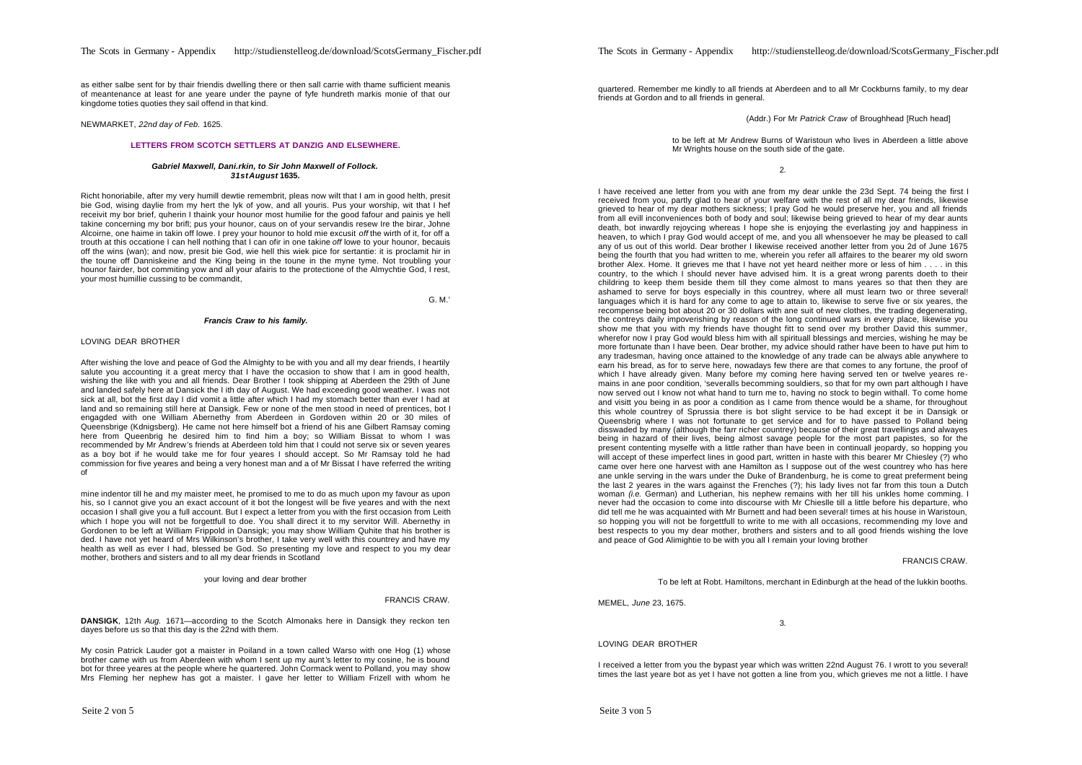as either salbe sent for by thair friendis dwelling there or then sall carrie with thame sufficient meanis of meantenance at least for ane yeare under the payne of fyfe hundreth markis monie of that our kingdome toties quoties they sail offend in that kind.

NEWMARKET, *22nd day of Feb.* 1625.

### **LETTERS FROM SCOTCH SETTLERS AT DANZIG AND ELSEWHERE.**

#### *Gabriel Maxwell, Dani.rkin, to Sir John Maxwell of Follock. 31stAugust* **1635.**

Richt honoriabile, after my very humill dewtie remembrit, pleas now wilt that I am in good helth, presit bie God, wising daylie from my hert the lyk of yow, and all youris. Pus your worship, wit that I hef receivit my bor brief, quherin I thaink your hounor most humilie for the good fafour and painis ye hell takine concerning my bor brifl; pus your hounor, caus on of your servandis resew Ire the birar, Johne Alcoirne, one haime in takin off lowe. I prey your hounor to hold mie excusit *off* the wirth of it, for off a trouth at this occatione I can hell nothing that I can ofir in one takine *off* lowe to your hounor, becauis off the wins (wan); and now, presit bie God, wie hell this wiek pice for sertantie: it is proclamit hir in the toune off Danniskeine and the King being in the toune in the myne tyme. Not troubling your hounor fairder, bot commiting yow and all your afairis to the protectione of the Almychtie God, I rest, your most humillie cussing to be commandit,

G. M.'

### *Francis Craw to his family.*

#### LOVING DEAR BROTHER

After wishing the love and peace of God the Almighty to be with you and all my dear friends, I heartily salute you accounting it a great mercy that I have the occasion to show that I am in good health, wishing the like with you and all friends. Dear Brother I took shipping at Aberdeen the 29th of June and landed safely here at Dansick the I ith day of August. We had exceeding good weather. I was not sick at all, bot the first day I did vomit a little after which I had my stomach better than ever I had at land and so remaining still here at Dansigk. Few or none of the men stood in need of prentices, bot I engagded with one William Abernethy from Aberdeen in Gordoven within 20 or 30 miles of Queensbrige (Kdnigsberg). He came not here himself bot a friend of his ane Gilbert Ramsay coming here from Queenbrig he desired him to find him a boy; so William Bissat to whom I was recommended by Mr Andrew's friends at Aberdeen told him that I could not serve six or seven yeares as a boy bot if he would take me for four yeares I should accept. So Mr Ramsay told he had commission for five yeares and being a very honest man and a of Mr Bissat I have referred the writing of

mine indentor till he and my maister meet, he promised to me to do as much upon my favour as upon his, so I cannot give you an exact account of it bot the longest will be five yeares and with the next occasion I shall give you a full account. But I expect a letter from you with the first occasion from Leith which I hope you will not be forgettfull to doe. You shall direct it to my servitor Will. Abernethy in Gordonen to be left at William Frippold in Dansigk; you may show William Quhite that his brother is ded. I have not yet heard of Mrs Wilkinson's brother, I take very well with this countrey and have my health as well as ever I had, blessed be God. So presenting my love and respect to you my dear mother, brothers and sisters and to all my dear friends in Scotland

your loving and dear brother

#### FRANCIS CRAW.

**DANSIGK.** 12th *Aug.* 1671—according to the Scotch Almonaks here in Dansigk they reckon ten dayes before us so that this day is the 22nd with them.

My cosin Patrick Lauder got a maister in Poiland in a town called Warso with one Hog (1) whose brother came with us from Aberdeen with whom I sent up my aunt 's letter to my cosine, he is bound bot for three yeares at the people where he quartered. John Cormack went to Polland, you may show Mrs Fleming her nephew has got a maister. I gave her letter to William Frizell with whom he

quartered. Remember me kindly to all friends at Aberdeen and to all Mr Cockburns family, to my dear friends at Gordon and to all friends in general.

(Addr.) For Mr *Patrick Craw* of Broughhead [Ruch head]

to be left at Mr Andrew Burns of Waristoun who lives in Aberdeen a little above Mr Wrights house on the south side of the gate.

2.

I have received ane letter from you with ane from my dear unkle the 23d Sept. 74 being the first I received from you, partly glad to hear of your welfare with the rest of all my dear friends, likewise grieved to hear of my dear mothers sickness; I pray God he would preserve her, you and all friends from all evill inconveniences both of body and soul; likewise being grieved to hear of my dear aunts death, bot inwardly rejoycing whereas I hope she is enjoying the everlasting joy and happiness in heaven, to which I pray God would accept of me, and you all whensoever he may be pleased to call any of us out of this world. Dear brother I likewise received another letter from you 2d of June 1675 being the fourth that you had written to me, wherein you refer all affaires to the bearer my old sworn brother Alex. Home. It grieves me that I have not yet heard neither more or less of him . . . . in this country, to the which I should never have advised him. It is a great wrong parents doeth to their childring to keep them beside them till they come almost to mans yeares so that then they are ashamed to serve for boys especially in this countrey, where all must learn two or three several! languages which it is hard for any come to age to attain to, likewise to serve five or six yeares, the recompense being bot about 20 or 30 dollars with ane suit of new clothes, the trading degenerating, the contreys daily impoverishing by reason of the long continued wars in every place, likewise you show me that you with my friends have thought fitt to send over my brother David this summer, wherefor now I pray God would bless him with all spirituall blessings and mercies, wishing he may be more fortunate than I have been. Dear brother, my advice should rather have been to have put him to any tradesman, having once attained to the knowledge of any trade can be always able anywhere to earn his bread, as for to serve here, nowadays few there are that comes to any fortune, the proof of which I have already given. Many before my coming here having served ten or twelve yeares remains in ane poor condition, 'severalls becomming souldiers, so that for my own part although I have now served out I know not what hand to turn me to, having no stock to begin withall. To come home and visitt you being in as poor a condition as I came from thence would be a shame, for throughout this whole countrey of Sprussia there is bot slight service to be had except it be in Dansigk or Queensbrig where I was not fortunate to get service and for to have passed to Polland being disswaded by many (although the farr richer countrey) because of their great travellings and alwayes being in hazard of their lives, being almost savage people for the most part papistes, so for the present contenting myselfe with a little rather than have been in continuall jeopardy, so hopping you will accept of these imperfect lines in good part, written in haste with this bearer Mr Chiesley (?) who came over here one harvest with ane Hamilton as I suppose out of the west countrey who has here and unkle serving in the wars under the Duke of Brandenburg, he is come to great preferment being the last 2 yeares in the wars against the Frenches (?); his lady lives not far from this toun a Dutch woman *(i.e.* German) and Lutherian, his nephew remains with her till his unkles home comming. I never had the occasion to come into discourse with Mr Chieslle till a little before his departure, who did tell me he was acquainted with Mr Burnett and had been several! times at his house in Waristoun, so hopping you will not be forgettfull to write to me with all occasions, recommending my love and best respects to you my dear mother, brothers and sisters and to all good friends wishing the love and peace of God Alimightie to be with you all I remain your loving brother

#### FRANCIS CRAW.

To be left at Robt. Hamiltons, merchant in Edinburgh at the head of the lukkin booths.

MEMEL, *June* 23, 1675.

3.

#### LOVING DEAR BROTHER

I received a letter from you the bypast year which was written 22nd August 76. I wrott to you several! times the last yeare bot as yet I have not gotten a line from you, which grieves me not a little. I have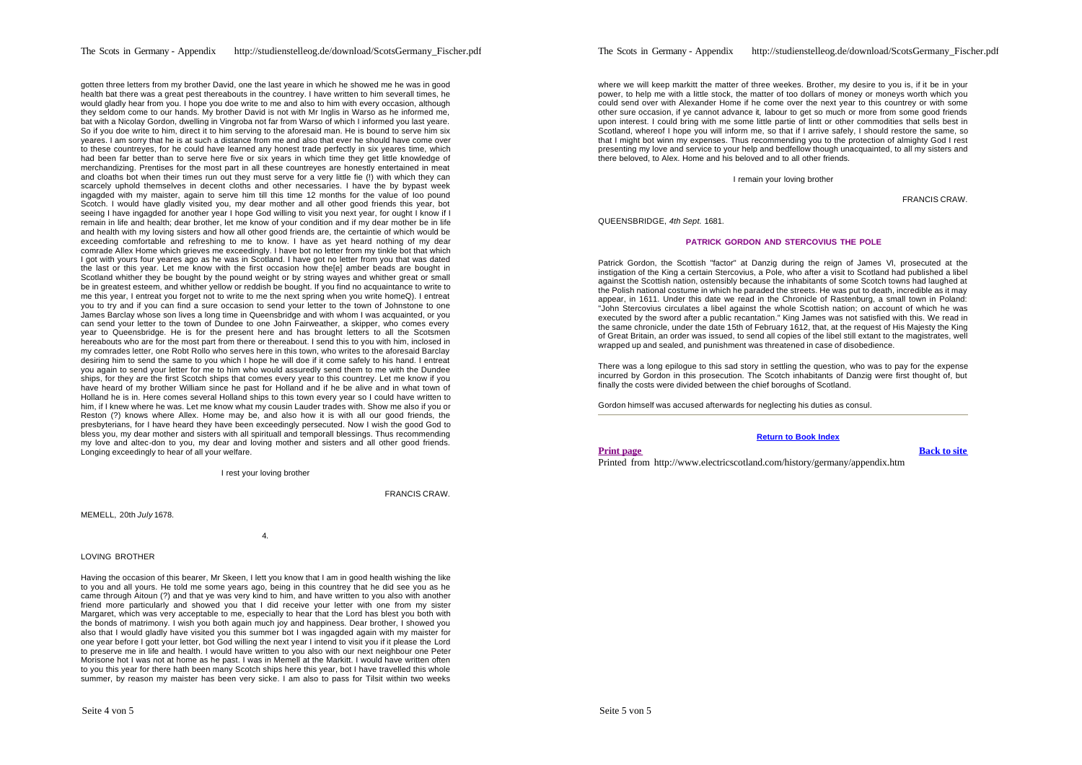### The Scots in Germany - Appendix http://studienstelleog.de/download/ScotsGermany\_Fischer.pdf

gotten three letters from my brother David, one the last yeare in which he showed me he was in good health bat there was a great pest thereabouts in the countrey. I have written to him severall times, he would gladly hear from you. I hope you doe write to me and also to him with every occasion, although they seldom come to our hands. My brother David is not with Mr Inglis in Warso as he informed me, bat with a Nicolay Gordon, dwelling in Vingroba not far from Warso of which I informed you last yeare. So if you doe write to him, direct it to him serving to the aforesaid man. He is bound to serve him six yeares. I am sorry that he is at such a distance from me and also that ever he should have come over to these countreyes, for he could have learned any honest trade perfectly in six yeares time, which had been far better than to serve here five or six years in which time they get little knowledge of merchandizing. Prentises for the most part in all these countreyes are honestly entertained in meat and cloaths bot when their times run out they must serve for a very little fie (!) with which they can scarcely uphold themselves in decent cloths and other necessaries. I have the by bypast week ingagded with my maister, again to serve him till this time 12 months for the value of Ioo pound Scotch. I would have gladly visited you, my dear mother and all other good friends this year, bot seeing I have ingagded for another year I hope God willing to visit you next year, for ought I know if I remain in life and health; dear brother, let me know of your condition and if my dear mother be in life and health with my loving sisters and how all other good friends are, the certaintie of which would be exceeding comfortable and refreshing to me to know. I have as yet heard nothing of my dear comrade Allex Home which grieves me exceedingly. I have bot no letter from my tinkle bot that which I got with yours four yeares ago as he was in Scotland. I have got no letter from you that was dated the last or this year. Let me know with the first occasion how the[e] amber beads are bought in Scotland whither they be bought by the pound weight or by string wayes and whither great or small be in greatest esteem, and whither yellow or reddish be bought. If you find no acquaintance to write to me this year, I entreat you forget not to write to me the next spring when you write homeQ). I entreat you to try and if you can find a sure occasion to send your letter to the town of Johnstone to one James Barclay whose son lives a long time in Queensbridge and with whom I was acquainted, or you can send your letter to the town of Dundee to one John Fairweather, a skipper, who comes every year to Queensbridge. He is for the present here and has brought letters to all the Scotsmen hereabouts who are for the most part from there or thereabout. I send this to you with him, inclosed in my comrades letter, one Robt Rollo who serves here in this town, who writes to the aforesaid Barclay desiring him to send the same to you which I hope he will doe if it come safely to his hand. I entreat you again to send your letter for me to him who would assuredly send them to me with the Dundee ships, for they are the first Scotch ships that comes every year to this countrey. Let me know if you have heard of my brother William since he past for Holland and if he be alive and in what town of Holland he is in. Here comes several Holland ships to this town every year so I could have written to him, if I knew where he was. Let me know what my cousin Lauder trades with. Show me also if you or Reston (?) knows where Allex. Home may be, and also how it is with all our good friends, the presbyterians, for I have heard they have been exceedingly persecuted. Now I wish the good God to bless you, my dear mother and sisters with all spirituall and temporall blessings. Thus recommending my love and altec-don to you, my dear and loving mother and sisters and all other good friends. Longing exceedingly to hear of all your welfare.

I rest your loving brother

FRANCIS CRAW.

MEMELL, 20th *July* 1678.

4.

LOVING BROTHER

Having the occasion of this bearer, Mr Skeen, I lett you know that I am in good health wishing the like to you and all yours. He told me some years ago, being in this countrey that he did see you as he came through Aitoun (?) and that ye was very kind to him, and have written to you also with another friend more particularly and showed you that I did receive your letter with one from my sister Margaret, which was very acceptable to me, especially to hear that the Lord has blest you both with the bonds of matrimony. I wish you both again much joy and happiness. Dear brother, I showed you also that I would gladly have visited you this summer bot I was ingagded again with my maister for one year before I gott your letter, bot God willing the next year I intend to visit you if it please the Lord to preserve me in life and health. I would have written to you also with our next neighbour one Peter Morisone hot I was not at home as he past. I was in Memell at the Markitt. I would have written often to you this year for there hath been many Scotch ships here this year, bot I have travelled this whole summer, by reason my maister has been very sicke. I am also to pass for Tilsit within two weeks

where we will keep markitt the matter of three weekes. Brother, my desire to you is, if it be in your power, to help me with a little stock, the matter of too dollars of money or moneys worth which you could send over with Alexander Home if he come over the next year to this countrey or with some other sure occasion, if ye cannot advance it, labour to get so much or more from some good friends upon interest. I could bring with me some little partie of lintt or other commodities that sells best in Scotland, whereof I hope you will inform me, so that if I arrive safely, I should restore the same, so that I might bot winn my expenses. Thus recommending you to the protection of almighty God I rest presenting my love and service to your help and bedfellow though unacquainted, to all my sisters and there beloved, to Alex. Home and his beloved and to all other friends.

I remain your loving brother

FRANCIS CRAW.

QUEENSBRIDGE, *4th Sept.* 1681.

#### **PATRICK GORDON AND STERCOVIUS THE POLE**

Patrick Gordon, the Scottish "factor" at Danzig during the reign of James VI, prosecuted at the instigation of the King a certain Stercovius, a Pole, who after a visit to Scotland had published a libel against the Scottish nation, ostensibly because the inhabitants of some Scotch towns had laughed at the Polish national costume in which he paraded the streets. He was put to death, incredible as it may appear, in 1611. Under this date we read in the Chronicle of Rastenburg, a small town in Poland: "John Stercovius circulates a libel against the whole Scottish nation; on account of which he was executed by the sword after a public recantation." King James was not satisfied with this. We read in the same chronicle, under the date 15th of February 1612, that, at the request of His Majesty the King of Great Britain, an order was issued, to send all copies of the libel still extant to the magistrates, well wrapped up and sealed, and punishment was threatened in case of disobedience.

There was a long epilogue to this sad story in settling the question, who was to pay for the expense incurred by Gordon in this prosecution. The Scotch inhabitants of Danzig were first thought of, but finally the costs were divided between the chief boroughs of Scotland.

Gordon himself was accused afterwards for neglecting his duties as consul.

#### **Return to Book Index**

**Print page Back to site**

Printed from http://www.electricscotland.com/history/germany/appendix.htm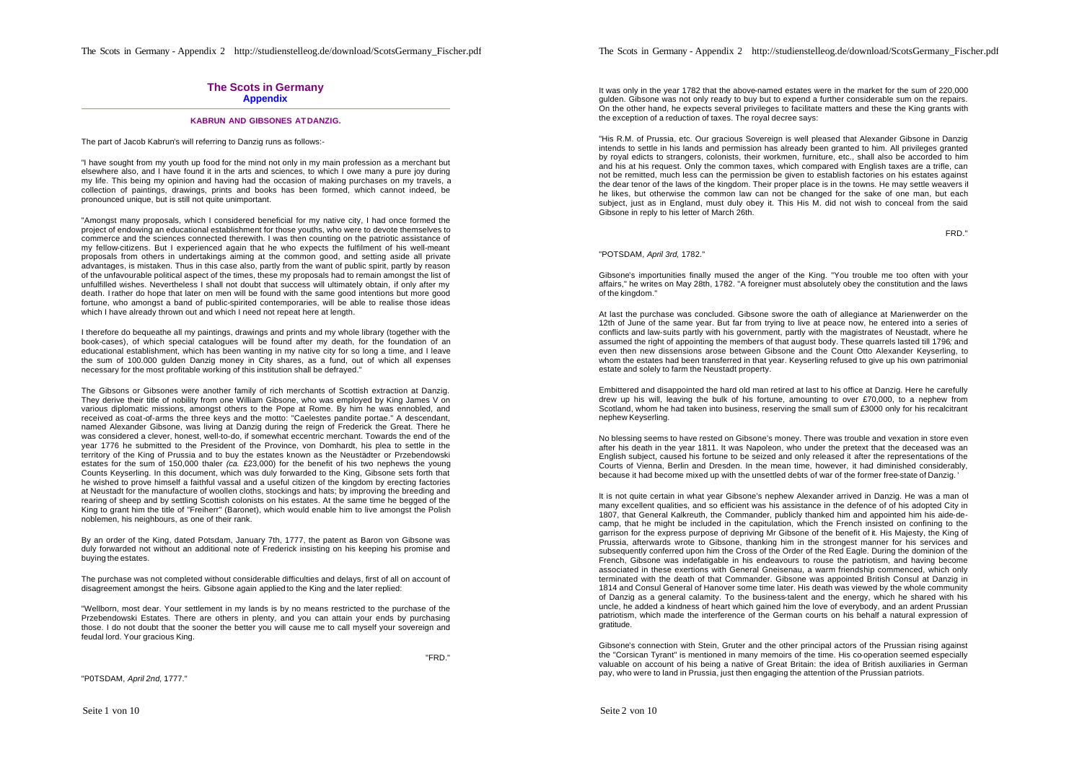The Scots in Germany - Appendix 2 http://studienstelleog.de/download/ScotsGermany\_Fischer.pdf

## **The Scots in Germany Appendix**

## **KABRUN AND GIBSONES AT DANZIG.**

The part of Jacob Kabrun's will referring to Danzig runs as follows:-

"I have sought from my youth up food for the mind not only in my main profession as a merchant but elsewhere also, and I have found it in the arts and sciences, to which I owe many a pure joy during my life. This being my opinion and having had the occasion of making purchases on my travels, a collection of paintings, drawings, prints and books has been formed, which cannot indeed, be pronounced unique, but is still not quite unimportant.

"Amongst many proposals, which I considered beneficial for my native city, I had once formed the project of endowing an educational establishment for those youths, who were to devote themselves to commerce and the sciences connected therewith. I was then counting on the patriotic assistance of my fellow-citizens. But I experienced again that he who expects the fulfilment of his well-meant proposals from others in undertakings aiming at the common good, and setting aside all private advantages, is mistaken. Thus in this case also, partly from the want of public spirit, partly by reason of the unfavourable political aspect of the times, these my proposals had to remain amongst the list of unfulfilled wishes. Nevertheless I shall not doubt that success will ultimately obtain, if only after my death. I rather do hope that later on men will be found with the same good intentions but more good fortune, who amongst a band of public-spirited contemporaries, will be able to realise those ideas which I have already thrown out and which I need not repeat here at length.

I therefore do bequeathe all my paintings, drawings and prints and my whole library (together with the book-cases), of which special catalogues will be found after my death, for the foundation of an educational establishment, which has been wanting in my native city for so long a time, and I leave the sum of 100.000 gulden Danzig money in City shares, as a fund, out of which all expenses necessary for the most profitable working of this institution shall be defrayed."

The Gibsons or Gibsones were another family of rich merchants of Scottish extraction at Danzig. They derive their title of nobility from one William Gibsone, who was employed by King James V on various diplomatic missions, amongst others to the Pope at Rome. By him he was ennobled, and received as coat-of-arms the three keys and the motto: "Caelestes pandite portae." A descendant, named Alexander Gibsone, was living at Danzig during the reign of Frederick the Great. There he was considered a clever, honest, well-to-do, if somewhat eccentric merchant. Towards the end of the year 1776 he submitted to the President of the Province, von Domhardt, his plea to settle in the territory of the King of Prussia and to buy the estates known as the Neustädter or Przebendowski estates for the sum of 150,000 thaler *(ca.* £23,000) for the benefit of his two nephews the young Counts Keyserling. In this document, which was duly forwarded to the King, Gibsone sets forth that he wished to prove himself a faithful vassal and a useful citizen of the kingdom by erecting factories at Neustadt for the manufacture of woollen cloths, stockings and hats; by improving the breeding and rearing of sheep and by settling Scottish colonists on his estates. At the same time he begged of the King to grant him the title of "Freiherr" (Baronet), which would enable him to live amongst the Polish noblemen, his neighbours, as one of their rank.

By an order of the King, dated Potsdam, January 7th, 1777, the patent as Baron von Gibsone was duly forwarded not without an additional note of Frederick insisting on his keeping his promise and buying the estates.

The purchase was not completed without considerable difficulties and delays, first of all on account of disagreement amongst the heirs. Gibsone again applied to the King and the later replied:

"Wellborn, most dear. Your settlement in my lands is by no means restricted to the purchase of the Przebendowski Estates. There are others in plenty, and you can attain your ends by purchasing those. I do not doubt that the sooner the better you will cause me to call myself your sovereign and feudal lord. Your gracious King.

"FRD."

"P0TSDAM, *April 2nd,* 1777."

The Scots in Germany - Appendix 2 http://studienstelleog.de/download/ScotsGermany\_Fischer.pdf

It was only in the year 1782 that the above-named estates were in the market for the sum of 220,000 gulden. Gibsone was not only ready to buy but to expend a further considerable sum on the repairs. On the other hand, he expects several privileges to facilitate matters and these the King grants with the exception of a reduction of taxes. The royal decree says:

"His R.M. of Prussia, etc. Our gracious Sovereign is well pleased that Alexander Gibsone in Danzig intends to settle in his lands and permission has already been granted to him. All privileges granted by royal edicts to strangers, colonists, their workmen, furniture, etc., shall also be accorded to him and his at his request. Only the common taxes, which compared with English taxes are a trifle, can not be remitted, much less can the permission be given to establish factories on his estates against the dear tenor of the laws of the kingdom. Their proper place is in the towns. He may settle weavers if he likes, but otherwise the common law can not be changed for the sake of one man, but each subject, just as in England, must duly obey it. This His M. did not wish to conceal from the said Gibsone in reply to his letter of March 26th.

FRD."

#### "POTSDAM, *April 3rd,* 1782."

Gibsone's importunities finally mused the anger of the King. "You trouble me too often with your affairs," he writes on May 28th, 1782. "A foreigner must absolutely obey the constitution and the laws of the kingdom."

At last the purchase was concluded. Gibsone swore the oath of allegiance at Marienwerder on the 12th of June of the same year. But far from trying to live at peace now, he entered into a series of conflicts and law-suits partly with his government, partly with the magistrates of Neustadt, where he assumed the right of appointing the members of that august body. These quarrels lasted till 1796*;* and even then new dissensions arose between Gibsone and the Count Otto Alexander Keyserling, to whom the estates had been transferred in that year. Keyserling refused to give up his own patrimonial estate and solely to farm the Neustadt property.

Embittered and disappointed the hard old man retired at last to his office at Danzig. Here he carefully drew up his will, leaving the bulk of his fortune, amounting to over £70,000, to a nephew from Scotland, whom he had taken into business, reserving the small sum of £3000 only for his recalcitrant nephew Keyserling.

No blessing seems to have rested on Gibsone's money. There was trouble and vexation in store even after his death in the year 1811. It was Napoleon, who under the pretext that the deceased was an English subject, caused his fortune to be seized and only released it after the representations of the Courts of Vienna, Berlin and Dresden. In the mean time, however, it had diminished considerably, because it had become mixed up with the unsettled debts of war of the former free-state of Danzig. '

It is not quite certain in what year Gibsone's nephew Alexander arrived in Danzig. He was a man of many excellent qualities, and so efficient was his assistance in the defence of of his adopted City in 1807, that General Kalkreuth, the Commander, publicly thanked him and appointed him his aide-decamp, that he might be included in the capitulation, which the French insisted on confining to the garrison for the express purpose of depriving Mr Gibsone of the benefit of it. His Majesty, the King of Prussia, afterwards wrote to Gibsone, thanking him in the strongest manner for his services and subsequently conferred upon him the Cross of the Order of the Red Eagle. During the dominion of the French, Gibsone was indefatigable in his endeavours to rouse the patriotism, and having become associated in these exertions with General Gneisenau, a warm friendship commenced, which only terminated with the death of that Commander. Gibsone was appointed British Consul at Danzig in 1814 and Consul General of Hanover some time later. His death was viewed by the whole community of Danzig as a general calamity. To the business-talent and the energy, which he shared with his uncle, he added a kindness of heart which gained him the love of everybody, and an ardent Prussian patriotism, which made the interference of the German courts on his behalf a natural expression of gratitude.

Gibsone's connection with Stein, Gruter and the other principal actors of the Prussian rising against the "Corsican Tyrant" is mentioned in many memoirs of the time. His co-operation seemed especially valuable on account of his being a native of Great Britain: the idea of British auxiliaries in German pay, who were to land in Prussia, just then engaging the attention of the Prussian patriots.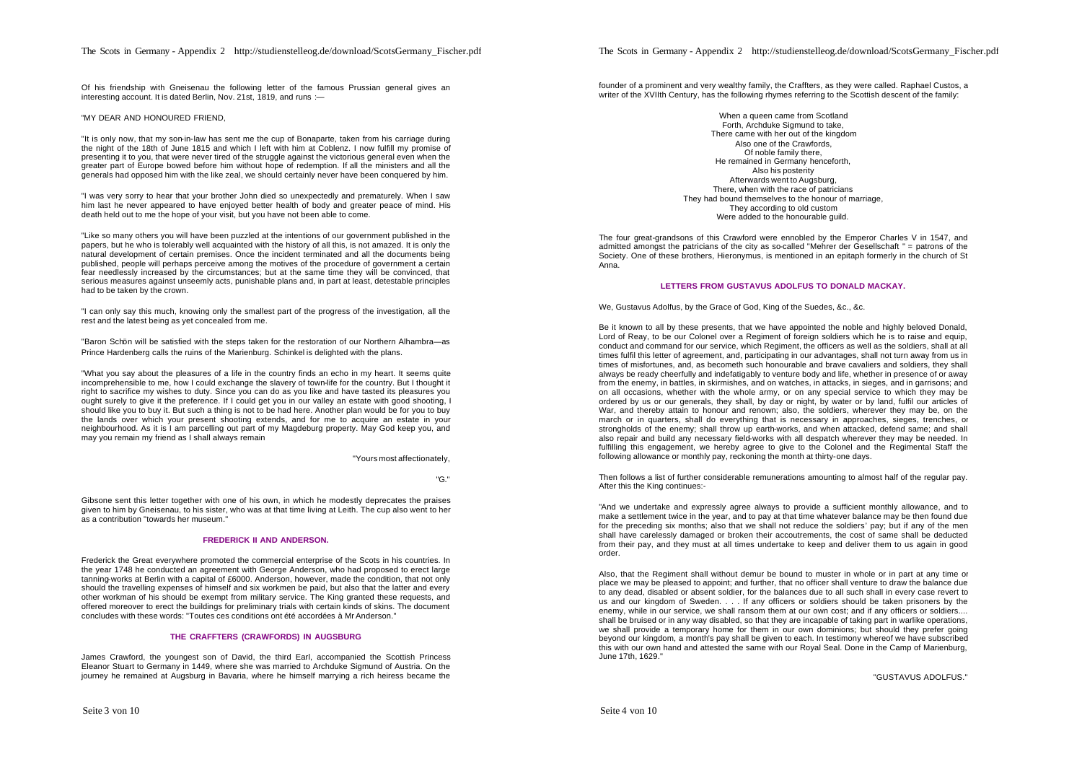Of his friendship with Gneisenau the following letter of the famous Prussian general gives an interesting account. It is dated Berlin, Nov. 21st, 1819, and runs :-

#### "MY DEAR AND HONOURED FRIEND,

"It is only now, that my son-in-law has sent me the cup of Bonaparte, taken from his carriage during the night of the 18th of June 1815 and which I left with him at Coblenz. I now fulfill my promise of presenting it to you, that were never tired of the struggle against the victorious general even when the greater part of Europe bowed before him without hope of redemption. If all the ministers and all the generals had opposed him with the like zeal, we should certainly never have been conquered by him.

"I was very sorry to hear that your brother John died so unexpectedly and prematurely. When I saw him last he never appeared to have enjoyed better health of body and greater peace of mind. His death held out to me the hope of your visit, but you have not been able to come.

"Like so many others you will have been puzzled at the intentions of our government published in the papers, but he who is tolerably well acquainted with the history of all this, is not amazed. It is only the natural development of certain premises. Once the incident terminated and all the documents being published, people will perhaps perceive among the motives of the procedure of government a certain fear needlessly increased by the circumstances; but at the same time they will be convinced, that serious measures against unseemly acts, punishable plans and, in part at least, detestable principles had to be taken by the crown.

"I can only say this much, knowing only the smallest part of the progress of the investigation, all the rest and the latest being as yet concealed from me.

"Baron Schön will be satisfied with the steps taken for the restoration of our Northern Alhambra—as Prince Hardenberg calls the ruins of the Marienburg. Schinkel is delighted with the plans.

"What you say about the pleasures of a life in the country finds an echo in my heart. It seems quite incomprehensible to me, how I could exchange the slavery of town-life for the country. But I thought it right to sacrifice my wishes to duty. Since you can do as you like and have tasted its pleasures you ought surely to give it the preference. If I could get you in our valley an estate with good shooting, I should like you to buy it. But such a thing is not to be had here. Another plan would be for you to buy the lands over which your present shooting extends, and for me to acquire an estate in your neighbourhood. As it is I am parcelling out part of my Magdeburg property. May God keep you, and may you remain my friend as I shall always remain

"Yours most affectionately,

#### "G."

Gibsone sent this letter together with one of his own, in which he modestly deprecates the praises given to him by Gneisenau, to his sister, who was at that time living at Leith. The cup also went to her as a contribution "towards her museum."

## **FREDERICK II AND ANDERSON.**

Frederick the Great everywhere promoted the commercial enterprise of the Scots in his countries. In the year 1748 he conducted an agreement with George Anderson, who had proposed to erect large tanning-works at Berlin with a capital of £6000. Anderson, however, made the condition, that not only should the travelling expenses of himself and six workmen be paid, but also that the latter and every other workman of his should be exempt from military service. The King granted these requests, and offered moreover to erect the buildings for preliminary trials with certain kinds of skins. The document concludes with these words: "Toutes ces conditions ont été accordées à Mr Anderson."

#### **THE CRAFFTERS (CRAWFORDS) IN AUGSBURG**

James Crawford, the youngest son of David, the third Earl, accompanied the Scottish Princess Eleanor Stuart to Germany in 1449, where she was married to Archduke Sigmund of Austria. On the journey he remained at Augsburg in Bavaria, where he himself marrying a rich heiress became the

founder of a prominent and very wealthy family, the Craffters, as they were called. Raphael Custos, a writer of the XVIIth Century, has the following rhymes referring to the Scottish descent of the family:

> When a queen came from Scotland Forth, Archduke Sigmund to take, There came with her out of the kingdom Also one of the Crawfords, Of noble family there, He remained in Germany henceforth. Also his posterity Afterwards went to Augsburg, There, when with the race of patricians They had bound themselves to the honour of marriage. They according to old custom Were added to the honourable quild.

The four great-grandsons of this Crawford were ennobled by the Emperor Charles V in 1547, and admitted amongst the patricians of the city as so-called "Mehrer der Gesellschaft " = patrons of the Society. One of these brothers, Hieronymus, is mentioned in an epitaph formerly in the church of St Anna.

## **LETTERS FROM GUSTAVUS ADOLFUS TO DONALD MACKAY.**

We, Gustavus Adolfus, by the Grace of God, King of the Suedes, &c., &c.

Be it known to all by these presents, that we have appointed the noble and highly beloved Donald, Lord of Reay, to be our Colonel over a Regiment of foreign soldiers which he is to raise and equip, conduct and command for our service, which Regiment, the officers as well as the soldiers, shall at all times fulfil this letter of agreement, and, participating in our advantages, shall not turn away from us in times of misfortunes, and, as becometh such honourable and brave cavaliers and soldiers, they shall always be ready cheerfully and indefatigably to venture body and life, whether in presence of or away from the enemy, in battles, in skirmishes, and on watches, in attacks, in sieges, and in garrisons; and on all occasions, whether with the whole army, or on any special service to which they may be ordered by us or our generals, they shall, by day or night, by water or by land, fulfil our articles of War, and thereby attain to honour and renown; also, the soldiers, wherever they may be, on the march or in quarters, shall do everything that is necessary in approaches, sieges, trenches, or strongholds of the enemy; shall throw up earth-works, and when attacked, defend same; and shall also repair and build any necessary field-works with all despatch wherever they may be needed. In fulfilling this engagement, we hereby agree to give to the Colonel and the Regimental Staff the following allowance or monthly pay, reckoning the month at thirty-one days.

Then follows a list of further considerable remunerations amounting to almost half of the regular pay. After this the King continues:-

"And we undertake and expressly agree always to provide a sufficient monthly allowance, and to make a settlement twice in the year, and to pay at that time whatever balance may be then found due for the preceding six months; also that we shall not reduce the soldiers' pay; but if any of the men shall have carelessly damaged or broken their accoutrements, the cost of same shall be deducted from their pay, and they must at all times undertake to keep and deliver them to us again in good order.

Also, that the Regiment shall without demur be bound to muster in whole or in part at any time or place we may be pleased to appoint; and further, that no officer shall venture to draw the balance due to any dead, disabled or absent soldier, for the balances due to all such shall in every case revert to us and our kingdom of Sweden. . . . If any officers or soldiers should be taken prisoners by the enemy, while in our service, we shall ransom them at our own cost; and if any officers or soldiers.... shall be bruised or in any way disabled, so that they are incapable of taking part in warlike operations, we shall provide a temporary home for them in our own dominions; but should they prefer going beyond our kingdom, a month's pay shall be given to each. In testimony whereof we have subscribed this with our own hand and attested the same with our Royal Seal. Done in the Camp of Marienburg, June 17th, 1629."

"GUSTAVUS ADOLFUS."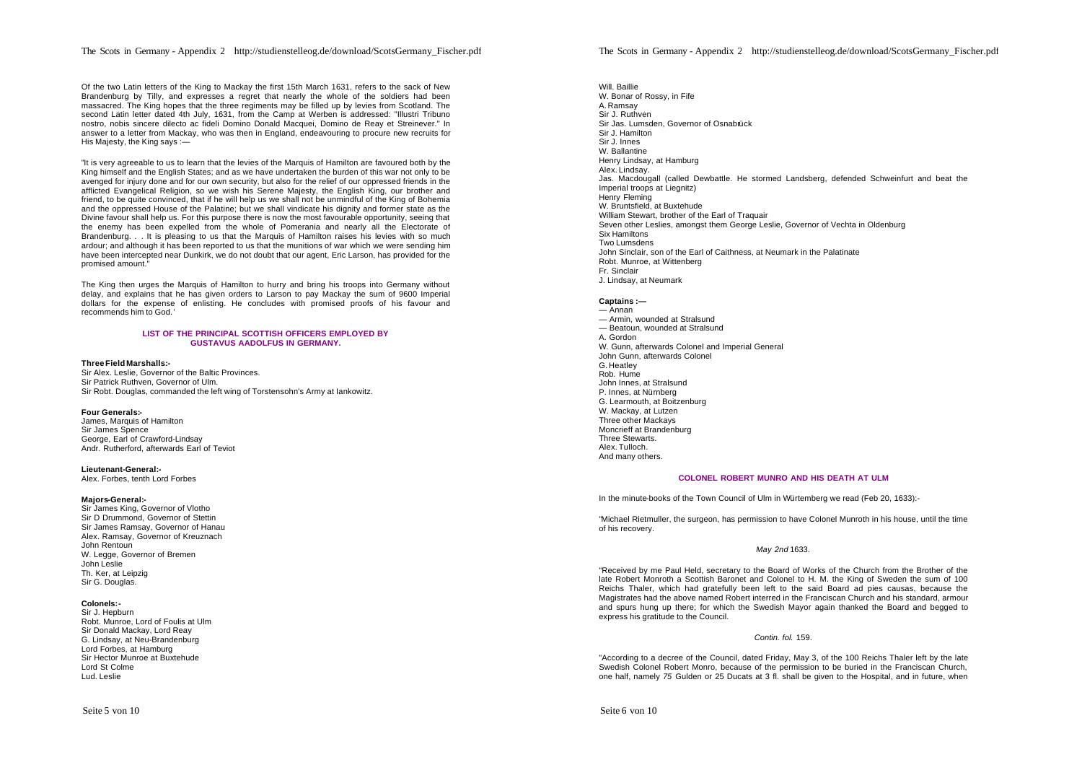Of the two Latin letters of the King to Mackay the first 15th March 1631, refers to the sack of New Brandenburg by Tilly, and expresses a regret that nearly the whole of the soldiers had been massacred. The King hopes that the three regiments may be filled up by levies from Scotland. The second Latin letter dated 4th July, 1631, from the Camp at Werben is addressed: "Illustri Tribuno nostro, nobis sincere dilecto ac fideli Domino Donald Macquei, Domino de Reay et Streinever." In answer to a letter from Mackay, who was then in England, endeavouring to procure new recruits for His Majesty, the King says :—

"It is very agreeable to us to learn that the levies of the Marquis of Hamilton are favoured both by the King himself and the English States; and as we have undertaken the burden of this war not only to be avenged for injury done and for our own security, but also for the relief of our oppressed friends in the afflicted Evangelical Religion, so we wish his Serene Majesty, the English King, our brother and friend, to be quite convinced, that if he will help us we shall not be unmindful of the King of Bohemia and the oppressed House of the Palatine; but we shall vindicate his dignity and former state as the Divine favour shall help us. For this purpose there is now the most favourable opportunity, seeing that the enemy has been expelled from the whole of Pomerania and nearly all the Electorate of Brandenburg. . . It is pleasing to us that the Marquis of Hamilton raises his levies with so much ardour; and although it has been reported to us that the munitions of war which we were sending him have been intercepted near Dunkirk, we do not doubt that our agent. Eric Larson, has provided for the promised amount."

The King then urges the Marquis of Hamilton to hurry and bring his troops into Germany without delay, and explains that he has given orders to Larson to pay Mackay the sum of 9600 Imperial dollars for the expense of enlisting. He concludes with promised proofs of his favour and recommends him to God.'

#### **LIST OF THE PRINCIPAL SCOTTISH OFFICERS EMPLOYED BY GUSTAVUS AADOLFUS IN GERMANY.**

#### **Three Field Marshalls:-**

Sir Alex. Leslie, Governor of the Baltic Provinces. Sir Patrick Ruthven, Governor of Ulm. Sir Robt. Douglas, commanded the left wing of Torstensohn's Army at Iankowitz.

#### **Four Generals:-**

James, Marquis of Hamilton Sir James Spence George, Earl of Crawford-Lindsay Andr. Rutherford, afterwards Earl of Teviot

#### **Lieutenant-General:-**

Alex. Forbes, tenth Lord Forbes

#### **Majors-General:-**

Sir James King, Governor of Vlotho Sir D Drummond, Governor of Stettin Sir James Ramsay, Governor of Hanau Alex. Ramsay, Governor of Kreuznach John Rentoun W. Legge, Governor of Bremen John Leslie Th. Ker, at Leipzig Sir G. Douglas.

## **Colonels:-**

Sir J. Hepburn Robt. Munroe, Lord of Foulis at Ulm Sir Donald Mackay, Lord Reay G. Lindsay, at Neu-Brandenburg Lord Forbes, at Hamburg Sir Hector Munroe at Buxtehude Lord St Colme Lud. Leslie

Will. Baillie W. Bonar of Rossy, in Fife A. Ramsay Sir J. Ruthven Sir Jas. Lumsden, Governor of Osnabrück Sir J. Hamilton Sir J. Innes W. Ballantine Henry Lindsay, at Hamburg Alex. Lindsay. Jas. Macdougall (called Dewbattle. He stormed Landsberg, defended Schweinfurt and beat the Imperial troops at Liegnitz) Henry Fleming W. Bruntsfield, at Buxtehude William Stewart, brother of the Earl of Traquair Seven other Leslies, amongst them George Leslie, Governor of Vechta in Oldenburg Six Hamiltons Two Lumsdens John Sinclair, son of the Earl of Caithness, at Neumark in the Palatinate Robt. Munroe, at Wittenberg Fr. Sinclair J. Lindsay, at Neumark

## **Captains :—**

— Annan — Armin, wounded at Stralsund — Beatoun, wounded at Stralsund A. Gordon W. Gunn, afterwards Colonel and Imperial General John Gunn, afterwards Colonel G. Heatley Rob. Hume John Innes, at Stralsund P. Innes, at Nürnberg G. Learmouth, at Boitzenburg W. Mackay, at Lutzen Three other Mackays Moncrieff at Brandenburg Three Stewarts. Alex. Tulloch. And many others.

### **COLONEL ROBERT MUNRO AND HIS DEATH AT ULM**

In the minute-books of the Town Council of Ulm in Würtemberg we read (Feb 20, 1633):-

"Michael Rietmuller, the surgeon, has permission to have Colonel Munroth in his house, until the time of his recovery.

#### *May 2nd* 1633.

"Received by me Paul Held, secretary to the Board of Works of the Church from the Brother of the late Robert Monroth a Scottish Baronet and Colonel to H. M. the King of Sweden the sum of 100 Reichs Thaler, which had gratefully been left to the said Board ad pies causas, because the Magistrates had the above named Robert interred in the Franciscan Church and his standard, armour and spurs hung up there; for which the Swedish Mayor again thanked the Board and begged to express his gratitude to the Council.

## *Contin. fol.* 159.

"According to a decree of the Council, dated Friday, May 3, of the 100 Reichs Thaler left by the late Swedish Colonel Robert Monro, because of the permission to be buried in the Franciscan Church, one half, namely *75* Gulden or 25 Ducats at 3 fl. shall be given to the Hospital, and in future, when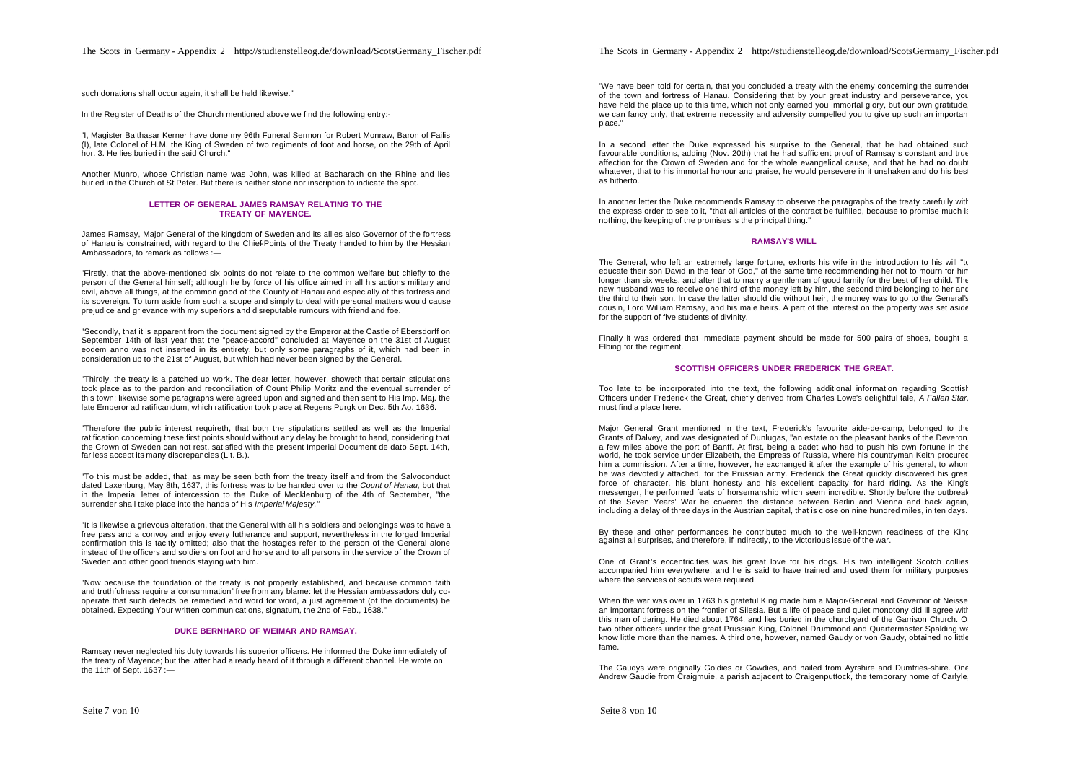In the Register of Deaths of the Church mentioned above we find the following entry:-

"I, Magister Balthasar Kerner have done my 96th Funeral Sermon for Robert Monraw, Baron of Failis (I), late Colonel of H.M. the King of Sweden of two regiments of foot and horse, on the 29th of April hor. 3. He lies buried in the said Church."

Another Munro, whose Christian name was John, was killed at Bacharach on the Rhine and lies buried in the Church of St Peter. But there is neither stone nor inscription to indicate the spot.

#### **LETTER OF GENERAL JAMES RAMSAY RELATING TO THE TREATY OF MAYENCE.**

James Ramsay, Major General of the kingdom of Sweden and its allies also Governor of the fortress of Hanau is constrained, with regard to the Chief-Points of the Treaty handed to him by the Hessian Ambassadors, to remark as follows :-

"Firstly, that the above-mentioned six points do not relate to the common welfare but chiefly to the person of the General himself; although he by force of his office aimed in all his actions military and civil, above all things, at the common good of the County of Hanau and especially of this fortress and its sovereign. To turn aside from such a scope and simply to deal with personal matters would cause prejudice and grievance with my superiors and disreputable rumours with friend and foe.

"Secondly, that it is apparent from the document signed by the Emperor at the Castle of Ebersdorff on September 14th of last year that the "peace-accord" concluded at Mayence on the 31st of August eodem anno was not inserted in its entirety, but only some paragraphs of it, which had been in consideration up to the 21st of August, but which had never been signed by the General.

"Thirdly, the treaty is a patched up work. The dear letter, however, showeth that certain stipulations took place as to the pardon and reconciliation of Count Philip Moritz and the eventual surrender of this town; likewise some paragraphs were agreed upon and signed and then sent to His Imp. Maj. the late Emperor ad ratificandum, which ratification took place at Regens Purgk on Dec. 5th Ao. 1636.

"Therefore the public interest requireth, that both the stipulations settled as well as the Imperial ratification concerning these first points should without any delay be brought to hand, considering that the Crown of Sweden can not rest, satisfied with the present Imperial Document de dato Sept. 14th, far less accept its many discrepancies (Lit. B.).

"To this must be added, that, as may be seen both from the treaty itself and from the Salvoconduct dated Laxenburg, May 8th, 1637, this fortress was to be handed over to the *Count of Hanau,* but that in the Imperial letter of intercession to the Duke of Mecklenburg of the 4th of September, "the surrender shall take place into the hands of His *Imperial Majesty."*

"It is likewise a grievous alteration, that the General with all his soldiers and belongings was to have a free pass and a convoy and enjoy every futherance and support, nevertheless in the forged Imperial confirmation this is tacitly omitted; also that the hostages refer to the person of the General alone instead of the officers and soldiers on foot and horse and to all persons in the service of the Crown of Sweden and other good friends staying with him.

"Now because the foundation of the treaty is not properly established, and because common faith and truthfulness require a 'consummation' free from any blame: let the Hessian ambassadors duly cooperate that such defects be remedied and word for word, a just agreement (of the documents) be obtained. Expecting Your written communications, signatum, the 2nd of Feb., 1638."

### **DUKE BERNHARD OF WEIMAR AND RAMSAY.**

Ramsay never neglected his duty towards his superior officers. He informed the Duke immediately of the treaty of Mayence; but the latter had already heard of it through a different channel. He wrote on the 11th of Sept. 1637 :—

"We have been told for certain, that you concluded a treaty with the enemy concerning the surrender of the town and fortress of Hanau. Considering that by your great industry and perseverance, you have held the place up to this time, which not only earned you immortal glory, but our own gratitude we can fancy only, that extreme necessity and adversity compelled you to give up such an important place."

In a second letter the Duke expressed his surprise to the General, that he had obtained such favourable conditions, adding (Nov. 20th) that he had sufficient proof of Ramsay's constant and true affection for the Crown of Sweden and for the whole evangelical cause, and that he had no doub whatever, that to his immortal honour and praise, he would persevere in it unshaken and do his best as hitherto.

In another letter the Duke recommends Ramsay to observe the paragraphs of the treaty carefully with the express order to see to it, "that all articles of the contract be fulfilled, because to promise much is nothing, the keeping of the promises is the principal thing."

#### **RAMSAY'S WILL**

The General, who left an extremely large fortune, exhorts his wife in the introduction to his will "to educate their son David in the fear of God," at the same time recommending her not to mourn for him longer than six weeks, and after that to marry a gentleman of good family for the best of her child. The new husband was to receive one third of the money left by him, the second third belonging to her and the third to their son. In case the latter should die without heir, the money was to go to the General's cousin, Lord William Ramsay, and his male heirs. A part of the interest on the property was set aside for the support of five students of divinity.

Finally it was ordered that immediate payment should be made for 500 pairs of shoes, bought a Elbing for the regiment.

### **SCOTTISH OFFICERS UNDER FREDERICK THE GREAT.**

Too late to be incorporated into the text, the following additional information regarding Scottish Officers under Frederick the Great, chiefly derived from Charles Lowe's delightful tale, *A Fallen Star,* must find a place here.

Major General Grant mentioned in the text, Frederick's favourite aide-de-camp, belonged to the Grants of Dalvey, and was designated of Dunlugas, "an estate on the pleasant banks of the Deveron, a few miles above the port of Banff. At first, being a cadet who had to push his own fortune in the world, he took service under Elizabeth, the Empress of Russia, where his countryman Keith procured him a commission. After a time, however, he exchanged it after the example of his general, to whom he was devotedly attached, for the Prussian army. Frederick the Great quickly discovered his great force of character, his blunt honesty and his excellent capacity for hard riding. As the King's messenger, he performed feats of horsemanship which seem incredible. Shortly before the outbreak of the Seven Years' War he covered the distance between Berlin and Vienna and back again, including a delay of three days in the Austrian capital, that is close on nine hundred miles, in ten days.

By these and other performances he contributed much to the well-known readiness of the King against all surprises, and therefore, if indirectly, to the victorious issue of the war.

One of Grant's eccentricities was his great love for his dogs. His two intelligent Scotch collies accompanied him everywhere, and he is said to have trained and used them for military purposes where the services of scouts were required.

When the war was over in 1763 his grateful King made him a Major-General and Governor of Neisse an important fortress on the frontier of Silesia. But a life of peace and quiet monotony did ill agree with this man of daring. He died about 1764, and lies buried in the churchyard of the Garrison Church. O two other officers under the great Prussian King, Colonel Drummond and Quartermaster Spalding we know little more than the names. A third one, however, named Gaudy or von Gaudy, obtained no little fame.

The Gaudys were originally Goldies or Gowdies, and hailed from Ayrshire and Dumfries-shire. One Andrew Gaudie from Craigmuie, a parish adjacent to Craigenputtock, the temporary home of Carlyle,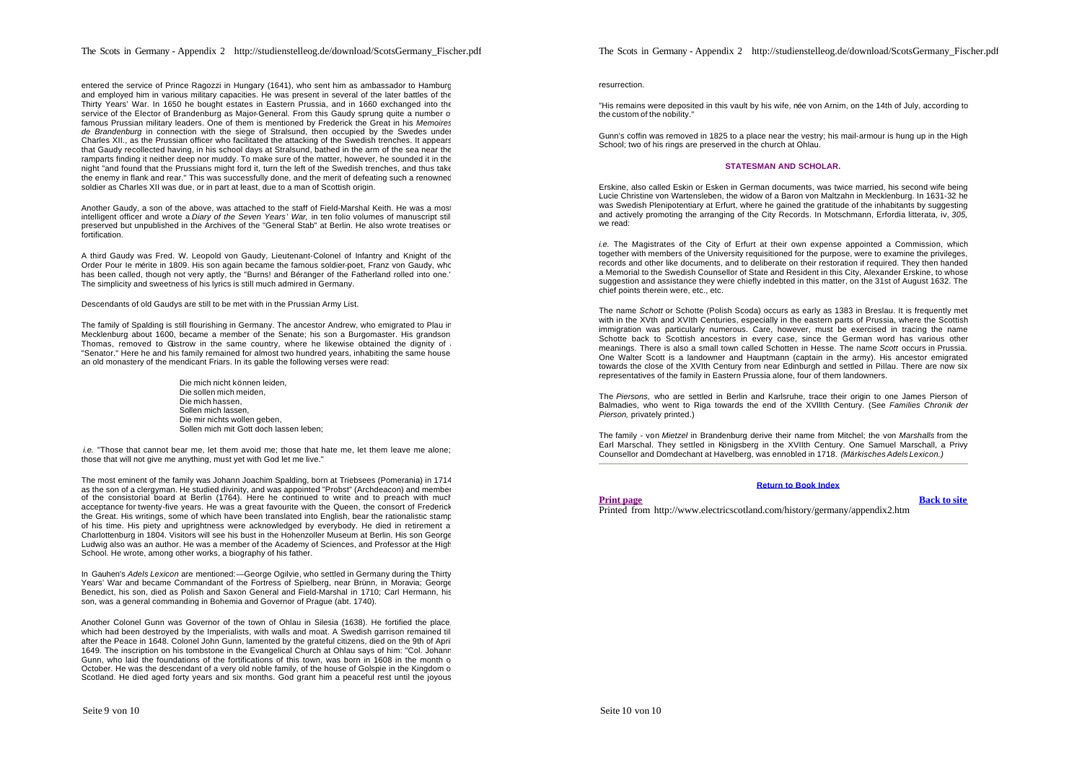entered the service of Prince Ragozzi in Hungary (1641), who sent him as ambassador to Hamburg and employed him in various military capacities. He was present in several of the later battles of the Thirty Years' War. In 1650 he bought estates in Eastern Prussia, and in 1660 exchanged into the service of the Elector of Brandenburg as Major-General. From this Gaudy sprung quite a number of famous Prussian military leaders. One of them is mentioned by Frederick the Great in his *Memoires de Brandenburg* in connection with the siege of Stralsund, then occupied by the Swedes under Charles XII., as the Prussian officer who facilitated the attacking of the Swedish trenches. It appears that Gaudy recollected having, in his school days at Stralsund, bathed in the arm of the sea near the ramparts finding it neither deep nor muddy. To make sure of the matter, however, he sounded it in the night "and found that the Prussians might ford it, turn the left of the Swedish trenches, and thus take the enemy in flank and rear." This was successfully done, and the merit of defeating such a renowned soldier as Charles XII was due, or in part at least, due to a man of Scottish origin.

Another Gaudy, a son of the above, was attached to the staff of Field-Marshal Keith. He was a most intelligent officer and wrote a *Diary of the Seven Years' War,* in ten folio volumes of manuscript still preserved but unpublished in the Archives of the "General Stab" at Berlin. He also wrote treatises on fortification.

A third Gaudy was Fred. W. Leopold von Gaudy, Lieutenant-Colonel of Infantry and Knight of the Order Pour Ie mérite in 1809. His son again became the famous soldier-poet, Franz von Gaudy, who has been called, though not very aptly, the "Burns! and Béranger of the Fatherland rolled into one." The simplicity and sweetness of his lyrics is still much admired in Germany.

Descendants of old Gaudys are still to be met with in the Prussian Army List.

The family of Spalding is still flourishing in Germany. The ancestor Andrew, who emigrated to Plau in Mecklenburg about 1600, became a member of the Senate; his son a Burgomaster. His grandson, Thomas, removed to Güstrow in the same country, where he likewise obtained the dignity of "Senator." Here he and his family remained for almost two hundred years, inhabiting the same house, an old monastery of the mendicant Friars. In its gable the following verses were read:

> Die mich nicht können leiden, Die sollen mich meiden, Die mich hassen, Sollen mich lassen, Die mir nichts wollen geben, Sollen mich mit Gott doch lassen leben;

*i.e.* "Those that cannot bear me, let them avoid me; those that hate me, let them leave me alone; those that will not give me anything, must yet with God let me live."

The most eminent of the family was Johann Joachim Spalding, born at Triebsees (Pomerania) in 1714 as the son of a clergyman. He studied divinity, and was appointed "Probst" (Archdeacon) and member of the consistorial board at Berlin (1764). Here he continued to write and to preach with much acceptance for twenty-five years. He was a great favourite with the Queen, the consort of Frederick the Great. His writings, some of which have been translated into English, bear the rationalistic stamp of his time. His piety and uprightness were acknowledged by everybody. He died in retirement at Charlottenburg in 1804. Visitors will see his bust in the Hohenzoller Museum at Berlin. His son George Ludwig also was an author. He was a member of the Academy of Sciences, and Professor at the High School. He wrote, among other works, a biography of his father.

In Gauhen's *Adels Lexicon* are mentioned:—George Ogilvie, who settled in Germany during the Thirty Years' War and became Commandant of the Fortress of Spielberg, near Brünn, in Moravia; George Benedict, his son, died as Polish and Saxon General and Field-Marshal in 1710; Carl Hermann, his son, was a general commanding in Bohemia and Governor of Prague (abt. 1740).

Another Colonel Gunn was Governor of the town of Ohlau in Silesia (1638). He fortified the place, which had been destroyed by the Imperialists, with walls and moat. A Swedish garrison remained til after the Peace in 1648. Colonel John Gunn, lamented by the grateful citizens, died on the 9th of April 1649. The inscription on his tombstone in the Evangelical Church at Ohlau says of him: "Col. Johann Gunn, who laid the foundations of the fortifications of this town, was born in 1608 in the month of October. He was the descendant of a very old noble family, of the house of Golspie in the Kingdom of Scotland. He died aged forty years and six months. God grant him a peaceful rest until the joyous

resurrection.

"His remains were deposited in this vault by his wife, née von Arnim, on the 14th of July, according to the custom of the nobility."

Gunn's coffin was removed in 1825 to a place near the vestry; his mail-armour is hung up in the High School; two of his rings are preserved in the church at Ohlau.

### **STATESMAN AND SCHOLAR.**

Erskine, also called Eskin or Esken in German documents, was twice married, his second wife being Lucie Christine von Wartensleben, the widow of a Baron von Maltzahn in Mecklenburg. In 1631-32 he was Swedish Plenipotentiary at Erfurt, where he gained the gratitude of the inhabitants by suggesting and actively promoting the arranging of the City Records. In Motschmann, Erfordia litterata, iv, *305,* we read:

*i.e.* The Magistrates of the City of Erfurt at their own expense appointed a Commission, which together with members of the University requisitioned for the purpose, were to examine the privileges, records and other like documents, and to deliberate on their restoration if required. They then handed a Memorial to the Swedish Counsellor of State and Resident in this City, Alexander Erskine, to whose suggestion and assistance they were chiefly indebted in this matter, on the 31st of August 1632. The chief points therein were, etc., etc.

The name *Schott* or Schotte (Polish Scoda) occurs as early as 1383 in Breslau. It is frequently met with in the XVth and XVIth Centuries, especially in the eastern parts of Prussia, where the Scottish immigration was particularly numerous. Care, however, must be exercised in tracing the name Schotte back to Scottish ancestors in every case, since the German word has various other meanings. There is also a small town called Schotten in Hesse. The name *Scott* occurs in Prussia. One Walter Scott is a landowner and Hauptmann (captain in the army). His ancestor emigrated towards the close of the XVIth Century from near Edinburgh and settled in PiIlau. There are now six representatives of the family in Eastern Prussia alone, four of them landowners.

The *Piersons,* who are settled in Berlin and Karlsruhe, trace their origin to one James Pierson of Balmadies, who went to Riga towards the end of the XVllIth Century. (See *Families Chronik der Pierson,* privately printed.)

The family - von *Mietzel* in Brandenburg derive their name from Mitchel; the von *Marshalls* from the Earl Marschal. They settled in Königsberg in the XVIIth Century. One Samuel Marschall, a Privy Counsellor and Domdechant at Havelberg, was ennobled in 1718. *(Märkisches Adels Lexicon.)*

## **Return to Book Index**

#### **Print page Back to site**

Printed from http://www.electricscotland.com/history/germany/appendix2.htm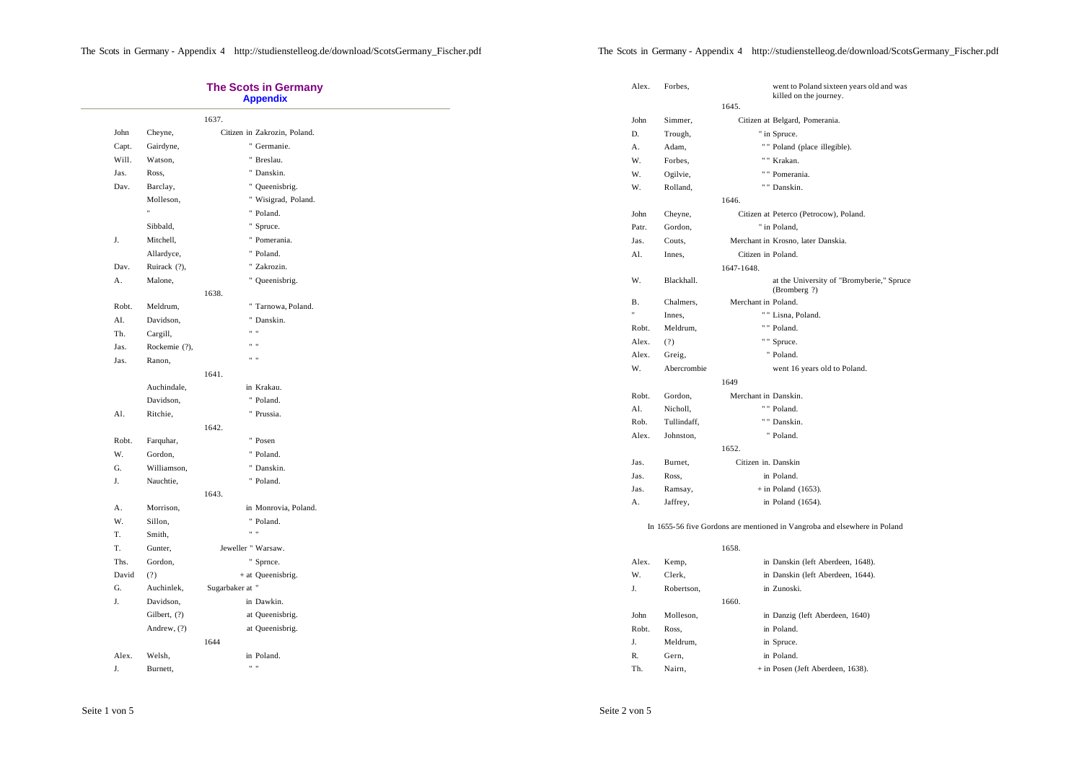$\sim$ 

|       |               |                    | <b>The Scots in Germany</b><br><b>Appendix</b> |
|-------|---------------|--------------------|------------------------------------------------|
|       |               | 1637.              |                                                |
| John  | Cheyne,       |                    | Citizen in Zakrozin, Poland.                   |
| Capt. | Gairdyne,     |                    | " Germanie.                                    |
| Will. | Watson,       |                    | " Breslau.                                     |
| Jas.  | Ross,         |                    | " Danskin.                                     |
| Dav.  | Barclay,      |                    | " Queenisbrig.                                 |
|       | Molleson,     |                    | " Wisigrad, Poland.                            |
|       | Ħ             |                    | " Poland.                                      |
|       | Sibbald,      |                    | " Spruce.                                      |
| J.    | Mitchell,     |                    | " Pomerania.                                   |
|       | Allardyce,    |                    | " Poland.                                      |
| Dav.  | Ruirack (?),  |                    | " Zakrozin.                                    |
| А.    | Malone,       |                    | " Queenisbrig.                                 |
|       |               | 1638.              |                                                |
| Robt. | Meldrum,      |                    | " Tarnowa, Poland.                             |
| AI.   | Davidson,     |                    | " Danskin.                                     |
| Th.   | Cargill,      |                    | $\mathbf{u}$                                   |
| Jas.  | Rockemie (?), |                    | $\mathbf{u}$                                   |
| Jas.  | Ranon,        |                    | $\mathbf{u}$                                   |
|       |               | 1641.              |                                                |
|       | Auchindale,   |                    | in Krakau.                                     |
|       | Davidson,     |                    | " Poland.                                      |
| Al.   | Ritchie.      |                    | " Prussia.                                     |
|       |               | 1642.              |                                                |
| Robt. | Farquhar,     |                    | " Posen                                        |
| W.    | Gordon,       |                    | " Poland.                                      |
| G.    | Williamson,   |                    | " Danskin.                                     |
| J.    | Nauchtie,     |                    | " Poland.                                      |
|       |               | 1643.              |                                                |
| А.    | Morrison,     |                    | in Monrovia, Poland.                           |
| W.    | Sillon,       |                    | " Poland.                                      |
| T.    | Smith,        |                    | $\mathbf{a}$                                   |
| Т.    | Gunter,       | Jeweller " Warsaw. |                                                |
| Ths.  | Gordon,       |                    | " Sprnce.                                      |
| David | (?)           |                    | + at Queenisbrig.                              |
| G.    | Auchinlek,    | Sugarbaker at "    |                                                |
| J.    | Davidson,     |                    | in Dawkin.                                     |
|       | Gilbert, (?)  |                    | at Queenisbrig.                                |
|       | Andrew, (?)   |                    | at Queenisbrig.                                |
|       |               | 1644               |                                                |
| Alex. | Welsh,        |                    | in Poland.                                     |

|                                                                           | Alex. | Forbes,     |                      | went to Poland sixteen years old and was<br>killed on the journey. |  |  |  |
|---------------------------------------------------------------------------|-------|-------------|----------------------|--------------------------------------------------------------------|--|--|--|
|                                                                           |       |             | 1645.                |                                                                    |  |  |  |
|                                                                           | John  | Simmer,     |                      | Citizen at Belgard, Pomerania.                                     |  |  |  |
|                                                                           | D.    | Trough,     |                      | " in Spruce.                                                       |  |  |  |
|                                                                           | А.    | Adam,       |                      | "" Poland (place illegible).                                       |  |  |  |
|                                                                           | W.    | Forbes,     |                      | " " Krakan.                                                        |  |  |  |
|                                                                           | W.    | Ogilvie,    |                      | " " Pomerania.                                                     |  |  |  |
|                                                                           | W.    | Rolland,    |                      | " " Danskin.                                                       |  |  |  |
|                                                                           |       |             | 1646.                |                                                                    |  |  |  |
|                                                                           | John  | Cheyne,     |                      | Citizen at Peterco (Petrocow), Poland.                             |  |  |  |
|                                                                           | Patr. | Gordon,     |                      | " in Poland,                                                       |  |  |  |
|                                                                           | Jas.  | Couts,      |                      | Merchant in Krosno, later Danskia.                                 |  |  |  |
|                                                                           | Al.   | Innes,      | Citizen in Poland.   |                                                                    |  |  |  |
|                                                                           |       |             | 1647-1648.           |                                                                    |  |  |  |
|                                                                           | W.    | Blackhall.  |                      | at the University of "Bromyberie," Spruce<br>(Bromberg ?)          |  |  |  |
|                                                                           | В.    | Chalmers,   | Merchant in Poland.  |                                                                    |  |  |  |
|                                                                           | Ħ     | Innes,      |                      | " " Lisna, Poland.                                                 |  |  |  |
|                                                                           | Robt. | Meldrum,    |                      | " " Poland.                                                        |  |  |  |
|                                                                           | Alex. | (?)         |                      | " " Spruce.                                                        |  |  |  |
|                                                                           | Alex. | Greig,      |                      | " Poland.                                                          |  |  |  |
|                                                                           | W.    | Abercrombie |                      | went 16 years old to Poland.                                       |  |  |  |
|                                                                           |       |             | 1649                 |                                                                    |  |  |  |
|                                                                           | Robt. | Gordon,     | Merchant in Danskin. |                                                                    |  |  |  |
|                                                                           | Al.   | Nicholl,    |                      | " " Poland.                                                        |  |  |  |
|                                                                           | Rob.  | Tullindaff, |                      | " " Danskin.                                                       |  |  |  |
|                                                                           | Alex. | Johnston,   |                      | " Poland.                                                          |  |  |  |
|                                                                           |       |             | 1652.                |                                                                    |  |  |  |
|                                                                           | Jas.  | Burnet,     | Citizen in. Danskin  |                                                                    |  |  |  |
|                                                                           | Jas.  | Ross,       |                      | in Poland.                                                         |  |  |  |
|                                                                           | Jas.  | Ramsay,     |                      | $+$ in Poland (1653).                                              |  |  |  |
|                                                                           | А.    | Jaffrey,    |                      | in Poland (1654).                                                  |  |  |  |
| In 1655-56 five Gordons are mentioned in Vangroba and elsewhere in Poland |       |             |                      |                                                                    |  |  |  |
|                                                                           |       |             | 1658.                |                                                                    |  |  |  |
|                                                                           | Alex. | Kemp,       |                      | in Danskin (left Aberdeen, 1648).                                  |  |  |  |
|                                                                           | W.    | Clerk.      |                      | in Danskin (left Aberdeen, 1644).                                  |  |  |  |
|                                                                           | J.    | Robertson,  |                      | in Zunoski.                                                        |  |  |  |
|                                                                           |       |             | 1660.                |                                                                    |  |  |  |
|                                                                           | John  | Molleson,   |                      | in Danzig (left Aberdeen, 1640)                                    |  |  |  |
|                                                                           | Robt. | Ross,       |                      | in Poland.                                                         |  |  |  |
|                                                                           | J.    | Meldrum,    |                      | in Spruce.                                                         |  |  |  |
|                                                                           | R.    | Gern,       |                      | in Poland.                                                         |  |  |  |
|                                                                           | Th.   | Nairn,      |                      | + in Posen (Jeft Aberdeen, 1638).                                  |  |  |  |
|                                                                           |       |             |                      |                                                                    |  |  |  |

J. Burnett, " "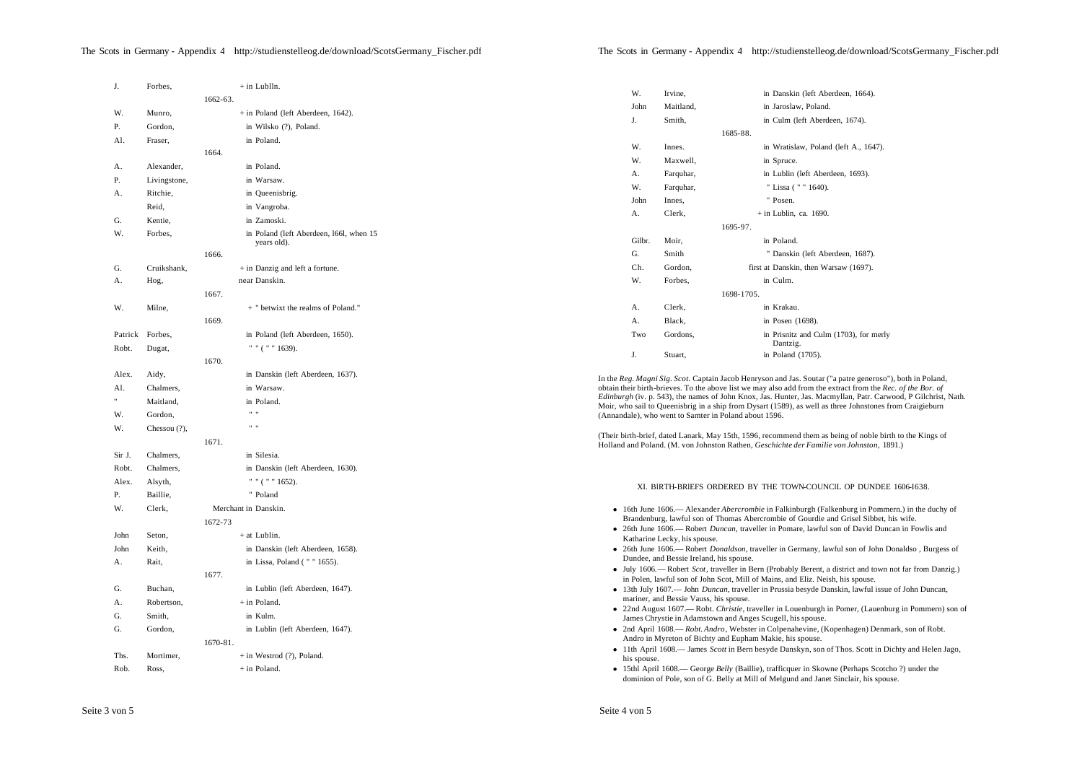| J.      | Forbes,      | $+$ in Lublln.                          |                              |                                                                                                                                                                                                                            |  |  |
|---------|--------------|-----------------------------------------|------------------------------|----------------------------------------------------------------------------------------------------------------------------------------------------------------------------------------------------------------------------|--|--|
|         |              | 1662-63.                                | W.<br>Irvine,                | in Danskin (left Aberdeen, 1664).                                                                                                                                                                                          |  |  |
| W.      | Munro,       | + in Poland (left Aberdeen, 1642).      | John                         | Maitland,<br>in Jaroslaw, Poland.                                                                                                                                                                                          |  |  |
| Ρ.      | Gordon,      | in Wilsko (?), Poland.                  | J.<br>Smith,                 | in Culm (left Aberdeen, 1674).                                                                                                                                                                                             |  |  |
| Al.     | Fraser,      | in Poland.                              |                              | 1685-88.                                                                                                                                                                                                                   |  |  |
|         |              | 1664.                                   | W.<br>Innes.                 | in Wratislaw, Poland (left A., 1647).                                                                                                                                                                                      |  |  |
| А.      | Alexander,   | in Poland.                              | W.                           | Maxwell,<br>in Spruce.                                                                                                                                                                                                     |  |  |
| Ρ.      | Livingstone, | in Warsaw.                              | А.                           | Farquhar,<br>in Lublin (left Aberdeen, 1693).                                                                                                                                                                              |  |  |
| А.      | Ritchie,     | in Queenisbrig.                         | W.                           | " Lissa ( " " 1640).<br>Farquhar,                                                                                                                                                                                          |  |  |
|         | Reid,        | in Vangroba.                            | John<br>Innes,               | " Posen.                                                                                                                                                                                                                   |  |  |
| G.      | Kentie,      | in Zamoski.                             | Clerk,<br>А.                 | $+$ in Lublin, ca. 1690.                                                                                                                                                                                                   |  |  |
| W.      | Forbes,      | in Poland (left Aberdeen, 1661, when 15 |                              | 1695-97.                                                                                                                                                                                                                   |  |  |
|         |              | years old).                             | Gilbr.<br>Moir,              | in Poland.                                                                                                                                                                                                                 |  |  |
|         |              | 1666.                                   | G.<br>Smith                  | " Danskin (left Aberdeen, 1687).                                                                                                                                                                                           |  |  |
| G.      | Cruikshank,  | + in Danzig and left a fortune.         | Ch.                          | first at Danskin, then Warsaw (1697).<br>Gordon,                                                                                                                                                                           |  |  |
| А.      | Hog,         | near Danskin.                           | W.                           | Forbes,<br>in Culm.                                                                                                                                                                                                        |  |  |
|         |              | 1667.                                   |                              | 1698-1705.                                                                                                                                                                                                                 |  |  |
| W.      | Milne,       | + " betwixt the realms of Poland."      | Α.<br>Clerk,                 | in Krakau.                                                                                                                                                                                                                 |  |  |
|         |              | 1669.                                   | Black,<br>А.                 | in Posen (1698).                                                                                                                                                                                                           |  |  |
| Patrick | Forbes,      | in Poland (left Aberdeen, 1650).        | Two                          | in Prisnitz and Culm (1703), for merly<br>Gordons.                                                                                                                                                                         |  |  |
| Robt.   | Dugat,       | " " ( " " 1639).                        | J.<br>Stuart,                | Dantzig.<br>in Poland (1705).                                                                                                                                                                                              |  |  |
|         |              | 1670.                                   |                              |                                                                                                                                                                                                                            |  |  |
| Alex.   | Aidy,        | in Danskin (left Aberdeen, 1637).       |                              | In the Reg. Magni Sig. Scot. Captain Jacob Henryson and Jas. Soutar ("a patre generoso"), both in Poland,                                                                                                                  |  |  |
| Al.     | Chalmers,    | in Warsaw.                              |                              | obtain their birth-brieves. To the above list we may also add from the extract from the Rec. of the Bor. of                                                                                                                |  |  |
|         | Maitland,    | in Poland.                              |                              | Edinburgh (iv. p. 543), the names of John Knox, Jas. Hunter, Jas. Macmyllan, Patr. Carwood, P Gilchrist, Nath.<br>Moir, who sail to Queenisbrig in a ship from Dysart (1589), as well as three Johnstones from Craigieburn |  |  |
| W.      | Gordon,      | $\cdots$                                |                              | (Annandale), who went to Samter in Poland about 1596.                                                                                                                                                                      |  |  |
| W.      | Chessou (?), | $n - n$                                 |                              | (Their birth-brief, dated Lanark, May 15th, 1596, recommend them as being of noble birth to the Kings of                                                                                                                   |  |  |
|         |              | 1671.                                   |                              | Holland and Poland. (M. von Johnston Rathen, Geschichte der Familie von Johnston, 1891.)                                                                                                                                   |  |  |
| Sir J.  | Chalmers,    | in Silesia.                             |                              |                                                                                                                                                                                                                            |  |  |
| Robt.   | Chalmers,    | in Danskin (left Aberdeen, 1630).       |                              |                                                                                                                                                                                                                            |  |  |
| Alex.   | Alsyth,      | " " ( " " $1652$ ).                     |                              | XI. BIRTH-BRIEFS ORDERED BY THE TOWN-COUNCIL OP DUNDEE 1606-1638.                                                                                                                                                          |  |  |
| Р.      | Baillie,     | " Poland                                |                              |                                                                                                                                                                                                                            |  |  |
| W.      | Clerk,       | Merchant in Danskin.                    |                              | • 16th June 1606.— Alexander <i>Abercrombie</i> in Falkinburgh (Falkenburg in Pommern.) in the duchy of                                                                                                                    |  |  |
|         |              | 1672-73                                 |                              | Brandenburg, lawful son of Thomas Abercrombie of Gourdie and Grisel Sibbet, his wife.<br>• 26th June 1606.— Robert Duncan, traveller in Pomare, lawful son of David Duncan in Fowlis and                                   |  |  |
| John    | Seton,       | $+$ at Lublin.                          | Katharine Lecky, his spouse. |                                                                                                                                                                                                                            |  |  |
| John    | Keith,       | in Danskin (left Aberdeen, 1658).       |                              | • 26th June 1606. Robert Donaldson, traveller in Germany, lawful son of John Donaldso, Burgess of                                                                                                                          |  |  |
| А.      | Rait,        | in Lissa, Poland ("" 1655).             |                              | Dundee, and Bessie Ireland, his spouse.<br>• July 1606.— Robert <i>Scot</i> , traveller in Bern (Probably Berent, a district and town not far from Danzig.)                                                                |  |  |
|         |              | 1677.                                   |                              | in Polen, lawful son of John Scot, Mill of Mains, and Eliz. Neish, his spouse.                                                                                                                                             |  |  |
| G.      | Buchan,      | in Lublin (left Aberdeen, 1647).        |                              | • 13th July 1607.— John Duncan, traveller in Prussia besyde Danskin, lawful issue of John Duncan,                                                                                                                          |  |  |
| А.      | Robertson,   | + in Poland.                            |                              | mariner, and Bessie Vauss, his spouse.<br>• 22nd August 1607.— Robt. Christie, traveller in Louenburgh in Pomer, (Lauenburg in Pommern) son of                                                                             |  |  |
| G.      | Smith,       | in Kulm.                                |                              | James Chrystie in Adamstown and Anges Scugell, his spouse.                                                                                                                                                                 |  |  |
| G.      | Gordon,      | in Lublin (left Aberdeen, 1647).        |                              | • 2nd April 1608.— Robt. Andro, Webster in Colpenahevine, (Kopenhagen) Denmark, son of Robt.                                                                                                                               |  |  |
|         |              | 1670-81.                                |                              | Andro in Myreton of Bichty and Eupham Makie, his spouse.                                                                                                                                                                   |  |  |
| Ths.    | Mortimer,    | $+$ in Westrod $(?)$ , Poland.          | his spouse.                  | • 11th April 1608.— James Scott in Bern besyde Danskyn, son of Thos. Scott in Dichty and Helen Jago,                                                                                                                       |  |  |
| Rob.    | Ross,        | $+$ in Poland.                          |                              | • 15thl April 1608.— George Belly (Baillie), trafficquer in Skowne (Perhaps Scotcho ?) under the<br>dominion of Pole, son of G. Belly at Mill of Melgund and Janet Sinclair, his spouse.                                   |  |  |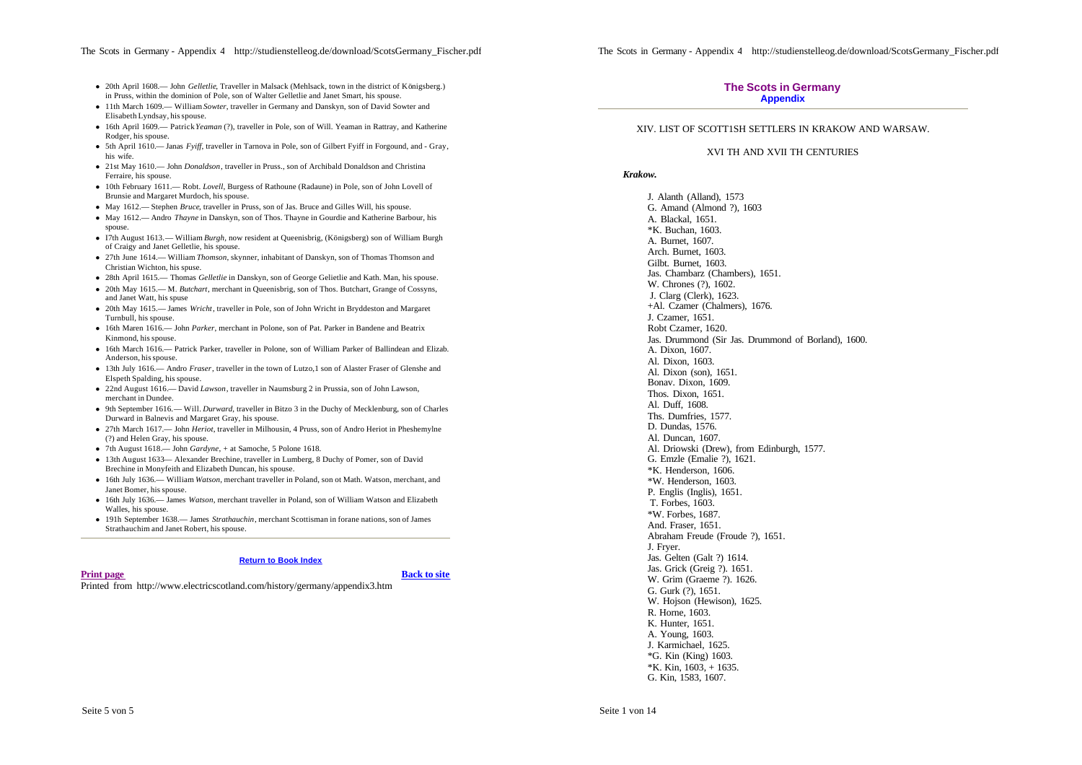- <sup>l</sup> 20th April 1608.— John *Gelletlie*, Traveller in Malsack (Mehlsack, town in the district of Königsberg.) in Pruss, within the dominion of Pole, son of Walter Gelletlie and Janet Smart, his spouse.
- <sup>l</sup> 11th March 1609.— William *Sowter*, traveller in Germany and Danskyn, son of David Sowter and Elisabeth Lyndsay, his spouse.
- 16th April 1609.— Patrick *Yeaman* (?), traveller in Pole, son of Will. Yeaman in Rattray, and Katherine Rodger, his spouse.
- <sup>l</sup> 5th April 1610.— Janas *Fyiff*, traveller in Tarnova in Pole, son of Gilbert Fyiff in Forgound, and Gray, his wife.
- <sup>l</sup> 21st May 1610.— John *Donaldson*, traveller in Pruss., son of Archibald Donaldson and Christina Ferraire, his spouse.
- <sup>l</sup> 10th February 1611.— Robt. *Lovell*, Burgess of Rathoune (Radaune) in Pole, son of John Lovell of Brunsie and Margaret Murdoch, his spouse.
- May 1612.— Stephen *Bruce*, traveller in Pruss, son of Jas. Bruce and Gilles Will, his spouse.
- May 1612.— Andro *Thayne* in Danskyn, son of Thos. Thayne in Gourdie and Katherine Barbour, his spouse.
- <sup>l</sup> I7th August 1613.— William *Burgh*, now resident at Queenisbrig, (Königsberg) son of William Burgh of Craigy and Janet Gelletlie, his spouse.
- <sup>l</sup> 27th June 1614.— William *Thomson*, skynner, inhabitant of Danskyn, son of Thomas Thomson and Christian Wichton, his spuse.
- <sup>l</sup> 28th April 1615.— Thomas *Gelletlie* in Danskyn, son of George Gelietlie and Kath. Man, his spouse.
- <sup>l</sup> 20th May 1615.— M. *Butchart*, merchant in Queenisbrig, son of Thos. Butchart, Grange of Cossyns, and Janet Watt, his spuse
- <sup>l</sup> 20th May 1615.— James *Wricht*, traveller in Pole, son of John Wricht in Bryddeston and Margaret Turnbull, his spouse.
- <sup>l</sup> 16th Maren 1616.— John *Parker*, merchant in Polone, son of Pat. Parker in Bandene and Beatrix Kinmond, his spouse.
- 16th March 1616.— Patrick Parker, traveller in Polone, son of William Parker of Ballindean and Elizab. Anderson, his spouse.
- <sup>l</sup> 13th July 1616.— Andro *Fraser*, traveller in the town of Lutzo,1 son of Alaster Fraser of Glenshe and Elspeth Spalding, his spouse.
- <sup>l</sup> 22nd August 1616.— David *Lawson*, traveller in Naumsburg 2 in Prussia, son of John Lawson, merchant in Dundee.
- <sup>l</sup> 9th September 1616.— Will. *Durward*, traveller in Bitzo 3 in the Duchy of Mecklenburg, son of Charles Durward in Balnevis and Margaret Gray, his spouse.
- <sup>l</sup> 27th March 1617.— John *Heriot*, traveller in Milhousin, 4 Pruss, son of Andro Heriot in Pheshemylne (?) and Helen Gray, his spouse.
- <sup>l</sup> 7th August 1618.— John *Gardyne*, + at Samoche, 5 Polone 1618.
- 13th August 1633— Alexander Brechine, traveller in Lumberg, 8 Duchy of Pomer, son of David Brechine in Monyfeith and Elizabeth Duncan, his spouse.
- <sup>l</sup> 16th July 1636.— William *Watson*, merchant traveller in Poland, son ot Math. Watson, merchant, and Janet Bomer, his spouse.
- <sup>l</sup> 16th July 1636.— James *Watson*, merchant traveller in Poland, son of William Watson and Elizabeth Walles, his spouse.
- <sup>l</sup> 191h September 1638.— James *Strathauchin*, merchant Scottisman in forane nations, son of James Strathauchim and Janet Robert, his spouse.

#### **Return to Book Index**

## **Print page Back to site**

Printed from http://www.electricscotland.com/history/germany/appendix3.htm

## **The Scots in Germany Appendix**

## XIV. LIST OF SCOTT1SH SETTLERS IN KRAKOW AND WARSAW.

## XVI TH AND XVII TH CENTURIES

## *Krakow.*

J. Alanth (Alland), 1573 G. Amand (Almond ?), 1603 A. Blackal, 1651. \*K. Buchan, 1603. A. Burnet, 1607. Arch. Burnet, 1603. Gilbt. Burnet, 1603. Jas. Chambarz (Chambers), 1651. W. Chrones (?), 1602. J. Clarg (Clerk), 1623. +Al. Czamer (Chalmers), 1676. J. Czamer, 1651. Robt Czamer, 1620. Jas. Drummond (Sir Jas. Drummond of Borland), 1600. A. Dixon, 1607. Al. Dixon, 1603. Al. Dixon (son), 1651. Bonav. Dixon, 1609. Thos. Dixon, 1651. Al. Duff, 1608. Ths. Dumfries, 1577. D. Dundas, 1576. Al. Duncan, 1607. Al. Driowski (Drew), from Edinburgh, 1577. G. Emzle (Emalie ?), 1621. \*K. Henderson, 1606. \*W. Henderson, 1603. P. Englis (Inglis), 1651. T. Forbes, 1603. \*W. Forbes, 1687. And. Fraser, 1651. Abraham Freude (Froude ?), 1651. J. Fryer. Jas. Gelten (Galt ?) 1614. Jas. Grick (Greig ?). 1651. W. Grim (Graeme ?). 1626. G. Gurk (?), 1651. W. Hojson (Hewison), 1625. R. Horne, 1603. K. Hunter, 1651. A. Young, 1603. J. Karmichael, 1625. \*G. Kin (King) 1603. \*K. Kin, 1603, + 1635. G. Kin, 1583, 1607.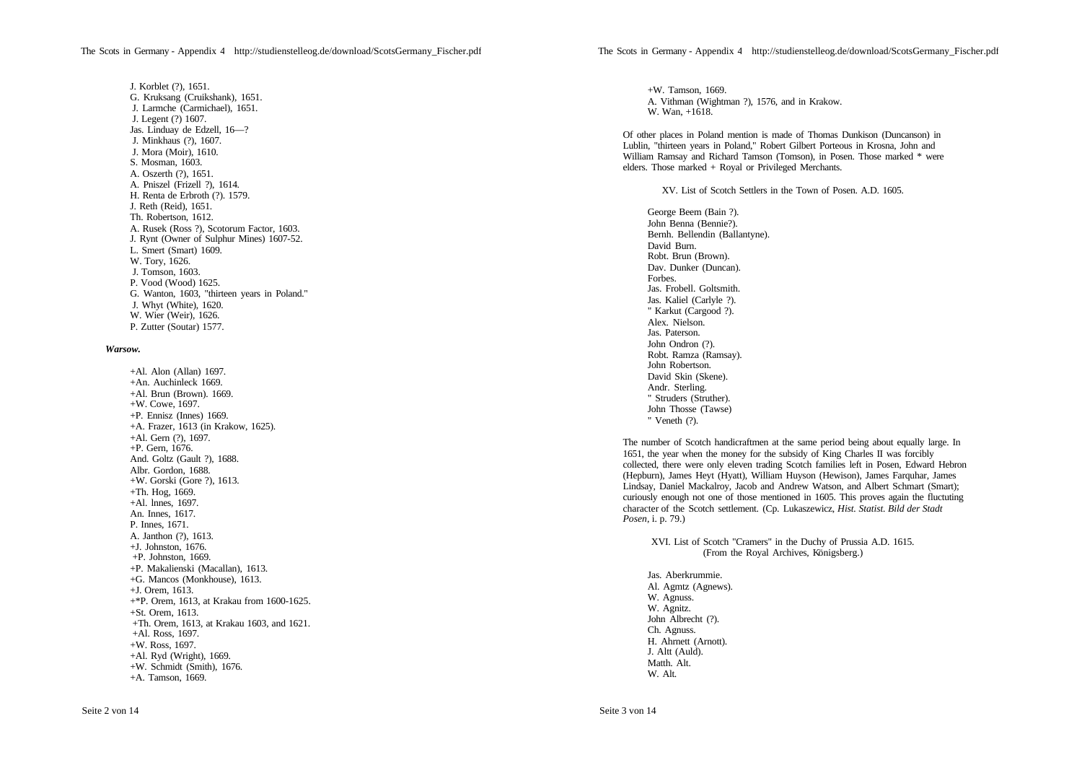J. Korblet (?), 1651. G. Kruksang (Cruikshank), 1651. J. Larmche (Carmichael), 1651. J. Legent (?) 1607. Jas. Linduay de Edzell, 16—? J. Minkhaus (?), 1607. J. Mora (Moir), 1610. S. Mosman, 1603. A. Oszerth (?), 1651. A. Pniszel (Frizell ?), 1614. H. Renta de Erbroth (?). 1579. J. Reth (Reid), 1651. Th. Robertson, 1612. A. Rusek (Ross ?), Scotorum Factor, 1603. J. Rynt (Owner of Sulphur Mines) 1607-52. L. Smert (Smart) 1609. W. Tory, 1626. J. Tomson, 1603. P. Vood (Wood) 1625. G. Wanton, 1603, "thirteen years in Poland." J. Whyt (White), 1620. W. Wier (Weir), 1626. P. Zutter (Soutar) 1577.

## *Warsow.*

+Al. Alon (Allan) 1697. +An. Auchinleck 1669. +Al. Brun (Brown). 1669. +W. Cowe, 1697. +P. Ennisz (Innes) 1669. +A. Frazer, 1613 (in Krakow, 1625). +Al. Gern (?), 1697. +P. Gern, 1676. And. Goltz (Gault ?), 1688. Albr. Gordon, 1688. +W. Gorski (Gore ?), 1613. +Th. Hog, 1669. +Al. lnnes, 1697. An. Innes, 1617. P. Innes, 1671. A. Janthon (?), 1613. +J. Johnston, 1676. +P. Johnston, 1669. +P. Makalienski (Macallan), 1613. +G. Mancos (Monkhouse), 1613. +J. Orem, 1613. +\*P. Orem, 1613, at Krakau from 1600-1625. +St. Orem, 1613. +Th. Orem, 1613, at Krakau 1603, and 1621. +Al. Ross, 1697. +W. Ross, 1697. +Al. Ryd (Wright), 1669. +W. Schmidt (Smith), 1676. +A. Tamson, 1669.

+W. Tamson, 1669. A. Vithman (Wightman ?), 1576, and in Krakow. W. Wan, +1618.

Of other places in Poland mention is made of Thomas Dunkison (Duncanson) in Lublin, "thirteen years in Poland," Robert Gilbert Porteous in Krosna, John and William Ramsay and Richard Tamson (Tomson), in Posen. Those marked \* were elders. Those marked + Royal or Privileged Merchants.

XV. List of Scotch Settlers in the Town of Posen. A.D. 1605.

George Beem (Bain ?). John Benna (Bennie?). Bernh. Bellendin (Ballantyne). David Burn. Robt. Brun (Brown). Dav. Dunker (Duncan). Forbes. Jas. Frobell. Goltsmith. Jas. Kaliel (Carlyle ?). " Karkut (Cargood ?). Alex. Nielson. Jas. Paterson. John Ondron (?). Robt. Ramza (Ramsay). John Robertson. David Skin (Skene). Andr. Sterling. " Struders (Struther). John Thosse (Tawse) " Veneth (?).

The number of Scotch handicraftmen at the same period being about equally large. In 1651, the year when the money for the subsidy of King Charles II was forcibly collected, there were only eleven trading Scotch families left in Posen, Edward Hebron (Hepburn), James Heyt (Hyatt), William Huyson (Hewison), James Farquhar, James Lindsay, Daniel Mackalroy, Jacob and Andrew Watson, and Albert Schmart (Smart); curiously enough not one of those mentioned in 1605. This proves again the fluctuting character of the Scotch settlement. (Cp. Lukaszewicz, *Hist. Statist. Bild der Stadt Posen*, i. p. 79.)

XVI. List of Scotch "Cramers" in the Duchy of Prussia A.D. 1615. (From the Royal Archives, Königsberg.)

Jas. Aberkrummie. Al. Agmtz (Agnews). W. Agnuss. W. Agnitz. John Albrecht (?). Ch. Agnuss. H. Ahrnett (Arnott). J. Altt (Auld). Matth. Alt. W. Alt.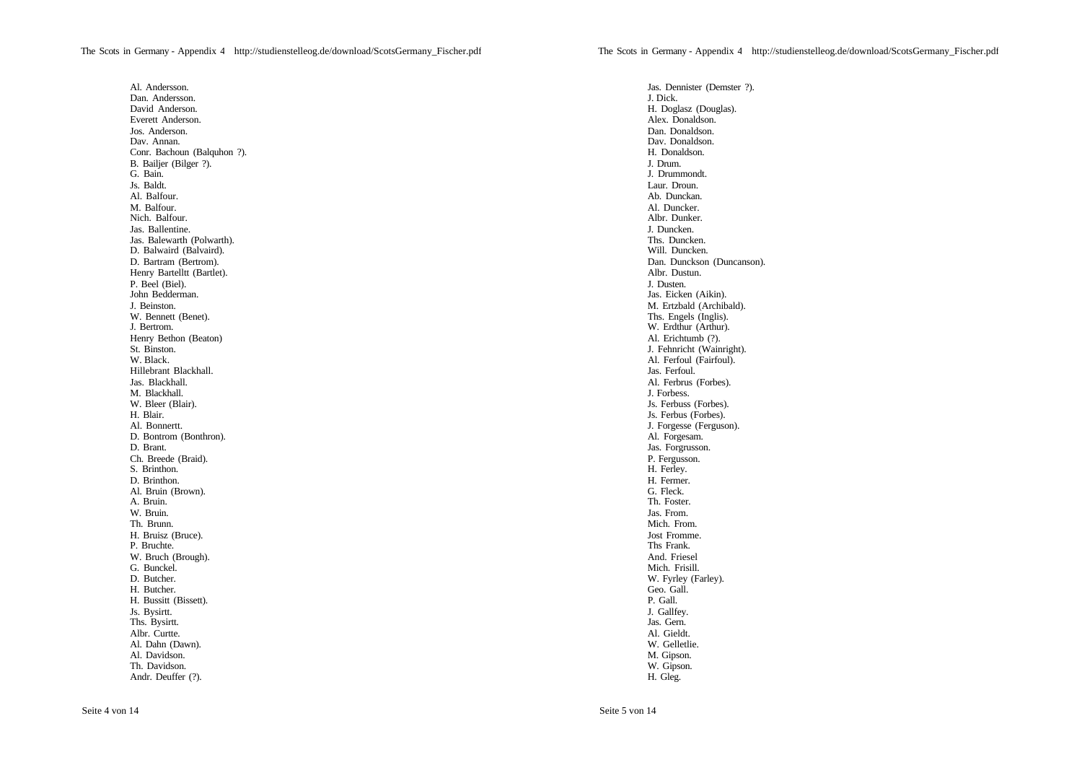Al. Andersson. Dan. Andersson. David Anderson. Everett Anderson. Jos. Anderson. Dav. Annan. Conr. Bachoun (Balquhon ?). B. Bailjer (Bilger ?). G. Bain. Js. Baldt. Al. Balfour. M. Balfour. Nich. Balfour. Jas. Ballentine. Jas. Balewarth (Polwarth). D. Balwaird (Balvaird). D. Bartram (Bertrom). Henry Bartelltt (Bartlet). P. Beel (Biel). John Bedderman. J. Beinston. W. Bennett (Benet). J. Bertrom. Henry Bethon (Beaton) St. Binston. W. Black. Hillebrant Blackhall. Jas. Blackhall. M. Blackhall. W. Bleer (Blair). H. Blair. Al. Bonnertt. D. Bontrom (Bonthron). D. Brant. Ch. Breede (Braid). S. Brinthon. D. Brinthon. Al. Bruin (Brown). A. Bruin. W. Bruin. Th. Brunn. H. Bruisz (Bruce). P. Bruchte. W. Bruch (Brough). G. Bunckel. D. Butcher. H. Butcher. H. Bussitt (Bissett). Js. Bysirtt. Ths. Bysirtt. Albr. Curtte. Al. Dahn (Dawn). Al. Davidson. Th. Davidson. Andr. Deuffer (?).

Jas. Dennister (Demster ?). J. Dick. H. Doglasz (Douglas). Alex. Donaldson. Dan. Donaldson. Dav. Donaldson. H. Donaldson. J. Drum. J. Drummondt. Laur. Droun. Ab. Dunckan. Al. Duncker. Albr. Dunker. J. Duncken. Ths. Duncken. Will. Duncken. Dan. Dunckson (Duncanson). Albr. Dustun. J. Dusten. Jas. Eicken (Aikin). M. Ertzbald (Archibald). Ths. Engels (Inglis). W. Erdthur (Arthur). Al. Erichtumb (?). J. Fehnricht (Wainright). Al. Ferfoul (Fairfoul). Jas. Ferfoul. Al. Ferbrus (Forbes). J. Forbess. Js. Ferbuss (Forbes). Js. Ferbus (Forbes). J. Forgesse (Ferguson). Al. Forgesam. Jas. Forgrusson. P. Fergusson. H. Ferley. H. Fermer. G. Fleck. Th. Foster. Jas. From. Mich. From. Jost Fromme. Ths Frank. And. Friesel Mich. Frisill. W. Fyrley (Farley). Geo. Gall. P. Gall. J. Gallfey. Jas. Gern. Al. Gieldt. W. Gelletlie. M. Gipson. W. Gipson. H. Gleg.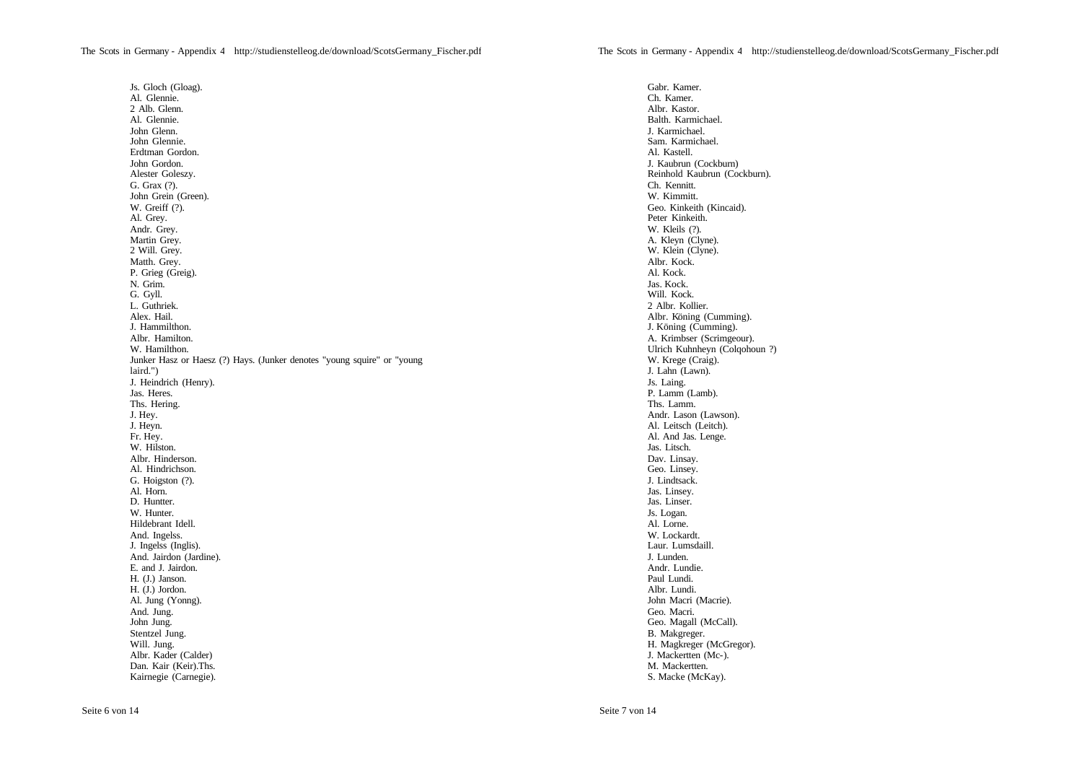Js. Gloch (Gloag). Al. Glennie. 2 Alb. Glenn. Al. Glennie. John Glenn. John Glennie. Erdtman Gordon. John Gordon. Alester Goleszy. G. Grax (?). John Grein (Green). W. Greiff (?). Al. Grey. Andr. Grey. Martin Grey. 2 Will. Grey. Matth. Grey. P. Grieg (Greig). N. Grim. G. Gyll. L. Guthriek. Alex. Hail. J. Hammilthon. Albr. Hamilton. W. Hamilthon. Junker Hasz or Haesz (?) Hays. (Junker denotes "young squire" or "young laird.") J. Heindrich (Henry). Jas. Heres. Ths. Hering. J. Hey. J. Heyn. Fr. Hey. W. Hilston. Albr. Hinderson. Al. Hindrichson. G. Hoigston (?). Al. Horn. D. Huntter. W. Hunter. Hildebrant Idell. And. Ingelss. J. Ingelss (Inglis). And. Jairdon (Jardine). E. and J. Jairdon. H. (J.) Janson. H. (J.) Jordon. Al. Jung (Yonng). And. Jung. John Jung. Stentzel Jung. Will. Jung. Albr. Kader (Calder) Dan. Kair (Keir).Ths. Kairnegie (Carnegie).

Gabr. Kamer. Ch. Kamer. Albr. Kastor. Balth. Karmichael. J. Karmichael. Sam. Karmichael. Al. Kastell. J. Kaubrun (Cockburn) Reinhold Kaubrun (Cockburn). Ch. Kennitt. W. Kimmitt. Geo. Kinkeith (Kincaid). Peter Kinkeith. W. Kleils (?). A. Kleyn (Clyne). W. Klein (Clyne). Albr. Kock. Al. Kock. Jas. Kock. Will. Kock. 2 Albr. Kollier. Albr. Köning (Cumming). J. Köning (Cumming). A. Krimbser (Scrimgeour). Ulrich Kuhnheyn (Colqohoun ?) W. Krege (Craig). J. Lahn (Lawn). Js. Laing. P. Lamm (Lamb). Ths. Lamm. Andr. Lason (Lawson). Al. Leitsch (Leitch). Al. And Jas. Lenge. Jas. Litsch. Dav. Linsay. Geo. Linsey. J. Lindtsack. Jas. Linsey. Jas. Linser. Js. Logan. Al. Lorne. W. Lockardt. Laur. Lumsdaill. J. Lunden. Andr. Lundie. Paul Lundi. Albr. Lundi. John Macri (Macrie). Geo. Macri. Geo. Magall (McCall). B. Makgreger. H. Magkreger (McGregor). J. Mackertten (Mc-). M. Mackertten. S. Macke (McKay).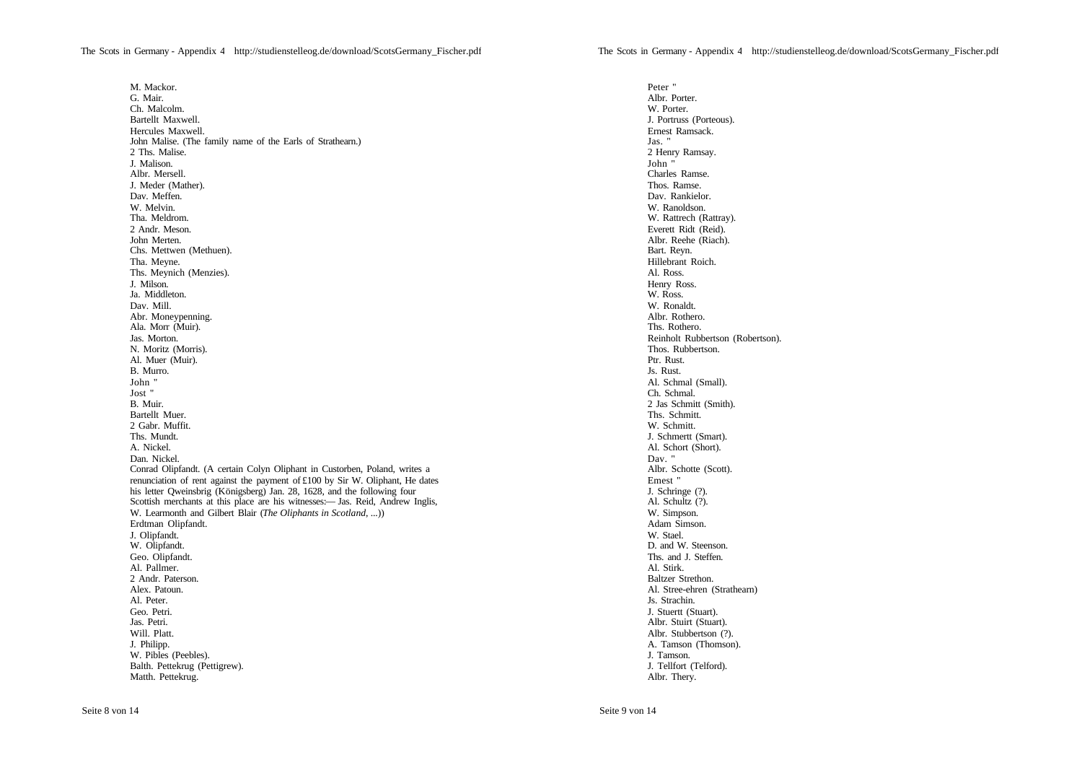M. Mackor. G. Mair. Ch. Malcolm. Bartellt Maxwell. Hercules Maxwell. John Malise. (The family name of the Earls of Strathearn.) 2 Ths. Malise. J. Malison. Albr. Mersell. J. Meder (Mather). Dav. Meffen. W. Melvin. Tha. Meldrom. 2 Andr. Meson. John Merten. Chs. Mettwen (Methuen). Tha. Meyne. Ths. Meynich (Menzies). J. Milson. Ja. Middleton. Dav. Mill. Abr. Moneypenning. Ala. Morr (Muir). Jas. Morton. N. Moritz (Morris). Al. Muer (Muir). B. Murro. John " Jost " B. Muir. Bartellt Muer. 2 Gabr. Muffit. Ths. Mundt. A. Nickel. Dan. Nickel. Conrad Olipfandt. (A certain Colyn Oliphant in Custorben, Poland, writes a renunciation of rent against the payment of £100 by Sir W. Oliphant, He dates his letter Qweinsbrig (Königsberg) Jan. 28, 1628, and the following four Scottish merchants at this place are his witnesses:— Jas. Reid, Andrew Inglis, W. Learmonth and Gilbert Blair (*The Oliphants in Scotland*, ...)) Erdtman Olipfandt. J. Olipfandt. W. Olipfandt. Geo. Olipfandt. Al. Pallmer. 2 Andr. Paterson. Alex. Patoun. Al. Peter. Geo. Petri. Jas. Petri. Will. Platt. J. Philipp. W. Pibles (Peebles). Balth. Pettekrug (Pettigrew). Matth. Pettekrug.

Peter " Albr. Porter. W. Porter. J. Portruss (Porteous). Ernest Ramsack. Jas. " 2 Henry Ramsay. John " Charles Ramse. Thos. Ramse. Dav. Rankielor. W. Ranoldson. W. Rattrech (Rattray). Everett Ridt (Reid). Albr. Reehe (Riach). Bart. Reyn. Hillebrant Roich. Al. Ross. Henry Ross. W. Ross. W. Ronaldt. Albr. Rothero. Ths. Rothero. Reinholt Rubbertson (Robertson). Thos. Rubbertson. Ptr. Rust. Js. Rust. Al. Schmal (Small). Ch. Schmal. 2 Jas Schmitt (Smith). Ths. Schmitt. W. Schmitt. J. Schmertt (Smart). Al. Schort (Short). Dav. " Albr. Schotte (Scott). Emest " J. Schringe (?). Al. Schultz (?). W. Simpson. Adam Simson. W. Stael. D. and W. Steenson. Ths. and **J.** Steffen. Al. Stirk. Baltzer Strethon. Al. Stree-ehren (Strathearn) Js. Strachin. J. Stuertt (Stuart). Albr. Stuirt (Stuart). Albr. Stubbertson (?). A. Tamson (Thomson). J. Tamson. J. Tellfort (Telford). Albr. Thery.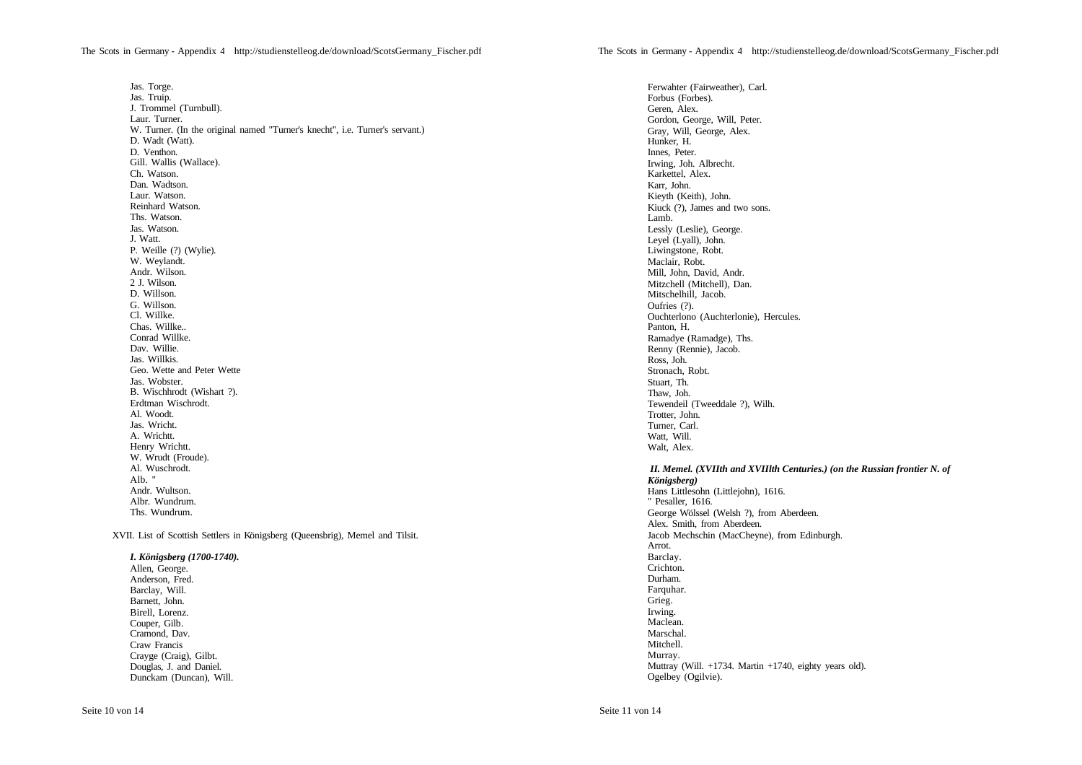Jas. Torge. Jas. Truip. J. Trommel (Turnbull). Laur. Turner. W. Turner. (In the original named "Turner's knecht", i.e. Turner's servant.) D. Wadt (Watt). D. Venthon. Gill. Wallis (Wallace). Ch. Watson. Dan. Wadtson. Laur. Watson. Reinhard Watson. Ths. Watson. Jas. Watson. J. Watt. P. Weille (?) (Wylie). W. Weylandt. Andr. Wilson. 2 J. Wilson. D. Willson. G. Willson. Cl. Willke. Chas. Willke.. Conrad Willke. Dav. Willie. Jas. Willkis. Geo. Wette and Peter Wette Jas. Wobster. B. Wischhrodt (Wishart ?). Erdtman Wischrodt. Al. Woodt. Jas. Wricht. A. Wrichtt. Henry Wrichtt. W. Wrudt (Froude). Al. Wuschrodt. Alb. " Andr. Wultson. Albr. Wundrum. Ths. Wundrum. XVII. List of Scottish Settlers in Königsberg (Queensbrig), Memel and Tilsit.

*I. Königsberg (1700-1740).* Allen, George. Anderson, Fred. Barclay, Will. Barnett, John. Birell, Lorenz. Couper, Gilb*.* Cramond, Dav. Craw Francis Crayge (Craig), Gilbt. Douglas, J. and Daniel. Dunckam (Duncan), Will.

Ferwahter (Fairweather), Carl. Forbus (Forbes). Geren, Alex. Gordon, George, Will, Peter. Gray, Will, George, Alex. Hunker, H. Innes, Peter. Irwing, Joh. Albrecht. Karkettel, Alex. Karr, John. Kieyth (Keith), John. Kiuck (?), James and two sons. Lamb. Lessly (Leslie), George. Leyel (Lyall), John. Liwingstone, Robt. Maclair, Robt. Mill, John, David, Andr. Mitzchell (Mitchell), Dan. Mitschelhill, Jacob. Oufries (?). Ouchterlono (Auchterlonie), Hercules. Panton, H. Ramadye (Ramadge), Ths. Renny (Rennie), Jacob. Ross, Joh. Stronach, Robt. Stuart, Th. Thaw, Joh. Tewendeil (Tweeddale ?), Wilh. Trotter, John. Turner, Carl. Watt, Will. Walt, Alex.

## *II. Memel. (XVIIth and XVIIlth Centuries.) (on the Russian frontier N. of Königsberg)*

Hans Littlesohn (Littlejohn), 1616. " Pesaller, 1616. George Wölssel (Welsh ?), from Aberdeen. Alex. Smith, from Aberdeen. Jacob Mechschin (MacCheyne), from Edinburgh. Arrot. Barclay. Crichton. Durham. Farquhar. Grieg. Irwing. Maclean. Marschal. Mitchell. Murray. Muttray (Will. +1734. Martin +1740, eighty years old). Ogelbey (Ogilvie).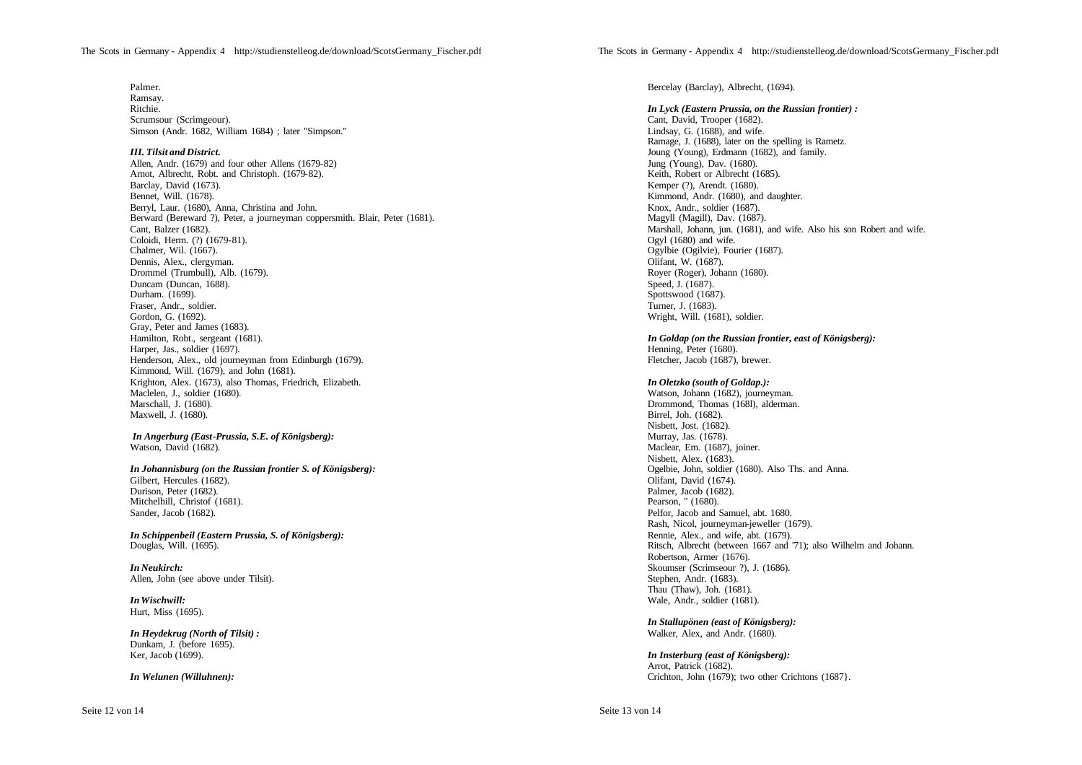*III. Tilsit and District.*

Allen, Andr. (1679) and four other Allens (1679-82) Arnot, Albrecht, Robt. and Christoph. (1679-82). Barclay, David (1673). Bennet, Will. (1678). Berryl, Laur. (1680), Anna, Christina and John. Berward (Bereward ?), Peter, a journeyman coppersmith. Blair, Peter (1681). Cant, Balzer (1682). Coloidi, Herm. (?) (1679-81). Chalmer, Wil. (1667). Dennis, Alex., clergyman. Drommel (Trumbull), Alb. (1679). Duncam (Duncan, 1688). Durham. (1699). Fraser, Andr., soldier. Gordon, G. (1692). Gray, Peter and James (1683). Hamilton, Robt., sergeant (1681). Harper, Jas., soldier (1697). Henderson, Alex., old journeyman from Edinburgh (1679). Kimmond, Will. (1679), and John (1681). Krighton, Alex. (1673), also Thomas, Friedrich, Elizabeth. Maclelen, J., soldier (1680). Marschall, J. (1680). Maxwell, J. (1680).

*In Angerburg (East-Prussia, S.E. of Königsberg):* Watson, David (1682).

*In Johannisburg (on the Russian frontier S. of Königsberg):* Gilbert, Hercules (1682). Durison, Peter (1682).

Mitchelhill, Christof (1681). Sander, Jacob (1682).

*In Schippenbeil (Eastern Prussia, S. of Königsberg):* Douglas, Will. (1695).

*In Neukirch:* Allen, John (see above under Tilsit).

*In Wischwill:* Hurt, Miss (1695).

*In Heydekrug (North of Tilsit) :* Dunkam, J. (before 1695). Ker, Jacob (1699).

*In Welunen (Willuhnen):*

Bercelay (Barclay), Albrecht, (1694).

*In Lyck (Eastern Prussia, on the Russian frontier) :* Cant, David, Trooper (1682). Lindsay, G. (1688), and wife. Ramage, J. (1688), later on the spelling is Rametz. Joung (Young), Erdmann (1682), and family. Jung (Young), Dav. (1680). Keith, Robert or Albrecht (1685). Kemper (?), Arendt. (1680). Kimmond, Andr. (1680), and daughter. Knox, Andr., soldier (1687). Magyll (Magill), Dav. (1687). Marshall, Johann, jun. (1681), and wife. Also his son Robert and wife. Ogyl (1680) and wife. Ogylbie (Ogilvie), Fourier (1687). Olifant, W. (1687). Royer (Roger), Johann (1680). Speed, J. (1687). Spottswood (1687). Turner, J. (1683). Wright, Will. (1681), soldier.

*In Goldap (on the Russian frontier, east of Königsberg):* Henning, Peter (1680).

Fletcher, Jacob (1687), brewer.

## *In Oletzko (south of Goldap.):*

Watson, Johann (1682), journeyman. Drommond, Thomas (168l), alderman. Birrel, Joh. (1682). Nisbett, Jost. (1682). Murray, Jas. (1678). Maclear, Em. (1687), joiner. Nisbett, Alex. (1683). Ogelbie, John, soldier (1680). Also Ths. and Anna. Olifant, David (1674). Palmer, Jacob (1682). Pearson, " (1680). Pelfor, Jacob and Samuel, abt. 1680. Rash, Nicol, journeyman-jeweller (1679). Rennie, Alex., and wife, abt. (1679). Ritsch, Albrecht (between 1667 and '71); also Wilhelm and Johann. Robertson, Armer (1676). Skoumser (Scrimseour ?), J. (1686). Stephen, Andr. (1683). Thau (Thaw), Joh. (1681). Wale, Andr., soldier (1681).

*In Stallupönen (east of Königsberg):* Walker, Alex, and Andr. (1680).

*In Insterburg (east of Königsberg):* Arrot, Patrick (1682). Crichton, John (1679); two other Crichtons (1687}.